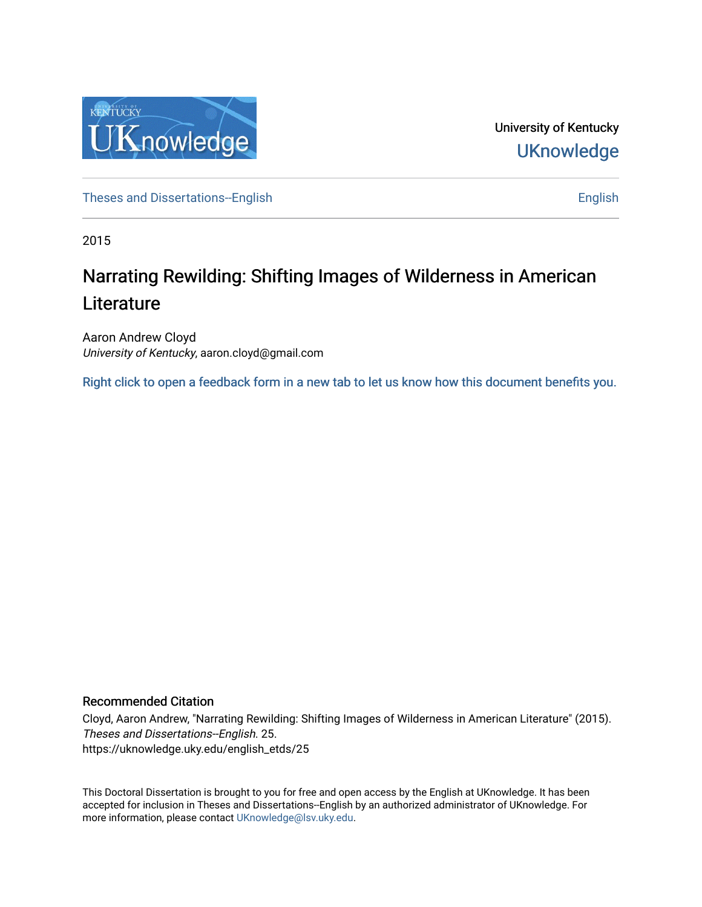

University of Kentucky **UKnowledge** 

[Theses and Dissertations--English](https://uknowledge.uky.edu/english_etds) [English](https://uknowledge.uky.edu/english) English English English

2015

# Narrating Rewilding: Shifting Images of Wilderness in American **Literature**

Aaron Andrew Cloyd University of Kentucky, aaron.cloyd@gmail.com

[Right click to open a feedback form in a new tab to let us know how this document benefits you.](https://uky.az1.qualtrics.com/jfe/form/SV_9mq8fx2GnONRfz7)

### Recommended Citation

Cloyd, Aaron Andrew, "Narrating Rewilding: Shifting Images of Wilderness in American Literature" (2015). Theses and Dissertations--English. 25. https://uknowledge.uky.edu/english\_etds/25

This Doctoral Dissertation is brought to you for free and open access by the English at UKnowledge. It has been accepted for inclusion in Theses and Dissertations--English by an authorized administrator of UKnowledge. For more information, please contact [UKnowledge@lsv.uky.edu](mailto:UKnowledge@lsv.uky.edu).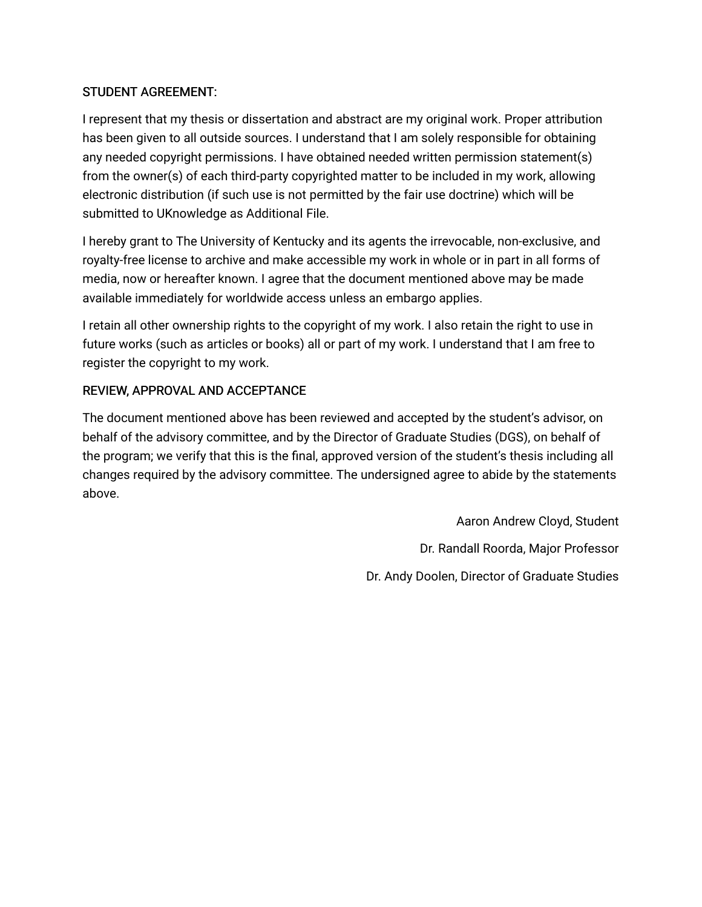# STUDENT AGREEMENT:

I represent that my thesis or dissertation and abstract are my original work. Proper attribution has been given to all outside sources. I understand that I am solely responsible for obtaining any needed copyright permissions. I have obtained needed written permission statement(s) from the owner(s) of each third-party copyrighted matter to be included in my work, allowing electronic distribution (if such use is not permitted by the fair use doctrine) which will be submitted to UKnowledge as Additional File.

I hereby grant to The University of Kentucky and its agents the irrevocable, non-exclusive, and royalty-free license to archive and make accessible my work in whole or in part in all forms of media, now or hereafter known. I agree that the document mentioned above may be made available immediately for worldwide access unless an embargo applies.

I retain all other ownership rights to the copyright of my work. I also retain the right to use in future works (such as articles or books) all or part of my work. I understand that I am free to register the copyright to my work.

# REVIEW, APPROVAL AND ACCEPTANCE

The document mentioned above has been reviewed and accepted by the student's advisor, on behalf of the advisory committee, and by the Director of Graduate Studies (DGS), on behalf of the program; we verify that this is the final, approved version of the student's thesis including all changes required by the advisory committee. The undersigned agree to abide by the statements above.

> Aaron Andrew Cloyd, Student Dr. Randall Roorda, Major Professor Dr. Andy Doolen, Director of Graduate Studies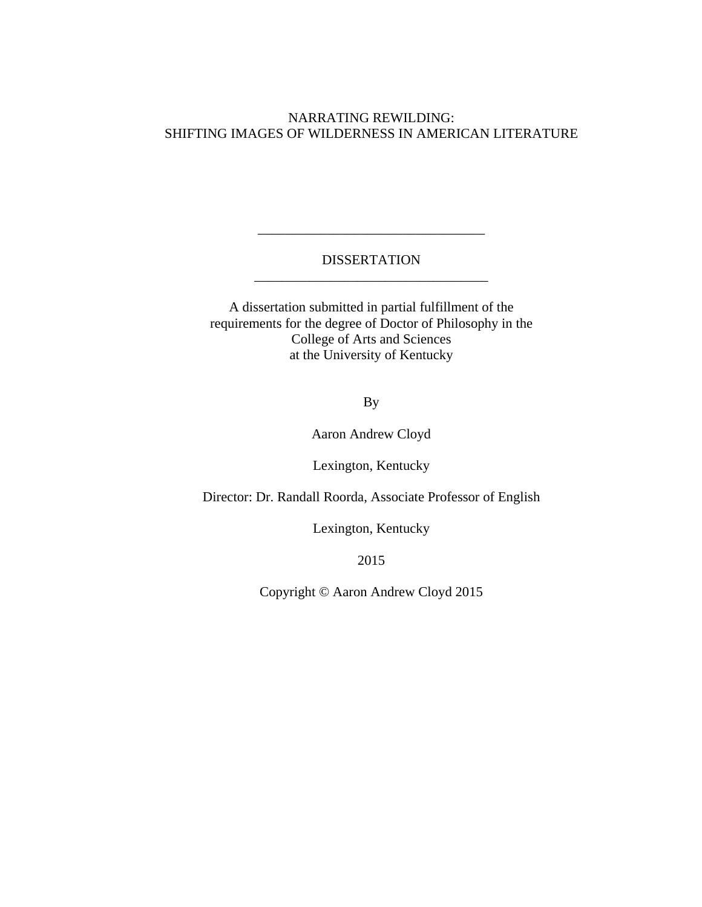# NARRATING REWILDING: SHIFTING IMAGES OF WILDERNESS IN AMERICAN LITERATURE

# DISSERTATION \_\_\_\_\_\_\_\_\_\_\_\_\_\_\_\_\_\_\_\_\_\_\_\_\_\_\_\_\_\_\_\_\_\_

\_\_\_\_\_\_\_\_\_\_\_\_\_\_\_\_\_\_\_\_\_\_\_\_\_\_\_\_\_\_\_\_\_

A dissertation submitted in partial fulfillment of the requirements for the degree of Doctor of Philosophy in the College of Arts and Sciences at the University of Kentucky

By

Aaron Andrew Cloyd

Lexington, Kentucky

Director: Dr. Randall Roorda, Associate Professor of English

Lexington, Kentucky

2015

Copyright © Aaron Andrew Cloyd 2015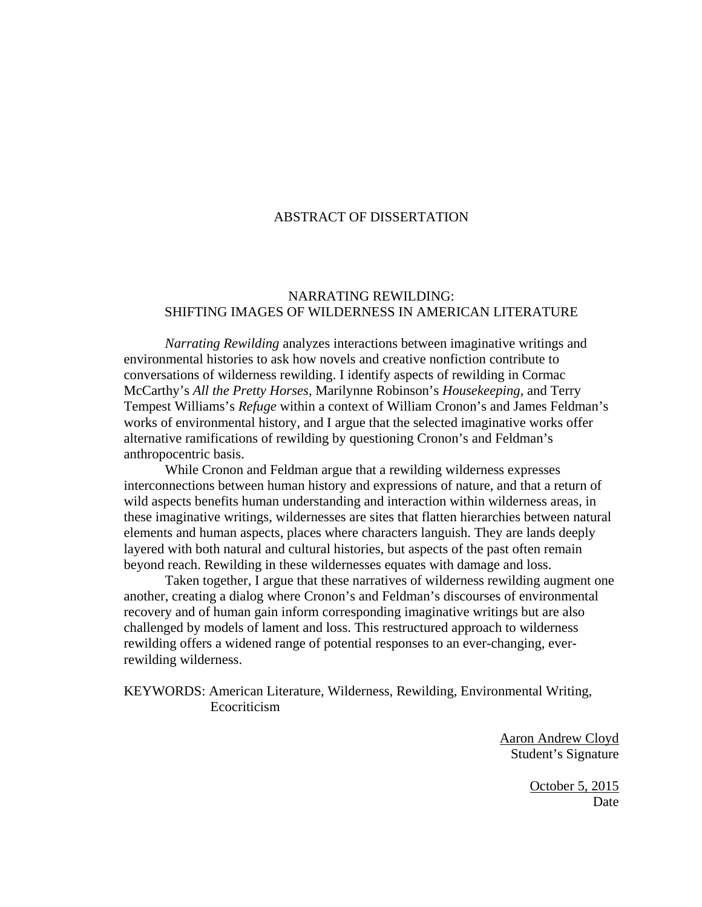#### ABSTRACT OF DISSERTATION

## NARRATING REWILDING: SHIFTING IMAGES OF WILDERNESS IN AMERICAN LITERATURE

*Narrating Rewilding* analyzes interactions between imaginative writings and environmental histories to ask how novels and creative nonfiction contribute to conversations of wilderness rewilding. I identify aspects of rewilding in Cormac McCarthy's *All the Pretty Horses,* Marilynne Robinson's *Housekeeping*, and Terry Tempest Williams's *Refuge* within a context of William Cronon's and James Feldman's works of environmental history, and I argue that the selected imaginative works offer alternative ramifications of rewilding by questioning Cronon's and Feldman's anthropocentric basis.

While Cronon and Feldman argue that a rewilding wilderness expresses interconnections between human history and expressions of nature, and that a return of wild aspects benefits human understanding and interaction within wilderness areas, in these imaginative writings, wildernesses are sites that flatten hierarchies between natural elements and human aspects, places where characters languish. They are lands deeply layered with both natural and cultural histories, but aspects of the past often remain beyond reach. Rewilding in these wildernesses equates with damage and loss.

Taken together, I argue that these narratives of wilderness rewilding augment one another, creating a dialog where Cronon's and Feldman's discourses of environmental recovery and of human gain inform corresponding imaginative writings but are also challenged by models of lament and loss. This restructured approach to wilderness rewilding offers a widened range of potential responses to an ever-changing, everrewilding wilderness.

KEYWORDS: American Literature, Wilderness, Rewilding, Environmental Writing, Ecocriticism

> Aaron Andrew Cloyd Student's Signature

> > October 5, 2015 Date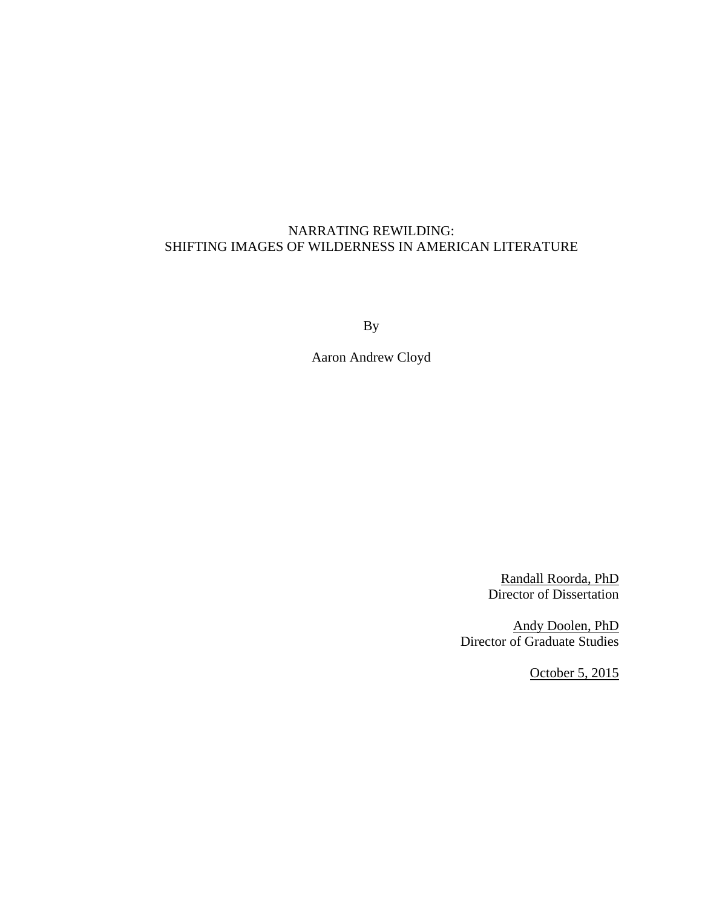## NARRATING REWILDING: SHIFTING IMAGES OF WILDERNESS IN AMERICAN LITERATURE

By

Aaron Andrew Cloyd

Randall Roorda, PhD Director of Dissertation

 Andy Doolen, PhD Director of Graduate Studies

October 5, 2015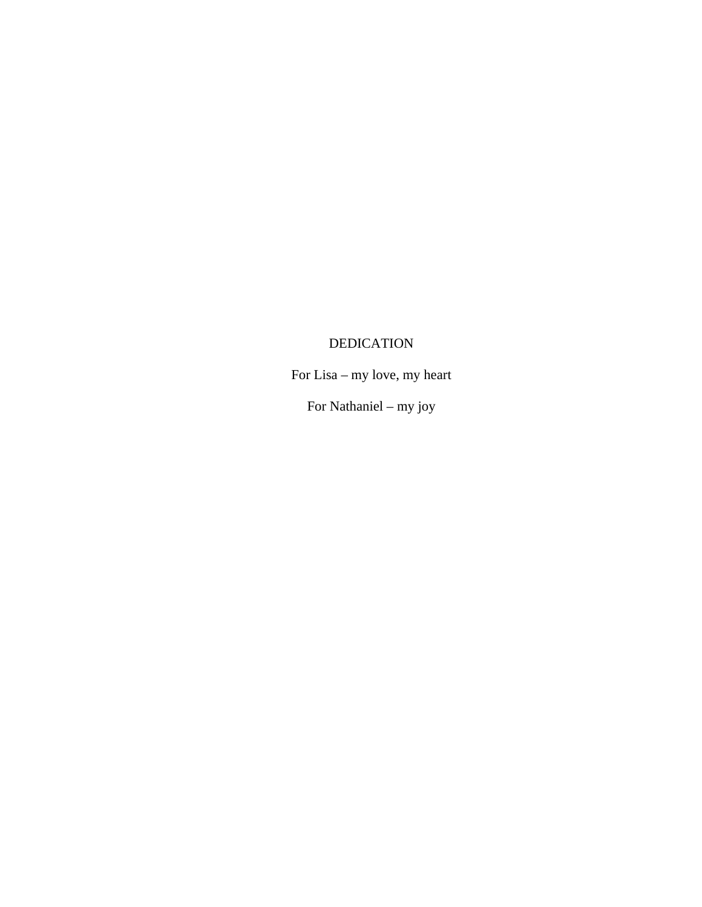# DEDICATION

For Lisa – my love, my heart

For Nathaniel – my joy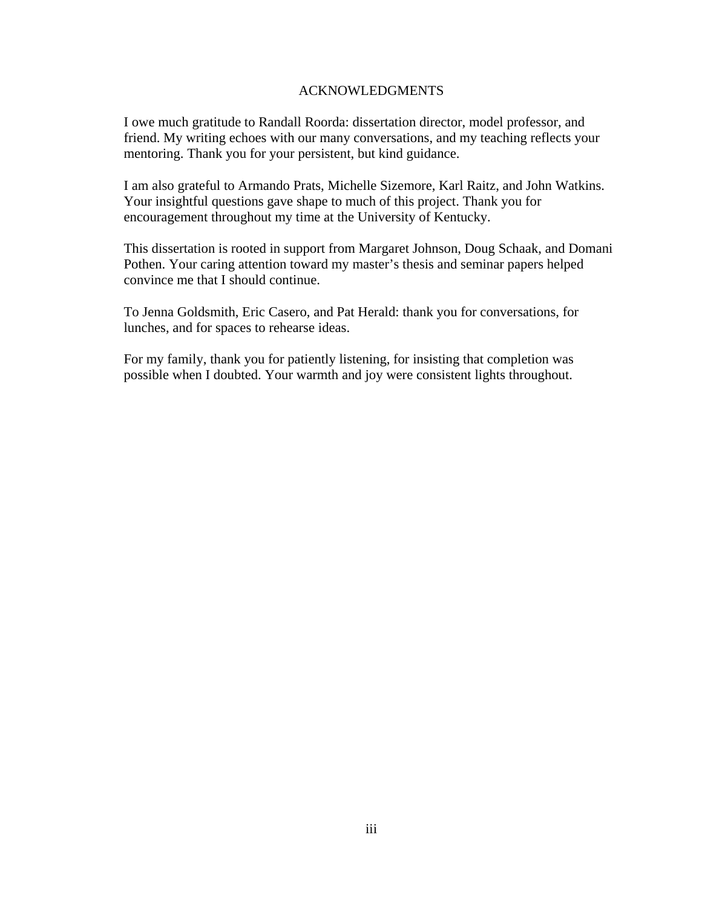#### ACKNOWLEDGMENTS

<span id="page-6-0"></span>I owe much gratitude to Randall Roorda: dissertation director, model professor, and friend. My writing echoes with our many conversations, and my teaching reflects your mentoring. Thank you for your persistent, but kind guidance.

I am also grateful to Armando Prats, Michelle Sizemore, Karl Raitz, and John Watkins. Your insightful questions gave shape to much of this project. Thank you for encouragement throughout my time at the University of Kentucky.

This dissertation is rooted in support from Margaret Johnson, Doug Schaak, and Domani Pothen. Your caring attention toward my master's thesis and seminar papers helped convince me that I should continue.

To Jenna Goldsmith, Eric Casero, and Pat Herald: thank you for conversations, for lunches, and for spaces to rehearse ideas.

For my family, thank you for patiently listening, for insisting that completion was possible when I doubted. Your warmth and joy were consistent lights throughout.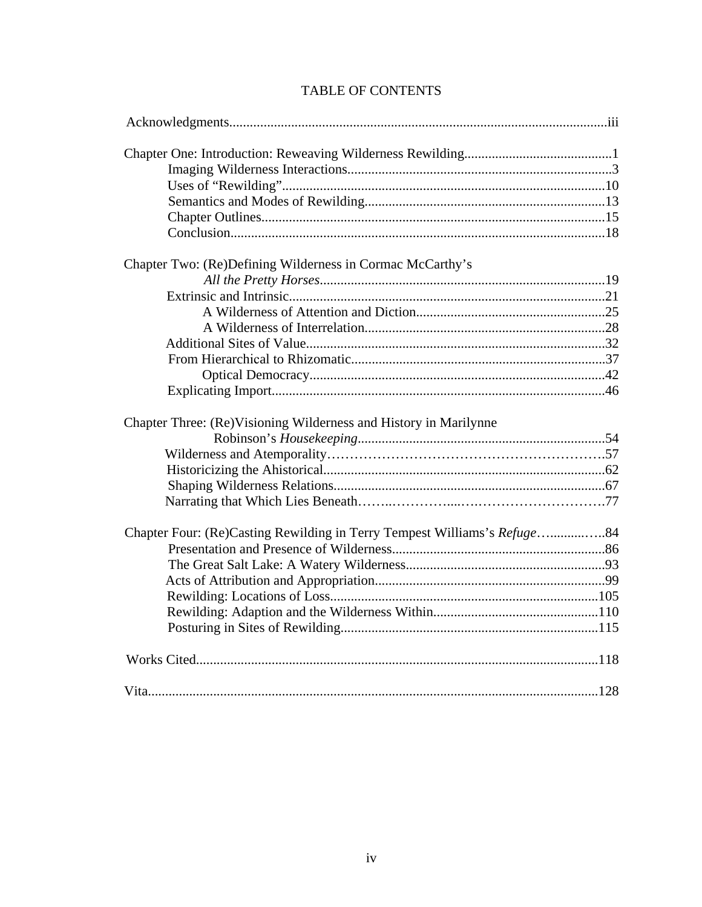| Chapter Two: (Re)Defining Wilderness in Cormac McCarthy's        |  |
|------------------------------------------------------------------|--|
|                                                                  |  |
|                                                                  |  |
|                                                                  |  |
|                                                                  |  |
|                                                                  |  |
|                                                                  |  |
|                                                                  |  |
|                                                                  |  |
| Chapter Three: (Re)Visioning Wilderness and History in Marilynne |  |
|                                                                  |  |
|                                                                  |  |
|                                                                  |  |
|                                                                  |  |
|                                                                  |  |
|                                                                  |  |
|                                                                  |  |
|                                                                  |  |
|                                                                  |  |
|                                                                  |  |
|                                                                  |  |
|                                                                  |  |
|                                                                  |  |
|                                                                  |  |

# TABLE OF CONTENTS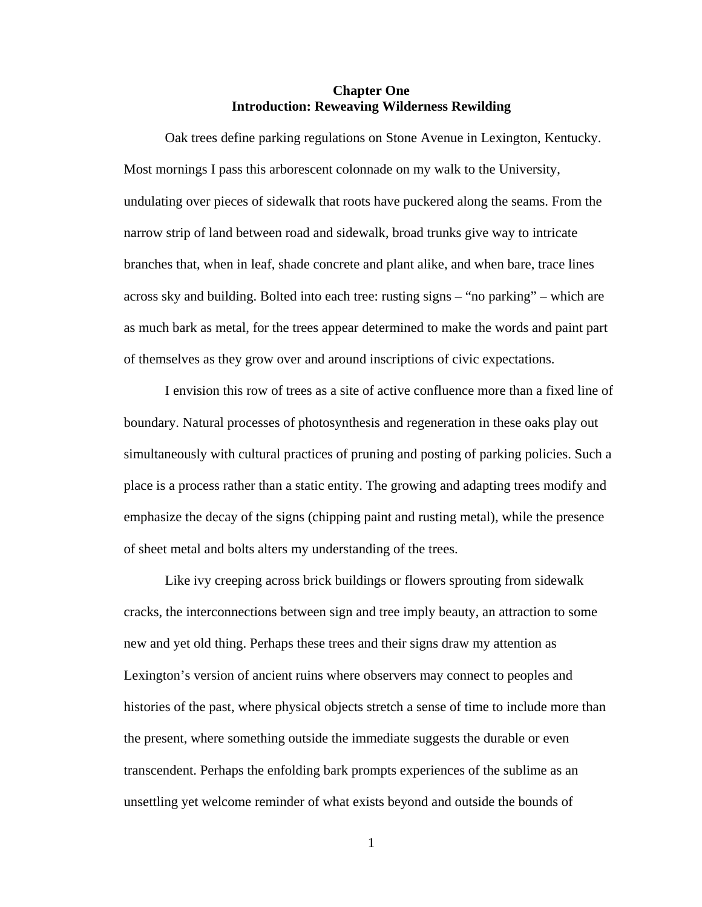#### **Chapter One Introduction: Reweaving Wilderness Rewilding**

<span id="page-8-0"></span>Oak trees define parking regulations on Stone Avenue in Lexington, Kentucky. Most mornings I pass this arborescent colonnade on my walk to the University, undulating over pieces of sidewalk that roots have puckered along the seams. From the narrow strip of land between road and sidewalk, broad trunks give way to intricate branches that, when in leaf, shade concrete and plant alike, and when bare, trace lines across sky and building. Bolted into each tree: rusting signs – "no parking" – which are as much bark as metal, for the trees appear determined to make the words and paint part of themselves as they grow over and around inscriptions of civic expectations.

I envision this row of trees as a site of active confluence more than a fixed line of boundary. Natural processes of photosynthesis and regeneration in these oaks play out simultaneously with cultural practices of pruning and posting of parking policies. Such a place is a process rather than a static entity. The growing and adapting trees modify and emphasize the decay of the signs (chipping paint and rusting metal), while the presence of sheet metal and bolts alters my understanding of the trees.

Like ivy creeping across brick buildings or flowers sprouting from sidewalk cracks, the interconnections between sign and tree imply beauty, an attraction to some new and yet old thing. Perhaps these trees and their signs draw my attention as Lexington's version of ancient ruins where observers may connect to peoples and histories of the past, where physical objects stretch a sense of time to include more than the present, where something outside the immediate suggests the durable or even transcendent. Perhaps the enfolding bark prompts experiences of the sublime as an unsettling yet welcome reminder of what exists beyond and outside the bounds of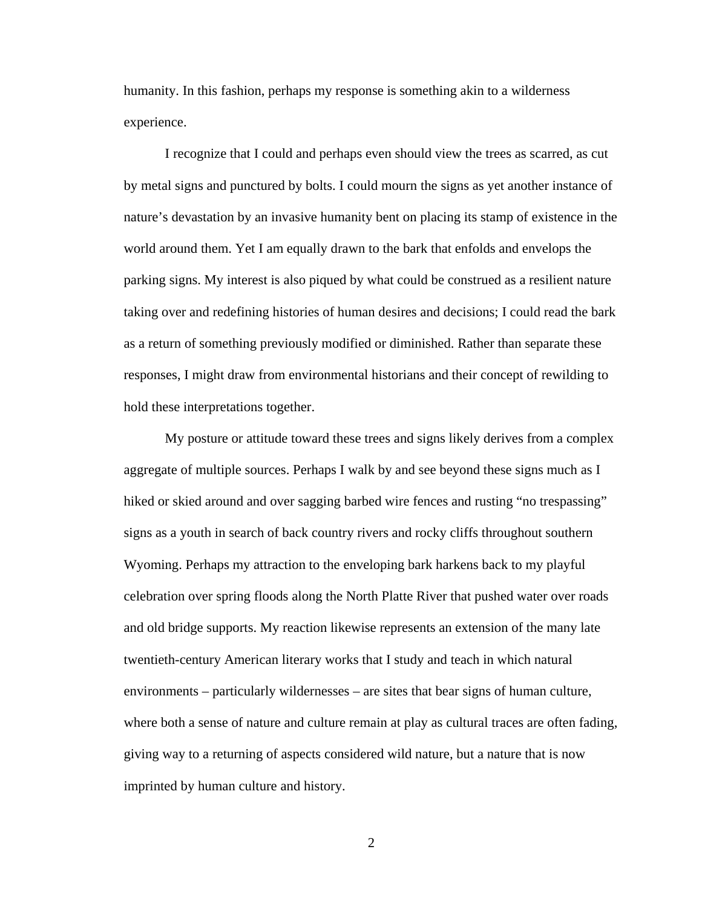humanity. In this fashion, perhaps my response is something akin to a wilderness experience.

I recognize that I could and perhaps even should view the trees as scarred, as cut by metal signs and punctured by bolts. I could mourn the signs as yet another instance of nature's devastation by an invasive humanity bent on placing its stamp of existence in the world around them. Yet I am equally drawn to the bark that enfolds and envelops the parking signs. My interest is also piqued by what could be construed as a resilient nature taking over and redefining histories of human desires and decisions; I could read the bark as a return of something previously modified or diminished. Rather than separate these responses, I might draw from environmental historians and their concept of rewilding to hold these interpretations together.

My posture or attitude toward these trees and signs likely derives from a complex aggregate of multiple sources. Perhaps I walk by and see beyond these signs much as I hiked or skied around and over sagging barbed wire fences and rusting "no trespassing" signs as a youth in search of back country rivers and rocky cliffs throughout southern Wyoming. Perhaps my attraction to the enveloping bark harkens back to my playful celebration over spring floods along the North Platte River that pushed water over roads and old bridge supports. My reaction likewise represents an extension of the many late twentieth-century American literary works that I study and teach in which natural environments – particularly wildernesses – are sites that bear signs of human culture, where both a sense of nature and culture remain at play as cultural traces are often fading, giving way to a returning of aspects considered wild nature, but a nature that is now imprinted by human culture and history.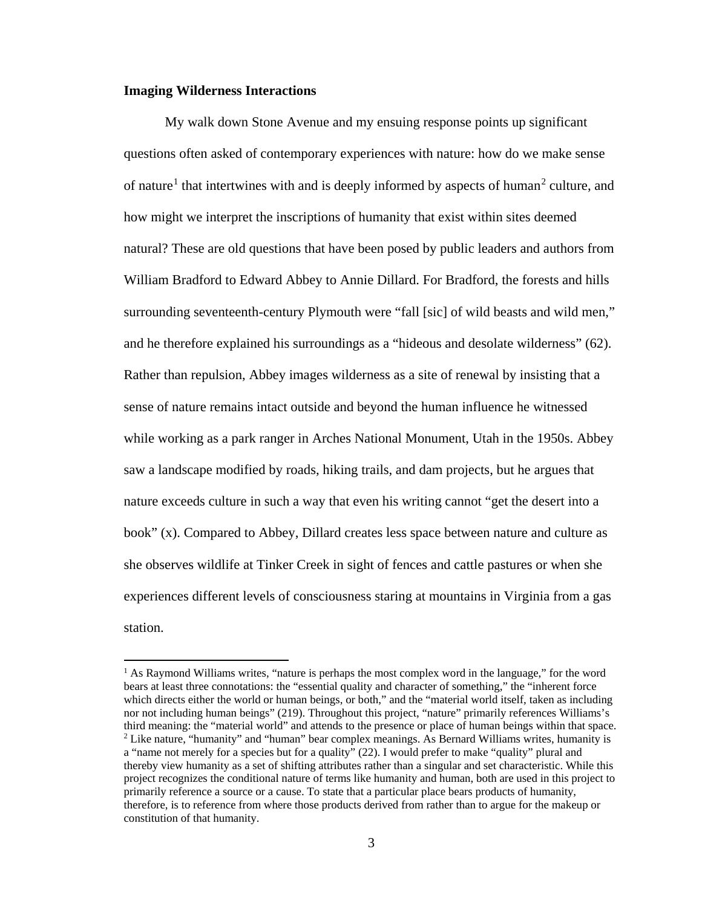#### <span id="page-10-0"></span>**Imaging Wilderness Interactions**

l

My walk down Stone Avenue and my ensuing response points up significant questions often asked of contemporary experiences with nature: how do we make sense of nature<sup>[1](#page-10-1)</sup> that intertwines with and is deeply informed by aspects of human<sup>[2](#page-10-2)</sup> culture, and how might we interpret the inscriptions of humanity that exist within sites deemed natural? These are old questions that have been posed by public leaders and authors from William Bradford to Edward Abbey to Annie Dillard. For Bradford, the forests and hills surrounding seventeenth-century Plymouth were "fall [sic] of wild beasts and wild men," and he therefore explained his surroundings as a "hideous and desolate wilderness" (62). Rather than repulsion, Abbey images wilderness as a site of renewal by insisting that a sense of nature remains intact outside and beyond the human influence he witnessed while working as a park ranger in Arches National Monument, Utah in the 1950s. Abbey saw a landscape modified by roads, hiking trails, and dam projects, but he argues that nature exceeds culture in such a way that even his writing cannot "get the desert into a book" (x). Compared to Abbey, Dillard creates less space between nature and culture as she observes wildlife at Tinker Creek in sight of fences and cattle pastures or when she experiences different levels of consciousness staring at mountains in Virginia from a gas station.

<span id="page-10-2"></span><span id="page-10-1"></span><sup>&</sup>lt;sup>1</sup> As Raymond Williams writes, "nature is perhaps the most complex word in the language," for the word bears at least three connotations: the "essential quality and character of something," the "inherent force which directs either the world or human beings, or both," and the "material world itself, taken as including nor not including human beings" (219). Throughout this project, "nature" primarily references Williams's third meaning: the "material world" and attends to the presence or place of human beings within that space.  $2$  Like nature, "humanity" and "human" bear complex meanings. As Bernard Williams writes, humanity is a "name not merely for a species but for a quality" (22). I would prefer to make "quality" plural and thereby view humanity as a set of shifting attributes rather than a singular and set characteristic. While this project recognizes the conditional nature of terms like humanity and human, both are used in this project to primarily reference a source or a cause. To state that a particular place bears products of humanity, therefore, is to reference from where those products derived from rather than to argue for the makeup or constitution of that humanity.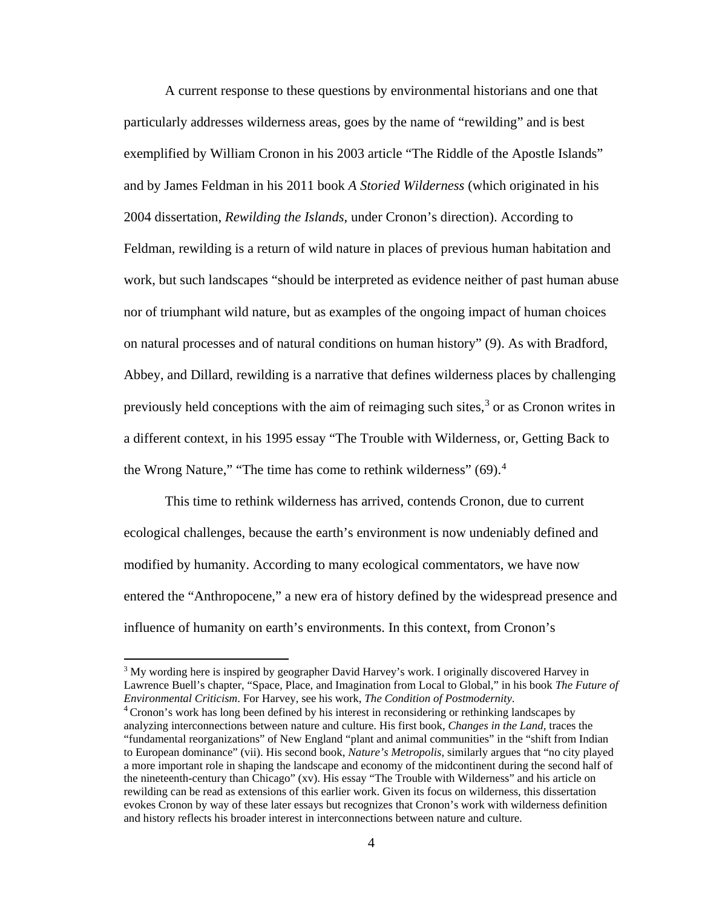A current response to these questions by environmental historians and one that particularly addresses wilderness areas, goes by the name of "rewilding" and is best exemplified by William Cronon in his 2003 article "The Riddle of the Apostle Islands" and by James Feldman in his 2011 book *A Storied Wilderness* (which originated in his 2004 dissertation, *Rewilding the Islands*, under Cronon's direction). According to Feldman, rewilding is a return of wild nature in places of previous human habitation and work, but such landscapes "should be interpreted as evidence neither of past human abuse nor of triumphant wild nature, but as examples of the ongoing impact of human choices on natural processes and of natural conditions on human history" (9). As with Bradford, Abbey, and Dillard, rewilding is a narrative that defines wilderness places by challenging previously held conceptions with the aim of reimaging such sites,<sup>[3](#page-11-0)</sup> or as Cronon writes in a different context, in his 1995 essay "The Trouble with Wilderness, or, Getting Back to the Wrong Nature," "The time has come to rethink wilderness" (69).<sup>[4](#page-11-1)</sup>

This time to rethink wilderness has arrived, contends Cronon, due to current ecological challenges, because the earth's environment is now undeniably defined and modified by humanity. According to many ecological commentators, we have now entered the "Anthropocene," a new era of history defined by the widespread presence and influence of humanity on earth's environments. In this context, from Cronon's

l

<span id="page-11-0"></span><sup>3</sup> My wording here is inspired by geographer David Harvey's work. I originally discovered Harvey in Lawrence Buell's chapter, "Space, Place, and Imagination from Local to Global," in his book *The Future of* 

<span id="page-11-1"></span><sup>&</sup>lt;sup>4</sup> Cronon's work has long been defined by his interest in reconsidering or rethinking landscapes by analyzing interconnections between nature and culture. His first book, *Changes in the Land*, traces the "fundamental reorganizations" of New England "plant and animal communities" in the "shift from Indian to European dominance" (vii). His second book, *Nature's Metropolis*, similarly argues that "no city played a more important role in shaping the landscape and economy of the midcontinent during the second half of the nineteenth-century than Chicago" (xv). His essay "The Trouble with Wilderness" and his article on rewilding can be read as extensions of this earlier work. Given its focus on wilderness, this dissertation evokes Cronon by way of these later essays but recognizes that Cronon's work with wilderness definition and history reflects his broader interest in interconnections between nature and culture.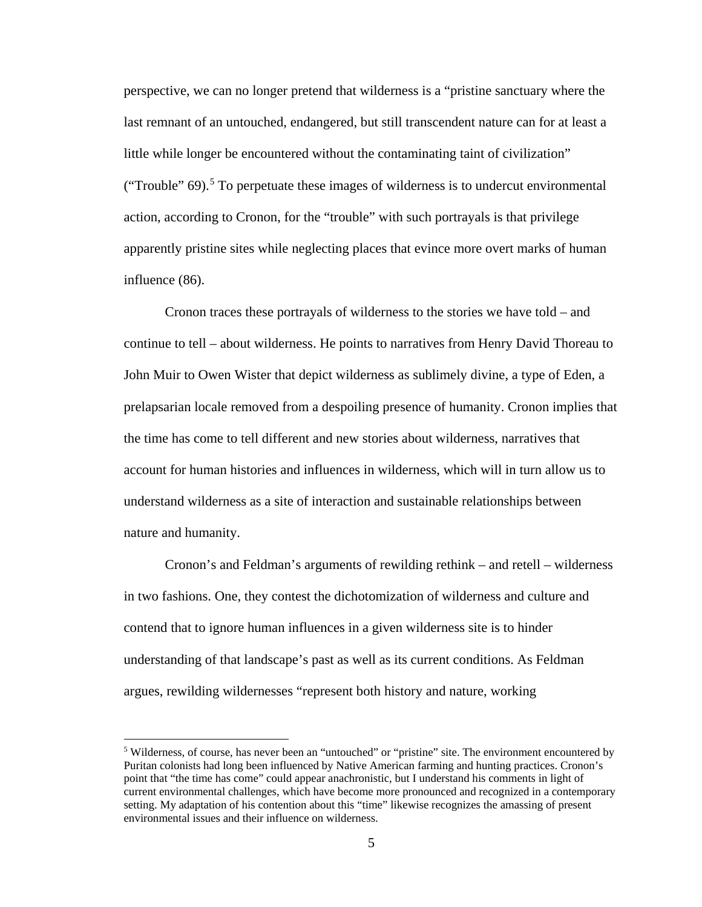perspective, we can no longer pretend that wilderness is a "pristine sanctuary where the last remnant of an untouched, endangered, but still transcendent nature can for at least a little while longer be encountered without the contaminating taint of civilization" ("Trouble"  $69$ ).<sup>[5](#page-12-0)</sup> To perpetuate these images of wilderness is to undercut environmental action, according to Cronon, for the "trouble" with such portrayals is that privilege apparently pristine sites while neglecting places that evince more overt marks of human influence (86).

Cronon traces these portrayals of wilderness to the stories we have told – and continue to tell – about wilderness. He points to narratives from Henry David Thoreau to John Muir to Owen Wister that depict wilderness as sublimely divine, a type of Eden, a prelapsarian locale removed from a despoiling presence of humanity. Cronon implies that the time has come to tell different and new stories about wilderness, narratives that account for human histories and influences in wilderness, which will in turn allow us to understand wilderness as a site of interaction and sustainable relationships between nature and humanity.

Cronon's and Feldman's arguments of rewilding rethink – and retell – wilderness in two fashions. One, they contest the dichotomization of wilderness and culture and contend that to ignore human influences in a given wilderness site is to hinder understanding of that landscape's past as well as its current conditions. As Feldman argues, rewilding wildernesses "represent both history and nature, working

l

<span id="page-12-0"></span><sup>5</sup> Wilderness, of course, has never been an "untouched" or "pristine" site. The environment encountered by Puritan colonists had long been influenced by Native American farming and hunting practices. Cronon's point that "the time has come" could appear anachronistic, but I understand his comments in light of current environmental challenges, which have become more pronounced and recognized in a contemporary setting. My adaptation of his contention about this "time" likewise recognizes the amassing of present environmental issues and their influence on wilderness.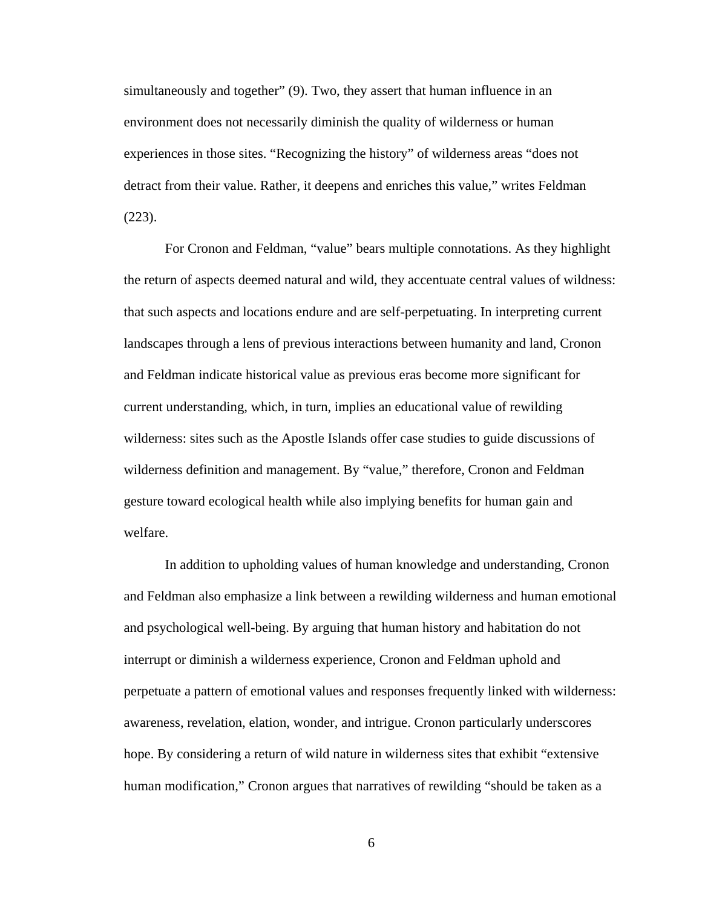simultaneously and together" (9). Two, they assert that human influence in an environment does not necessarily diminish the quality of wilderness or human experiences in those sites. "Recognizing the history" of wilderness areas "does not detract from their value. Rather, it deepens and enriches this value," writes Feldman (223).

For Cronon and Feldman, "value" bears multiple connotations. As they highlight the return of aspects deemed natural and wild, they accentuate central values of wildness: that such aspects and locations endure and are self-perpetuating. In interpreting current landscapes through a lens of previous interactions between humanity and land, Cronon and Feldman indicate historical value as previous eras become more significant for current understanding, which, in turn, implies an educational value of rewilding wilderness: sites such as the Apostle Islands offer case studies to guide discussions of wilderness definition and management. By "value," therefore, Cronon and Feldman gesture toward ecological health while also implying benefits for human gain and welfare.

In addition to upholding values of human knowledge and understanding, Cronon and Feldman also emphasize a link between a rewilding wilderness and human emotional and psychological well-being. By arguing that human history and habitation do not interrupt or diminish a wilderness experience, Cronon and Feldman uphold and perpetuate a pattern of emotional values and responses frequently linked with wilderness: awareness, revelation, elation, wonder, and intrigue. Cronon particularly underscores hope. By considering a return of wild nature in wilderness sites that exhibit "extensive human modification," Cronon argues that narratives of rewilding "should be taken as a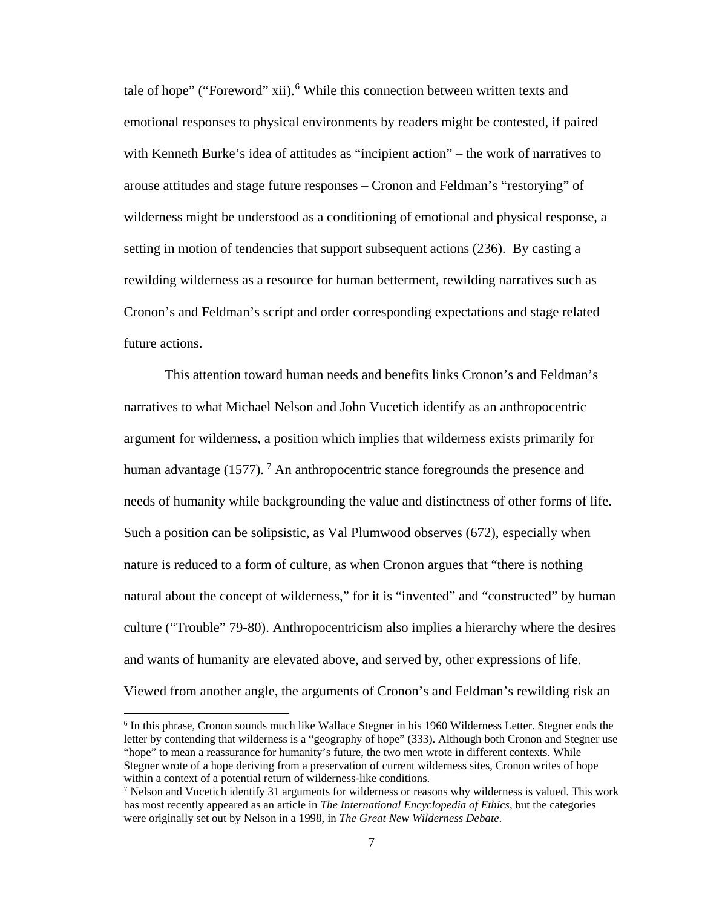tale of hope" ("Foreword" xii).<sup>[6](#page-14-0)</sup> While this connection between written texts and emotional responses to physical environments by readers might be contested, if paired with Kenneth Burke's idea of attitudes as "incipient action" – the work of narratives to arouse attitudes and stage future responses – Cronon and Feldman's "restorying" of wilderness might be understood as a conditioning of emotional and physical response, a setting in motion of tendencies that support subsequent actions (236). By casting a rewilding wilderness as a resource for human betterment, rewilding narratives such as Cronon's and Feldman's script and order corresponding expectations and stage related future actions.

This attention toward human needs and benefits links Cronon's and Feldman's narratives to what Michael Nelson and John Vucetich identify as an anthropocentric argument for wilderness, a position which implies that wilderness exists primarily for human advantage (15[7](#page-14-1)7). <sup>7</sup> An anthropocentric stance foregrounds the presence and needs of humanity while backgrounding the value and distinctness of other forms of life. Such a position can be solipsistic, as Val Plumwood observes (672), especially when nature is reduced to a form of culture, as when Cronon argues that "there is nothing natural about the concept of wilderness," for it is "invented" and "constructed" by human culture ("Trouble" 79-80). Anthropocentricism also implies a hierarchy where the desires and wants of humanity are elevated above, and served by, other expressions of life. Viewed from another angle, the arguments of Cronon's and Feldman's rewilding risk an

<span id="page-14-0"></span><sup>6</sup> In this phrase, Cronon sounds much like Wallace Stegner in his 1960 Wilderness Letter. Stegner ends the letter by contending that wilderness is a "geography of hope" (333). Although both Cronon and Stegner use "hope" to mean a reassurance for humanity's future, the two men wrote in different contexts. While Stegner wrote of a hope deriving from a preservation of current wilderness sites, Cronon writes of hope within a context of a potential return of wilderness-like conditions.<br><sup>7</sup> Nelson and Vucetich identify 31 arguments for wilderness or reasons why wilderness is valued. This work

<span id="page-14-1"></span>has most recently appeared as an article in *The International Encyclopedia of Ethics*, but the categories were originally set out by Nelson in a 1998, in *The Great New Wilderness Debate*.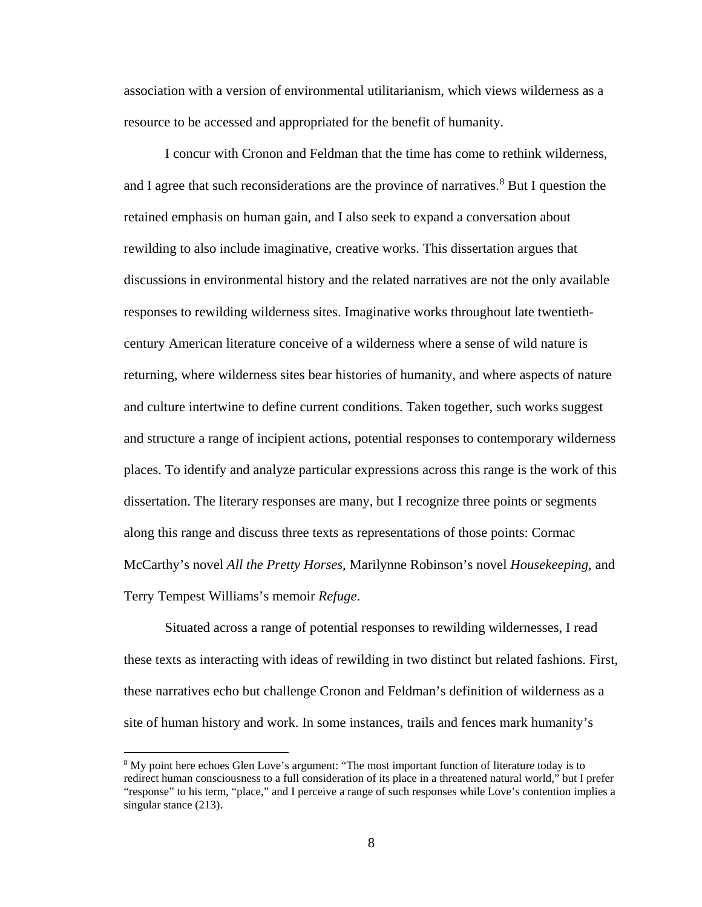association with a version of environmental utilitarianism, which views wilderness as a resource to be accessed and appropriated for the benefit of humanity.

I concur with Cronon and Feldman that the time has come to rethink wilderness, and I agree that such reconsiderations are the province of narratives.<sup>[8](#page-15-0)</sup> But I question the retained emphasis on human gain, and I also seek to expand a conversation about rewilding to also include imaginative, creative works. This dissertation argues that discussions in environmental history and the related narratives are not the only available responses to rewilding wilderness sites. Imaginative works throughout late twentiethcentury American literature conceive of a wilderness where a sense of wild nature is returning, where wilderness sites bear histories of humanity, and where aspects of nature and culture intertwine to define current conditions. Taken together, such works suggest and structure a range of incipient actions, potential responses to contemporary wilderness places. To identify and analyze particular expressions across this range is the work of this dissertation. The literary responses are many, but I recognize three points or segments along this range and discuss three texts as representations of those points: Cormac McCarthy's novel *All the Pretty Horses*, Marilynne Robinson's novel *Housekeeping*, and Terry Tempest Williams's memoir *Refuge*.

Situated across a range of potential responses to rewilding wildernesses, I read these texts as interacting with ideas of rewilding in two distinct but related fashions. First, these narratives echo but challenge Cronon and Feldman's definition of wilderness as a site of human history and work. In some instances, trails and fences mark humanity's

<span id="page-15-0"></span><sup>&</sup>lt;sup>8</sup> My point here echoes Glen Love's argument: "The most important function of literature today is to redirect human consciousness to a full consideration of its place in a threatened natural world," but I prefer "response" to his term, "place," and I perceive a range of such responses while Love's contention implies a singular stance (213).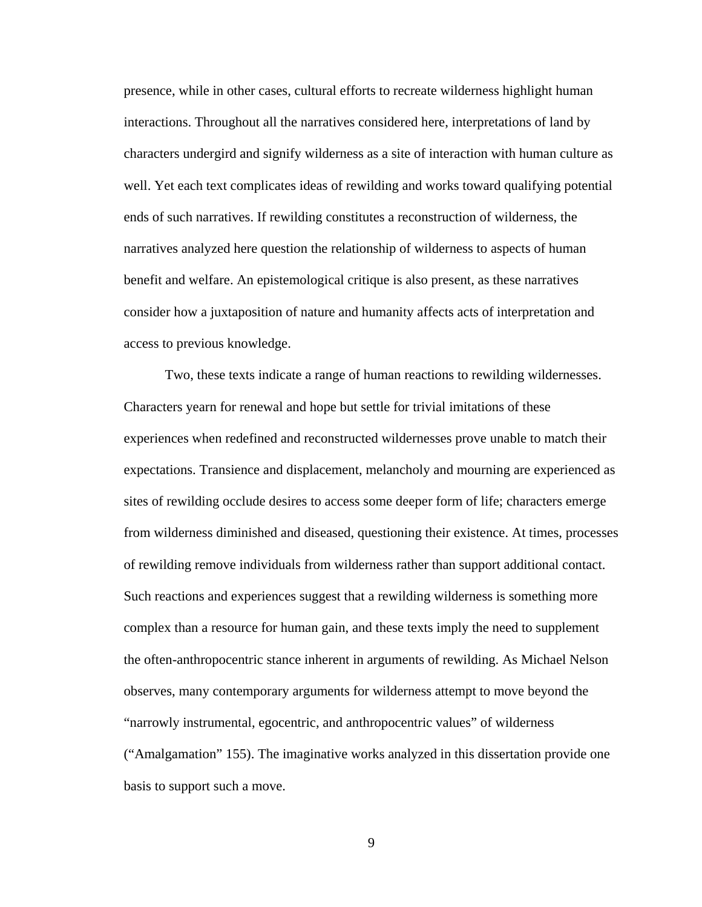presence, while in other cases, cultural efforts to recreate wilderness highlight human interactions. Throughout all the narratives considered here, interpretations of land by characters undergird and signify wilderness as a site of interaction with human culture as well. Yet each text complicates ideas of rewilding and works toward qualifying potential ends of such narratives. If rewilding constitutes a reconstruction of wilderness, the narratives analyzed here question the relationship of wilderness to aspects of human benefit and welfare. An epistemological critique is also present, as these narratives consider how a juxtaposition of nature and humanity affects acts of interpretation and access to previous knowledge.

Two, these texts indicate a range of human reactions to rewilding wildernesses. Characters yearn for renewal and hope but settle for trivial imitations of these experiences when redefined and reconstructed wildernesses prove unable to match their expectations. Transience and displacement, melancholy and mourning are experienced as sites of rewilding occlude desires to access some deeper form of life; characters emerge from wilderness diminished and diseased, questioning their existence. At times, processes of rewilding remove individuals from wilderness rather than support additional contact. Such reactions and experiences suggest that a rewilding wilderness is something more complex than a resource for human gain, and these texts imply the need to supplement the often-anthropocentric stance inherent in arguments of rewilding. As Michael Nelson observes, many contemporary arguments for wilderness attempt to move beyond the "narrowly instrumental, egocentric, and anthropocentric values" of wilderness ("Amalgamation" 155). The imaginative works analyzed in this dissertation provide one basis to support such a move.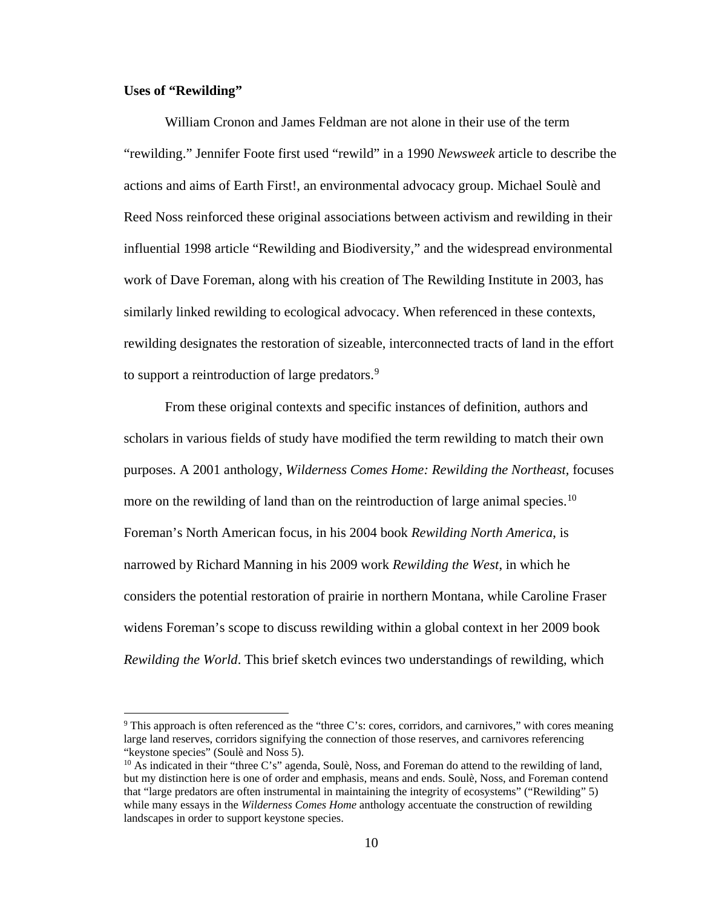#### <span id="page-17-0"></span>**Uses of "Rewilding"**

 $\overline{\phantom{a}}$ 

William Cronon and James Feldman are not alone in their use of the term "rewilding." Jennifer Foote first used "rewild" in a 1990 *Newsweek* article to describe the actions and aims of Earth First!, an environmental advocacy group. Michael Soulè and Reed Noss reinforced these original associations between activism and rewilding in their influential 1998 article "Rewilding and Biodiversity," and the widespread environmental work of Dave Foreman, along with his creation of The Rewilding Institute in 2003, has similarly linked rewilding to ecological advocacy. When referenced in these contexts, rewilding designates the restoration of sizeable, interconnected tracts of land in the effort to support a reintroduction of large predators.<sup>[9](#page-17-1)</sup>

From these original contexts and specific instances of definition, authors and scholars in various fields of study have modified the term rewilding to match their own purposes. A 2001 anthology, *Wilderness Comes Home: Rewilding the Northeast,* focuses more on the rewilding of land than on the reintroduction of large animal species.<sup>[10](#page-17-2)</sup> Foreman's North American focus, in his 2004 book *Rewilding North America*, is narrowed by Richard Manning in his 2009 work *Rewilding the West*, in which he considers the potential restoration of prairie in northern Montana, while Caroline Fraser widens Foreman's scope to discuss rewilding within a global context in her 2009 book *Rewilding the World*. This brief sketch evinces two understandings of rewilding, which

<span id="page-17-1"></span><sup>9</sup> This approach is often referenced as the "three C's: cores, corridors, and carnivores," with cores meaning large land reserves, corridors signifying the connection of those reserves, and carnivores referencing "keystone species" (Soulè and Noss 5).

<span id="page-17-2"></span><sup>&</sup>lt;sup>10</sup> As indicated in their "three C's" agenda, Soulè, Noss, and Foreman do attend to the rewilding of land, but my distinction here is one of order and emphasis, means and ends. Soulè, Noss, and Foreman contend that "large predators are often instrumental in maintaining the integrity of ecosystems" ("Rewilding" 5) while many essays in the *Wilderness Comes Home* anthology accentuate the construction of rewilding landscapes in order to support keystone species.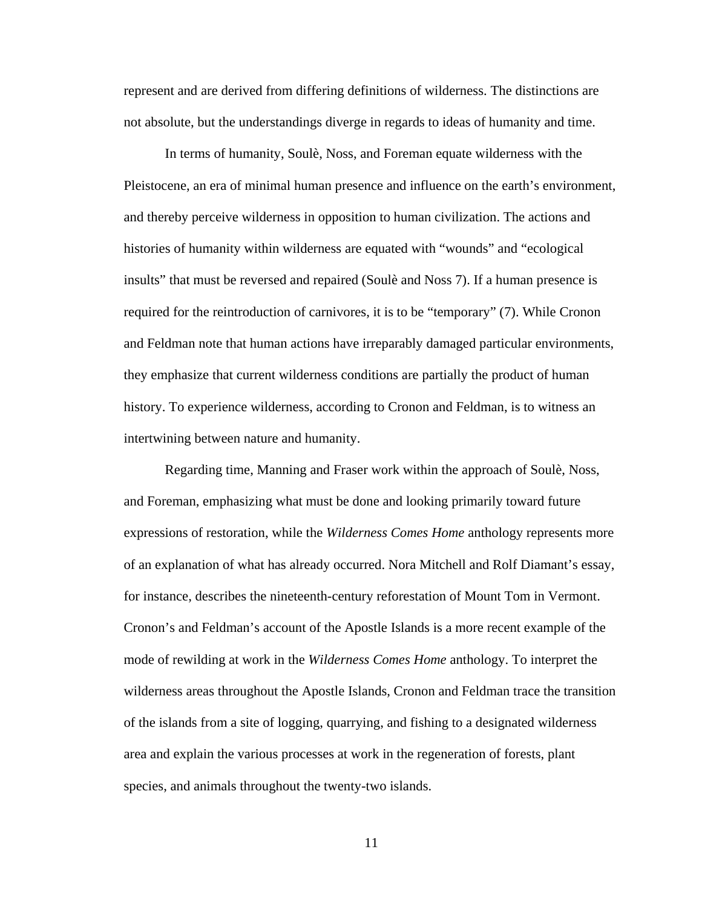represent and are derived from differing definitions of wilderness. The distinctions are not absolute, but the understandings diverge in regards to ideas of humanity and time.

In terms of humanity, Soulè, Noss, and Foreman equate wilderness with the Pleistocene, an era of minimal human presence and influence on the earth's environment, and thereby perceive wilderness in opposition to human civilization. The actions and histories of humanity within wilderness are equated with "wounds" and "ecological insults" that must be reversed and repaired (Soulè and Noss 7). If a human presence is required for the reintroduction of carnivores, it is to be "temporary" (7). While Cronon and Feldman note that human actions have irreparably damaged particular environments, they emphasize that current wilderness conditions are partially the product of human history. To experience wilderness, according to Cronon and Feldman, is to witness an intertwining between nature and humanity.

Regarding time, Manning and Fraser work within the approach of Soulè, Noss, and Foreman, emphasizing what must be done and looking primarily toward future expressions of restoration, while the *Wilderness Comes Home* anthology represents more of an explanation of what has already occurred. Nora Mitchell and Rolf Diamant's essay, for instance, describes the nineteenth-century reforestation of Mount Tom in Vermont. Cronon's and Feldman's account of the Apostle Islands is a more recent example of the mode of rewilding at work in the *Wilderness Comes Home* anthology. To interpret the wilderness areas throughout the Apostle Islands, Cronon and Feldman trace the transition of the islands from a site of logging, quarrying, and fishing to a designated wilderness area and explain the various processes at work in the regeneration of forests, plant species, and animals throughout the twenty-two islands.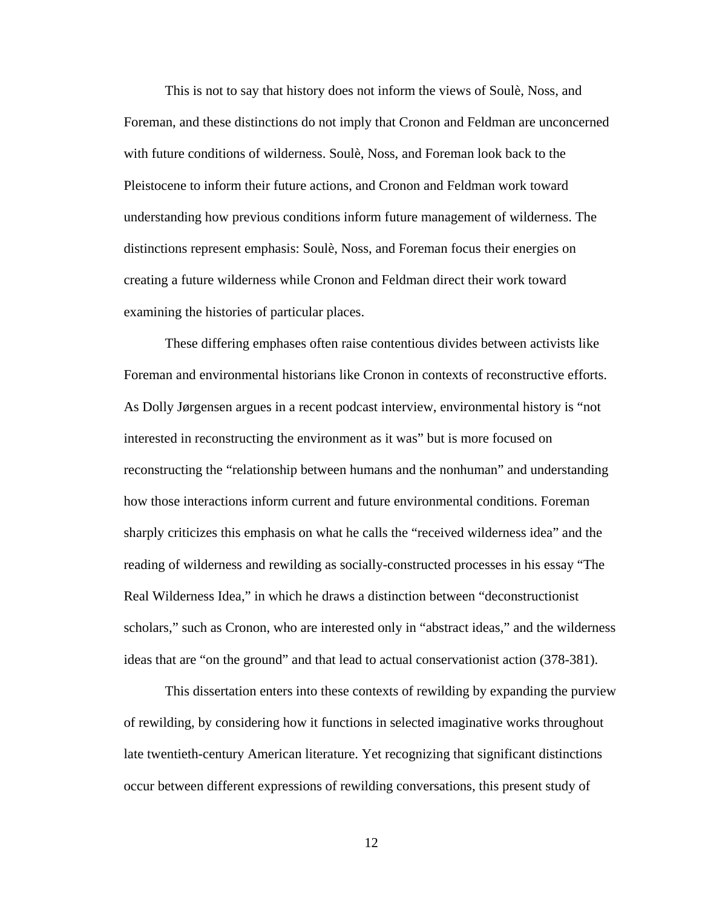This is not to say that history does not inform the views of Soulè, Noss, and Foreman, and these distinctions do not imply that Cronon and Feldman are unconcerned with future conditions of wilderness. Soulè, Noss, and Foreman look back to the Pleistocene to inform their future actions, and Cronon and Feldman work toward understanding how previous conditions inform future management of wilderness. The distinctions represent emphasis: Soulè, Noss, and Foreman focus their energies on creating a future wilderness while Cronon and Feldman direct their work toward examining the histories of particular places.

These differing emphases often raise contentious divides between activists like Foreman and environmental historians like Cronon in contexts of reconstructive efforts. As Dolly Jørgensen argues in a recent podcast interview, environmental history is "not interested in reconstructing the environment as it was" but is more focused on reconstructing the "relationship between humans and the nonhuman" and understanding how those interactions inform current and future environmental conditions. Foreman sharply criticizes this emphasis on what he calls the "received wilderness idea" and the reading of wilderness and rewilding as socially-constructed processes in his essay "The Real Wilderness Idea," in which he draws a distinction between "deconstructionist scholars," such as Cronon, who are interested only in "abstract ideas," and the wilderness ideas that are "on the ground" and that lead to actual conservationist action (378-381).

This dissertation enters into these contexts of rewilding by expanding the purview of rewilding, by considering how it functions in selected imaginative works throughout late twentieth-century American literature. Yet recognizing that significant distinctions occur between different expressions of rewilding conversations, this present study of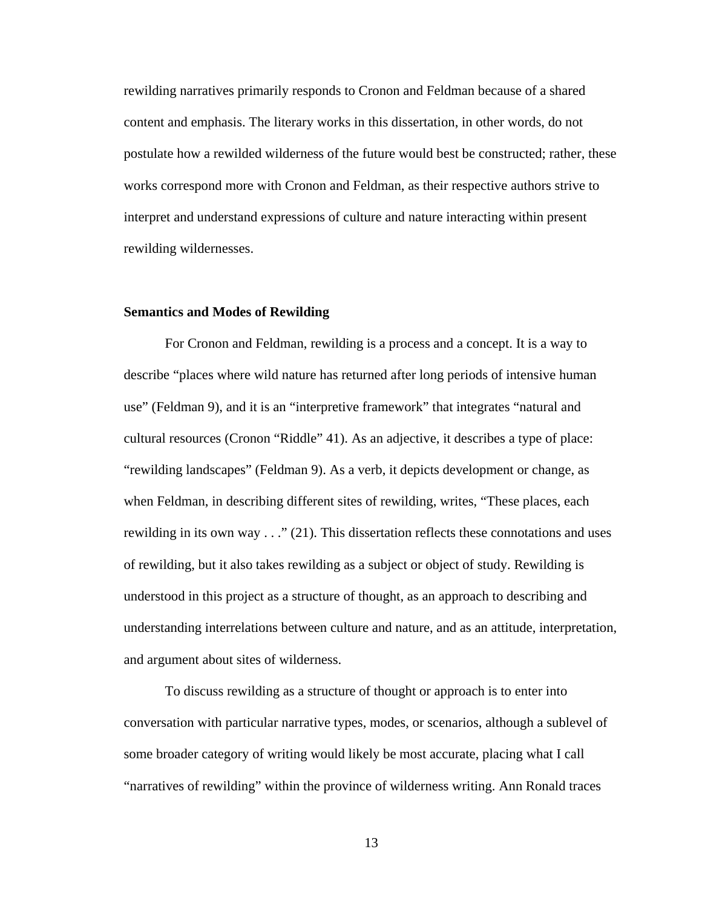rewilding narratives primarily responds to Cronon and Feldman because of a shared content and emphasis. The literary works in this dissertation, in other words, do not postulate how a rewilded wilderness of the future would best be constructed; rather, these works correspond more with Cronon and Feldman, as their respective authors strive to interpret and understand expressions of culture and nature interacting within present rewilding wildernesses.

#### <span id="page-20-0"></span>**Semantics and Modes of Rewilding**

For Cronon and Feldman, rewilding is a process and a concept. It is a way to describe "places where wild nature has returned after long periods of intensive human use" (Feldman 9), and it is an "interpretive framework" that integrates "natural and cultural resources (Cronon "Riddle" 41). As an adjective, it describes a type of place: "rewilding landscapes" (Feldman 9). As a verb, it depicts development or change, as when Feldman, in describing different sites of rewilding, writes, "These places, each rewilding in its own way . . ." (21). This dissertation reflects these connotations and uses of rewilding, but it also takes rewilding as a subject or object of study. Rewilding is understood in this project as a structure of thought, as an approach to describing and understanding interrelations between culture and nature, and as an attitude, interpretation, and argument about sites of wilderness.

To discuss rewilding as a structure of thought or approach is to enter into conversation with particular narrative types, modes, or scenarios, although a sublevel of some broader category of writing would likely be most accurate, placing what I call "narratives of rewilding" within the province of wilderness writing. Ann Ronald traces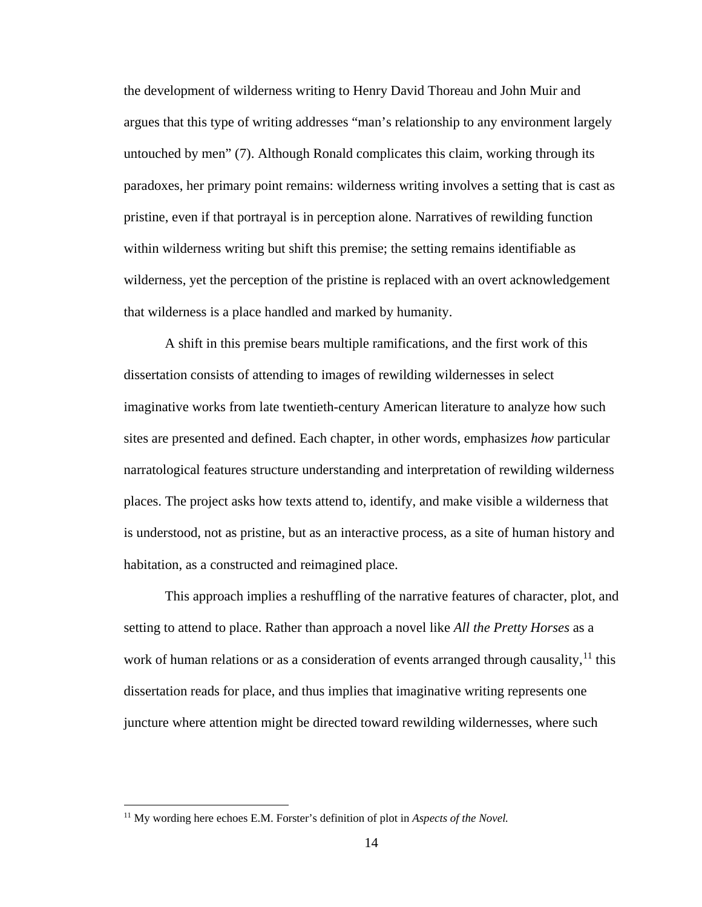the development of wilderness writing to Henry David Thoreau and John Muir and argues that this type of writing addresses "man's relationship to any environment largely untouched by men" (7). Although Ronald complicates this claim, working through its paradoxes, her primary point remains: wilderness writing involves a setting that is cast as pristine, even if that portrayal is in perception alone. Narratives of rewilding function within wilderness writing but shift this premise; the setting remains identifiable as wilderness, yet the perception of the pristine is replaced with an overt acknowledgement that wilderness is a place handled and marked by humanity.

A shift in this premise bears multiple ramifications, and the first work of this dissertation consists of attending to images of rewilding wildernesses in select imaginative works from late twentieth-century American literature to analyze how such sites are presented and defined. Each chapter, in other words, emphasizes *how* particular narratological features structure understanding and interpretation of rewilding wilderness places. The project asks how texts attend to, identify, and make visible a wilderness that is understood, not as pristine, but as an interactive process, as a site of human history and habitation, as a constructed and reimagined place.

This approach implies a reshuffling of the narrative features of character, plot, and setting to attend to place. Rather than approach a novel like *All the Pretty Horses* as a work of human relations or as a consideration of events arranged through causality,  $11$  this dissertation reads for place, and thus implies that imaginative writing represents one juncture where attention might be directed toward rewilding wildernesses, where such

<span id="page-21-0"></span><sup>&</sup>lt;sup>11</sup> My wording here echoes E.M. Forster's definition of plot in *Aspects of the Novel*.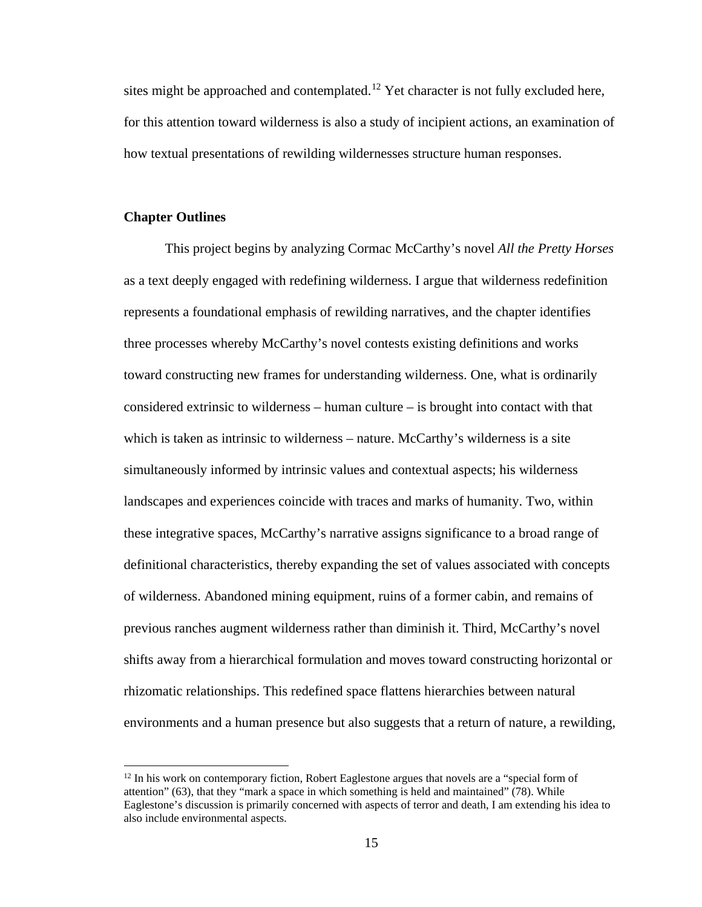sites might be approached and contemplated.<sup>[12](#page-22-1)</sup> Yet character is not fully excluded here, for this attention toward wilderness is also a study of incipient actions, an examination of how textual presentations of rewilding wildernesses structure human responses.

#### <span id="page-22-0"></span>**Chapter Outlines**

This project begins by analyzing Cormac McCarthy's novel *All the Pretty Horses* as a text deeply engaged with redefining wilderness. I argue that wilderness redefinition represents a foundational emphasis of rewilding narratives, and the chapter identifies three processes whereby McCarthy's novel contests existing definitions and works toward constructing new frames for understanding wilderness. One, what is ordinarily considered extrinsic to wilderness – human culture – is brought into contact with that which is taken as intrinsic to wilderness – nature. McCarthy's wilderness is a site simultaneously informed by intrinsic values and contextual aspects; his wilderness landscapes and experiences coincide with traces and marks of humanity. Two, within these integrative spaces, McCarthy's narrative assigns significance to a broad range of definitional characteristics, thereby expanding the set of values associated with concepts of wilderness. Abandoned mining equipment, ruins of a former cabin, and remains of previous ranches augment wilderness rather than diminish it. Third, McCarthy's novel shifts away from a hierarchical formulation and moves toward constructing horizontal or rhizomatic relationships. This redefined space flattens hierarchies between natural environments and a human presence but also suggests that a return of nature, a rewilding,

<span id="page-22-1"></span> $12$  In his work on contemporary fiction, Robert Eaglestone argues that novels are a "special form of attention" (63), that they "mark a space in which something is held and maintained" (78). While Eaglestone's discussion is primarily concerned with aspects of terror and death, I am extending his idea to also include environmental aspects.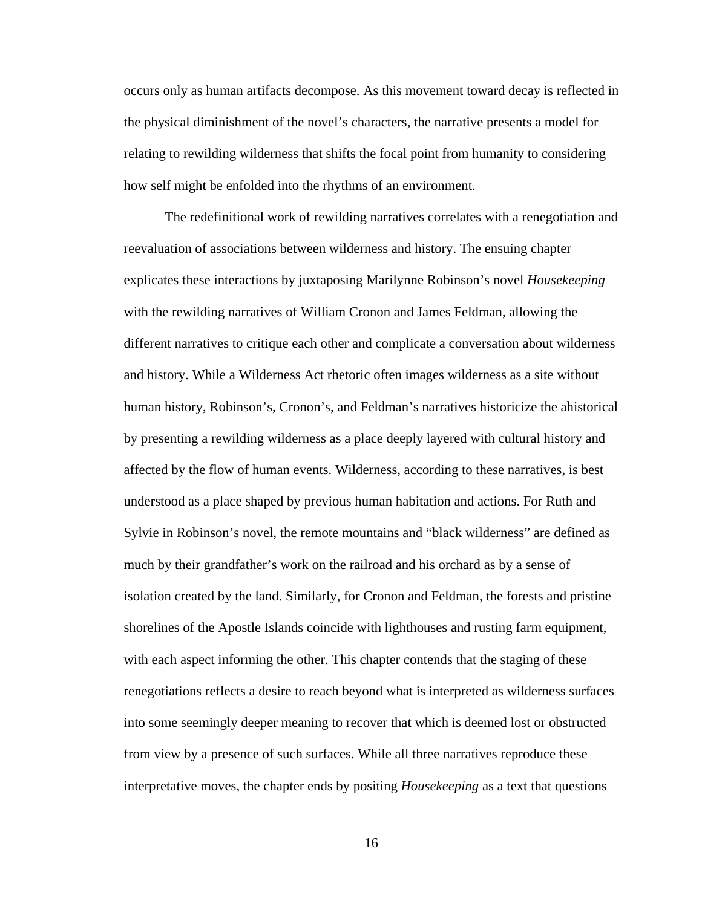occurs only as human artifacts decompose. As this movement toward decay is reflected in the physical diminishment of the novel's characters, the narrative presents a model for relating to rewilding wilderness that shifts the focal point from humanity to considering how self might be enfolded into the rhythms of an environment.

The redefinitional work of rewilding narratives correlates with a renegotiation and reevaluation of associations between wilderness and history. The ensuing chapter explicates these interactions by juxtaposing Marilynne Robinson's novel *Housekeeping* with the rewilding narratives of William Cronon and James Feldman, allowing the different narratives to critique each other and complicate a conversation about wilderness and history. While a Wilderness Act rhetoric often images wilderness as a site without human history, Robinson's, Cronon's, and Feldman's narratives historicize the ahistorical by presenting a rewilding wilderness as a place deeply layered with cultural history and affected by the flow of human events. Wilderness, according to these narratives, is best understood as a place shaped by previous human habitation and actions. For Ruth and Sylvie in Robinson's novel, the remote mountains and "black wilderness" are defined as much by their grandfather's work on the railroad and his orchard as by a sense of isolation created by the land. Similarly, for Cronon and Feldman, the forests and pristine shorelines of the Apostle Islands coincide with lighthouses and rusting farm equipment, with each aspect informing the other. This chapter contends that the staging of these renegotiations reflects a desire to reach beyond what is interpreted as wilderness surfaces into some seemingly deeper meaning to recover that which is deemed lost or obstructed from view by a presence of such surfaces. While all three narratives reproduce these interpretative moves, the chapter ends by positing *Housekeeping* as a text that questions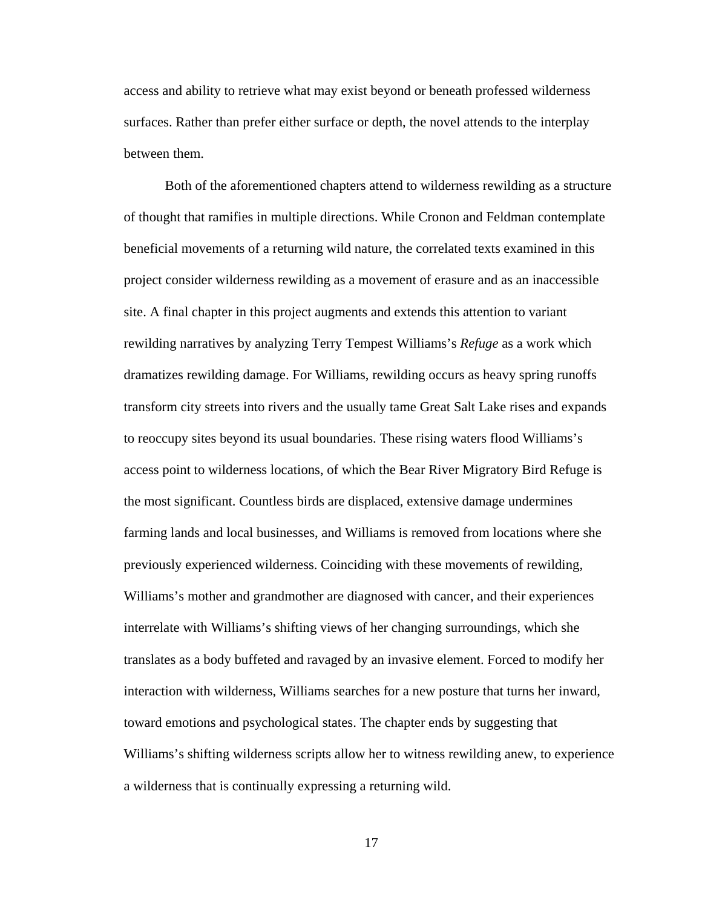access and ability to retrieve what may exist beyond or beneath professed wilderness surfaces. Rather than prefer either surface or depth, the novel attends to the interplay between them.

Both of the aforementioned chapters attend to wilderness rewilding as a structure of thought that ramifies in multiple directions. While Cronon and Feldman contemplate beneficial movements of a returning wild nature, the correlated texts examined in this project consider wilderness rewilding as a movement of erasure and as an inaccessible site. A final chapter in this project augments and extends this attention to variant rewilding narratives by analyzing Terry Tempest Williams's *Refuge* as a work which dramatizes rewilding damage. For Williams, rewilding occurs as heavy spring runoffs transform city streets into rivers and the usually tame Great Salt Lake rises and expands to reoccupy sites beyond its usual boundaries. These rising waters flood Williams's access point to wilderness locations, of which the Bear River Migratory Bird Refuge is the most significant. Countless birds are displaced, extensive damage undermines farming lands and local businesses, and Williams is removed from locations where she previously experienced wilderness. Coinciding with these movements of rewilding, Williams's mother and grandmother are diagnosed with cancer, and their experiences interrelate with Williams's shifting views of her changing surroundings, which she translates as a body buffeted and ravaged by an invasive element. Forced to modify her interaction with wilderness, Williams searches for a new posture that turns her inward, toward emotions and psychological states. The chapter ends by suggesting that Williams's shifting wilderness scripts allow her to witness rewilding anew, to experience a wilderness that is continually expressing a returning wild.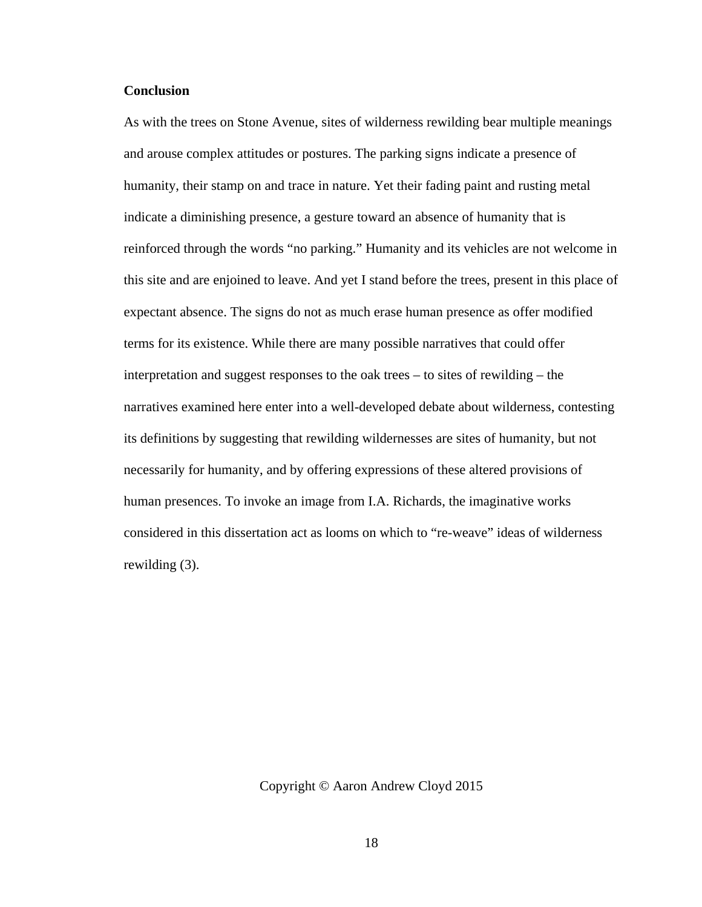#### <span id="page-25-0"></span>**Conclusion**

As with the trees on Stone Avenue, sites of wilderness rewilding bear multiple meanings and arouse complex attitudes or postures. The parking signs indicate a presence of humanity, their stamp on and trace in nature. Yet their fading paint and rusting metal indicate a diminishing presence, a gesture toward an absence of humanity that is reinforced through the words "no parking." Humanity and its vehicles are not welcome in this site and are enjoined to leave. And yet I stand before the trees, present in this place of expectant absence. The signs do not as much erase human presence as offer modified terms for its existence. While there are many possible narratives that could offer interpretation and suggest responses to the oak trees – to sites of rewilding – the narratives examined here enter into a well-developed debate about wilderness, contesting its definitions by suggesting that rewilding wildernesses are sites of humanity, but not necessarily for humanity, and by offering expressions of these altered provisions of human presences. To invoke an image from I.A. Richards, the imaginative works considered in this dissertation act as looms on which to "re-weave" ideas of wilderness rewilding (3).

Copyright © Aaron Andrew Cloyd 2015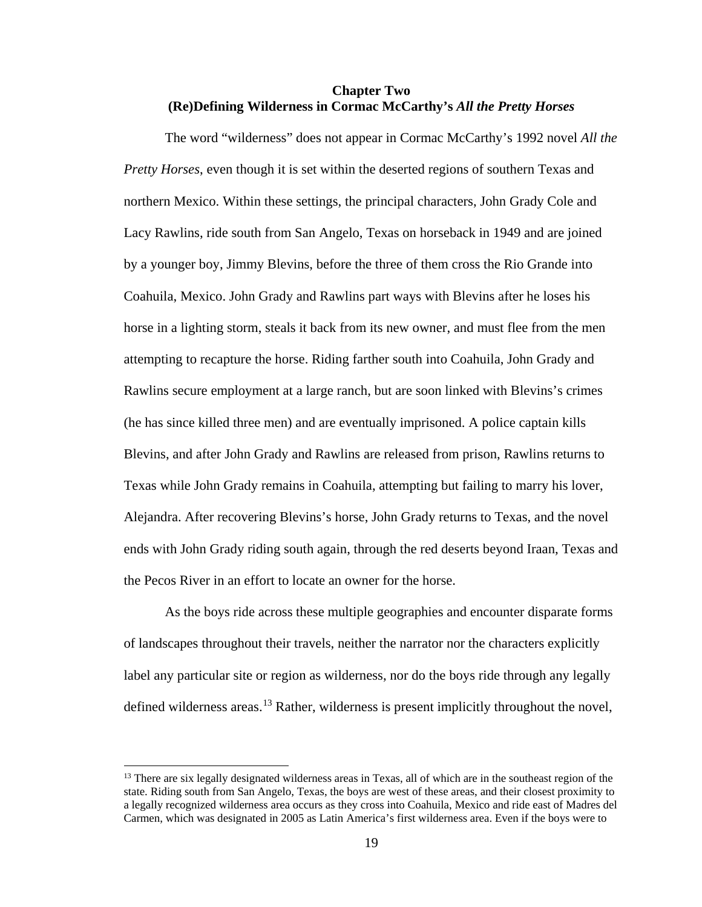#### <span id="page-26-0"></span>**Chapter Two (Re)Defining Wilderness in Cormac McCarthy's** *All the Pretty Horses*

The word "wilderness" does not appear in Cormac McCarthy's 1992 novel *All the Pretty Horses*, even though it is set within the deserted regions of southern Texas and northern Mexico. Within these settings, the principal characters, John Grady Cole and Lacy Rawlins, ride south from San Angelo, Texas on horseback in 1949 and are joined by a younger boy, Jimmy Blevins, before the three of them cross the Rio Grande into Coahuila, Mexico. John Grady and Rawlins part ways with Blevins after he loses his horse in a lighting storm, steals it back from its new owner, and must flee from the men attempting to recapture the horse. Riding farther south into Coahuila, John Grady and Rawlins secure employment at a large ranch, but are soon linked with Blevins's crimes (he has since killed three men) and are eventually imprisoned. A police captain kills Blevins, and after John Grady and Rawlins are released from prison, Rawlins returns to Texas while John Grady remains in Coahuila, attempting but failing to marry his lover, Alejandra. After recovering Blevins's horse, John Grady returns to Texas, and the novel ends with John Grady riding south again, through the red deserts beyond Iraan, Texas and the Pecos River in an effort to locate an owner for the horse.

As the boys ride across these multiple geographies and encounter disparate forms of landscapes throughout their travels, neither the narrator nor the characters explicitly label any particular site or region as wilderness, nor do the boys ride through any legally defined wilderness areas.<sup>[13](#page-26-1)</sup> Rather, wilderness is present implicitly throughout the novel,

<span id="page-26-1"></span><sup>&</sup>lt;sup>13</sup> There are six legally designated wilderness areas in Texas, all of which are in the southeast region of the state. Riding south from San Angelo, Texas, the boys are west of these areas, and their closest proximity to a legally recognized wilderness area occurs as they cross into Coahuila, Mexico and ride east of Madres del Carmen, which was designated in 2005 as Latin America's first wilderness area. Even if the boys were to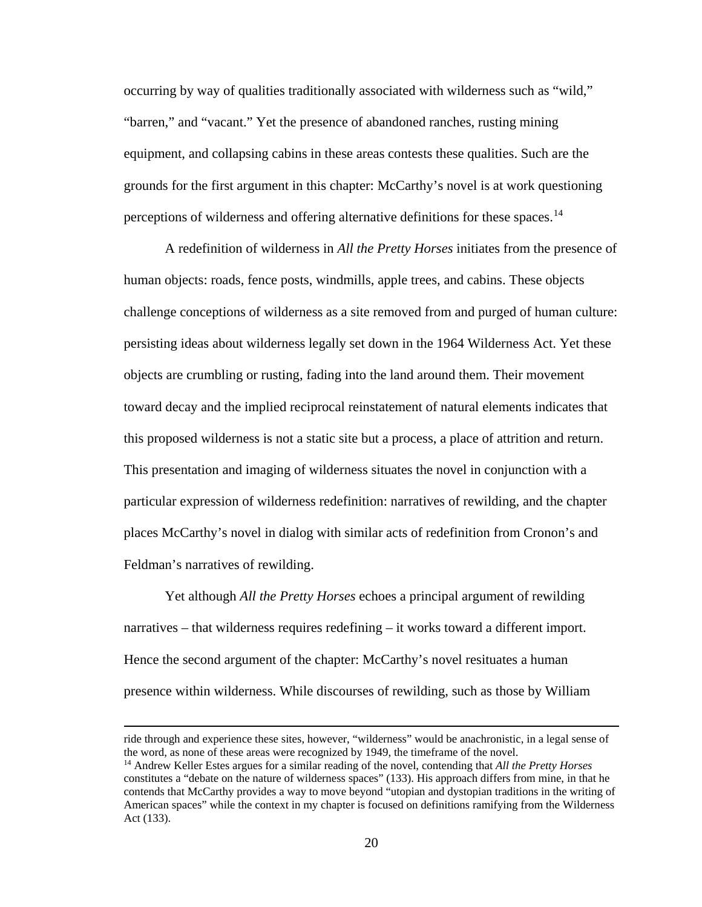occurring by way of qualities traditionally associated with wilderness such as "wild," "barren," and "vacant." Yet the presence of abandoned ranches, rusting mining equipment, and collapsing cabins in these areas contests these qualities. Such are the grounds for the first argument in this chapter: McCarthy's novel is at work questioning perceptions of wilderness and offering alternative definitions for these spaces.<sup>[14](#page-27-0)</sup>

A redefinition of wilderness in *All the Pretty Horses* initiates from the presence of human objects: roads, fence posts, windmills, apple trees, and cabins. These objects challenge conceptions of wilderness as a site removed from and purged of human culture: persisting ideas about wilderness legally set down in the 1964 Wilderness Act. Yet these objects are crumbling or rusting, fading into the land around them. Their movement toward decay and the implied reciprocal reinstatement of natural elements indicates that this proposed wilderness is not a static site but a process, a place of attrition and return. This presentation and imaging of wilderness situates the novel in conjunction with a particular expression of wilderness redefinition: narratives of rewilding, and the chapter places McCarthy's novel in dialog with similar acts of redefinition from Cronon's and Feldman's narratives of rewilding.

Yet although *All the Pretty Horses* echoes a principal argument of rewilding narratives – that wilderness requires redefining – it works toward a different import. Hence the second argument of the chapter: McCarthy's novel resituates a human presence within wilderness. While discourses of rewilding, such as those by William

ride through and experience these sites, however, "wilderness" would be anachronistic, in a legal sense of the word, as none of these areas were recognized by 1949, the timeframe of the novel.

<span id="page-27-0"></span><sup>&</sup>lt;sup>14</sup> Andrew Keller Estes argues for a similar reading of the novel, contending that *All the Pretty Horses* constitutes a "debate on the nature of wilderness spaces" (133). His approach differs from mine, in that he contends that McCarthy provides a way to move beyond "utopian and dystopian traditions in the writing of American spaces" while the context in my chapter is focused on definitions ramifying from the Wilderness Act (133).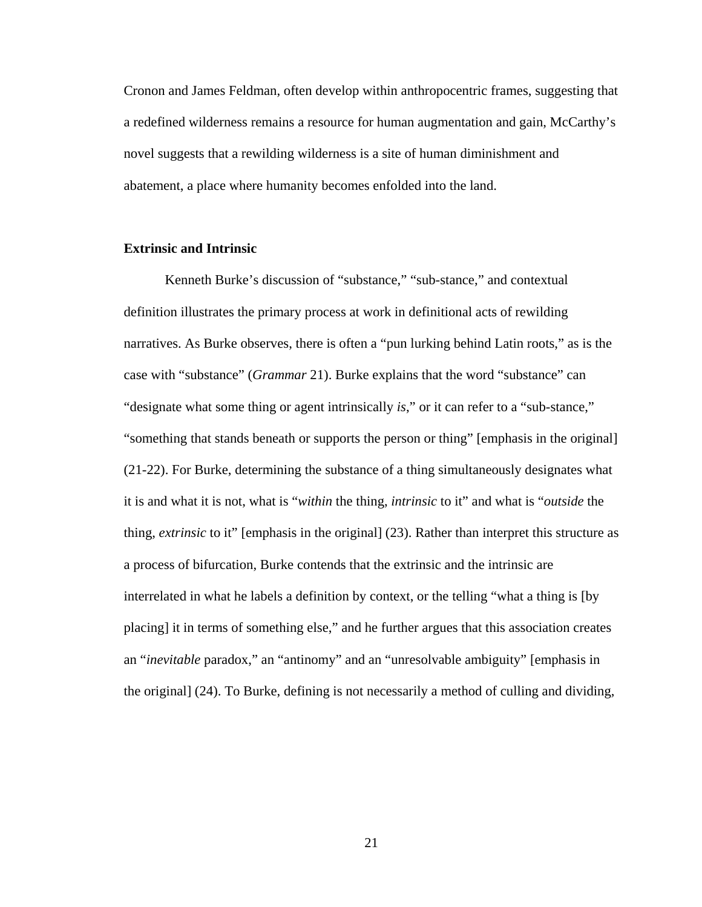Cronon and James Feldman, often develop within anthropocentric frames, suggesting that a redefined wilderness remains a resource for human augmentation and gain, McCarthy's novel suggests that a rewilding wilderness is a site of human diminishment and abatement, a place where humanity becomes enfolded into the land.

#### <span id="page-28-0"></span>**Extrinsic and Intrinsic**

Kenneth Burke's discussion of "substance," "sub-stance," and contextual definition illustrates the primary process at work in definitional acts of rewilding narratives. As Burke observes, there is often a "pun lurking behind Latin roots," as is the case with "substance" (*Grammar* 21). Burke explains that the word "substance" can "designate what some thing or agent intrinsically *is*," or it can refer to a "sub-stance," "something that stands beneath or supports the person or thing" [emphasis in the original] (21-22). For Burke, determining the substance of a thing simultaneously designates what it is and what it is not, what is "*within* the thing, *intrinsic* to it" and what is "*outside* the thing, *extrinsic* to it" [emphasis in the original] (23). Rather than interpret this structure as a process of bifurcation, Burke contends that the extrinsic and the intrinsic are interrelated in what he labels a definition by context, or the telling "what a thing is [by placing] it in terms of something else," and he further argues that this association creates an "*inevitable* paradox," an "antinomy" and an "unresolvable ambiguity" [emphasis in the original] (24). To Burke, defining is not necessarily a method of culling and dividing,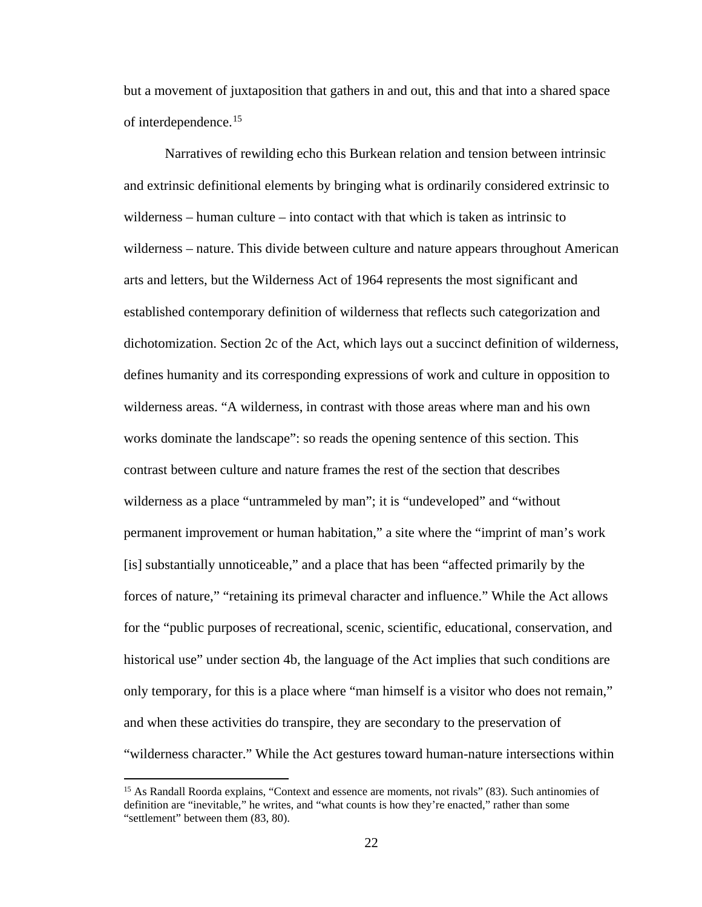but a movement of juxtaposition that gathers in and out, this and that into a shared space of interdependence.[15](#page-29-0)

Narratives of rewilding echo this Burkean relation and tension between intrinsic and extrinsic definitional elements by bringing what is ordinarily considered extrinsic to wilderness – human culture – into contact with that which is taken as intrinsic to wilderness – nature. This divide between culture and nature appears throughout American arts and letters, but the Wilderness Act of 1964 represents the most significant and established contemporary definition of wilderness that reflects such categorization and dichotomization. Section 2c of the Act, which lays out a succinct definition of wilderness, defines humanity and its corresponding expressions of work and culture in opposition to wilderness areas. "A wilderness, in contrast with those areas where man and his own works dominate the landscape": so reads the opening sentence of this section. This contrast between culture and nature frames the rest of the section that describes wilderness as a place "untrammeled by man"; it is "undeveloped" and "without permanent improvement or human habitation," a site where the "imprint of man's work [is] substantially unnoticeable," and a place that has been "affected primarily by the forces of nature," "retaining its primeval character and influence." While the Act allows for the "public purposes of recreational, scenic, scientific, educational, conservation, and historical use" under section 4b, the language of the Act implies that such conditions are only temporary, for this is a place where "man himself is a visitor who does not remain," and when these activities do transpire, they are secondary to the preservation of "wilderness character." While the Act gestures toward human-nature intersections within

l

<span id="page-29-0"></span><sup>&</sup>lt;sup>15</sup> As Randall Roorda explains, "Context and essence are moments, not rivals" (83). Such antinomies of definition are "inevitable," he writes, and "what counts is how they're enacted," rather than some "settlement" between them (83, 80).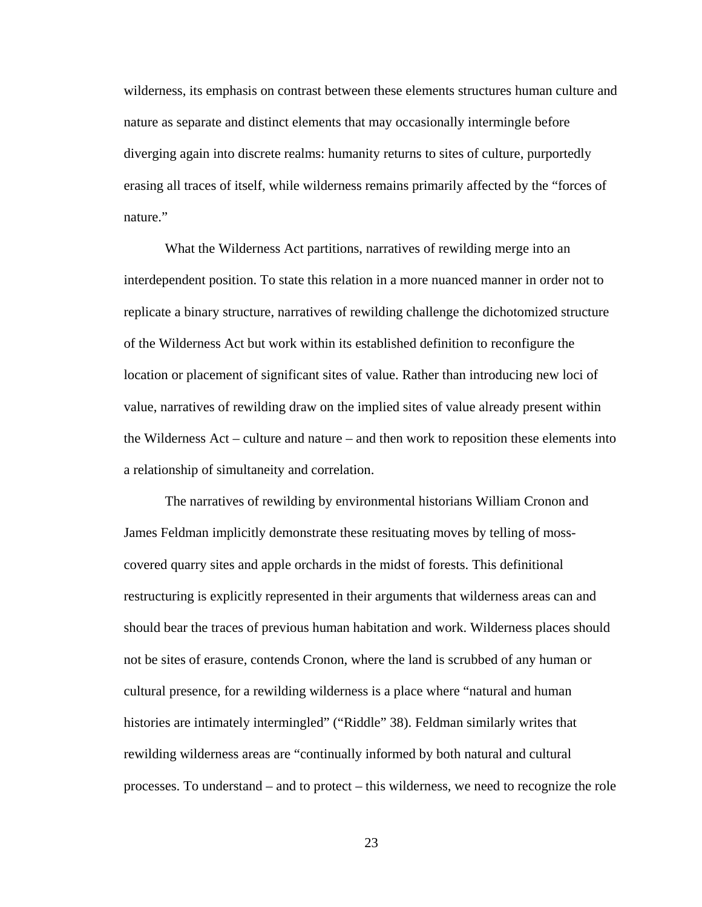wilderness, its emphasis on contrast between these elements structures human culture and nature as separate and distinct elements that may occasionally intermingle before diverging again into discrete realms: humanity returns to sites of culture, purportedly erasing all traces of itself, while wilderness remains primarily affected by the "forces of nature."

What the Wilderness Act partitions, narratives of rewilding merge into an interdependent position. To state this relation in a more nuanced manner in order not to replicate a binary structure, narratives of rewilding challenge the dichotomized structure of the Wilderness Act but work within its established definition to reconfigure the location or placement of significant sites of value. Rather than introducing new loci of value, narratives of rewilding draw on the implied sites of value already present within the Wilderness Act – culture and nature – and then work to reposition these elements into a relationship of simultaneity and correlation.

The narratives of rewilding by environmental historians William Cronon and James Feldman implicitly demonstrate these resituating moves by telling of mosscovered quarry sites and apple orchards in the midst of forests. This definitional restructuring is explicitly represented in their arguments that wilderness areas can and should bear the traces of previous human habitation and work. Wilderness places should not be sites of erasure, contends Cronon, where the land is scrubbed of any human or cultural presence, for a rewilding wilderness is a place where "natural and human histories are intimately intermingled" ("Riddle" 38). Feldman similarly writes that rewilding wilderness areas are "continually informed by both natural and cultural processes. To understand – and to protect – this wilderness, we need to recognize the role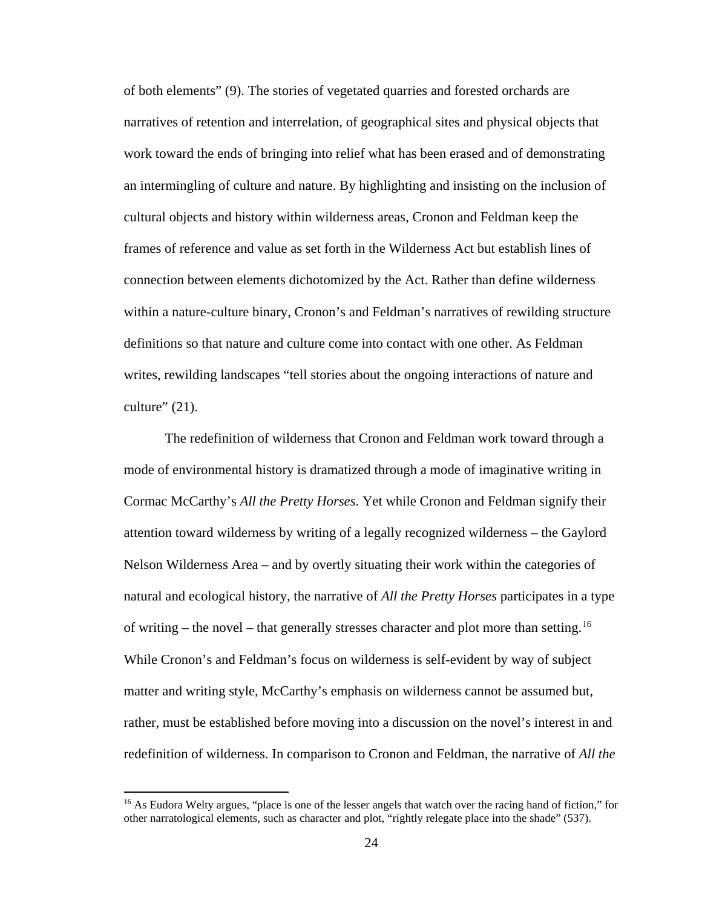of both elements" (9). The stories of vegetated quarries and forested orchards are narratives of retention and interrelation, of geographical sites and physical objects that work toward the ends of bringing into relief what has been erased and of demonstrating an intermingling of culture and nature. By highlighting and insisting on the inclusion of cultural objects and history within wilderness areas, Cronon and Feldman keep the frames of reference and value as set forth in the Wilderness Act but establish lines of connection between elements dichotomized by the Act. Rather than define wilderness within a nature-culture binary, Cronon's and Feldman's narratives of rewilding structure definitions so that nature and culture come into contact with one other. As Feldman writes, rewilding landscapes "tell stories about the ongoing interactions of nature and culture"  $(21)$ .

The redefinition of wilderness that Cronon and Feldman work toward through a mode of environmental history is dramatized through a mode of imaginative writing in Cormac McCarthy's *All the Pretty Horses*. Yet while Cronon and Feldman signify their attention toward wilderness by writing of a legally recognized wilderness – the Gaylord Nelson Wilderness Area – and by overtly situating their work within the categories of natural and ecological history, the narrative of *All the Pretty Horses* participates in a type of writing – the novel – that generally stresses character and plot more than setting.<sup>[16](#page-31-0)</sup> While Cronon's and Feldman's focus on wilderness is self-evident by way of subject matter and writing style, McCarthy's emphasis on wilderness cannot be assumed but, rather, must be established before moving into a discussion on the novel's interest in and redefinition of wilderness. In comparison to Cronon and Feldman, the narrative of *All the* 

<span id="page-31-0"></span><sup>&</sup>lt;sup>16</sup> As Eudora Welty argues, "place is one of the lesser angels that watch over the racing hand of fiction," for other narratological elements, such as character and plot, "rightly relegate place into the shade" (537).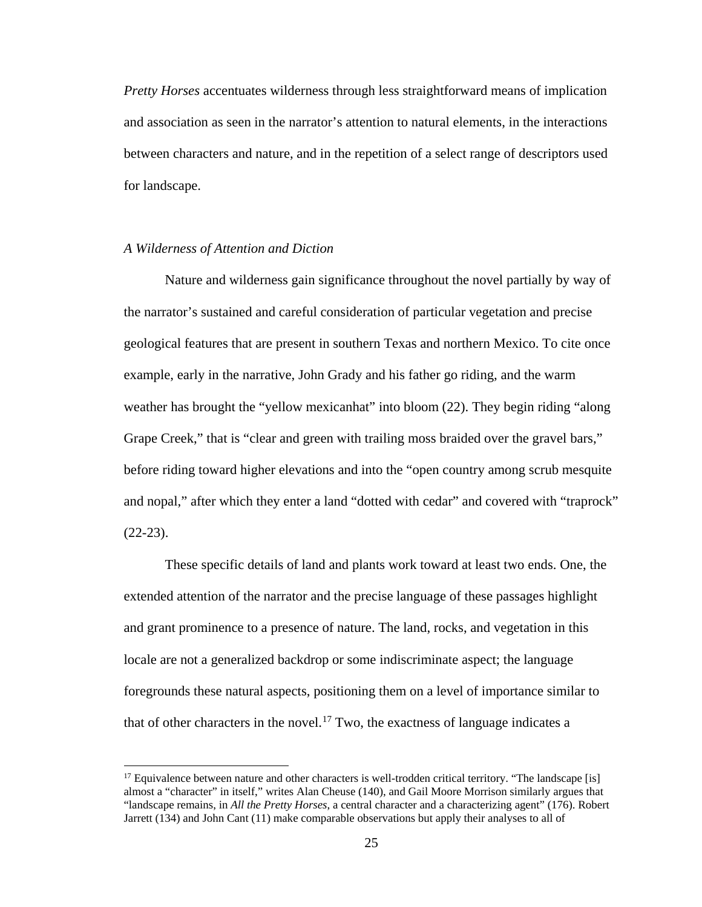*Pretty Horses* accentuates wilderness through less straightforward means of implication and association as seen in the narrator's attention to natural elements, in the interactions between characters and nature, and in the repetition of a select range of descriptors used for landscape.

#### <span id="page-32-0"></span>*A Wilderness of Attention and Diction*

 $\overline{\phantom{a}}$ 

Nature and wilderness gain significance throughout the novel partially by way of the narrator's sustained and careful consideration of particular vegetation and precise geological features that are present in southern Texas and northern Mexico. To cite once example, early in the narrative, John Grady and his father go riding, and the warm weather has brought the "yellow mexicanhat" into bloom (22). They begin riding "along Grape Creek," that is "clear and green with trailing moss braided over the gravel bars," before riding toward higher elevations and into the "open country among scrub mesquite and nopal," after which they enter a land "dotted with cedar" and covered with "traprock"  $(22-23)$ .

These specific details of land and plants work toward at least two ends. One, the extended attention of the narrator and the precise language of these passages highlight and grant prominence to a presence of nature. The land, rocks, and vegetation in this locale are not a generalized backdrop or some indiscriminate aspect; the language foregrounds these natural aspects, positioning them on a level of importance similar to that of other characters in the novel.<sup>[17](#page-32-1)</sup> Two, the exactness of language indicates a

<span id="page-32-1"></span> $17$  Equivalence between nature and other characters is well-trodden critical territory. "The landscape [is] almost a "character" in itself," writes Alan Cheuse (140), and Gail Moore Morrison similarly argues that "landscape remains, in *All the Pretty Horses*, a central character and a characterizing agent" (176). Robert Jarrett (134) and John Cant (11) make comparable observations but apply their analyses to all of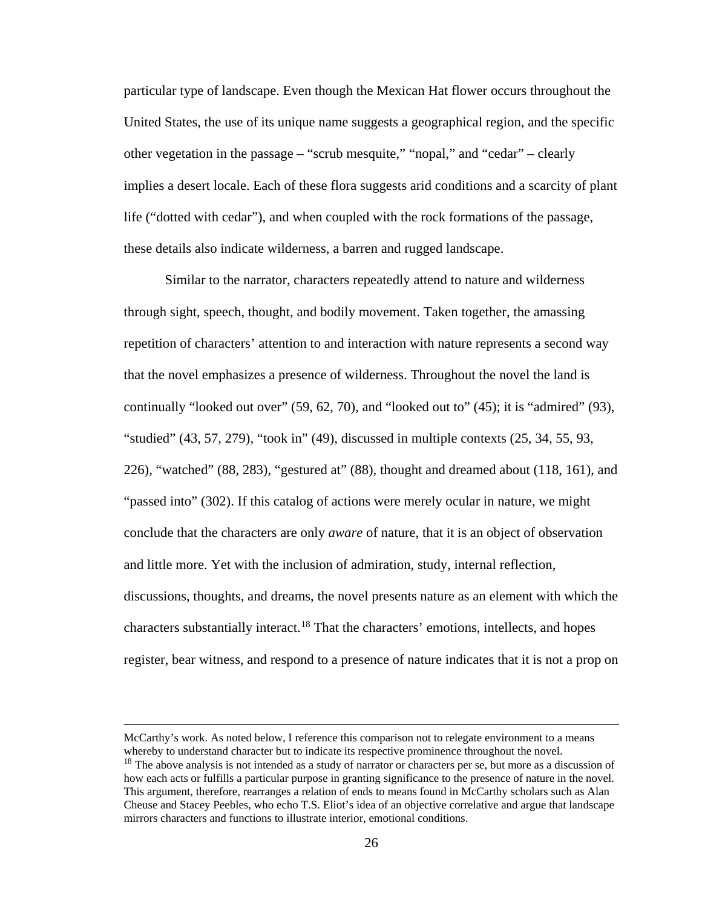particular type of landscape. Even though the Mexican Hat flower occurs throughout the United States, the use of its unique name suggests a geographical region, and the specific other vegetation in the passage – "scrub mesquite," "nopal," and "cedar" – clearly implies a desert locale. Each of these flora suggests arid conditions and a scarcity of plant life ("dotted with cedar"), and when coupled with the rock formations of the passage, these details also indicate wilderness, a barren and rugged landscape.

Similar to the narrator, characters repeatedly attend to nature and wilderness through sight, speech, thought, and bodily movement. Taken together, the amassing repetition of characters' attention to and interaction with nature represents a second way that the novel emphasizes a presence of wilderness. Throughout the novel the land is continually "looked out over" (59, 62, 70), and "looked out to" (45); it is "admired" (93), "studied" (43, 57, 279), "took in" (49), discussed in multiple contexts (25, 34, 55, 93, 226), "watched" (88, 283), "gestured at" (88), thought and dreamed about (118, 161), and "passed into" (302). If this catalog of actions were merely ocular in nature, we might conclude that the characters are only *aware* of nature, that it is an object of observation and little more. Yet with the inclusion of admiration, study, internal reflection, discussions, thoughts, and dreams, the novel presents nature as an element with which the characters substantially interact.<sup>[18](#page-33-0)</sup> That the characters' emotions, intellects, and hopes register, bear witness, and respond to a presence of nature indicates that it is not a prop on

McCarthy's work. As noted below, I reference this comparison not to relegate environment to a means whereby to understand character but to indicate its respective prominence throughout the novel.

<span id="page-33-0"></span><sup>&</sup>lt;sup>18</sup> The above analysis is not intended as a study of narrator or characters per se, but more as a discussion of how each acts or fulfills a particular purpose in granting significance to the presence of nature in the novel. This argument, therefore, rearranges a relation of ends to means found in McCarthy scholars such as Alan Cheuse and Stacey Peebles, who echo T.S. Eliot's idea of an objective correlative and argue that landscape mirrors characters and functions to illustrate interior, emotional conditions.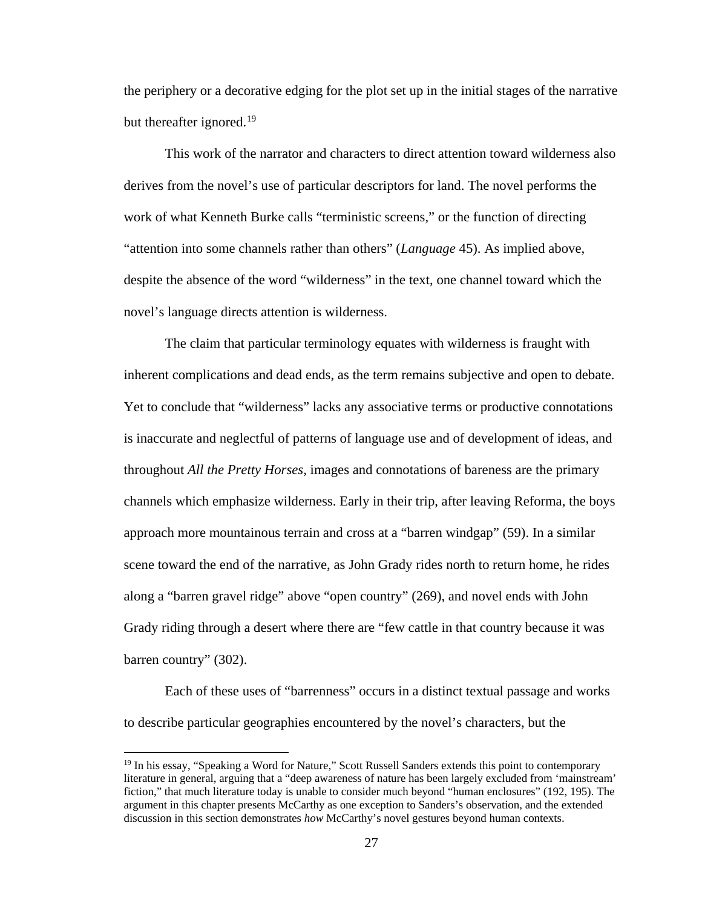the periphery or a decorative edging for the plot set up in the initial stages of the narrative but thereafter ignored.<sup>19</sup>

This work of the narrator and characters to direct attention toward wilderness also derives from the novel's use of particular descriptors for land. The novel performs the work of what Kenneth Burke calls "terministic screens," or the function of directing "attention into some channels rather than others" (*Language* 45). As implied above, despite the absence of the word "wilderness" in the text, one channel toward which the novel's language directs attention is wilderness.

The claim that particular terminology equates with wilderness is fraught with inherent complications and dead ends, as the term remains subjective and open to debate. Yet to conclude that "wilderness" lacks any associative terms or productive connotations is inaccurate and neglectful of patterns of language use and of development of ideas, and throughout *All the Pretty Horses*, images and connotations of bareness are the primary channels which emphasize wilderness. Early in their trip, after leaving Reforma, the boys approach more mountainous terrain and cross at a "barren windgap" (59). In a similar scene toward the end of the narrative, as John Grady rides north to return home, he rides along a "barren gravel ridge" above "open country" (269), and novel ends with John Grady riding through a desert where there are "few cattle in that country because it was barren country" (302).

Each of these uses of "barrenness" occurs in a distinct textual passage and works to describe particular geographies encountered by the novel's characters, but the

<span id="page-34-0"></span><sup>&</sup>lt;sup>19</sup> In his essay, "Speaking a Word for Nature," Scott Russell Sanders extends this point to contemporary literature in general, arguing that a "deep awareness of nature has been largely excluded from 'mainstream' fiction," that much literature today is unable to consider much beyond "human enclosures" (192, 195). The argument in this chapter presents McCarthy as one exception to Sanders's observation, and the extended discussion in this section demonstrates *how* McCarthy's novel gestures beyond human contexts.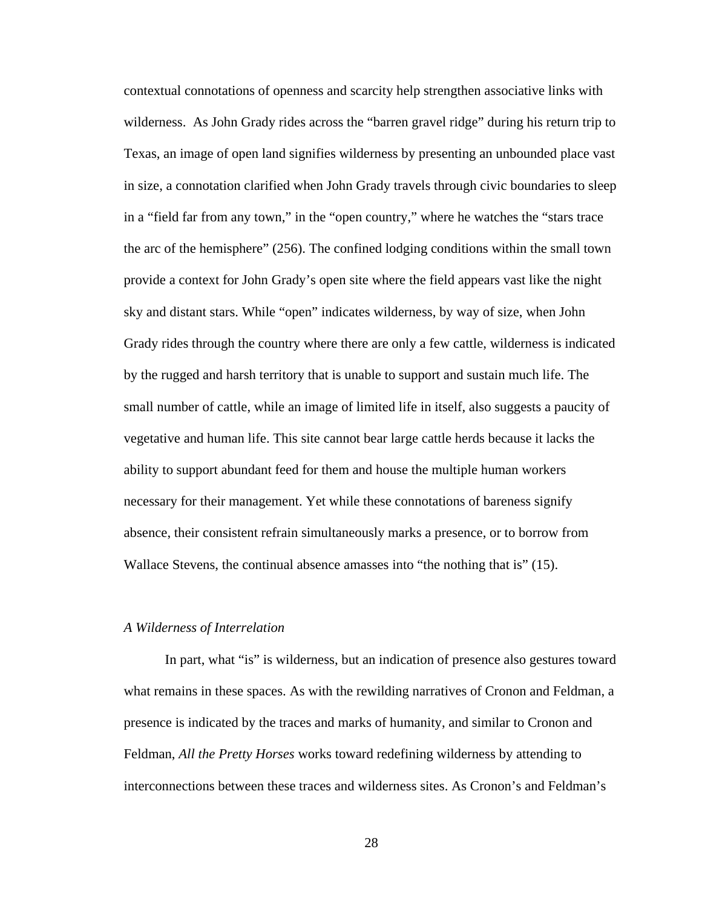contextual connotations of openness and scarcity help strengthen associative links with wilderness. As John Grady rides across the "barren gravel ridge" during his return trip to Texas, an image of open land signifies wilderness by presenting an unbounded place vast in size, a connotation clarified when John Grady travels through civic boundaries to sleep in a "field far from any town," in the "open country," where he watches the "stars trace the arc of the hemisphere" (256). The confined lodging conditions within the small town provide a context for John Grady's open site where the field appears vast like the night sky and distant stars. While "open" indicates wilderness, by way of size, when John Grady rides through the country where there are only a few cattle, wilderness is indicated by the rugged and harsh territory that is unable to support and sustain much life. The small number of cattle, while an image of limited life in itself, also suggests a paucity of vegetative and human life. This site cannot bear large cattle herds because it lacks the ability to support abundant feed for them and house the multiple human workers necessary for their management. Yet while these connotations of bareness signify absence, their consistent refrain simultaneously marks a presence, or to borrow from Wallace Stevens, the continual absence amasses into "the nothing that is" (15).

#### <span id="page-35-0"></span>*A Wilderness of Interrelation*

In part, what "is" is wilderness, but an indication of presence also gestures toward what remains in these spaces. As with the rewilding narratives of Cronon and Feldman, a presence is indicated by the traces and marks of humanity, and similar to Cronon and Feldman, *All the Pretty Horses* works toward redefining wilderness by attending to interconnections between these traces and wilderness sites. As Cronon's and Feldman's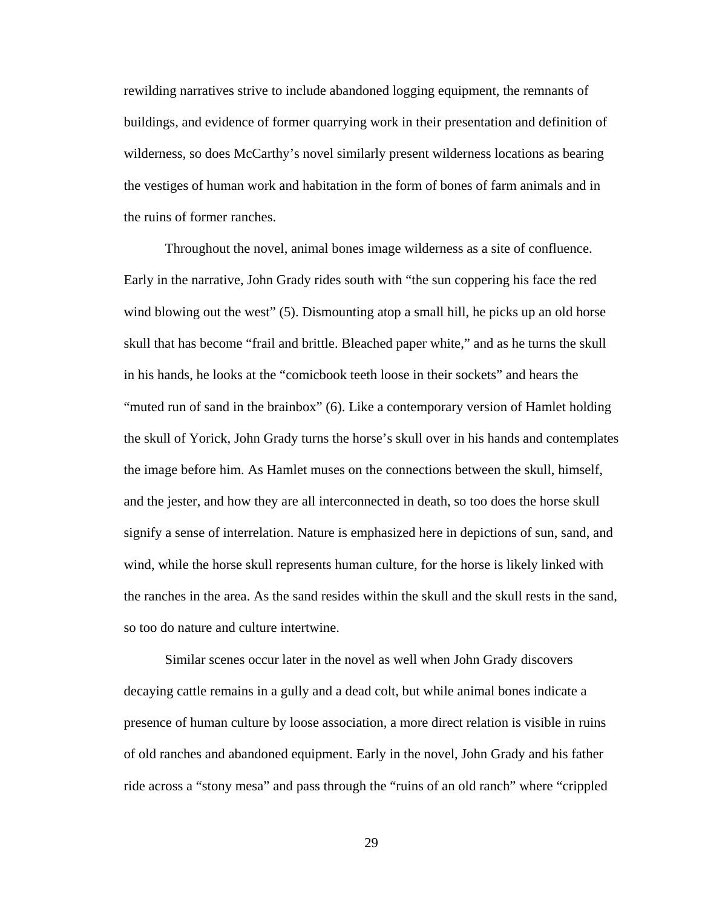rewilding narratives strive to include abandoned logging equipment, the remnants of buildings, and evidence of former quarrying work in their presentation and definition of wilderness, so does McCarthy's novel similarly present wilderness locations as bearing the vestiges of human work and habitation in the form of bones of farm animals and in the ruins of former ranches.

Throughout the novel, animal bones image wilderness as a site of confluence. Early in the narrative, John Grady rides south with "the sun coppering his face the red wind blowing out the west" (5). Dismounting atop a small hill, he picks up an old horse skull that has become "frail and brittle. Bleached paper white," and as he turns the skull in his hands, he looks at the "comicbook teeth loose in their sockets" and hears the "muted run of sand in the brainbox" (6). Like a contemporary version of Hamlet holding the skull of Yorick, John Grady turns the horse's skull over in his hands and contemplates the image before him. As Hamlet muses on the connections between the skull, himself, and the jester, and how they are all interconnected in death, so too does the horse skull signify a sense of interrelation. Nature is emphasized here in depictions of sun, sand, and wind, while the horse skull represents human culture, for the horse is likely linked with the ranches in the area. As the sand resides within the skull and the skull rests in the sand, so too do nature and culture intertwine.

Similar scenes occur later in the novel as well when John Grady discovers decaying cattle remains in a gully and a dead colt, but while animal bones indicate a presence of human culture by loose association, a more direct relation is visible in ruins of old ranches and abandoned equipment. Early in the novel, John Grady and his father ride across a "stony mesa" and pass through the "ruins of an old ranch" where "crippled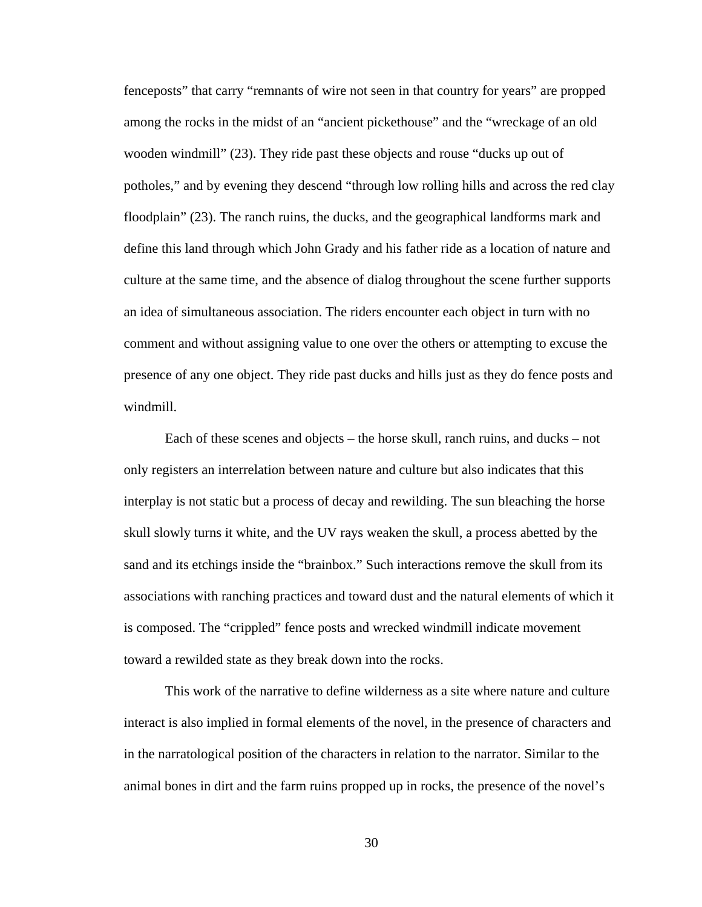fenceposts" that carry "remnants of wire not seen in that country for years" are propped among the rocks in the midst of an "ancient pickethouse" and the "wreckage of an old wooden windmill" (23). They ride past these objects and rouse "ducks up out of potholes," and by evening they descend "through low rolling hills and across the red clay floodplain" (23). The ranch ruins, the ducks, and the geographical landforms mark and define this land through which John Grady and his father ride as a location of nature and culture at the same time, and the absence of dialog throughout the scene further supports an idea of simultaneous association. The riders encounter each object in turn with no comment and without assigning value to one over the others or attempting to excuse the presence of any one object. They ride past ducks and hills just as they do fence posts and windmill.

Each of these scenes and objects – the horse skull, ranch ruins, and ducks – not only registers an interrelation between nature and culture but also indicates that this interplay is not static but a process of decay and rewilding. The sun bleaching the horse skull slowly turns it white, and the UV rays weaken the skull, a process abetted by the sand and its etchings inside the "brainbox." Such interactions remove the skull from its associations with ranching practices and toward dust and the natural elements of which it is composed. The "crippled" fence posts and wrecked windmill indicate movement toward a rewilded state as they break down into the rocks.

This work of the narrative to define wilderness as a site where nature and culture interact is also implied in formal elements of the novel, in the presence of characters and in the narratological position of the characters in relation to the narrator. Similar to the animal bones in dirt and the farm ruins propped up in rocks, the presence of the novel's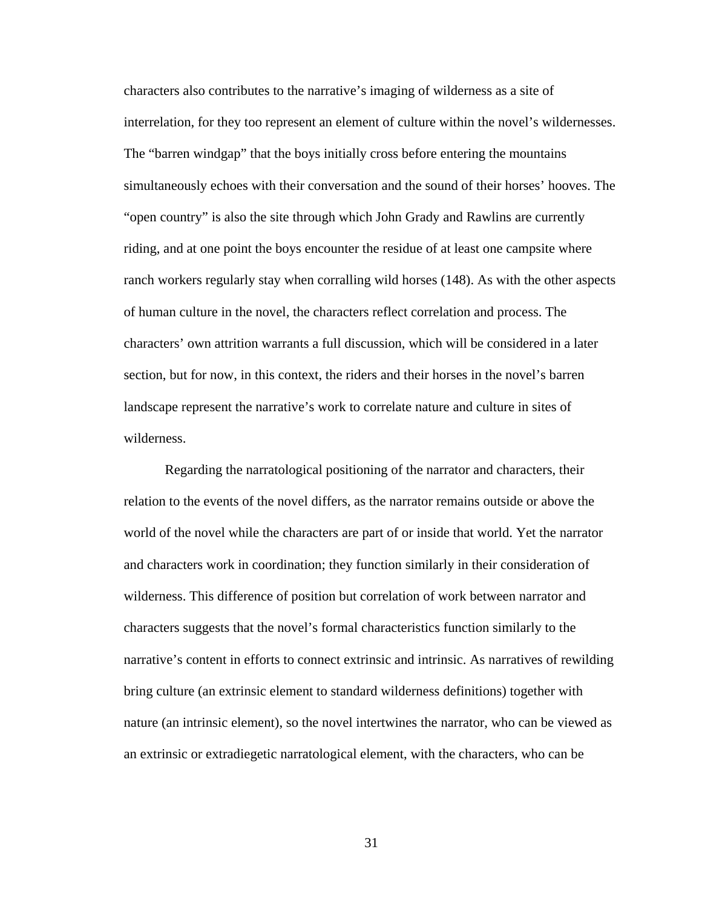characters also contributes to the narrative's imaging of wilderness as a site of interrelation, for they too represent an element of culture within the novel's wildernesses. The "barren windgap" that the boys initially cross before entering the mountains simultaneously echoes with their conversation and the sound of their horses' hooves. The "open country" is also the site through which John Grady and Rawlins are currently riding, and at one point the boys encounter the residue of at least one campsite where ranch workers regularly stay when corralling wild horses (148). As with the other aspects of human culture in the novel, the characters reflect correlation and process. The characters' own attrition warrants a full discussion, which will be considered in a later section, but for now, in this context, the riders and their horses in the novel's barren landscape represent the narrative's work to correlate nature and culture in sites of wilderness.

Regarding the narratological positioning of the narrator and characters, their relation to the events of the novel differs, as the narrator remains outside or above the world of the novel while the characters are part of or inside that world. Yet the narrator and characters work in coordination; they function similarly in their consideration of wilderness. This difference of position but correlation of work between narrator and characters suggests that the novel's formal characteristics function similarly to the narrative's content in efforts to connect extrinsic and intrinsic. As narratives of rewilding bring culture (an extrinsic element to standard wilderness definitions) together with nature (an intrinsic element), so the novel intertwines the narrator, who can be viewed as an extrinsic or extradiegetic narratological element, with the characters, who can be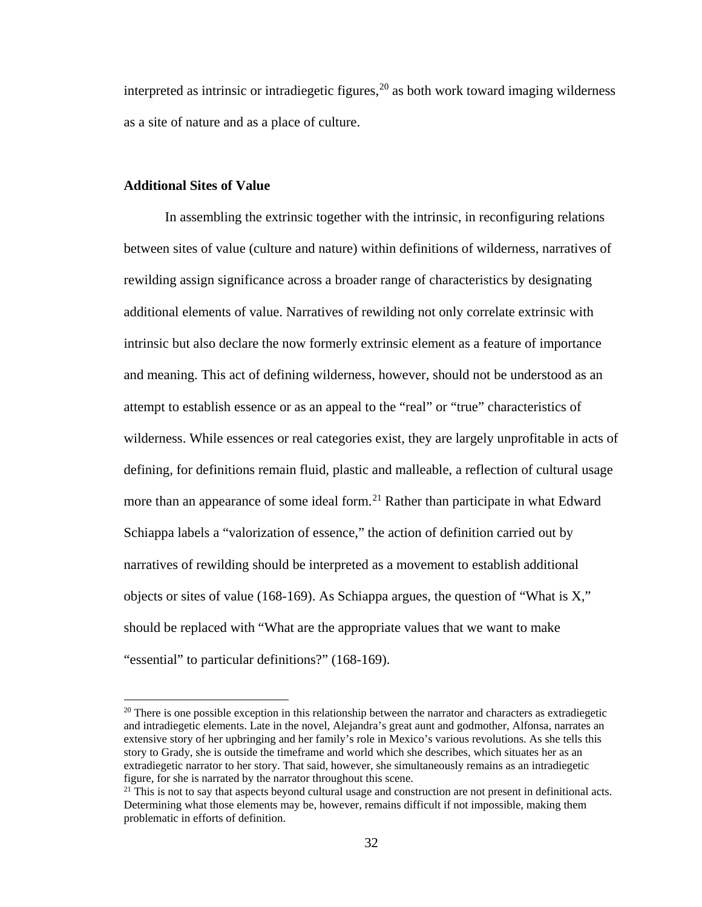interpreted as intrinsic or intradiegetic figures, $20$  as both work toward imaging wilderness as a site of nature and as a place of culture.

## **Additional Sites of Value**

l

In assembling the extrinsic together with the intrinsic, in reconfiguring relations between sites of value (culture and nature) within definitions of wilderness, narratives of rewilding assign significance across a broader range of characteristics by designating additional elements of value. Narratives of rewilding not only correlate extrinsic with intrinsic but also declare the now formerly extrinsic element as a feature of importance and meaning. This act of defining wilderness, however, should not be understood as an attempt to establish essence or as an appeal to the "real" or "true" characteristics of wilderness. While essences or real categories exist, they are largely unprofitable in acts of defining, for definitions remain fluid, plastic and malleable, a reflection of cultural usage more than an appearance of some ideal form.<sup>[21](#page-39-1)</sup> Rather than participate in what Edward Schiappa labels a "valorization of essence," the action of definition carried out by narratives of rewilding should be interpreted as a movement to establish additional objects or sites of value (168-169). As Schiappa argues, the question of "What is X," should be replaced with "What are the appropriate values that we want to make "essential" to particular definitions?" (168-169).

<span id="page-39-0"></span> $20$  There is one possible exception in this relationship between the narrator and characters as extradiegetic and intradiegetic elements. Late in the novel, Alejandra's great aunt and godmother, Alfonsa, narrates an extensive story of her upbringing and her family's role in Mexico's various revolutions. As she tells this story to Grady, she is outside the timeframe and world which she describes, which situates her as an extradiegetic narrator to her story. That said, however, she simultaneously remains as an intradiegetic figure, for she is narrated by the narrator throughout this scene.

<span id="page-39-1"></span> $21$  This is not to say that aspects beyond cultural usage and construction are not present in definitional acts. Determining what those elements may be, however, remains difficult if not impossible, making them problematic in efforts of definition.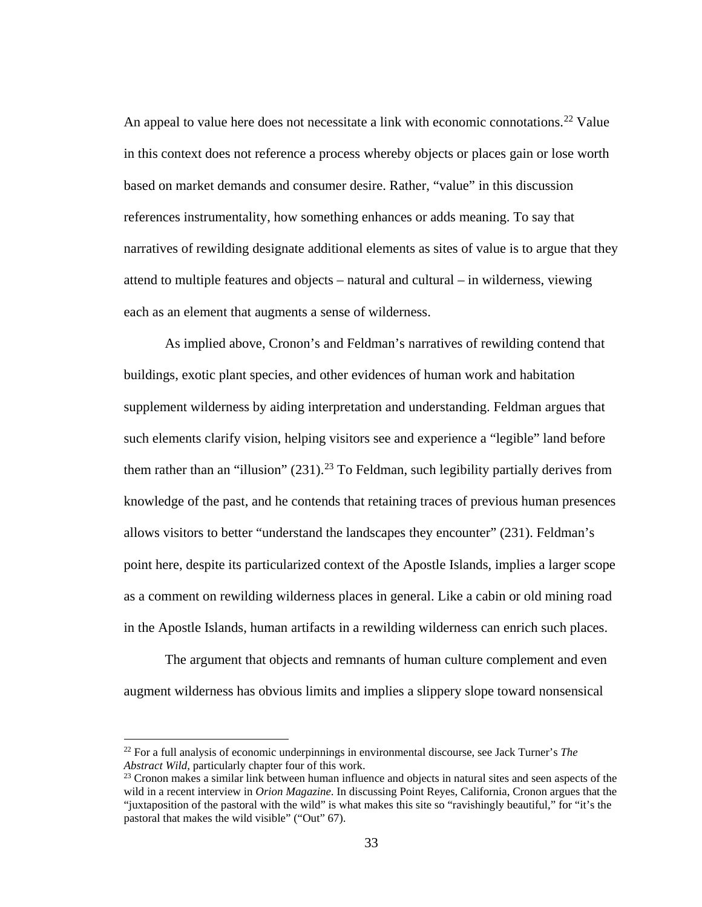An appeal to value here does not necessitate a link with economic connotations.<sup>[22](#page-40-0)</sup> Value in this context does not reference a process whereby objects or places gain or lose worth based on market demands and consumer desire. Rather, "value" in this discussion references instrumentality, how something enhances or adds meaning. To say that narratives of rewilding designate additional elements as sites of value is to argue that they attend to multiple features and objects – natural and cultural – in wilderness, viewing each as an element that augments a sense of wilderness.

As implied above, Cronon's and Feldman's narratives of rewilding contend that buildings, exotic plant species, and other evidences of human work and habitation supplement wilderness by aiding interpretation and understanding. Feldman argues that such elements clarify vision, helping visitors see and experience a "legible" land before them rather than an "illusion"  $(231)$  $(231)$  $(231)$ .<sup>23</sup> To Feldman, such legibility partially derives from knowledge of the past, and he contends that retaining traces of previous human presences allows visitors to better "understand the landscapes they encounter" (231). Feldman's point here, despite its particularized context of the Apostle Islands, implies a larger scope as a comment on rewilding wilderness places in general. Like a cabin or old mining road in the Apostle Islands, human artifacts in a rewilding wilderness can enrich such places.

The argument that objects and remnants of human culture complement and even augment wilderness has obvious limits and implies a slippery slope toward nonsensical

l

<span id="page-40-0"></span><sup>22</sup> For a full analysis of economic underpinnings in environmental discourse, see Jack Turner's *The Abstract Wild*, particularly chapter four of this work.<br><sup>23</sup> Cronon makes a similar link between human influence and objects in natural sites and seen aspects of the

<span id="page-40-1"></span>wild in a recent interview in *Orion Magazine*. In discussing Point Reyes, California, Cronon argues that the "juxtaposition of the pastoral with the wild" is what makes this site so "ravishingly beautiful," for "it's the pastoral that makes the wild visible" ("Out" 67).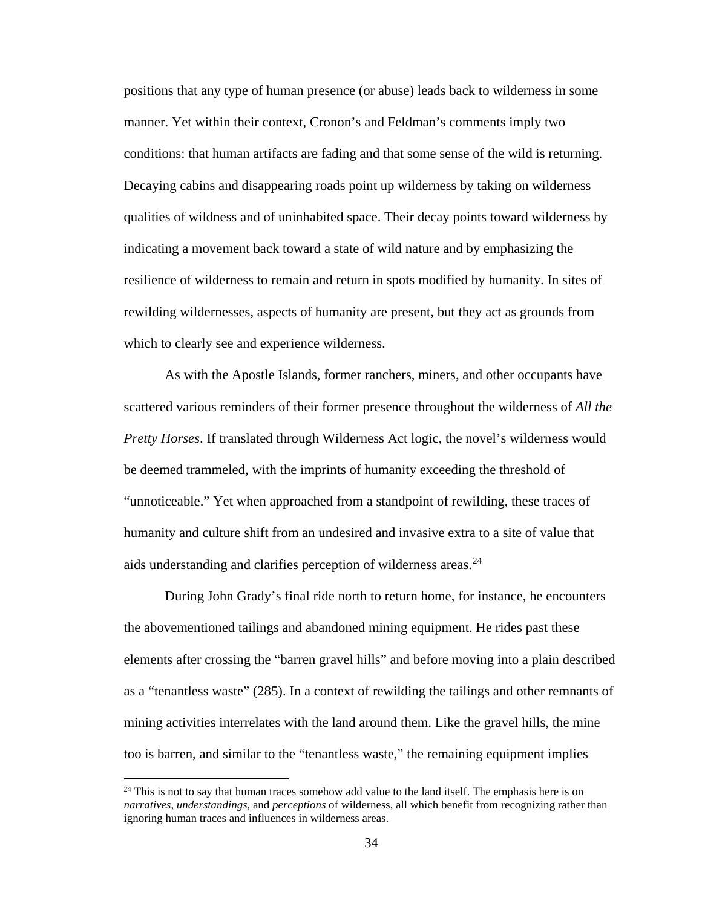positions that any type of human presence (or abuse) leads back to wilderness in some manner. Yet within their context, Cronon's and Feldman's comments imply two conditions: that human artifacts are fading and that some sense of the wild is returning. Decaying cabins and disappearing roads point up wilderness by taking on wilderness qualities of wildness and of uninhabited space. Their decay points toward wilderness by indicating a movement back toward a state of wild nature and by emphasizing the resilience of wilderness to remain and return in spots modified by humanity. In sites of rewilding wildernesses, aspects of humanity are present, but they act as grounds from which to clearly see and experience wilderness.

As with the Apostle Islands, former ranchers, miners, and other occupants have scattered various reminders of their former presence throughout the wilderness of *All the Pretty Horses*. If translated through Wilderness Act logic, the novel's wilderness would be deemed trammeled, with the imprints of humanity exceeding the threshold of "unnoticeable." Yet when approached from a standpoint of rewilding, these traces of humanity and culture shift from an undesired and invasive extra to a site of value that aids understanding and clarifies perception of wilderness areas.<sup>[24](#page-41-0)</sup>

During John Grady's final ride north to return home, for instance, he encounters the abovementioned tailings and abandoned mining equipment. He rides past these elements after crossing the "barren gravel hills" and before moving into a plain described as a "tenantless waste" (285). In a context of rewilding the tailings and other remnants of mining activities interrelates with the land around them. Like the gravel hills, the mine too is barren, and similar to the "tenantless waste," the remaining equipment implies

l

<span id="page-41-0"></span> $24$  This is not to say that human traces somehow add value to the land itself. The emphasis here is on *narratives*, *understandings*, and *perceptions* of wilderness, all which benefit from recognizing rather than ignoring human traces and influences in wilderness areas.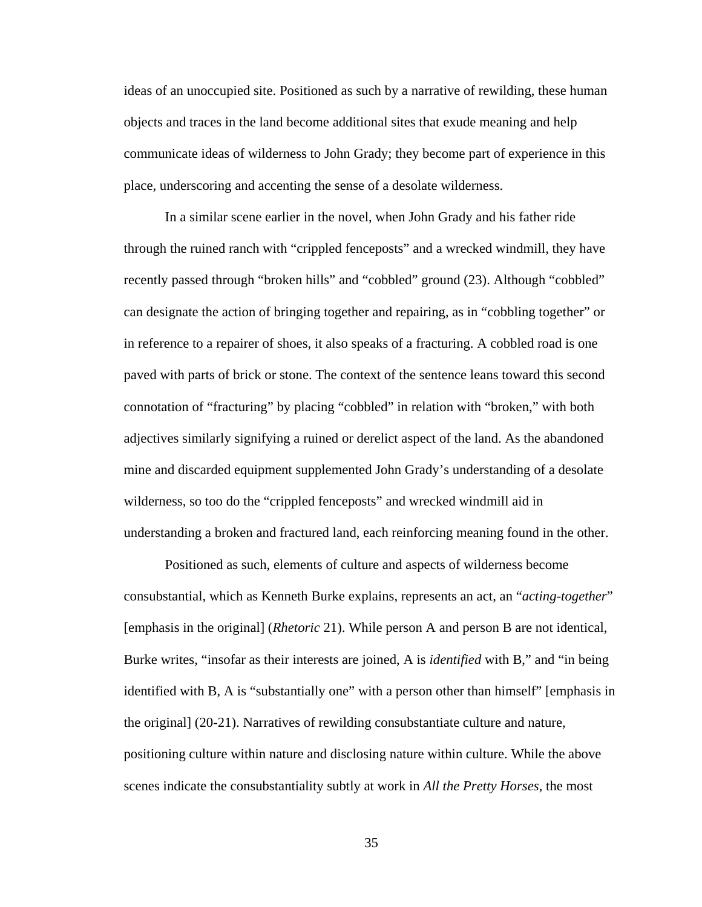ideas of an unoccupied site. Positioned as such by a narrative of rewilding, these human objects and traces in the land become additional sites that exude meaning and help communicate ideas of wilderness to John Grady; they become part of experience in this place, underscoring and accenting the sense of a desolate wilderness.

In a similar scene earlier in the novel, when John Grady and his father ride through the ruined ranch with "crippled fenceposts" and a wrecked windmill, they have recently passed through "broken hills" and "cobbled" ground (23). Although "cobbled" can designate the action of bringing together and repairing, as in "cobbling together" or in reference to a repairer of shoes, it also speaks of a fracturing. A cobbled road is one paved with parts of brick or stone. The context of the sentence leans toward this second connotation of "fracturing" by placing "cobbled" in relation with "broken," with both adjectives similarly signifying a ruined or derelict aspect of the land. As the abandoned mine and discarded equipment supplemented John Grady's understanding of a desolate wilderness, so too do the "crippled fenceposts" and wrecked windmill aid in understanding a broken and fractured land, each reinforcing meaning found in the other.

Positioned as such, elements of culture and aspects of wilderness become consubstantial, which as Kenneth Burke explains, represents an act, an "*acting-together*" [emphasis in the original] (*Rhetoric* 21). While person A and person B are not identical, Burke writes, "insofar as their interests are joined, A is *identified* with B," and "in being identified with B, A is "substantially one" with a person other than himself" [emphasis in the original] (20-21). Narratives of rewilding consubstantiate culture and nature, positioning culture within nature and disclosing nature within culture. While the above scenes indicate the consubstantiality subtly at work in *All the Pretty Horses*, the most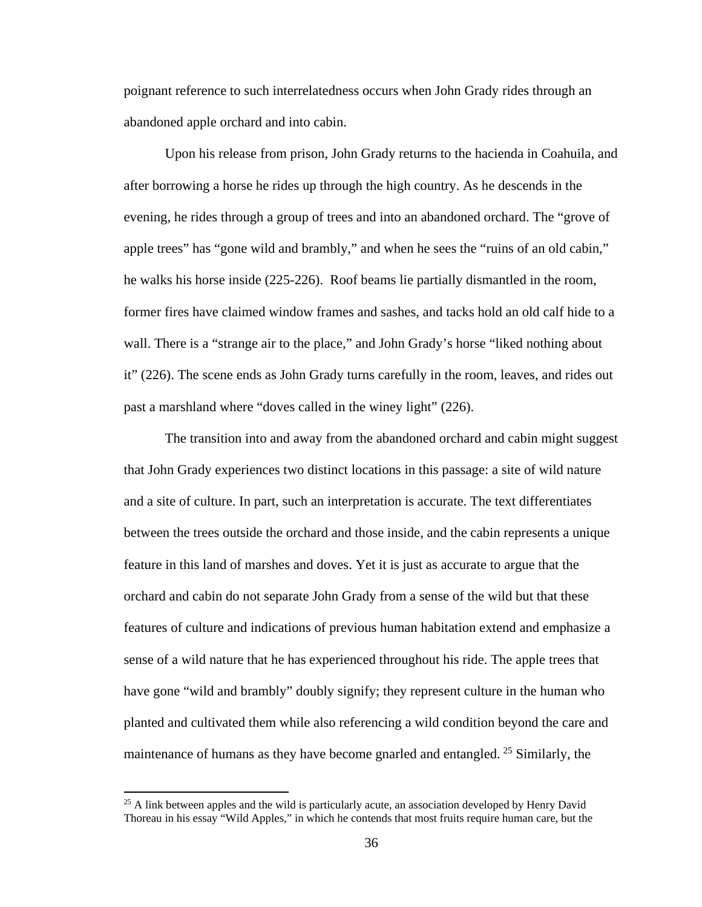poignant reference to such interrelatedness occurs when John Grady rides through an abandoned apple orchard and into cabin.

Upon his release from prison, John Grady returns to the hacienda in Coahuila, and after borrowing a horse he rides up through the high country. As he descends in the evening, he rides through a group of trees and into an abandoned orchard. The "grove of apple trees" has "gone wild and brambly," and when he sees the "ruins of an old cabin," he walks his horse inside (225-226). Roof beams lie partially dismantled in the room, former fires have claimed window frames and sashes, and tacks hold an old calf hide to a wall. There is a "strange air to the place," and John Grady's horse "liked nothing about it" (226). The scene ends as John Grady turns carefully in the room, leaves, and rides out past a marshland where "doves called in the winey light" (226).

The transition into and away from the abandoned orchard and cabin might suggest that John Grady experiences two distinct locations in this passage: a site of wild nature and a site of culture. In part, such an interpretation is accurate. The text differentiates between the trees outside the orchard and those inside, and the cabin represents a unique feature in this land of marshes and doves. Yet it is just as accurate to argue that the orchard and cabin do not separate John Grady from a sense of the wild but that these features of culture and indications of previous human habitation extend and emphasize a sense of a wild nature that he has experienced throughout his ride. The apple trees that have gone "wild and brambly" doubly signify; they represent culture in the human who planted and cultivated them while also referencing a wild condition beyond the care and maintenance of humans as they have become gnarled and entangled.  $25$  Similarly, the

 $\overline{\phantom{a}}$ 

<span id="page-43-0"></span><sup>&</sup>lt;sup>25</sup> A link between apples and the wild is particularly acute, an association developed by Henry David Thoreau in his essay "Wild Apples," in which he contends that most fruits require human care, but the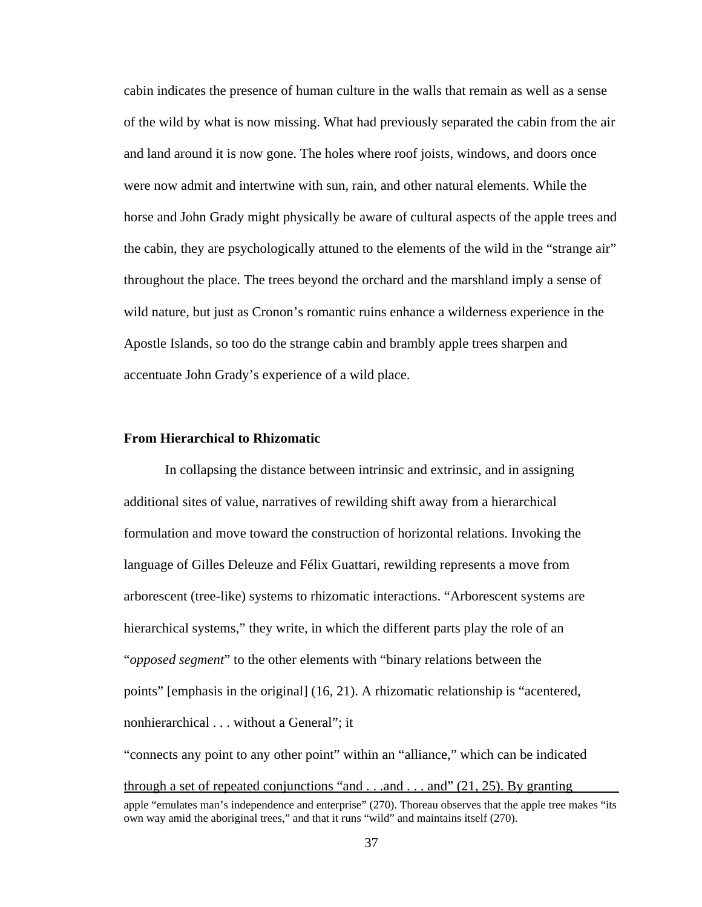cabin indicates the presence of human culture in the walls that remain as well as a sense of the wild by what is now missing. What had previously separated the cabin from the air and land around it is now gone. The holes where roof joists, windows, and doors once were now admit and intertwine with sun, rain, and other natural elements. While the horse and John Grady might physically be aware of cultural aspects of the apple trees and the cabin, they are psychologically attuned to the elements of the wild in the "strange air" throughout the place. The trees beyond the orchard and the marshland imply a sense of wild nature, but just as Cronon's romantic ruins enhance a wilderness experience in the Apostle Islands, so too do the strange cabin and brambly apple trees sharpen and accentuate John Grady's experience of a wild place.

## **From Hierarchical to Rhizomatic**

In collapsing the distance between intrinsic and extrinsic, and in assigning additional sites of value, narratives of rewilding shift away from a hierarchical formulation and move toward the construction of horizontal relations. Invoking the language of Gilles Deleuze and Félix Guattari, rewilding represents a move from arborescent (tree-like) systems to rhizomatic interactions. "Arborescent systems are hierarchical systems," they write, in which the different parts play the role of an "*opposed segment*" to the other elements with "binary relations between the points" [emphasis in the original] (16, 21). A rhizomatic relationship is "acentered, nonhierarchical . . . without a General"; it

"connects any point to any other point" within an "alliance," which can be indicated through a set of repeated conjunctions "and  $\ldots$  and  $\ldots$  and" (21, 25). By granting apple "emulates man's independence and enterprise" (270). Thoreau observes that the apple tree makes "its own way amid the aboriginal trees," and that it runs "wild" and maintains itself (270).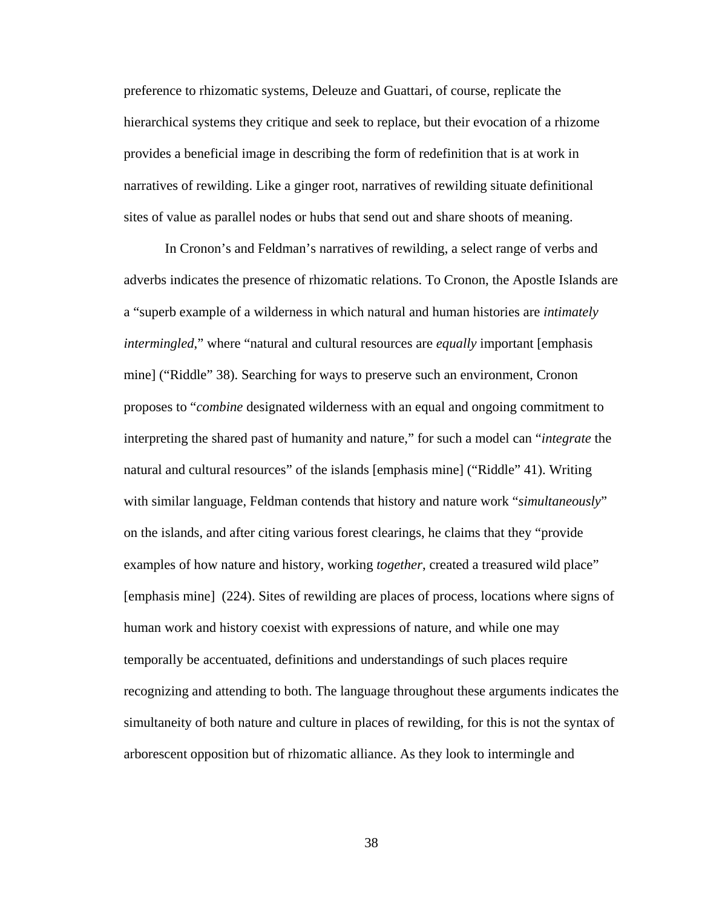preference to rhizomatic systems, Deleuze and Guattari, of course, replicate the hierarchical systems they critique and seek to replace, but their evocation of a rhizome provides a beneficial image in describing the form of redefinition that is at work in narratives of rewilding. Like a ginger root, narratives of rewilding situate definitional sites of value as parallel nodes or hubs that send out and share shoots of meaning.

In Cronon's and Feldman's narratives of rewilding, a select range of verbs and adverbs indicates the presence of rhizomatic relations. To Cronon, the Apostle Islands are a "superb example of a wilderness in which natural and human histories are *intimately intermingled*," where "natural and cultural resources are *equally* important [emphasis mine] ("Riddle" 38). Searching for ways to preserve such an environment, Cronon proposes to "*combine* designated wilderness with an equal and ongoing commitment to interpreting the shared past of humanity and nature," for such a model can "*integrate* the natural and cultural resources" of the islands [emphasis mine] ("Riddle" 41). Writing with similar language, Feldman contends that history and nature work "*simultaneously*" on the islands, and after citing various forest clearings, he claims that they "provide examples of how nature and history, working *together*, created a treasured wild place" [emphasis mine] (224). Sites of rewilding are places of process, locations where signs of human work and history coexist with expressions of nature, and while one may temporally be accentuated, definitions and understandings of such places require recognizing and attending to both. The language throughout these arguments indicates the simultaneity of both nature and culture in places of rewilding, for this is not the syntax of arborescent opposition but of rhizomatic alliance. As they look to intermingle and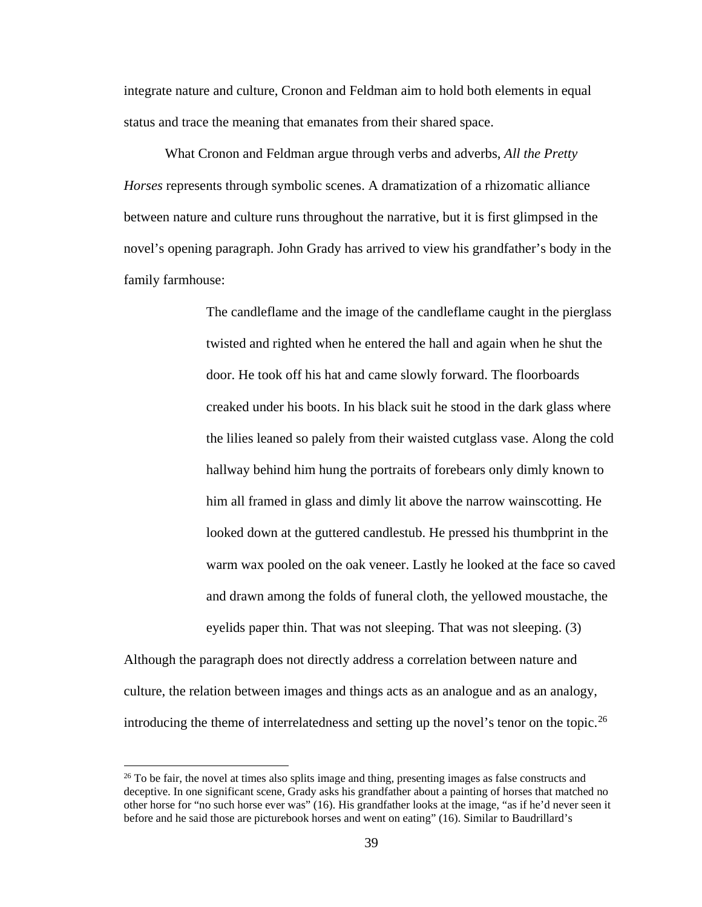integrate nature and culture, Cronon and Feldman aim to hold both elements in equal status and trace the meaning that emanates from their shared space.

What Cronon and Feldman argue through verbs and adverbs, *All the Pretty Horses* represents through symbolic scenes. A dramatization of a rhizomatic alliance between nature and culture runs throughout the narrative, but it is first glimpsed in the novel's opening paragraph. John Grady has arrived to view his grandfather's body in the family farmhouse:

> The candleflame and the image of the candleflame caught in the pierglass twisted and righted when he entered the hall and again when he shut the door. He took off his hat and came slowly forward. The floorboards creaked under his boots. In his black suit he stood in the dark glass where the lilies leaned so palely from their waisted cutglass vase. Along the cold hallway behind him hung the portraits of forebears only dimly known to him all framed in glass and dimly lit above the narrow wainscotting. He looked down at the guttered candlestub. He pressed his thumbprint in the warm wax pooled on the oak veneer. Lastly he looked at the face so caved and drawn among the folds of funeral cloth, the yellowed moustache, the eyelids paper thin. That was not sleeping. That was not sleeping. (3)

Although the paragraph does not directly address a correlation between nature and culture, the relation between images and things acts as an analogue and as an analogy, introducing the theme of interrelatedness and setting up the novel's tenor on the topic.<sup>[26](#page-46-0)</sup>

 $\overline{\phantom{a}}$ 

<span id="page-46-0"></span> $26$  To be fair, the novel at times also splits image and thing, presenting images as false constructs and deceptive. In one significant scene, Grady asks his grandfather about a painting of horses that matched no other horse for "no such horse ever was" (16). His grandfather looks at the image, "as if he'd never seen it before and he said those are picturebook horses and went on eating" (16). Similar to Baudrillard's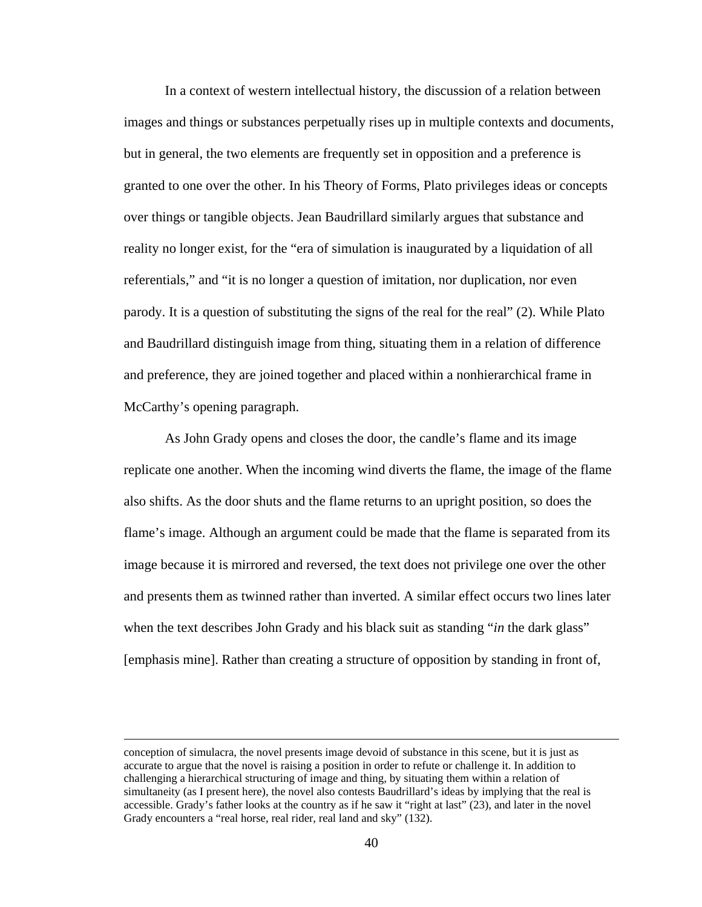In a context of western intellectual history, the discussion of a relation between images and things or substances perpetually rises up in multiple contexts and documents, but in general, the two elements are frequently set in opposition and a preference is granted to one over the other. In his Theory of Forms, Plato privileges ideas or concepts over things or tangible objects. Jean Baudrillard similarly argues that substance and reality no longer exist, for the "era of simulation is inaugurated by a liquidation of all referentials," and "it is no longer a question of imitation, nor duplication, nor even parody. It is a question of substituting the signs of the real for the real" (2). While Plato and Baudrillard distinguish image from thing, situating them in a relation of difference and preference, they are joined together and placed within a nonhierarchical frame in McCarthy's opening paragraph.

As John Grady opens and closes the door, the candle's flame and its image replicate one another. When the incoming wind diverts the flame, the image of the flame also shifts. As the door shuts and the flame returns to an upright position, so does the flame's image. Although an argument could be made that the flame is separated from its image because it is mirrored and reversed, the text does not privilege one over the other and presents them as twinned rather than inverted. A similar effect occurs two lines later when the text describes John Grady and his black suit as standing "*in* the dark glass" [emphasis mine]. Rather than creating a structure of opposition by standing in front of,

l

conception of simulacra, the novel presents image devoid of substance in this scene, but it is just as accurate to argue that the novel is raising a position in order to refute or challenge it. In addition to challenging a hierarchical structuring of image and thing, by situating them within a relation of simultaneity (as I present here), the novel also contests Baudrillard's ideas by implying that the real is accessible. Grady's father looks at the country as if he saw it "right at last" (23), and later in the novel Grady encounters a "real horse, real rider, real land and sky" (132).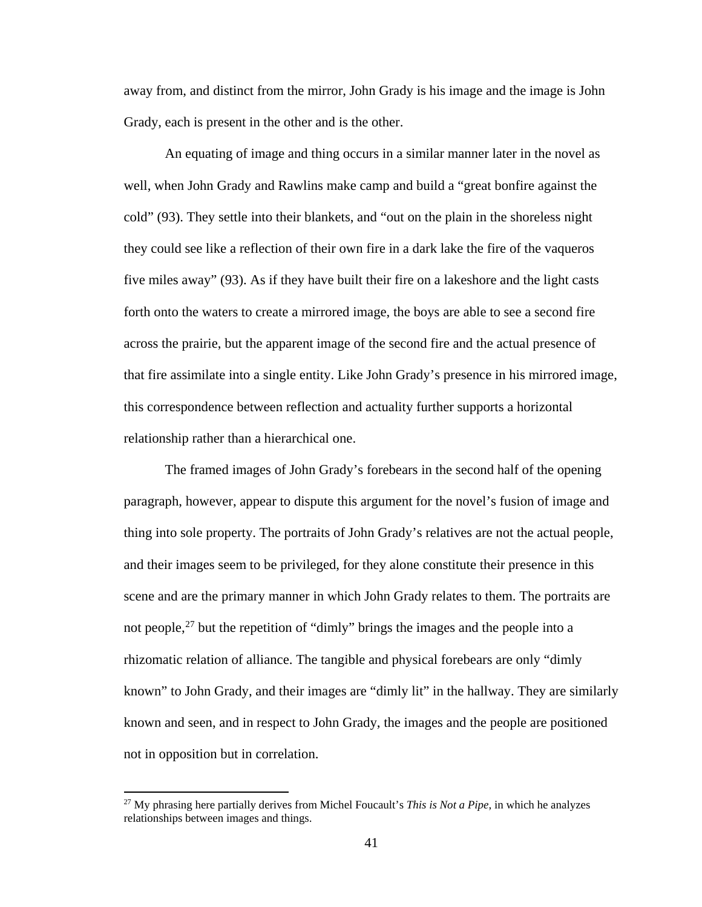away from, and distinct from the mirror, John Grady is his image and the image is John Grady, each is present in the other and is the other.

An equating of image and thing occurs in a similar manner later in the novel as well, when John Grady and Rawlins make camp and build a "great bonfire against the cold" (93). They settle into their blankets, and "out on the plain in the shoreless night they could see like a reflection of their own fire in a dark lake the fire of the vaqueros five miles away" (93). As if they have built their fire on a lakeshore and the light casts forth onto the waters to create a mirrored image, the boys are able to see a second fire across the prairie, but the apparent image of the second fire and the actual presence of that fire assimilate into a single entity. Like John Grady's presence in his mirrored image, this correspondence between reflection and actuality further supports a horizontal relationship rather than a hierarchical one.

The framed images of John Grady's forebears in the second half of the opening paragraph, however, appear to dispute this argument for the novel's fusion of image and thing into sole property. The portraits of John Grady's relatives are not the actual people, and their images seem to be privileged, for they alone constitute their presence in this scene and are the primary manner in which John Grady relates to them. The portraits are not people,<sup>[27](#page-48-0)</sup> but the repetition of "dimly" brings the images and the people into a rhizomatic relation of alliance. The tangible and physical forebears are only "dimly known" to John Grady, and their images are "dimly lit" in the hallway. They are similarly known and seen, and in respect to John Grady, the images and the people are positioned not in opposition but in correlation.

 $\overline{\phantom{a}}$ 

<span id="page-48-0"></span><sup>27</sup> My phrasing here partially derives from Michel Foucault's *This is Not a Pipe*, in which he analyzes relationships between images and things.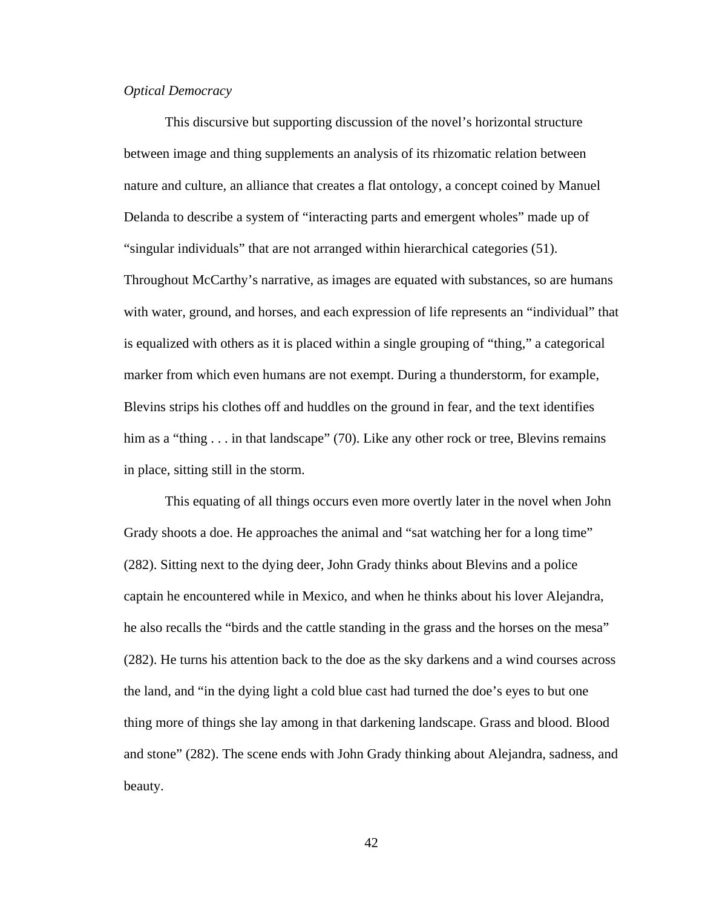## *Optical Democracy*

This discursive but supporting discussion of the novel's horizontal structure between image and thing supplements an analysis of its rhizomatic relation between nature and culture, an alliance that creates a flat ontology, a concept coined by Manuel Delanda to describe a system of "interacting parts and emergent wholes" made up of "singular individuals" that are not arranged within hierarchical categories (51). Throughout McCarthy's narrative, as images are equated with substances, so are humans with water, ground, and horses, and each expression of life represents an "individual" that is equalized with others as it is placed within a single grouping of "thing," a categorical marker from which even humans are not exempt. During a thunderstorm, for example, Blevins strips his clothes off and huddles on the ground in fear, and the text identifies him as a "thing . . . in that landscape" (70). Like any other rock or tree, Blevins remains in place, sitting still in the storm.

This equating of all things occurs even more overtly later in the novel when John Grady shoots a doe. He approaches the animal and "sat watching her for a long time" (282). Sitting next to the dying deer, John Grady thinks about Blevins and a police captain he encountered while in Mexico, and when he thinks about his lover Alejandra, he also recalls the "birds and the cattle standing in the grass and the horses on the mesa" (282). He turns his attention back to the doe as the sky darkens and a wind courses across the land, and "in the dying light a cold blue cast had turned the doe's eyes to but one thing more of things she lay among in that darkening landscape. Grass and blood. Blood and stone" (282). The scene ends with John Grady thinking about Alejandra, sadness, and beauty.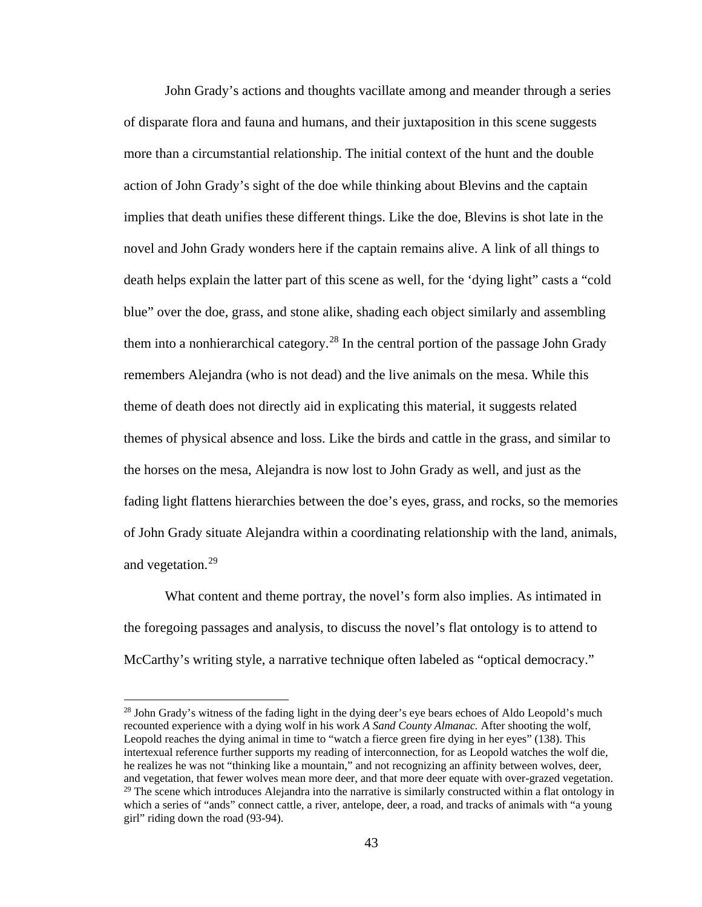John Grady's actions and thoughts vacillate among and meander through a series of disparate flora and fauna and humans, and their juxtaposition in this scene suggests more than a circumstantial relationship. The initial context of the hunt and the double action of John Grady's sight of the doe while thinking about Blevins and the captain implies that death unifies these different things. Like the doe, Blevins is shot late in the novel and John Grady wonders here if the captain remains alive. A link of all things to death helps explain the latter part of this scene as well, for the 'dying light" casts a "cold blue" over the doe, grass, and stone alike, shading each object similarly and assembling them into a nonhierarchical category.<sup>[28](#page-50-0)</sup> In the central portion of the passage John Grady remembers Alejandra (who is not dead) and the live animals on the mesa. While this theme of death does not directly aid in explicating this material, it suggests related themes of physical absence and loss. Like the birds and cattle in the grass, and similar to the horses on the mesa, Alejandra is now lost to John Grady as well, and just as the fading light flattens hierarchies between the doe's eyes, grass, and rocks, so the memories of John Grady situate Alejandra within a coordinating relationship with the land, animals, and vegetation.<sup>29</sup>

What content and theme portray, the novel's form also implies. As intimated in the foregoing passages and analysis, to discuss the novel's flat ontology is to attend to McCarthy's writing style, a narrative technique often labeled as "optical democracy."

l

<span id="page-50-1"></span><span id="page-50-0"></span> $28$  John Grady's witness of the fading light in the dying deer's eye bears echoes of Aldo Leopold's much recounted experience with a dying wolf in his work *A Sand County Almanac.* After shooting the wolf, Leopold reaches the dying animal in time to "watch a fierce green fire dying in her eyes" (138). This intertexual reference further supports my reading of interconnection, for as Leopold watches the wolf die, he realizes he was not "thinking like a mountain," and not recognizing an affinity between wolves, deer, and vegetation, that fewer wolves mean more deer, and that more deer equate with over-grazed vegetation.  $^{29}$  The scene which introduces Alejandra into the narrative is similarly constructed within a flat ontology in which a series of "ands" connect cattle, a river, antelope, deer, a road, and tracks of animals with "a young girl" riding down the road (93-94).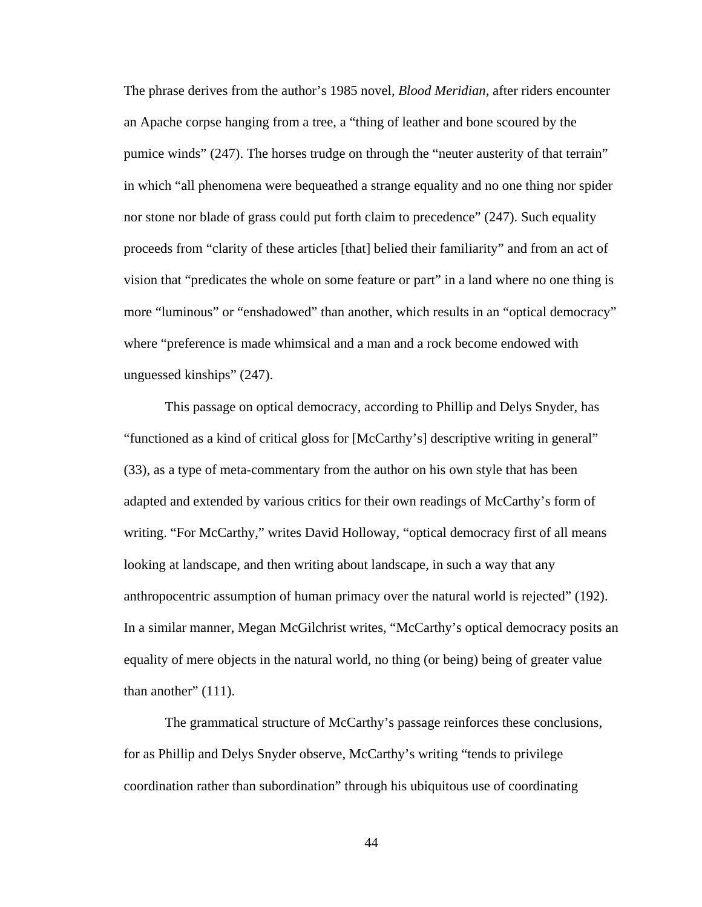The phrase derives from the author's 1985 novel, *Blood Meridian*, after riders encounter an Apache corpse hanging from a tree, a "thing of leather and bone scoured by the pumice winds" (247). The horses trudge on through the "neuter austerity of that terrain" in which "all phenomena were bequeathed a strange equality and no one thing nor spider nor stone nor blade of grass could put forth claim to precedence" (247). Such equality proceeds from "clarity of these articles [that] belied their familiarity" and from an act of vision that "predicates the whole on some feature or part" in a land where no one thing is more "luminous" or "enshadowed" than another, which results in an "optical democracy" where "preference is made whimsical and a man and a rock become endowed with unguessed kinships" (247).

This passage on optical democracy, according to Phillip and Delys Snyder, has "functioned as a kind of critical gloss for [McCarthy's] descriptive writing in general" (33), as a type of meta-commentary from the author on his own style that has been adapted and extended by various critics for their own readings of McCarthy's form of writing. "For McCarthy," writes David Holloway, "optical democracy first of all means looking at landscape, and then writing about landscape, in such a way that any anthropocentric assumption of human primacy over the natural world is rejected" (192). In a similar manner, Megan McGilchrist writes, "McCarthy's optical democracy posits an equality of mere objects in the natural world, no thing (or being) being of greater value than another"  $(111)$ .

The grammatical structure of McCarthy's passage reinforces these conclusions, for as Phillip and Delys Snyder observe, McCarthy's writing "tends to privilege coordination rather than subordination" through his ubiquitous use of coordinating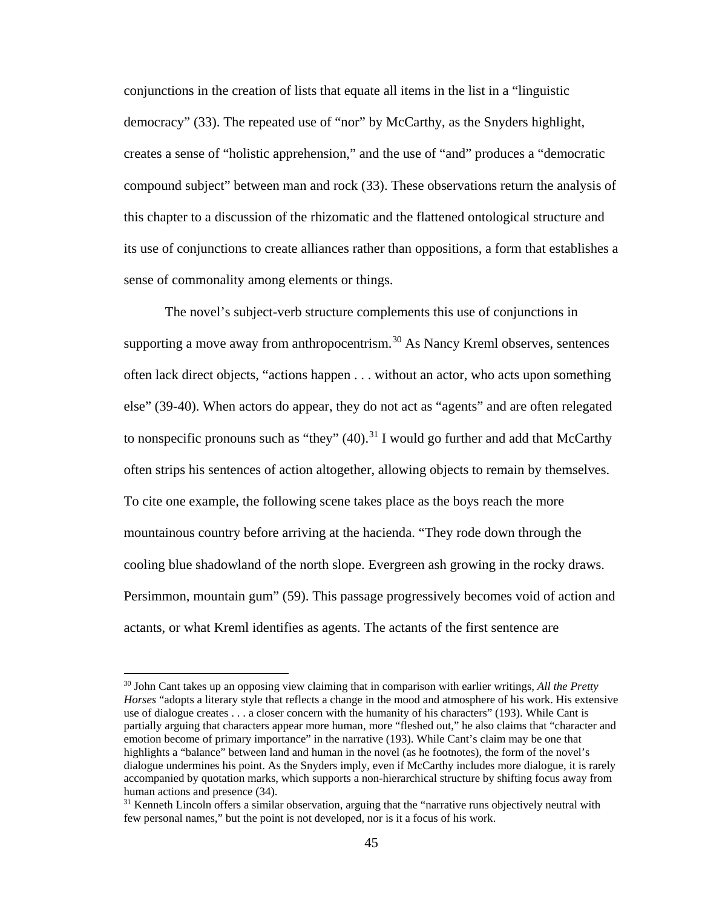conjunctions in the creation of lists that equate all items in the list in a "linguistic democracy" (33). The repeated use of "nor" by McCarthy, as the Snyders highlight, creates a sense of "holistic apprehension," and the use of "and" produces a "democratic compound subject" between man and rock (33). These observations return the analysis of this chapter to a discussion of the rhizomatic and the flattened ontological structure and its use of conjunctions to create alliances rather than oppositions, a form that establishes a sense of commonality among elements or things.

The novel's subject-verb structure complements this use of conjunctions in supporting a move away from anthropocentrism.<sup>[30](#page-52-0)</sup> As Nancy Kreml observes, sentences often lack direct objects, "actions happen . . . without an actor, who acts upon something else" (39-40). When actors do appear, they do not act as "agents" and are often relegated to nonspecific pronouns such as "they"  $(40)$ .<sup>[31](#page-52-1)</sup> I would go further and add that McCarthy often strips his sentences of action altogether, allowing objects to remain by themselves. To cite one example, the following scene takes place as the boys reach the more mountainous country before arriving at the hacienda. "They rode down through the cooling blue shadowland of the north slope. Evergreen ash growing in the rocky draws. Persimmon, mountain gum" (59). This passage progressively becomes void of action and actants, or what Kreml identifies as agents. The actants of the first sentence are

 $\overline{\phantom{a}}$ 

<span id="page-52-0"></span><sup>30</sup> John Cant takes up an opposing view claiming that in comparison with earlier writings, *All the Pretty Horses* "adopts a literary style that reflects a change in the mood and atmosphere of his work. His extensive use of dialogue creates . . . a closer concern with the humanity of his characters" (193). While Cant is partially arguing that characters appear more human, more "fleshed out," he also claims that "character and emotion become of primary importance" in the narrative (193). While Cant's claim may be one that highlights a "balance" between land and human in the novel (as he footnotes), the form of the novel's dialogue undermines his point. As the Snyders imply, even if McCarthy includes more dialogue, it is rarely accompanied by quotation marks, which supports a non-hierarchical structure by shifting focus away from human actions and presence (34).

<span id="page-52-1"></span><sup>&</sup>lt;sup>31</sup> Kenneth Lincoln offers a similar observation, arguing that the "narrative runs objectively neutral with few personal names," but the point is not developed, nor is it a focus of his work.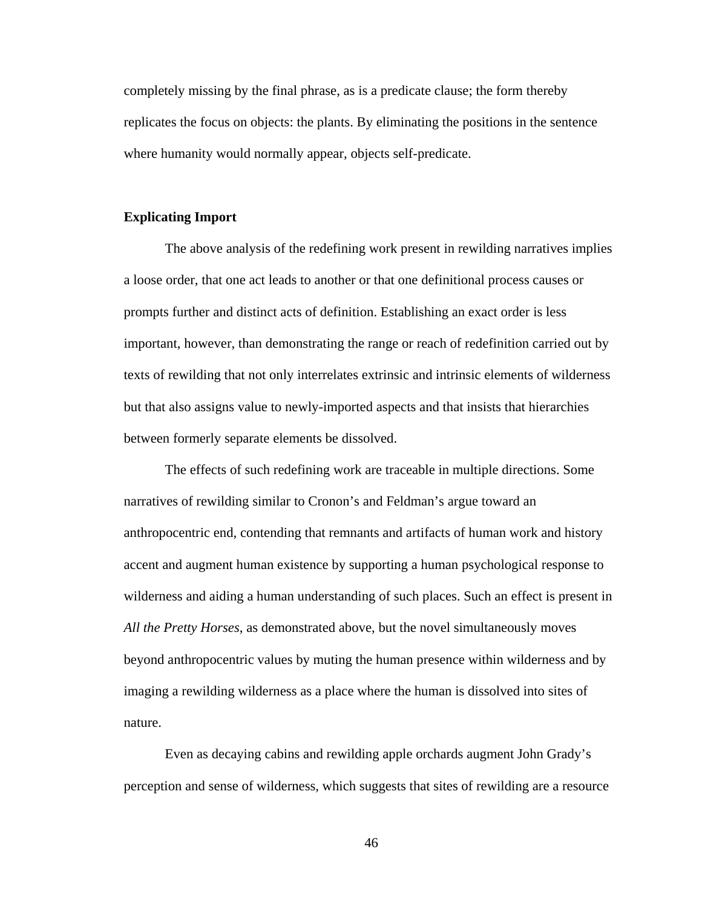completely missing by the final phrase, as is a predicate clause; the form thereby replicates the focus on objects: the plants. By eliminating the positions in the sentence where humanity would normally appear, objects self-predicate.

#### **Explicating Import**

The above analysis of the redefining work present in rewilding narratives implies a loose order, that one act leads to another or that one definitional process causes or prompts further and distinct acts of definition. Establishing an exact order is less important, however, than demonstrating the range or reach of redefinition carried out by texts of rewilding that not only interrelates extrinsic and intrinsic elements of wilderness but that also assigns value to newly-imported aspects and that insists that hierarchies between formerly separate elements be dissolved.

The effects of such redefining work are traceable in multiple directions. Some narratives of rewilding similar to Cronon's and Feldman's argue toward an anthropocentric end, contending that remnants and artifacts of human work and history accent and augment human existence by supporting a human psychological response to wilderness and aiding a human understanding of such places. Such an effect is present in *All the Pretty Horses*, as demonstrated above, but the novel simultaneously moves beyond anthropocentric values by muting the human presence within wilderness and by imaging a rewilding wilderness as a place where the human is dissolved into sites of nature.

Even as decaying cabins and rewilding apple orchards augment John Grady's perception and sense of wilderness, which suggests that sites of rewilding are a resource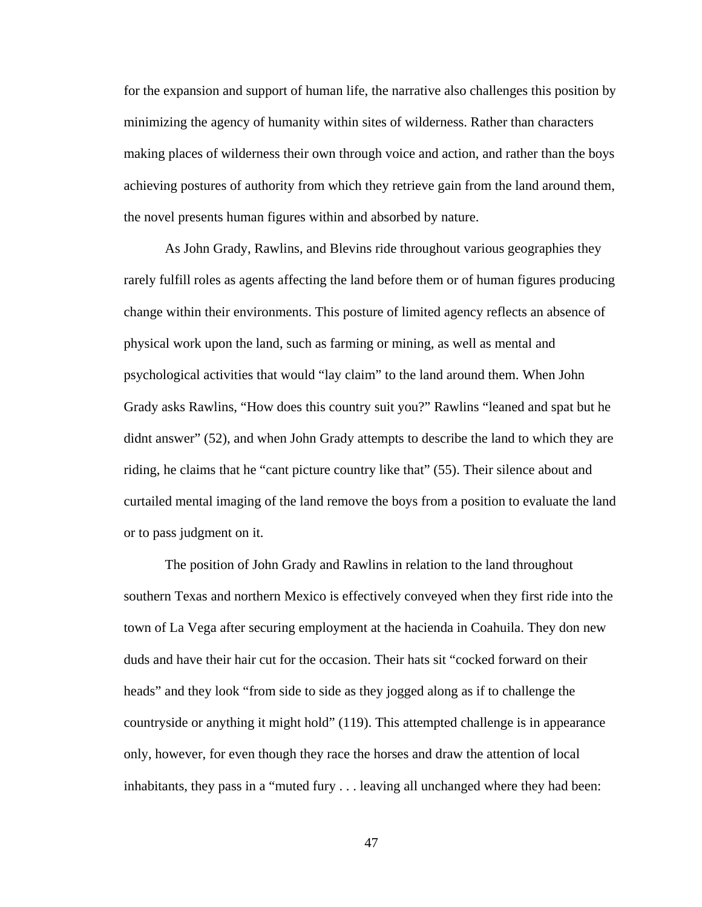for the expansion and support of human life, the narrative also challenges this position by minimizing the agency of humanity within sites of wilderness. Rather than characters making places of wilderness their own through voice and action, and rather than the boys achieving postures of authority from which they retrieve gain from the land around them, the novel presents human figures within and absorbed by nature.

As John Grady, Rawlins, and Blevins ride throughout various geographies they rarely fulfill roles as agents affecting the land before them or of human figures producing change within their environments. This posture of limited agency reflects an absence of physical work upon the land, such as farming or mining, as well as mental and psychological activities that would "lay claim" to the land around them. When John Grady asks Rawlins, "How does this country suit you?" Rawlins "leaned and spat but he didnt answer" (52), and when John Grady attempts to describe the land to which they are riding, he claims that he "cant picture country like that" (55). Their silence about and curtailed mental imaging of the land remove the boys from a position to evaluate the land or to pass judgment on it.

The position of John Grady and Rawlins in relation to the land throughout southern Texas and northern Mexico is effectively conveyed when they first ride into the town of La Vega after securing employment at the hacienda in Coahuila. They don new duds and have their hair cut for the occasion. Their hats sit "cocked forward on their heads" and they look "from side to side as they jogged along as if to challenge the countryside or anything it might hold" (119). This attempted challenge is in appearance only, however, for even though they race the horses and draw the attention of local inhabitants, they pass in a "muted fury . . . leaving all unchanged where they had been: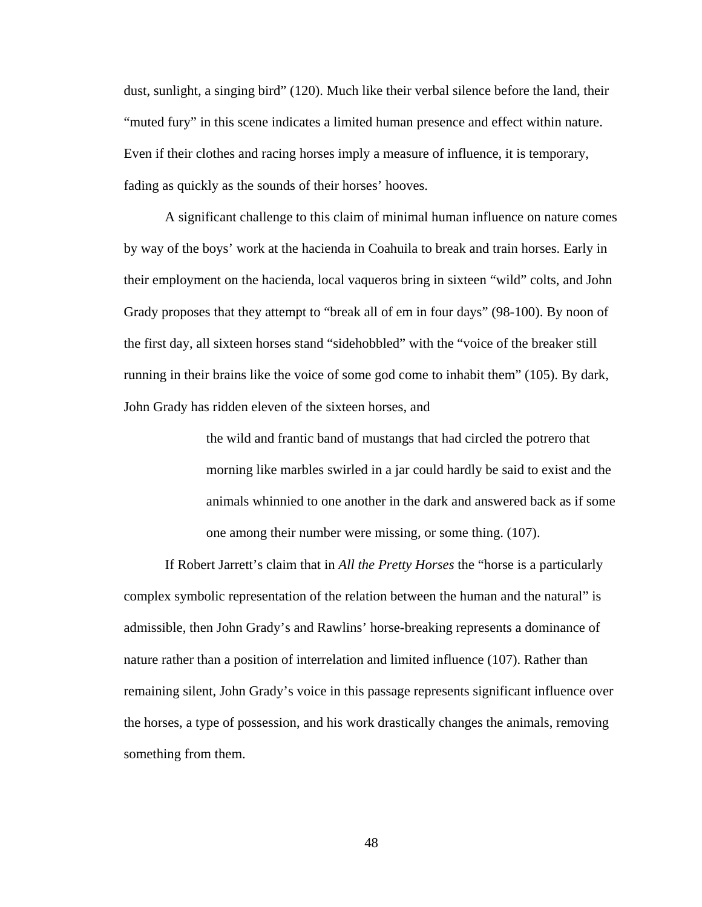dust, sunlight, a singing bird" (120). Much like their verbal silence before the land, their "muted fury" in this scene indicates a limited human presence and effect within nature. Even if their clothes and racing horses imply a measure of influence, it is temporary, fading as quickly as the sounds of their horses' hooves.

A significant challenge to this claim of minimal human influence on nature comes by way of the boys' work at the hacienda in Coahuila to break and train horses. Early in their employment on the hacienda, local vaqueros bring in sixteen "wild" colts, and John Grady proposes that they attempt to "break all of em in four days" (98-100). By noon of the first day, all sixteen horses stand "sidehobbled" with the "voice of the breaker still running in their brains like the voice of some god come to inhabit them" (105). By dark, John Grady has ridden eleven of the sixteen horses, and

> the wild and frantic band of mustangs that had circled the potrero that morning like marbles swirled in a jar could hardly be said to exist and the animals whinnied to one another in the dark and answered back as if some one among their number were missing, or some thing. (107).

If Robert Jarrett's claim that in *All the Pretty Horses* the "horse is a particularly complex symbolic representation of the relation between the human and the natural" is admissible, then John Grady's and Rawlins' horse-breaking represents a dominance of nature rather than a position of interrelation and limited influence (107). Rather than remaining silent, John Grady's voice in this passage represents significant influence over the horses, a type of possession, and his work drastically changes the animals, removing something from them.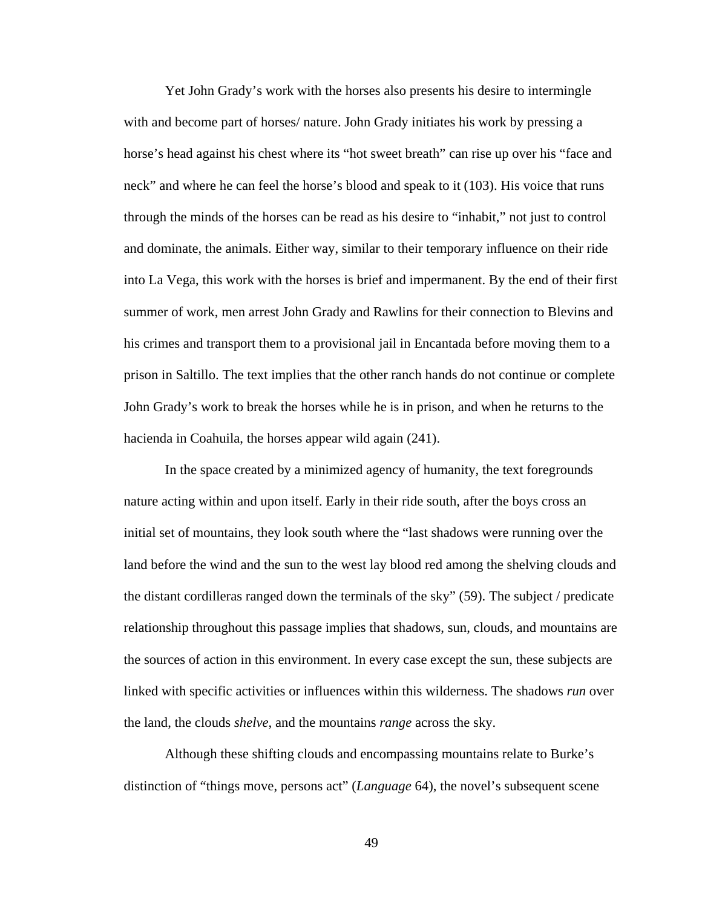Yet John Grady's work with the horses also presents his desire to intermingle with and become part of horses/ nature. John Grady initiates his work by pressing a horse's head against his chest where its "hot sweet breath" can rise up over his "face and neck" and where he can feel the horse's blood and speak to it (103). His voice that runs through the minds of the horses can be read as his desire to "inhabit," not just to control and dominate, the animals. Either way, similar to their temporary influence on their ride into La Vega, this work with the horses is brief and impermanent. By the end of their first summer of work, men arrest John Grady and Rawlins for their connection to Blevins and his crimes and transport them to a provisional jail in Encantada before moving them to a prison in Saltillo. The text implies that the other ranch hands do not continue or complete John Grady's work to break the horses while he is in prison, and when he returns to the hacienda in Coahuila, the horses appear wild again (241).

In the space created by a minimized agency of humanity, the text foregrounds nature acting within and upon itself. Early in their ride south, after the boys cross an initial set of mountains, they look south where the "last shadows were running over the land before the wind and the sun to the west lay blood red among the shelving clouds and the distant cordilleras ranged down the terminals of the sky" (59). The subject / predicate relationship throughout this passage implies that shadows, sun, clouds, and mountains are the sources of action in this environment. In every case except the sun, these subjects are linked with specific activities or influences within this wilderness. The shadows *run* over the land, the clouds *shelve*, and the mountains *range* across the sky.

Although these shifting clouds and encompassing mountains relate to Burke's distinction of "things move, persons act" (*Language* 64), the novel's subsequent scene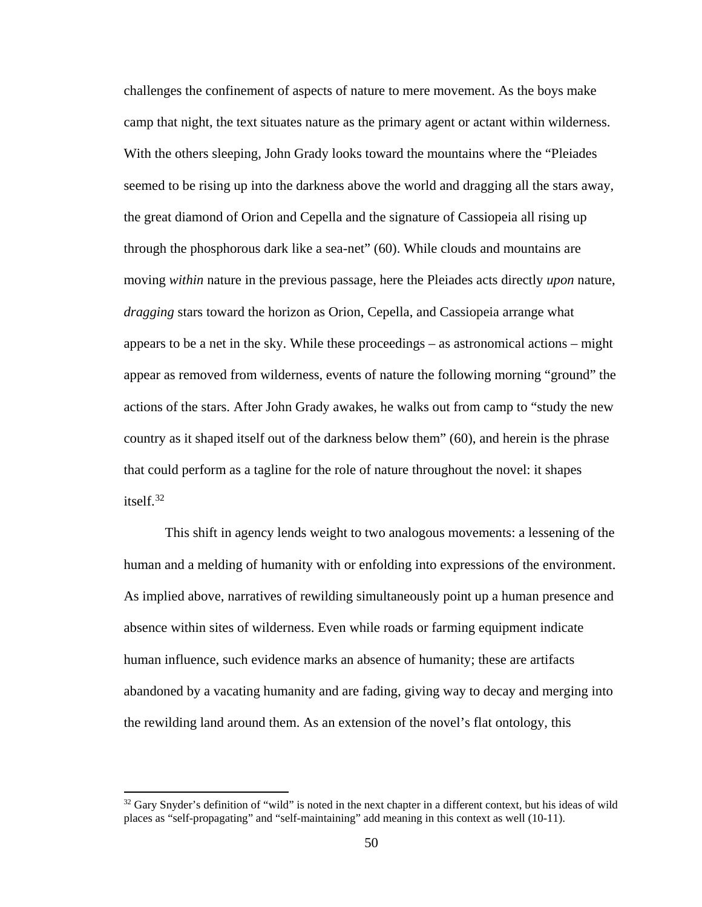challenges the confinement of aspects of nature to mere movement. As the boys make camp that night, the text situates nature as the primary agent or actant within wilderness. With the others sleeping, John Grady looks toward the mountains where the "Pleiades seemed to be rising up into the darkness above the world and dragging all the stars away, the great diamond of Orion and Cepella and the signature of Cassiopeia all rising up through the phosphorous dark like a sea-net" (60). While clouds and mountains are moving *within* nature in the previous passage, here the Pleiades acts directly *upon* nature, *dragging* stars toward the horizon as Orion, Cepella, and Cassiopeia arrange what appears to be a net in the sky. While these proceedings – as astronomical actions – might appear as removed from wilderness, events of nature the following morning "ground" the actions of the stars. After John Grady awakes, he walks out from camp to "study the new country as it shaped itself out of the darkness below them" (60), and herein is the phrase that could perform as a tagline for the role of nature throughout the novel: it shapes itself.[32](#page-57-0) 

This shift in agency lends weight to two analogous movements: a lessening of the human and a melding of humanity with or enfolding into expressions of the environment. As implied above, narratives of rewilding simultaneously point up a human presence and absence within sites of wilderness. Even while roads or farming equipment indicate human influence, such evidence marks an absence of humanity; these are artifacts abandoned by a vacating humanity and are fading, giving way to decay and merging into the rewilding land around them. As an extension of the novel's flat ontology, this

 $\overline{\phantom{a}}$ 

<span id="page-57-0"></span> $32$  Gary Snyder's definition of "wild" is noted in the next chapter in a different context, but his ideas of wild places as "self-propagating" and "self-maintaining" add meaning in this context as well (10-11).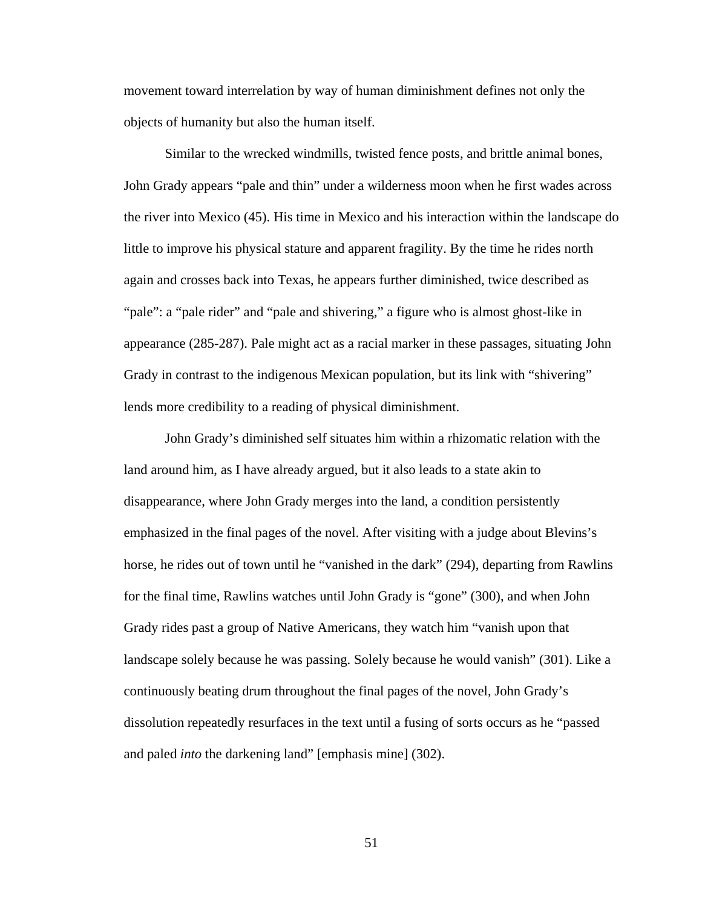movement toward interrelation by way of human diminishment defines not only the objects of humanity but also the human itself.

Similar to the wrecked windmills, twisted fence posts, and brittle animal bones, John Grady appears "pale and thin" under a wilderness moon when he first wades across the river into Mexico (45). His time in Mexico and his interaction within the landscape do little to improve his physical stature and apparent fragility. By the time he rides north again and crosses back into Texas, he appears further diminished, twice described as "pale": a "pale rider" and "pale and shivering," a figure who is almost ghost-like in appearance (285-287). Pale might act as a racial marker in these passages, situating John Grady in contrast to the indigenous Mexican population, but its link with "shivering" lends more credibility to a reading of physical diminishment.

John Grady's diminished self situates him within a rhizomatic relation with the land around him, as I have already argued, but it also leads to a state akin to disappearance, where John Grady merges into the land, a condition persistently emphasized in the final pages of the novel. After visiting with a judge about Blevins's horse, he rides out of town until he "vanished in the dark" (294), departing from Rawlins for the final time, Rawlins watches until John Grady is "gone" (300), and when John Grady rides past a group of Native Americans, they watch him "vanish upon that landscape solely because he was passing. Solely because he would vanish" (301). Like a continuously beating drum throughout the final pages of the novel, John Grady's dissolution repeatedly resurfaces in the text until a fusing of sorts occurs as he "passed and paled *into* the darkening land" [emphasis mine] (302).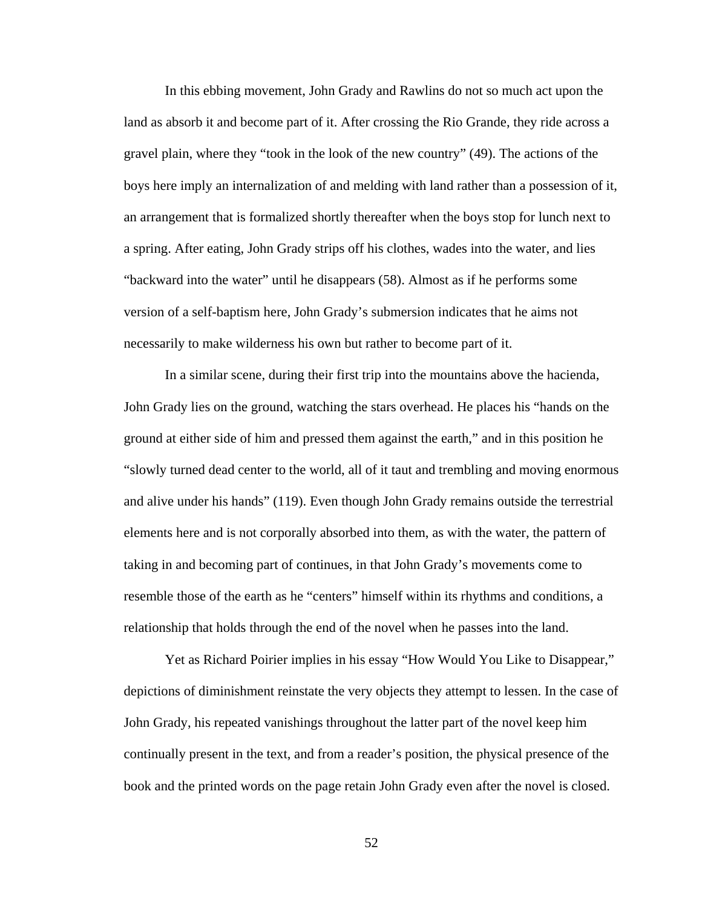In this ebbing movement, John Grady and Rawlins do not so much act upon the land as absorb it and become part of it. After crossing the Rio Grande, they ride across a gravel plain, where they "took in the look of the new country" (49). The actions of the boys here imply an internalization of and melding with land rather than a possession of it, an arrangement that is formalized shortly thereafter when the boys stop for lunch next to a spring. After eating, John Grady strips off his clothes, wades into the water, and lies "backward into the water" until he disappears (58). Almost as if he performs some version of a self-baptism here, John Grady's submersion indicates that he aims not necessarily to make wilderness his own but rather to become part of it.

In a similar scene, during their first trip into the mountains above the hacienda, John Grady lies on the ground, watching the stars overhead. He places his "hands on the ground at either side of him and pressed them against the earth," and in this position he "slowly turned dead center to the world, all of it taut and trembling and moving enormous and alive under his hands" (119). Even though John Grady remains outside the terrestrial elements here and is not corporally absorbed into them, as with the water, the pattern of taking in and becoming part of continues, in that John Grady's movements come to resemble those of the earth as he "centers" himself within its rhythms and conditions, a relationship that holds through the end of the novel when he passes into the land.

Yet as Richard Poirier implies in his essay "How Would You Like to Disappear," depictions of diminishment reinstate the very objects they attempt to lessen. In the case of John Grady, his repeated vanishings throughout the latter part of the novel keep him continually present in the text, and from a reader's position, the physical presence of the book and the printed words on the page retain John Grady even after the novel is closed.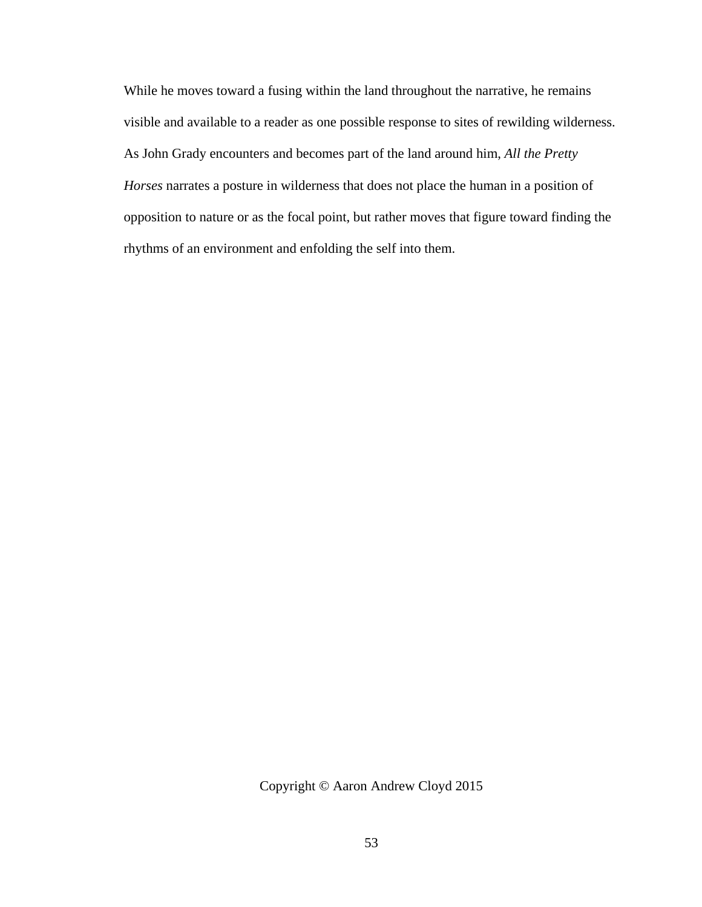While he moves toward a fusing within the land throughout the narrative, he remains visible and available to a reader as one possible response to sites of rewilding wilderness. As John Grady encounters and becomes part of the land around him, *All the Pretty Horses* narrates a posture in wilderness that does not place the human in a position of opposition to nature or as the focal point, but rather moves that figure toward finding the rhythms of an environment and enfolding the self into them.

Copyright © Aaron Andrew Cloyd 2015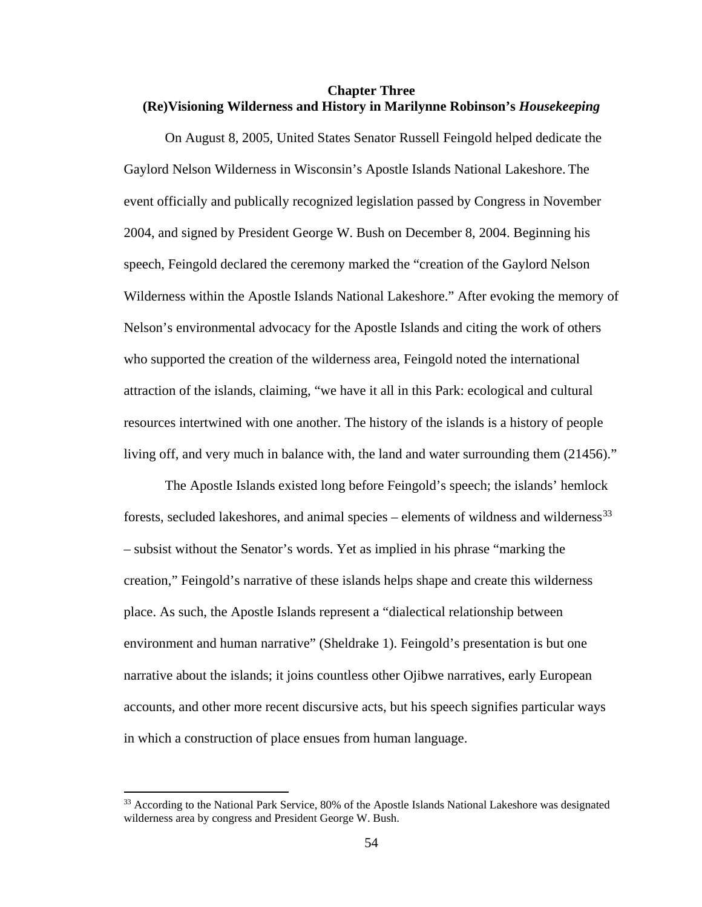# **Chapter Three (Re)Visioning Wilderness and History in Marilynne Robinson's** *Housekeeping*

On August 8, 2005, United States Senator Russell Feingold helped dedicate the Gaylord Nelson Wilderness in Wisconsin's Apostle Islands National Lakeshore. The event officially and publically recognized legislation passed by Congress in November 2004, and signed by President George W. Bush on December 8, 2004. Beginning his speech, Feingold declared the ceremony marked the "creation of the Gaylord Nelson Wilderness within the Apostle Islands National Lakeshore." After evoking the memory of Nelson's environmental advocacy for the Apostle Islands and citing the work of others who supported the creation of the wilderness area, Feingold noted the international attraction of the islands, claiming, "we have it all in this Park: ecological and cultural resources intertwined with one another. The history of the islands is a history of people living off, and very much in balance with, the land and water surrounding them (21456)."

The Apostle Islands existed long before Feingold's speech; the islands' hemlock forests, secluded lakeshores, and animal species – elements of wildness and wilderness<sup>[33](#page-61-0)</sup> – subsist without the Senator's words. Yet as implied in his phrase "marking the creation," Feingold's narrative of these islands helps shape and create this wilderness place. As such, the Apostle Islands represent a "dialectical relationship between environment and human narrative" (Sheldrake 1). Feingold's presentation is but one narrative about the islands; it joins countless other Ojibwe narratives, early European accounts, and other more recent discursive acts, but his speech signifies particular ways in which a construction of place ensues from human language.

<span id="page-61-0"></span><sup>&</sup>lt;sup>33</sup> According to the National Park Service, 80% of the Apostle Islands National Lakeshore was designated wilderness area by congress and President George W. Bush.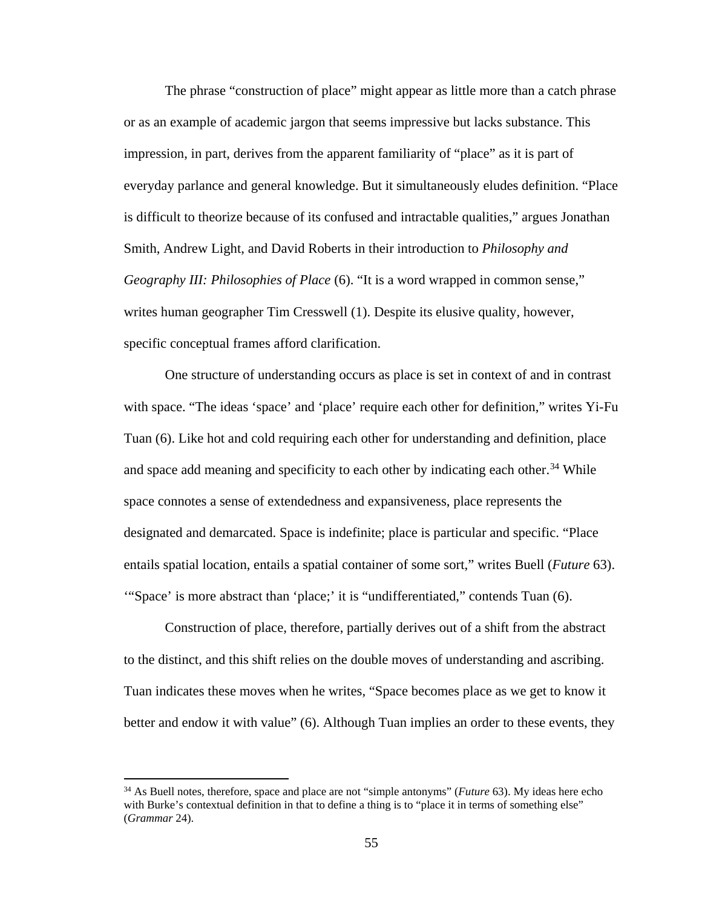The phrase "construction of place" might appear as little more than a catch phrase or as an example of academic jargon that seems impressive but lacks substance. This impression, in part, derives from the apparent familiarity of "place" as it is part of everyday parlance and general knowledge. But it simultaneously eludes definition. "Place is difficult to theorize because of its confused and intractable qualities," argues Jonathan Smith, Andrew Light, and David Roberts in their introduction to *Philosophy and Geography III: Philosophies of Place* (6). "It is a word wrapped in common sense," writes human geographer Tim Cresswell (1). Despite its elusive quality, however, specific conceptual frames afford clarification.

One structure of understanding occurs as place is set in context of and in contrast with space. "The ideas 'space' and 'place' require each other for definition," writes Yi-Fu Tuan (6). Like hot and cold requiring each other for understanding and definition, place and space add meaning and specificity to each other by indicating each other.<sup>[34](#page-62-0)</sup> While space connotes a sense of extendedness and expansiveness, place represents the designated and demarcated. Space is indefinite; place is particular and specific. "Place entails spatial location, entails a spatial container of some sort," writes Buell (*Future* 63). '"Space' is more abstract than 'place;' it is "undifferentiated," contends Tuan (6).

Construction of place, therefore, partially derives out of a shift from the abstract to the distinct, and this shift relies on the double moves of understanding and ascribing. Tuan indicates these moves when he writes, "Space becomes place as we get to know it better and endow it with value" (6). Although Tuan implies an order to these events, they

l

<span id="page-62-0"></span><sup>34</sup> As Buell notes, therefore, space and place are not "simple antonyms" (*Future* 63). My ideas here echo with Burke's contextual definition in that to define a thing is to "place it in terms of something else" (*Grammar* 24).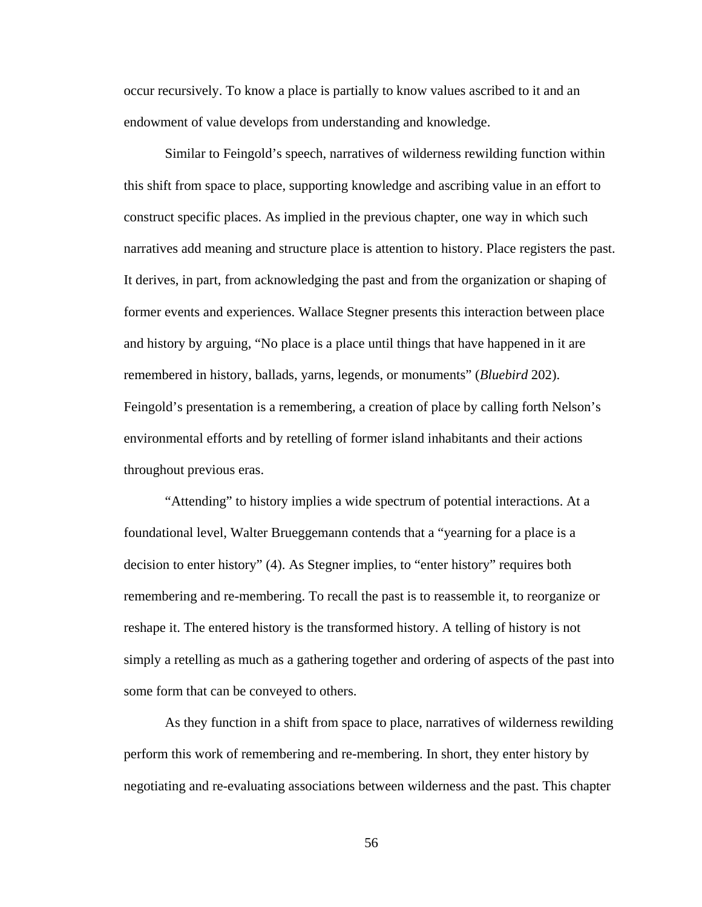occur recursively. To know a place is partially to know values ascribed to it and an endowment of value develops from understanding and knowledge.

Similar to Feingold's speech, narratives of wilderness rewilding function within this shift from space to place, supporting knowledge and ascribing value in an effort to construct specific places. As implied in the previous chapter, one way in which such narratives add meaning and structure place is attention to history. Place registers the past. It derives, in part, from acknowledging the past and from the organization or shaping of former events and experiences. Wallace Stegner presents this interaction between place and history by arguing, "No place is a place until things that have happened in it are remembered in history, ballads, yarns, legends, or monuments" (*Bluebird* 202). Feingold's presentation is a remembering, a creation of place by calling forth Nelson's environmental efforts and by retelling of former island inhabitants and their actions throughout previous eras.

"Attending" to history implies a wide spectrum of potential interactions. At a foundational level, Walter Brueggemann contends that a "yearning for a place is a decision to enter history" (4). As Stegner implies, to "enter history" requires both remembering and re-membering. To recall the past is to reassemble it, to reorganize or reshape it. The entered history is the transformed history. A telling of history is not simply a retelling as much as a gathering together and ordering of aspects of the past into some form that can be conveyed to others.

As they function in a shift from space to place, narratives of wilderness rewilding perform this work of remembering and re-membering. In short, they enter history by negotiating and re-evaluating associations between wilderness and the past. This chapter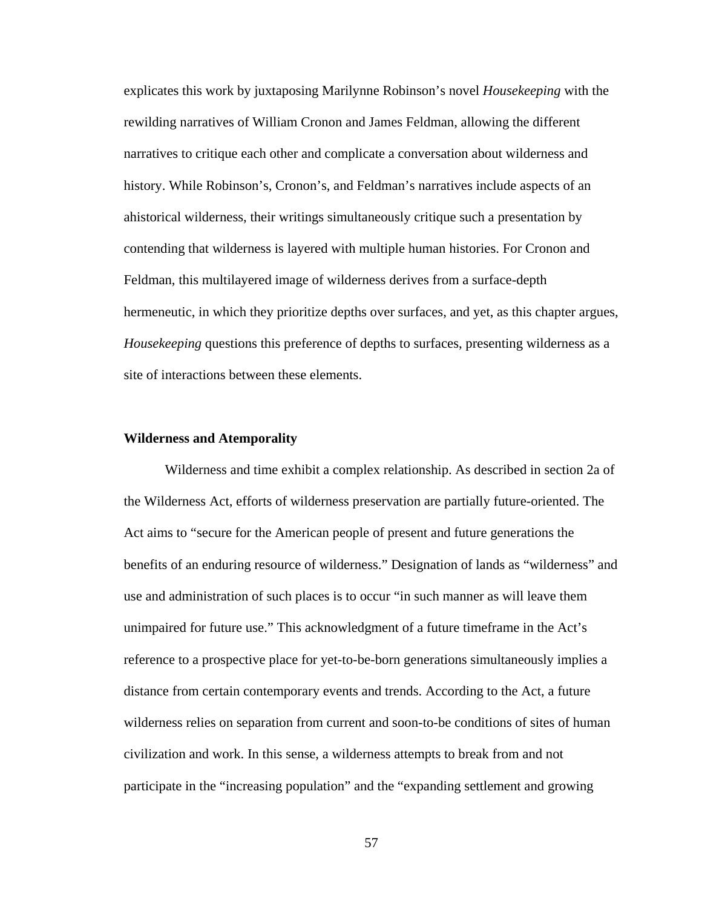explicates this work by juxtaposing Marilynne Robinson's novel *Housekeeping* with the rewilding narratives of William Cronon and James Feldman, allowing the different narratives to critique each other and complicate a conversation about wilderness and history. While Robinson's, Cronon's, and Feldman's narratives include aspects of an ahistorical wilderness, their writings simultaneously critique such a presentation by contending that wilderness is layered with multiple human histories. For Cronon and Feldman, this multilayered image of wilderness derives from a surface-depth hermeneutic, in which they prioritize depths over surfaces, and yet, as this chapter argues, *Housekeeping* questions this preference of depths to surfaces, presenting wilderness as a site of interactions between these elements.

#### **Wilderness and Atemporality**

Wilderness and time exhibit a complex relationship. As described in section 2a of the Wilderness Act, efforts of wilderness preservation are partially future-oriented. The Act aims to "secure for the American people of present and future generations the benefits of an enduring resource of wilderness." Designation of lands as "wilderness" and use and administration of such places is to occur "in such manner as will leave them unimpaired for future use." This acknowledgment of a future timeframe in the Act's reference to a prospective place for yet-to-be-born generations simultaneously implies a distance from certain contemporary events and trends. According to the Act, a future wilderness relies on separation from current and soon-to-be conditions of sites of human civilization and work. In this sense, a wilderness attempts to break from and not participate in the "increasing population" and the "expanding settlement and growing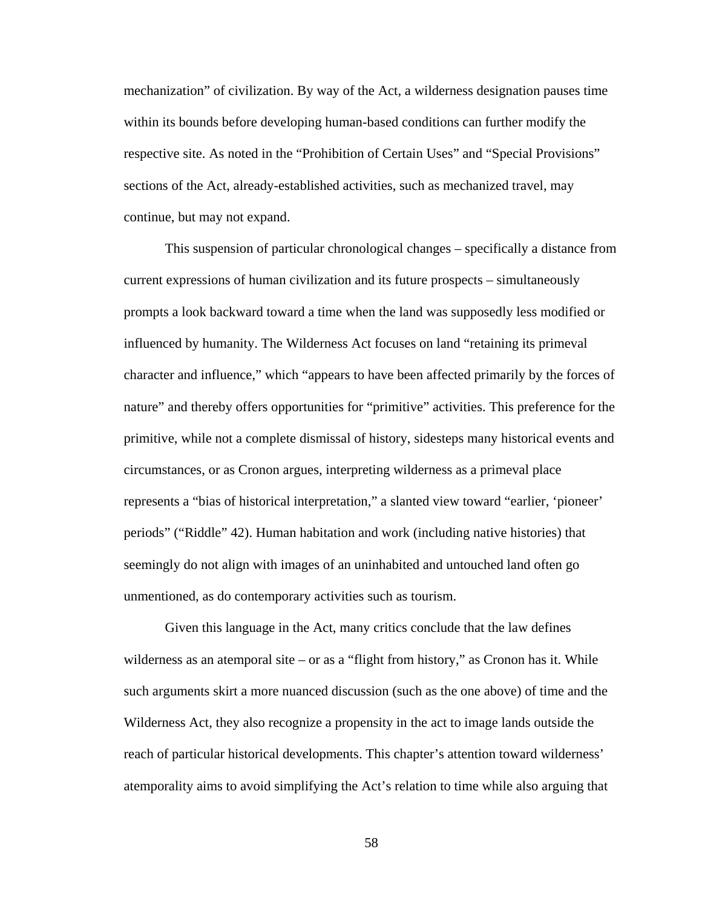mechanization" of civilization. By way of the Act, a wilderness designation pauses time within its bounds before developing human-based conditions can further modify the respective site. As noted in the "Prohibition of Certain Uses" and "Special Provisions" sections of the Act, already-established activities, such as mechanized travel, may continue, but may not expand.

This suspension of particular chronological changes – specifically a distance from current expressions of human civilization and its future prospects – simultaneously prompts a look backward toward a time when the land was supposedly less modified or influenced by humanity. The Wilderness Act focuses on land "retaining its primeval character and influence," which "appears to have been affected primarily by the forces of nature" and thereby offers opportunities for "primitive" activities. This preference for the primitive, while not a complete dismissal of history, sidesteps many historical events and circumstances, or as Cronon argues, interpreting wilderness as a primeval place represents a "bias of historical interpretation," a slanted view toward "earlier, 'pioneer' periods" ("Riddle" 42). Human habitation and work (including native histories) that seemingly do not align with images of an uninhabited and untouched land often go unmentioned, as do contemporary activities such as tourism.

Given this language in the Act, many critics conclude that the law defines wilderness as an atemporal site – or as a "flight from history," as Cronon has it. While such arguments skirt a more nuanced discussion (such as the one above) of time and the Wilderness Act, they also recognize a propensity in the act to image lands outside the reach of particular historical developments. This chapter's attention toward wilderness' atemporality aims to avoid simplifying the Act's relation to time while also arguing that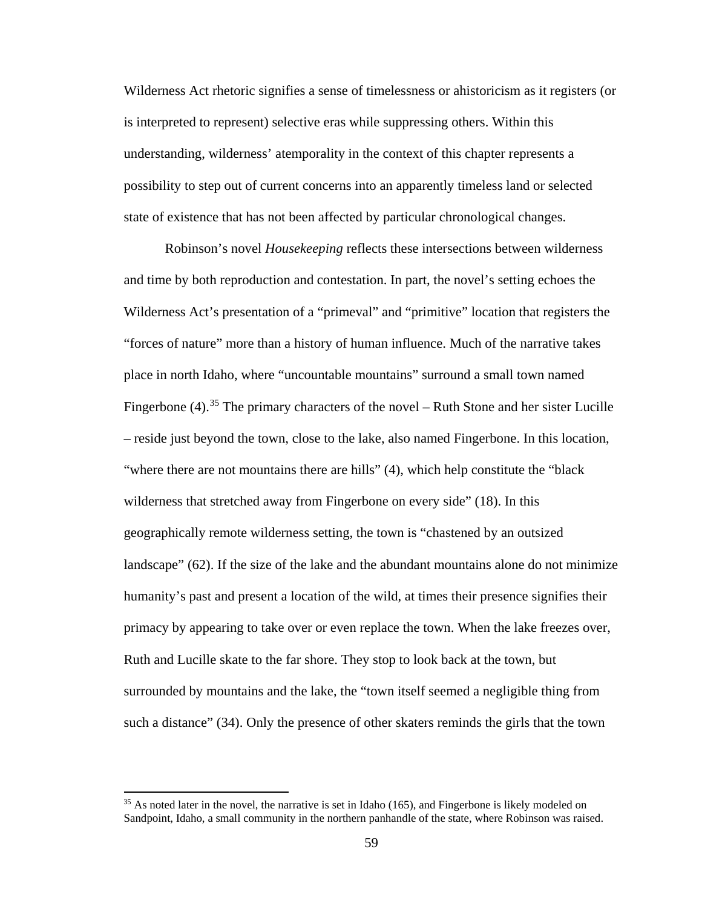Wilderness Act rhetoric signifies a sense of timelessness or ahistoricism as it registers (or is interpreted to represent) selective eras while suppressing others. Within this understanding, wilderness' atemporality in the context of this chapter represents a possibility to step out of current concerns into an apparently timeless land or selected state of existence that has not been affected by particular chronological changes.

Robinson's novel *Housekeeping* reflects these intersections between wilderness and time by both reproduction and contestation. In part, the novel's setting echoes the Wilderness Act's presentation of a "primeval" and "primitive" location that registers the "forces of nature" more than a history of human influence. Much of the narrative takes place in north Idaho, where "uncountable mountains" surround a small town named Fingerbone (4).<sup>[35](#page-66-0)</sup> The primary characters of the novel – Ruth Stone and her sister Lucille – reside just beyond the town, close to the lake, also named Fingerbone. In this location, "where there are not mountains there are hills" (4), which help constitute the "black wilderness that stretched away from Fingerbone on every side" (18). In this geographically remote wilderness setting, the town is "chastened by an outsized landscape" (62). If the size of the lake and the abundant mountains alone do not minimize humanity's past and present a location of the wild, at times their presence signifies their primacy by appearing to take over or even replace the town. When the lake freezes over, Ruth and Lucille skate to the far shore. They stop to look back at the town, but surrounded by mountains and the lake, the "town itself seemed a negligible thing from such a distance" (34). Only the presence of other skaters reminds the girls that the town

 $\overline{\phantom{a}}$ 

<span id="page-66-0"></span><sup>&</sup>lt;sup>35</sup> As noted later in the novel, the narrative is set in Idaho (165), and Fingerbone is likely modeled on Sandpoint, Idaho, a small community in the northern panhandle of the state, where Robinson was raised.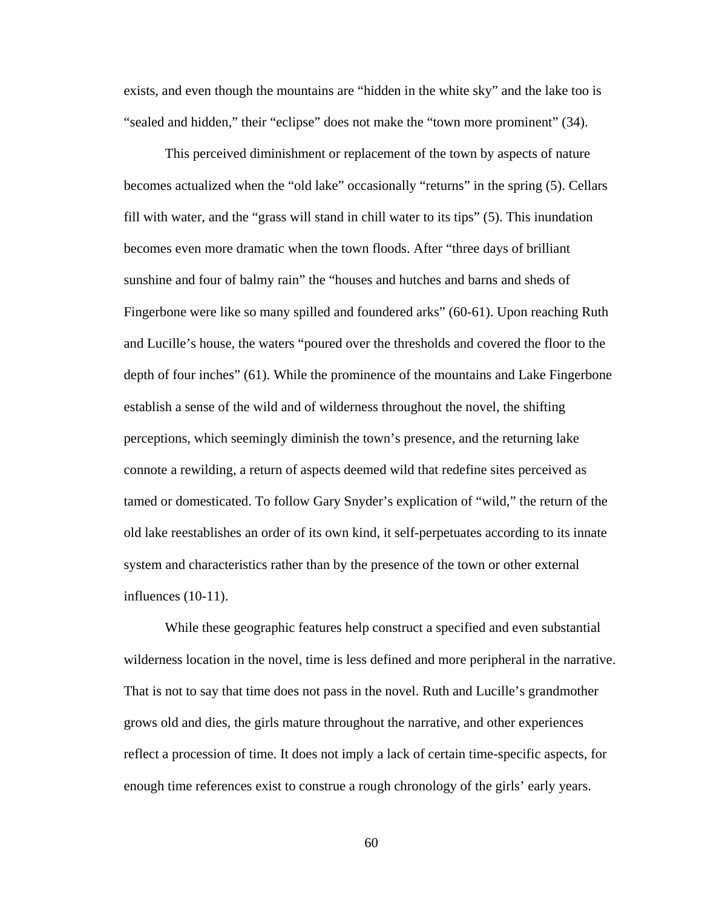exists, and even though the mountains are "hidden in the white sky" and the lake too is "sealed and hidden," their "eclipse" does not make the "town more prominent" (34).

This perceived diminishment or replacement of the town by aspects of nature becomes actualized when the "old lake" occasionally "returns" in the spring (5). Cellars fill with water, and the "grass will stand in chill water to its tips" (5). This inundation becomes even more dramatic when the town floods. After "three days of brilliant sunshine and four of balmy rain" the "houses and hutches and barns and sheds of Fingerbone were like so many spilled and foundered arks" (60-61). Upon reaching Ruth and Lucille's house, the waters "poured over the thresholds and covered the floor to the depth of four inches" (61). While the prominence of the mountains and Lake Fingerbone establish a sense of the wild and of wilderness throughout the novel, the shifting perceptions, which seemingly diminish the town's presence, and the returning lake connote a rewilding, a return of aspects deemed wild that redefine sites perceived as tamed or domesticated. To follow Gary Snyder's explication of "wild," the return of the old lake reestablishes an order of its own kind, it self-perpetuates according to its innate system and characteristics rather than by the presence of the town or other external influences (10-11).

While these geographic features help construct a specified and even substantial wilderness location in the novel, time is less defined and more peripheral in the narrative. That is not to say that time does not pass in the novel. Ruth and Lucille's grandmother grows old and dies, the girls mature throughout the narrative, and other experiences reflect a procession of time. It does not imply a lack of certain time-specific aspects, for enough time references exist to construe a rough chronology of the girls' early years.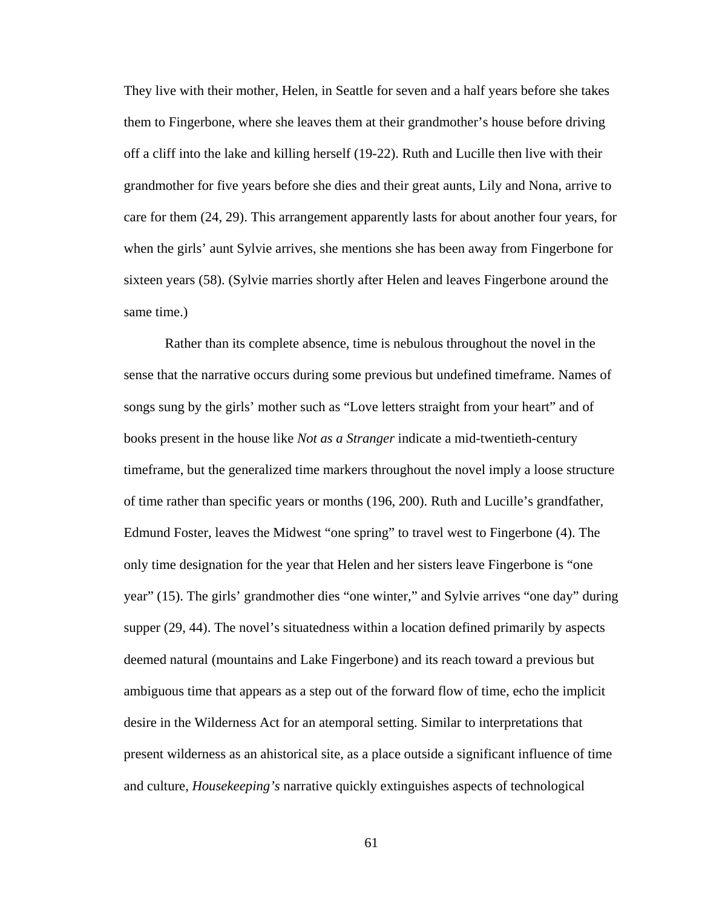They live with their mother, Helen, in Seattle for seven and a half years before she takes them to Fingerbone, where she leaves them at their grandmother's house before driving off a cliff into the lake and killing herself (19-22). Ruth and Lucille then live with their grandmother for five years before she dies and their great aunts, Lily and Nona, arrive to care for them (24, 29). This arrangement apparently lasts for about another four years, for when the girls' aunt Sylvie arrives, she mentions she has been away from Fingerbone for sixteen years (58). (Sylvie marries shortly after Helen and leaves Fingerbone around the same time.)

Rather than its complete absence, time is nebulous throughout the novel in the sense that the narrative occurs during some previous but undefined timeframe. Names of songs sung by the girls' mother such as "Love letters straight from your heart" and of books present in the house like *Not as a Stranger* indicate a mid-twentieth-century timeframe, but the generalized time markers throughout the novel imply a loose structure of time rather than specific years or months (196, 200). Ruth and Lucille's grandfather, Edmund Foster, leaves the Midwest "one spring" to travel west to Fingerbone (4). The only time designation for the year that Helen and her sisters leave Fingerbone is "one year" (15). The girls' grandmother dies "one winter," and Sylvie arrives "one day" during supper (29, 44). The novel's situatedness within a location defined primarily by aspects deemed natural (mountains and Lake Fingerbone) and its reach toward a previous but ambiguous time that appears as a step out of the forward flow of time, echo the implicit desire in the Wilderness Act for an atemporal setting. Similar to interpretations that present wilderness as an ahistorical site, as a place outside a significant influence of time and culture, *Housekeeping's* narrative quickly extinguishes aspects of technological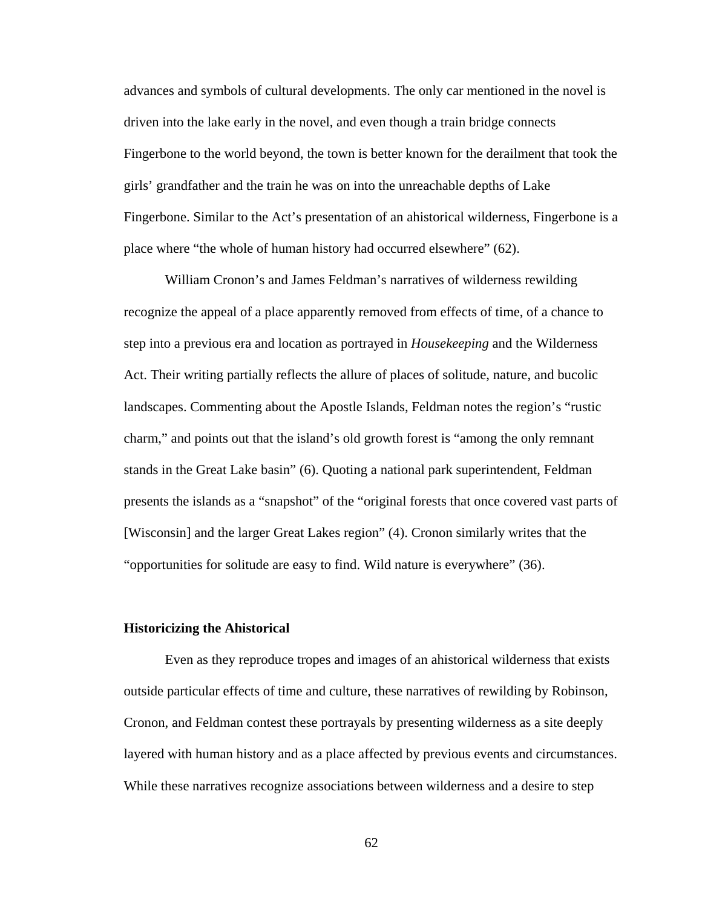advances and symbols of cultural developments. The only car mentioned in the novel is driven into the lake early in the novel, and even though a train bridge connects Fingerbone to the world beyond, the town is better known for the derailment that took the girls' grandfather and the train he was on into the unreachable depths of Lake Fingerbone. Similar to the Act's presentation of an ahistorical wilderness, Fingerbone is a place where "the whole of human history had occurred elsewhere" (62).

William Cronon's and James Feldman's narratives of wilderness rewilding recognize the appeal of a place apparently removed from effects of time, of a chance to step into a previous era and location as portrayed in *Housekeeping* and the Wilderness Act. Their writing partially reflects the allure of places of solitude, nature, and bucolic landscapes. Commenting about the Apostle Islands, Feldman notes the region's "rustic charm," and points out that the island's old growth forest is "among the only remnant stands in the Great Lake basin" (6). Quoting a national park superintendent, Feldman presents the islands as a "snapshot" of the "original forests that once covered vast parts of [Wisconsin] and the larger Great Lakes region" (4). Cronon similarly writes that the "opportunities for solitude are easy to find. Wild nature is everywhere" (36).

#### **Historicizing the Ahistorical**

Even as they reproduce tropes and images of an ahistorical wilderness that exists outside particular effects of time and culture, these narratives of rewilding by Robinson, Cronon, and Feldman contest these portrayals by presenting wilderness as a site deeply layered with human history and as a place affected by previous events and circumstances. While these narratives recognize associations between wilderness and a desire to step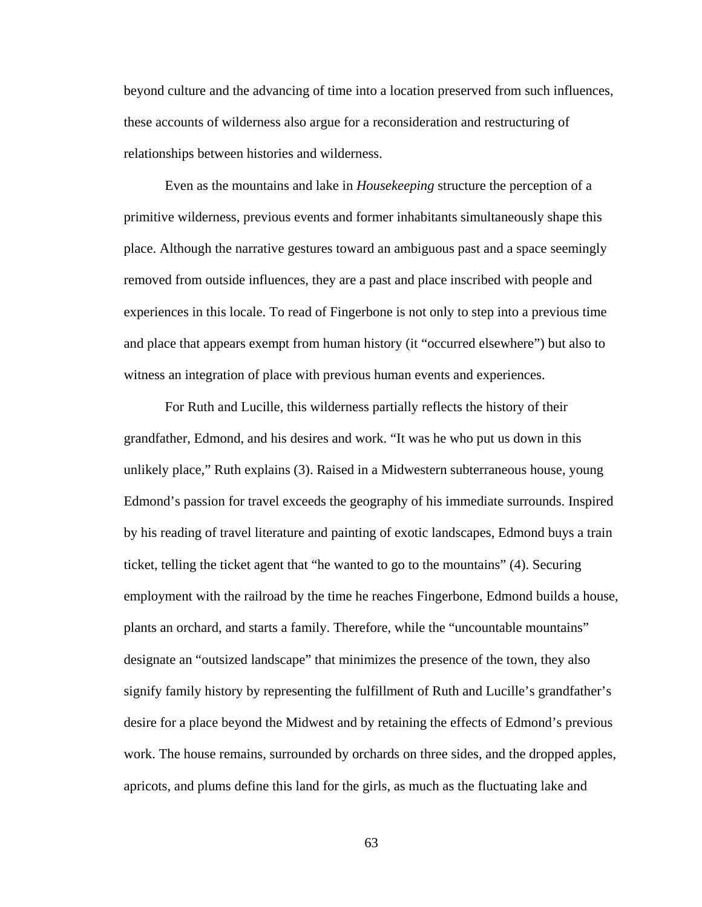beyond culture and the advancing of time into a location preserved from such influences, these accounts of wilderness also argue for a reconsideration and restructuring of relationships between histories and wilderness.

Even as the mountains and lake in *Housekeeping* structure the perception of a primitive wilderness, previous events and former inhabitants simultaneously shape this place. Although the narrative gestures toward an ambiguous past and a space seemingly removed from outside influences, they are a past and place inscribed with people and experiences in this locale. To read of Fingerbone is not only to step into a previous time and place that appears exempt from human history (it "occurred elsewhere") but also to witness an integration of place with previous human events and experiences.

For Ruth and Lucille, this wilderness partially reflects the history of their grandfather, Edmond, and his desires and work. "It was he who put us down in this unlikely place," Ruth explains (3). Raised in a Midwestern subterraneous house, young Edmond's passion for travel exceeds the geography of his immediate surrounds. Inspired by his reading of travel literature and painting of exotic landscapes, Edmond buys a train ticket, telling the ticket agent that "he wanted to go to the mountains" (4). Securing employment with the railroad by the time he reaches Fingerbone, Edmond builds a house, plants an orchard, and starts a family. Therefore, while the "uncountable mountains" designate an "outsized landscape" that minimizes the presence of the town, they also signify family history by representing the fulfillment of Ruth and Lucille's grandfather's desire for a place beyond the Midwest and by retaining the effects of Edmond's previous work. The house remains, surrounded by orchards on three sides, and the dropped apples, apricots, and plums define this land for the girls, as much as the fluctuating lake and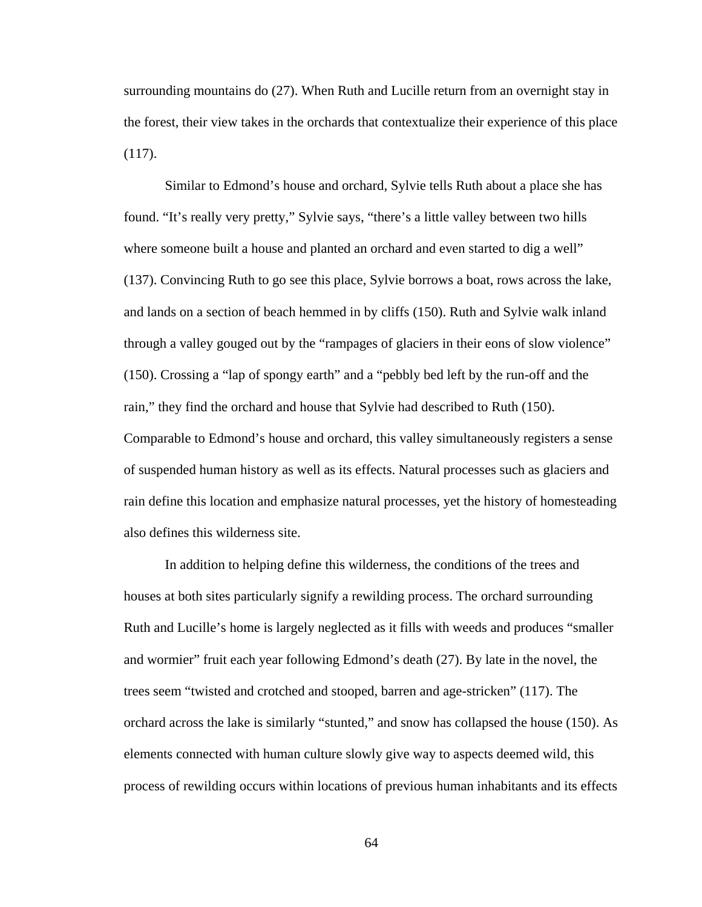surrounding mountains do (27). When Ruth and Lucille return from an overnight stay in the forest, their view takes in the orchards that contextualize their experience of this place (117).

Similar to Edmond's house and orchard, Sylvie tells Ruth about a place she has found. "It's really very pretty," Sylvie says, "there's a little valley between two hills where someone built a house and planted an orchard and even started to dig a well" (137). Convincing Ruth to go see this place, Sylvie borrows a boat, rows across the lake, and lands on a section of beach hemmed in by cliffs (150). Ruth and Sylvie walk inland through a valley gouged out by the "rampages of glaciers in their eons of slow violence" (150). Crossing a "lap of spongy earth" and a "pebbly bed left by the run-off and the rain," they find the orchard and house that Sylvie had described to Ruth (150). Comparable to Edmond's house and orchard, this valley simultaneously registers a sense of suspended human history as well as its effects. Natural processes such as glaciers and rain define this location and emphasize natural processes, yet the history of homesteading also defines this wilderness site.

In addition to helping define this wilderness, the conditions of the trees and houses at both sites particularly signify a rewilding process. The orchard surrounding Ruth and Lucille's home is largely neglected as it fills with weeds and produces "smaller and wormier" fruit each year following Edmond's death (27). By late in the novel, the trees seem "twisted and crotched and stooped, barren and age-stricken" (117). The orchard across the lake is similarly "stunted," and snow has collapsed the house (150). As elements connected with human culture slowly give way to aspects deemed wild, this process of rewilding occurs within locations of previous human inhabitants and its effects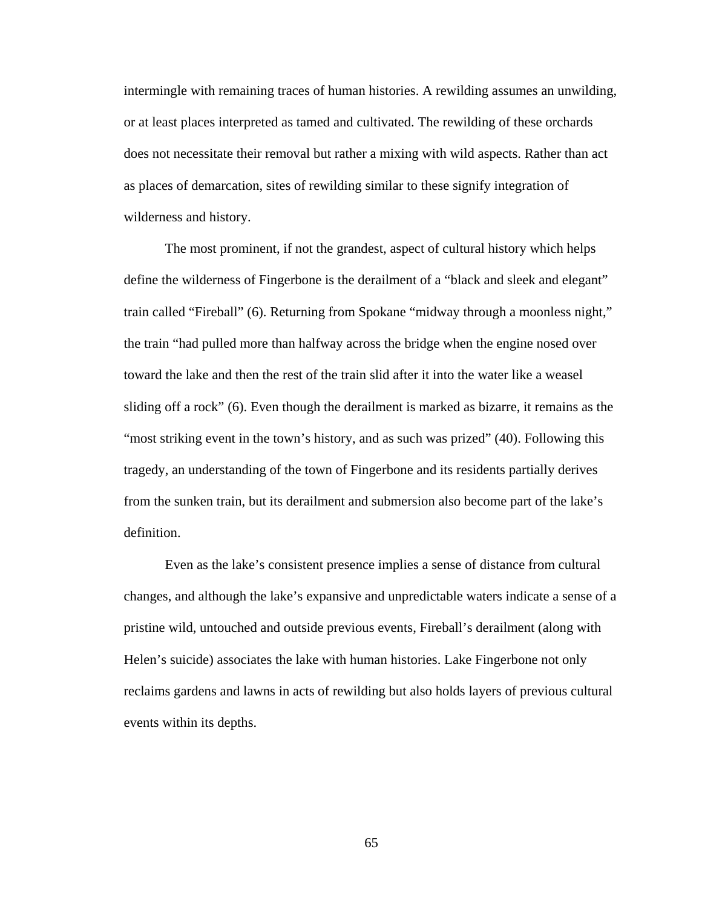intermingle with remaining traces of human histories. A rewilding assumes an unwilding, or at least places interpreted as tamed and cultivated. The rewilding of these orchards does not necessitate their removal but rather a mixing with wild aspects. Rather than act as places of demarcation, sites of rewilding similar to these signify integration of wilderness and history.

The most prominent, if not the grandest, aspect of cultural history which helps define the wilderness of Fingerbone is the derailment of a "black and sleek and elegant" train called "Fireball" (6). Returning from Spokane "midway through a moonless night," the train "had pulled more than halfway across the bridge when the engine nosed over toward the lake and then the rest of the train slid after it into the water like a weasel sliding off a rock" (6). Even though the derailment is marked as bizarre, it remains as the "most striking event in the town's history, and as such was prized" (40). Following this tragedy, an understanding of the town of Fingerbone and its residents partially derives from the sunken train, but its derailment and submersion also become part of the lake's definition.

Even as the lake's consistent presence implies a sense of distance from cultural changes, and although the lake's expansive and unpredictable waters indicate a sense of a pristine wild, untouched and outside previous events, Fireball's derailment (along with Helen's suicide) associates the lake with human histories. Lake Fingerbone not only reclaims gardens and lawns in acts of rewilding but also holds layers of previous cultural events within its depths.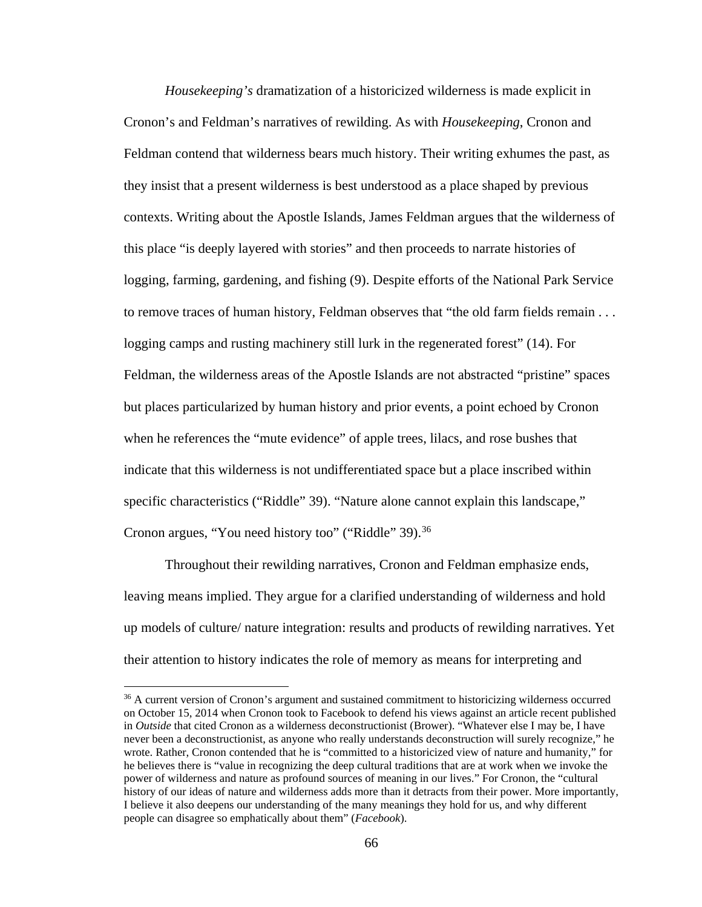*Housekeeping's* dramatization of a historicized wilderness is made explicit in Cronon's and Feldman's narratives of rewilding. As with *Housekeeping*, Cronon and Feldman contend that wilderness bears much history. Their writing exhumes the past, as they insist that a present wilderness is best understood as a place shaped by previous contexts. Writing about the Apostle Islands, James Feldman argues that the wilderness of this place "is deeply layered with stories" and then proceeds to narrate histories of logging, farming, gardening, and fishing (9). Despite efforts of the National Park Service to remove traces of human history, Feldman observes that "the old farm fields remain . . . logging camps and rusting machinery still lurk in the regenerated forest" (14). For Feldman, the wilderness areas of the Apostle Islands are not abstracted "pristine" spaces but places particularized by human history and prior events, a point echoed by Cronon when he references the "mute evidence" of apple trees, lilacs, and rose bushes that indicate that this wilderness is not undifferentiated space but a place inscribed within specific characteristics ("Riddle" 39). "Nature alone cannot explain this landscape," Cronon argues, "You need history too" ("Riddle" 39).<sup>[36](#page-73-0)</sup>

Throughout their rewilding narratives, Cronon and Feldman emphasize ends, leaving means implied. They argue for a clarified understanding of wilderness and hold up models of culture/ nature integration: results and products of rewilding narratives. Yet their attention to history indicates the role of memory as means for interpreting and

 $\overline{\phantom{a}}$ 

<span id="page-73-0"></span><sup>&</sup>lt;sup>36</sup> A current version of Cronon's argument and sustained commitment to historicizing wilderness occurred on October 15, 2014 when Cronon took to Facebook to defend his views against an article recent published in *Outside* that cited Cronon as a wilderness deconstructionist (Brower). "Whatever else I may be, I have never been a deconstructionist, as anyone who really understands deconstruction will surely recognize," he wrote. Rather, Cronon contended that he is "committed to a historicized view of nature and humanity," for he believes there is "value in recognizing the deep cultural traditions that are at work when we invoke the power of wilderness and nature as profound sources of meaning in our lives." For Cronon, the "cultural history of our ideas of nature and wilderness adds more than it detracts from their power. More importantly, I believe it also deepens our understanding of the many meanings they hold for us, and why different people can disagree so emphatically about them" (*Facebook*).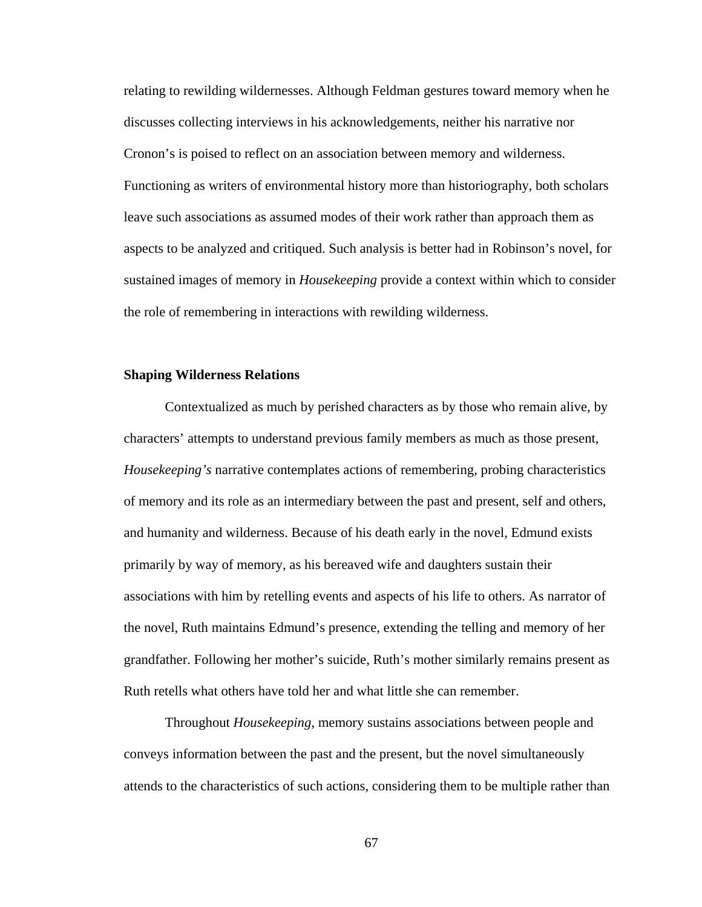relating to rewilding wildernesses. Although Feldman gestures toward memory when he discusses collecting interviews in his acknowledgements, neither his narrative nor Cronon's is poised to reflect on an association between memory and wilderness. Functioning as writers of environmental history more than historiography, both scholars leave such associations as assumed modes of their work rather than approach them as aspects to be analyzed and critiqued. Such analysis is better had in Robinson's novel, for sustained images of memory in *Housekeeping* provide a context within which to consider the role of remembering in interactions with rewilding wilderness.

### **Shaping Wilderness Relations**

Contextualized as much by perished characters as by those who remain alive, by characters' attempts to understand previous family members as much as those present, *Housekeeping's* narrative contemplates actions of remembering, probing characteristics of memory and its role as an intermediary between the past and present, self and others, and humanity and wilderness. Because of his death early in the novel, Edmund exists primarily by way of memory, as his bereaved wife and daughters sustain their associations with him by retelling events and aspects of his life to others. As narrator of the novel, Ruth maintains Edmund's presence, extending the telling and memory of her grandfather. Following her mother's suicide, Ruth's mother similarly remains present as Ruth retells what others have told her and what little she can remember.

Throughout *Housekeeping*, memory sustains associations between people and conveys information between the past and the present, but the novel simultaneously attends to the characteristics of such actions, considering them to be multiple rather than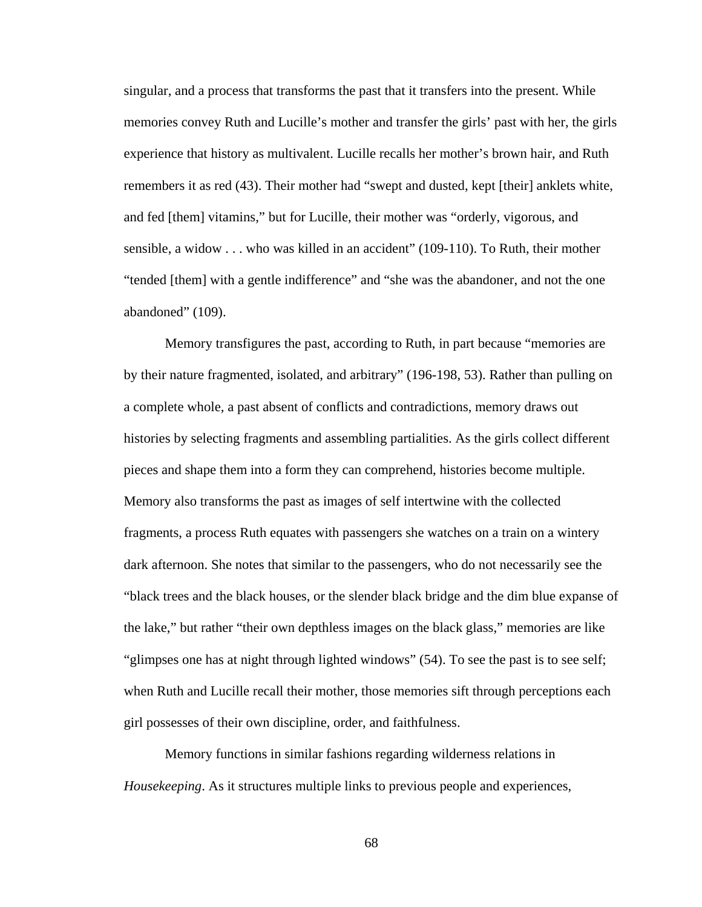singular, and a process that transforms the past that it transfers into the present. While memories convey Ruth and Lucille's mother and transfer the girls' past with her, the girls experience that history as multivalent. Lucille recalls her mother's brown hair, and Ruth remembers it as red (43). Their mother had "swept and dusted, kept [their] anklets white, and fed [them] vitamins," but for Lucille, their mother was "orderly, vigorous, and sensible, a widow . . . who was killed in an accident" (109-110). To Ruth, their mother "tended [them] with a gentle indifference" and "she was the abandoner, and not the one abandoned" (109).

Memory transfigures the past, according to Ruth, in part because "memories are by their nature fragmented, isolated, and arbitrary" (196-198, 53). Rather than pulling on a complete whole, a past absent of conflicts and contradictions, memory draws out histories by selecting fragments and assembling partialities. As the girls collect different pieces and shape them into a form they can comprehend, histories become multiple. Memory also transforms the past as images of self intertwine with the collected fragments, a process Ruth equates with passengers she watches on a train on a wintery dark afternoon. She notes that similar to the passengers, who do not necessarily see the "black trees and the black houses, or the slender black bridge and the dim blue expanse of the lake," but rather "their own depthless images on the black glass," memories are like "glimpses one has at night through lighted windows" (54). To see the past is to see self; when Ruth and Lucille recall their mother, those memories sift through perceptions each girl possesses of their own discipline, order, and faithfulness.

Memory functions in similar fashions regarding wilderness relations in *Housekeeping*. As it structures multiple links to previous people and experiences,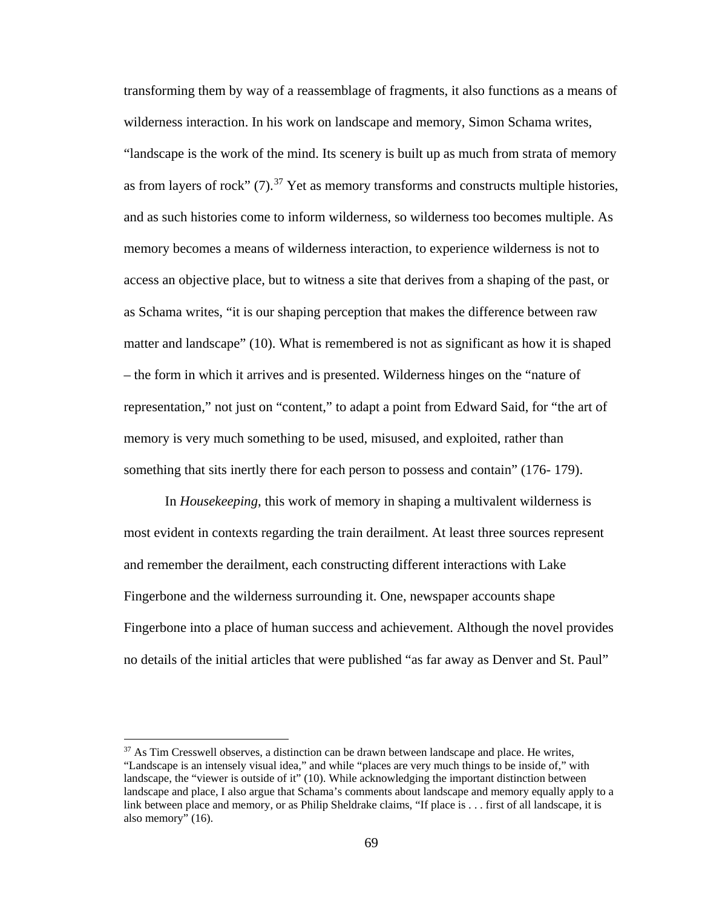transforming them by way of a reassemblage of fragments, it also functions as a means of wilderness interaction. In his work on landscape and memory, Simon Schama writes, "landscape is the work of the mind. Its scenery is built up as much from strata of memory as from layers of rock"  $(7)$ .<sup>[37](#page-76-0)</sup> Yet as memory transforms and constructs multiple histories, and as such histories come to inform wilderness, so wilderness too becomes multiple. As memory becomes a means of wilderness interaction, to experience wilderness is not to access an objective place, but to witness a site that derives from a shaping of the past, or as Schama writes, "it is our shaping perception that makes the difference between raw matter and landscape" (10). What is remembered is not as significant as how it is shaped – the form in which it arrives and is presented. Wilderness hinges on the "nature of representation," not just on "content," to adapt a point from Edward Said, for "the art of memory is very much something to be used, misused, and exploited, rather than something that sits inertly there for each person to possess and contain" (176- 179).

In *Housekeeping*, this work of memory in shaping a multivalent wilderness is most evident in contexts regarding the train derailment. At least three sources represent and remember the derailment, each constructing different interactions with Lake Fingerbone and the wilderness surrounding it. One, newspaper accounts shape Fingerbone into a place of human success and achievement. Although the novel provides no details of the initial articles that were published "as far away as Denver and St. Paul"

l

<span id="page-76-0"></span> $37$  As Tim Cresswell observes, a distinction can be drawn between landscape and place. He writes, "Landscape is an intensely visual idea," and while "places are very much things to be inside of," with landscape, the "viewer is outside of it" (10). While acknowledging the important distinction between landscape and place, I also argue that Schama's comments about landscape and memory equally apply to a link between place and memory, or as Philip Sheldrake claims, "If place is . . . first of all landscape, it is also memory" (16).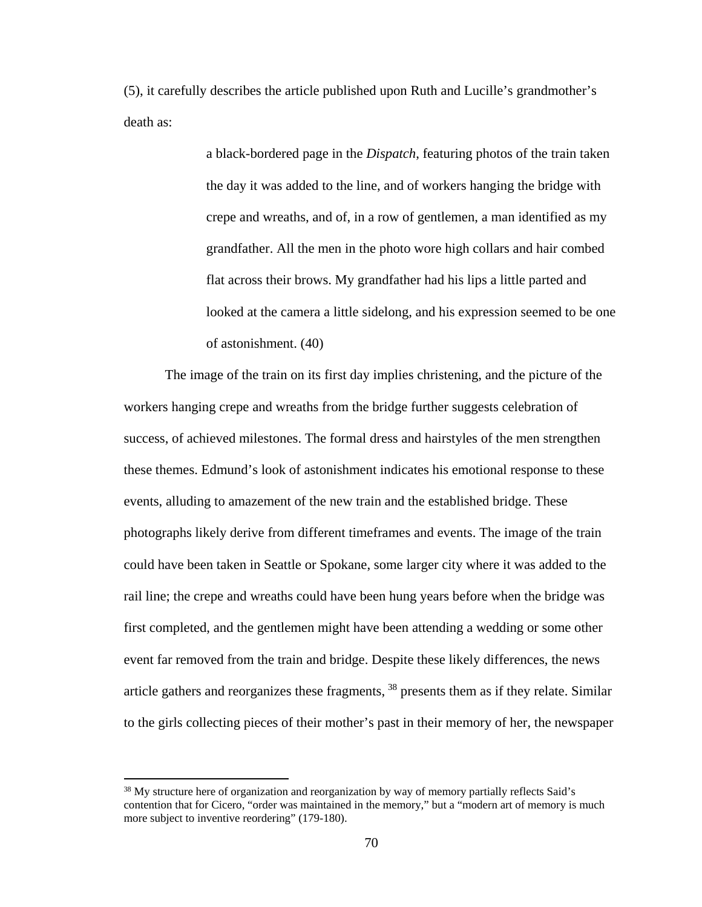(5), it carefully describes the article published upon Ruth and Lucille's grandmother's death as:

> a black-bordered page in the *Dispatch*, featuring photos of the train taken the day it was added to the line, and of workers hanging the bridge with crepe and wreaths, and of, in a row of gentlemen, a man identified as my grandfather. All the men in the photo wore high collars and hair combed flat across their brows. My grandfather had his lips a little parted and looked at the camera a little sidelong, and his expression seemed to be one of astonishment. (40)

The image of the train on its first day implies christening, and the picture of the workers hanging crepe and wreaths from the bridge further suggests celebration of success, of achieved milestones. The formal dress and hairstyles of the men strengthen these themes. Edmund's look of astonishment indicates his emotional response to these events, alluding to amazement of the new train and the established bridge. These photographs likely derive from different timeframes and events. The image of the train could have been taken in Seattle or Spokane, some larger city where it was added to the rail line; the crepe and wreaths could have been hung years before when the bridge was first completed, and the gentlemen might have been attending a wedding or some other event far removed from the train and bridge. Despite these likely differences, the news article gathers and reorganizes these fragments, [38](#page-77-0) presents them as if they relate. Similar to the girls collecting pieces of their mother's past in their memory of her, the newspaper

l

<span id="page-77-0"></span><sup>&</sup>lt;sup>38</sup> My structure here of organization and reorganization by way of memory partially reflects Said's contention that for Cicero, "order was maintained in the memory," but a "modern art of memory is much more subject to inventive reordering" (179-180).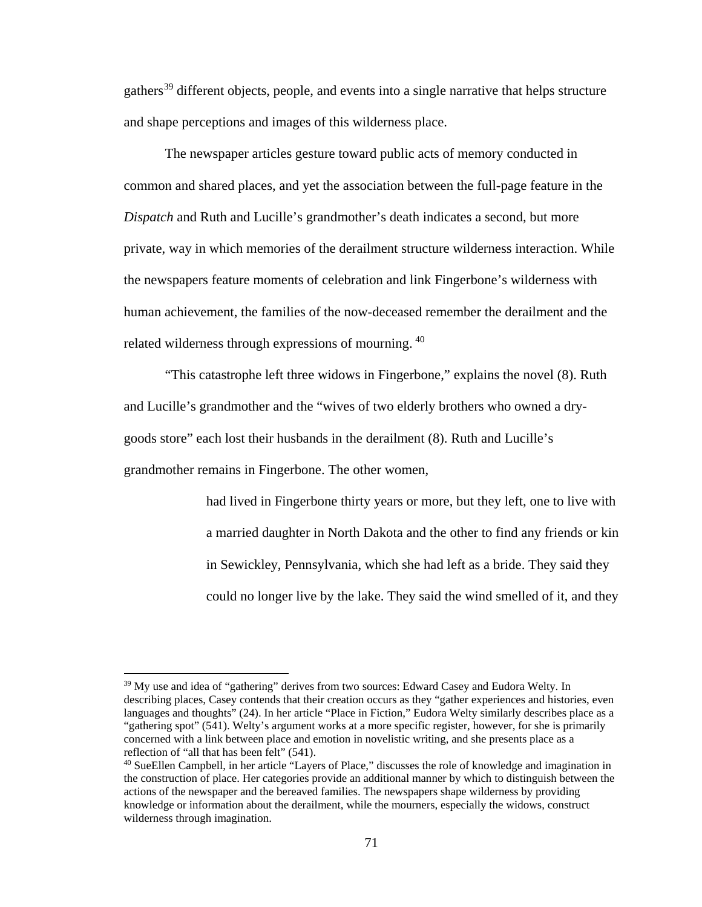gathers<sup>[39](#page-78-0)</sup> different objects, people, and events into a single narrative that helps structure and shape perceptions and images of this wilderness place.

The newspaper articles gesture toward public acts of memory conducted in common and shared places, and yet the association between the full-page feature in the *Dispatch* and Ruth and Lucille's grandmother's death indicates a second, but more private, way in which memories of the derailment structure wilderness interaction. While the newspapers feature moments of celebration and link Fingerbone's wilderness with human achievement, the families of the now-deceased remember the derailment and the related wilderness through expressions of mourning. [40](#page-78-1)

"This catastrophe left three widows in Fingerbone," explains the novel (8). Ruth and Lucille's grandmother and the "wives of two elderly brothers who owned a drygoods store" each lost their husbands in the derailment (8). Ruth and Lucille's grandmother remains in Fingerbone. The other women,

> had lived in Fingerbone thirty years or more, but they left, one to live with a married daughter in North Dakota and the other to find any friends or kin in Sewickley, Pennsylvania, which she had left as a bride. They said they could no longer live by the lake. They said the wind smelled of it, and they

 $\overline{\phantom{a}}$ 

<span id="page-78-0"></span><sup>&</sup>lt;sup>39</sup> My use and idea of "gathering" derives from two sources: Edward Casey and Eudora Welty. In describing places, Casey contends that their creation occurs as they "gather experiences and histories, even languages and thoughts" (24). In her article "Place in Fiction," Eudora Welty similarly describes place as a "gathering spot" (541). Welty's argument works at a more specific register, however, for she is primarily concerned with a link between place and emotion in novelistic writing, and she presents place as a reflection of "all that has been felt" (541).

<span id="page-78-1"></span><sup>&</sup>lt;sup>40</sup> SueEllen Campbell, in her article "Layers of Place," discusses the role of knowledge and imagination in the construction of place. Her categories provide an additional manner by which to distinguish between the actions of the newspaper and the bereaved families. The newspapers shape wilderness by providing knowledge or information about the derailment, while the mourners, especially the widows, construct wilderness through imagination.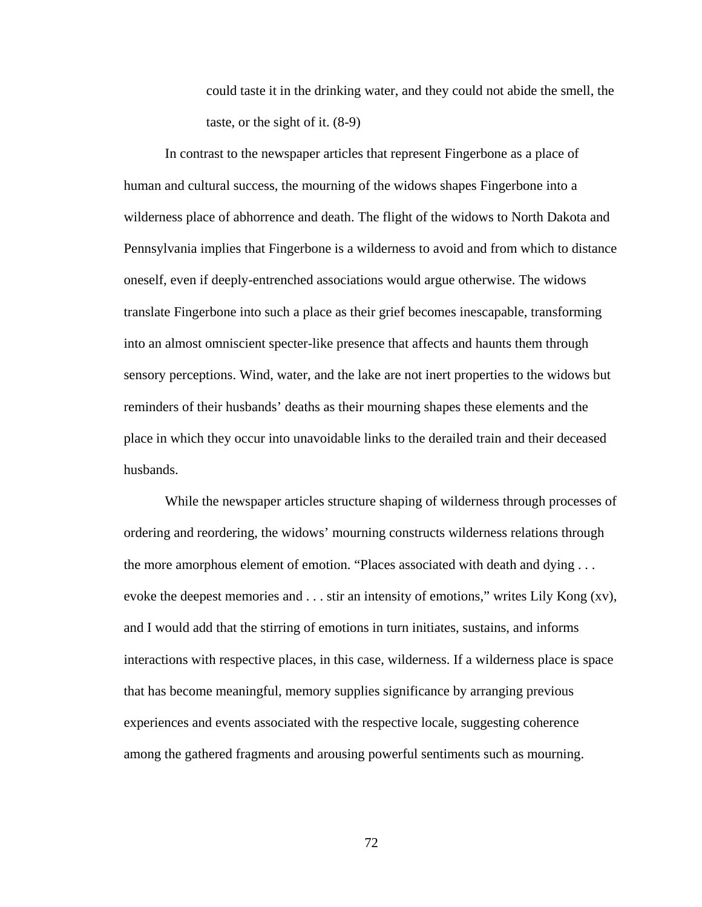could taste it in the drinking water, and they could not abide the smell, the taste, or the sight of it. (8-9)

In contrast to the newspaper articles that represent Fingerbone as a place of human and cultural success, the mourning of the widows shapes Fingerbone into a wilderness place of abhorrence and death. The flight of the widows to North Dakota and Pennsylvania implies that Fingerbone is a wilderness to avoid and from which to distance oneself, even if deeply-entrenched associations would argue otherwise. The widows translate Fingerbone into such a place as their grief becomes inescapable, transforming into an almost omniscient specter-like presence that affects and haunts them through sensory perceptions. Wind, water, and the lake are not inert properties to the widows but reminders of their husbands' deaths as their mourning shapes these elements and the place in which they occur into unavoidable links to the derailed train and their deceased husbands.

While the newspaper articles structure shaping of wilderness through processes of ordering and reordering, the widows' mourning constructs wilderness relations through the more amorphous element of emotion. "Places associated with death and dying . . . evoke the deepest memories and . . . stir an intensity of emotions," writes Lily Kong (xv), and I would add that the stirring of emotions in turn initiates, sustains, and informs interactions with respective places, in this case, wilderness. If a wilderness place is space that has become meaningful, memory supplies significance by arranging previous experiences and events associated with the respective locale, suggesting coherence among the gathered fragments and arousing powerful sentiments such as mourning.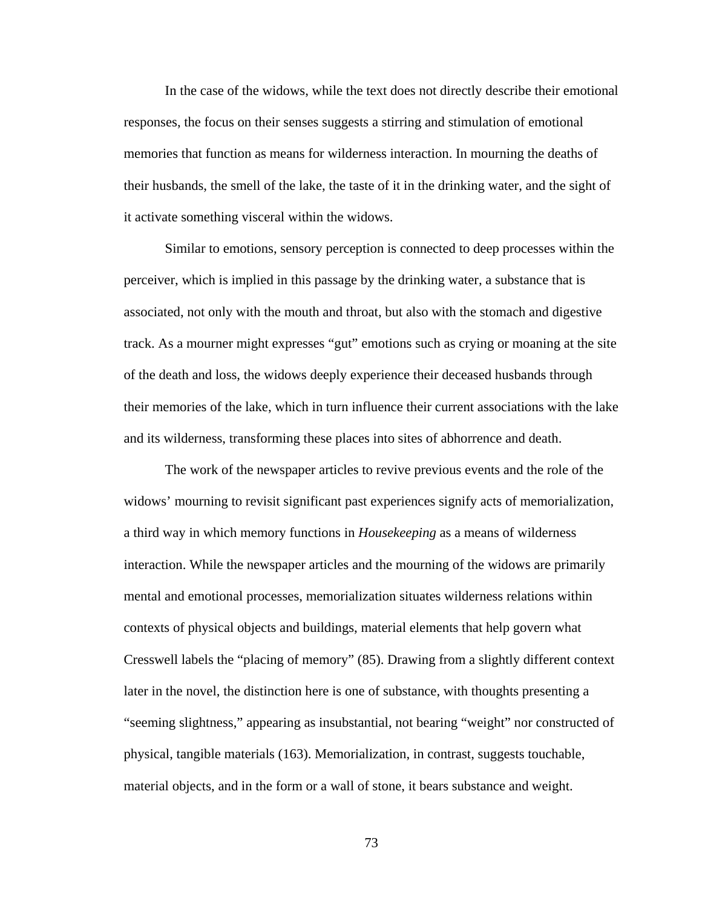In the case of the widows, while the text does not directly describe their emotional responses, the focus on their senses suggests a stirring and stimulation of emotional memories that function as means for wilderness interaction. In mourning the deaths of their husbands, the smell of the lake, the taste of it in the drinking water, and the sight of it activate something visceral within the widows.

Similar to emotions, sensory perception is connected to deep processes within the perceiver, which is implied in this passage by the drinking water, a substance that is associated, not only with the mouth and throat, but also with the stomach and digestive track. As a mourner might expresses "gut" emotions such as crying or moaning at the site of the death and loss, the widows deeply experience their deceased husbands through their memories of the lake, which in turn influence their current associations with the lake and its wilderness, transforming these places into sites of abhorrence and death.

The work of the newspaper articles to revive previous events and the role of the widows' mourning to revisit significant past experiences signify acts of memorialization, a third way in which memory functions in *Housekeeping* as a means of wilderness interaction. While the newspaper articles and the mourning of the widows are primarily mental and emotional processes, memorialization situates wilderness relations within contexts of physical objects and buildings, material elements that help govern what Cresswell labels the "placing of memory" (85). Drawing from a slightly different context later in the novel, the distinction here is one of substance, with thoughts presenting a "seeming slightness," appearing as insubstantial, not bearing "weight" nor constructed of physical, tangible materials (163). Memorialization, in contrast, suggests touchable, material objects, and in the form or a wall of stone, it bears substance and weight.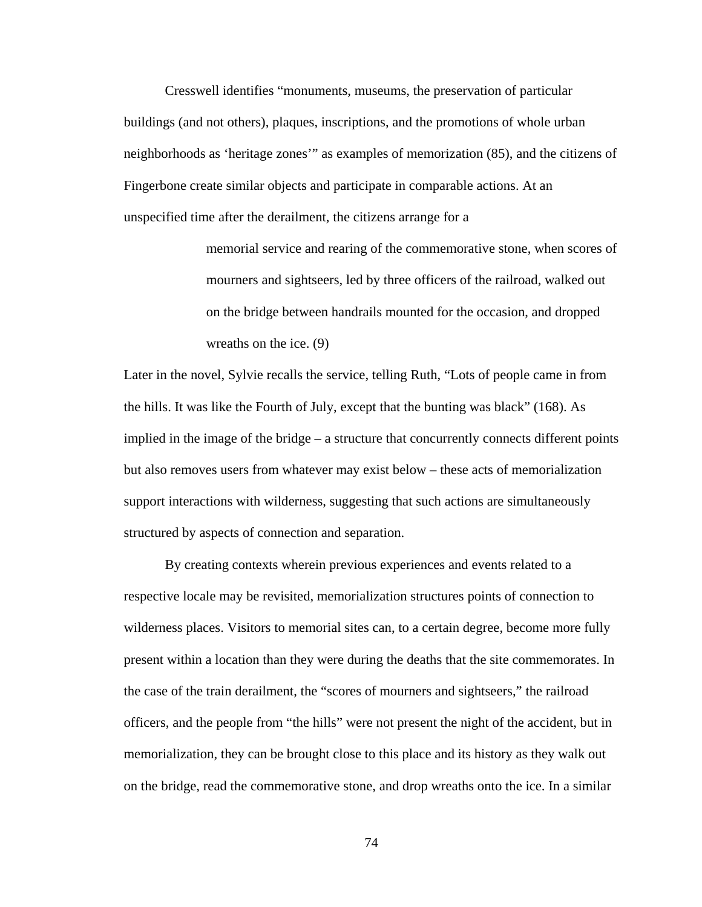Cresswell identifies "monuments, museums, the preservation of particular buildings (and not others), plaques, inscriptions, and the promotions of whole urban neighborhoods as 'heritage zones'" as examples of memorization (85), and the citizens of Fingerbone create similar objects and participate in comparable actions. At an unspecified time after the derailment, the citizens arrange for a

> memorial service and rearing of the commemorative stone, when scores of mourners and sightseers, led by three officers of the railroad, walked out on the bridge between handrails mounted for the occasion, and dropped wreaths on the ice. (9)

Later in the novel, Sylvie recalls the service, telling Ruth, "Lots of people came in from the hills. It was like the Fourth of July, except that the bunting was black" (168). As implied in the image of the bridge – a structure that concurrently connects different points but also removes users from whatever may exist below – these acts of memorialization support interactions with wilderness, suggesting that such actions are simultaneously structured by aspects of connection and separation.

By creating contexts wherein previous experiences and events related to a respective locale may be revisited, memorialization structures points of connection to wilderness places. Visitors to memorial sites can, to a certain degree, become more fully present within a location than they were during the deaths that the site commemorates. In the case of the train derailment, the "scores of mourners and sightseers," the railroad officers, and the people from "the hills" were not present the night of the accident, but in memorialization, they can be brought close to this place and its history as they walk out on the bridge, read the commemorative stone, and drop wreaths onto the ice. In a similar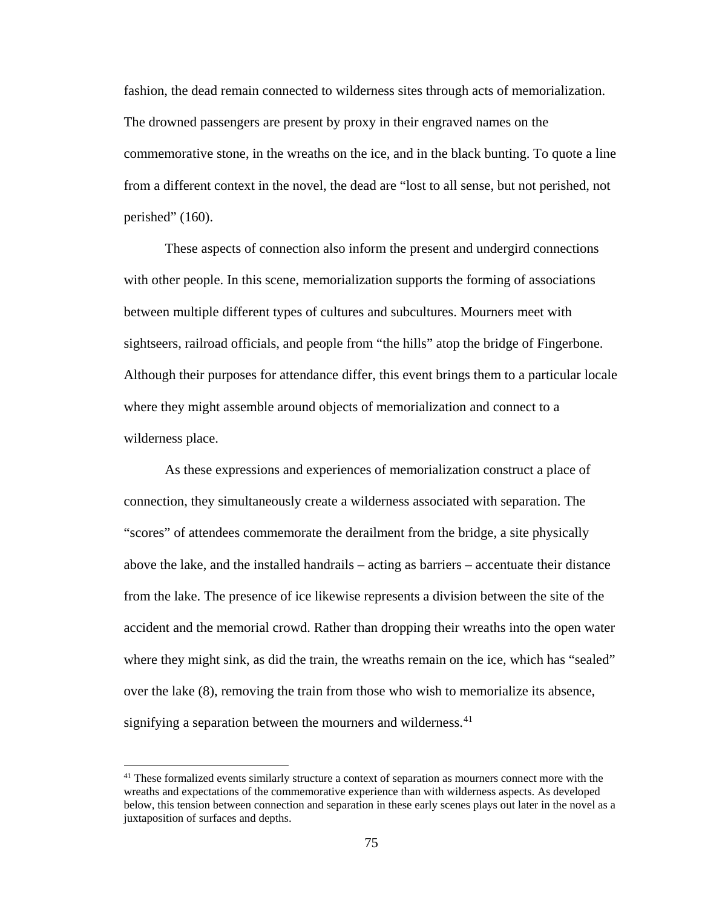fashion, the dead remain connected to wilderness sites through acts of memorialization. The drowned passengers are present by proxy in their engraved names on the commemorative stone, in the wreaths on the ice, and in the black bunting. To quote a line from a different context in the novel, the dead are "lost to all sense, but not perished, not perished" (160).

These aspects of connection also inform the present and undergird connections with other people. In this scene, memorialization supports the forming of associations between multiple different types of cultures and subcultures. Mourners meet with sightseers, railroad officials, and people from "the hills" atop the bridge of Fingerbone. Although their purposes for attendance differ, this event brings them to a particular locale where they might assemble around objects of memorialization and connect to a wilderness place.

As these expressions and experiences of memorialization construct a place of connection, they simultaneously create a wilderness associated with separation. The "scores" of attendees commemorate the derailment from the bridge, a site physically above the lake, and the installed handrails – acting as barriers – accentuate their distance from the lake. The presence of ice likewise represents a division between the site of the accident and the memorial crowd. Rather than dropping their wreaths into the open water where they might sink, as did the train, the wreaths remain on the ice, which has "sealed" over the lake (8), removing the train from those who wish to memorialize its absence, signifying a separation between the mourners and wilderness.<sup>[41](#page-82-0)</sup>

 $\overline{\phantom{a}}$ 

<span id="page-82-0"></span><sup>&</sup>lt;sup>41</sup> These formalized events similarly structure a context of separation as mourners connect more with the wreaths and expectations of the commemorative experience than with wilderness aspects. As developed below, this tension between connection and separation in these early scenes plays out later in the novel as a juxtaposition of surfaces and depths.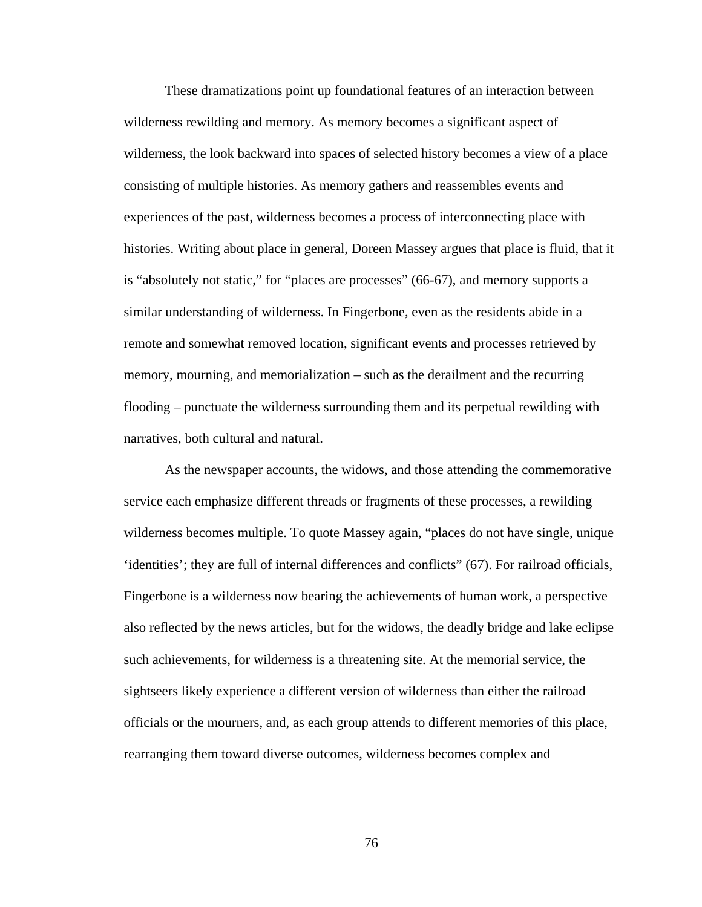These dramatizations point up foundational features of an interaction between wilderness rewilding and memory. As memory becomes a significant aspect of wilderness, the look backward into spaces of selected history becomes a view of a place consisting of multiple histories. As memory gathers and reassembles events and experiences of the past, wilderness becomes a process of interconnecting place with histories. Writing about place in general, Doreen Massey argues that place is fluid, that it is "absolutely not static," for "places are processes" (66-67), and memory supports a similar understanding of wilderness. In Fingerbone, even as the residents abide in a remote and somewhat removed location, significant events and processes retrieved by memory, mourning, and memorialization – such as the derailment and the recurring flooding – punctuate the wilderness surrounding them and its perpetual rewilding with narratives, both cultural and natural.

As the newspaper accounts, the widows, and those attending the commemorative service each emphasize different threads or fragments of these processes, a rewilding wilderness becomes multiple. To quote Massey again, "places do not have single, unique 'identities'; they are full of internal differences and conflicts" (67). For railroad officials, Fingerbone is a wilderness now bearing the achievements of human work, a perspective also reflected by the news articles, but for the widows, the deadly bridge and lake eclipse such achievements, for wilderness is a threatening site. At the memorial service, the sightseers likely experience a different version of wilderness than either the railroad officials or the mourners, and, as each group attends to different memories of this place, rearranging them toward diverse outcomes, wilderness becomes complex and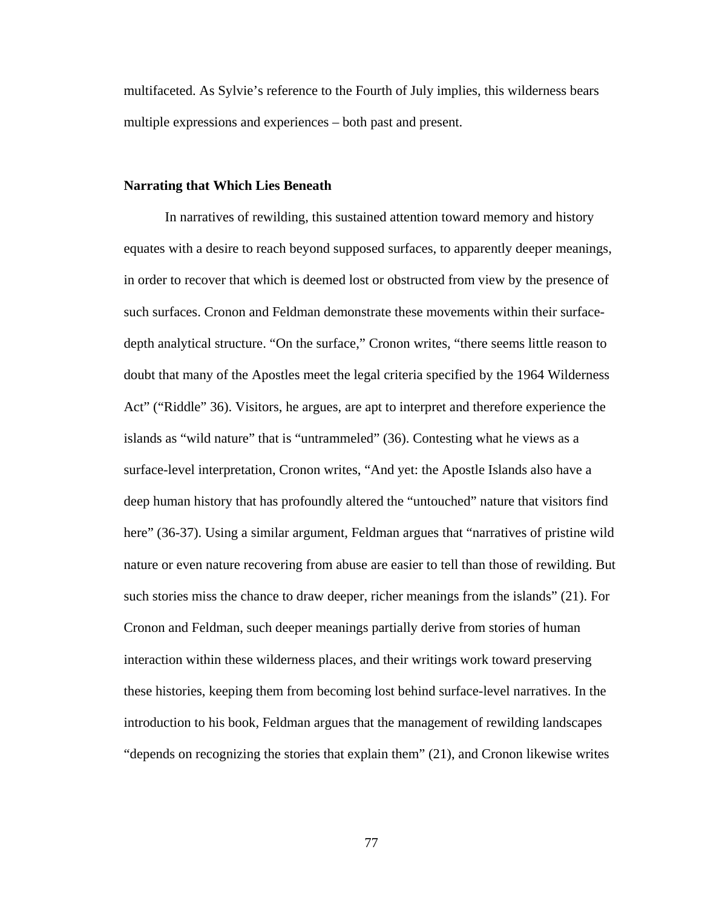multifaceted. As Sylvie's reference to the Fourth of July implies, this wilderness bears multiple expressions and experiences – both past and present.

### **Narrating that Which Lies Beneath**

In narratives of rewilding, this sustained attention toward memory and history equates with a desire to reach beyond supposed surfaces, to apparently deeper meanings, in order to recover that which is deemed lost or obstructed from view by the presence of such surfaces. Cronon and Feldman demonstrate these movements within their surfacedepth analytical structure. "On the surface," Cronon writes, "there seems little reason to doubt that many of the Apostles meet the legal criteria specified by the 1964 Wilderness Act" ("Riddle" 36). Visitors, he argues, are apt to interpret and therefore experience the islands as "wild nature" that is "untrammeled" (36). Contesting what he views as a surface-level interpretation, Cronon writes, "And yet: the Apostle Islands also have a deep human history that has profoundly altered the "untouched" nature that visitors find here" (36-37). Using a similar argument, Feldman argues that "narratives of pristine wild nature or even nature recovering from abuse are easier to tell than those of rewilding. But such stories miss the chance to draw deeper, richer meanings from the islands" (21). For Cronon and Feldman, such deeper meanings partially derive from stories of human interaction within these wilderness places, and their writings work toward preserving these histories, keeping them from becoming lost behind surface-level narratives. In the introduction to his book, Feldman argues that the management of rewilding landscapes "depends on recognizing the stories that explain them" (21), and Cronon likewise writes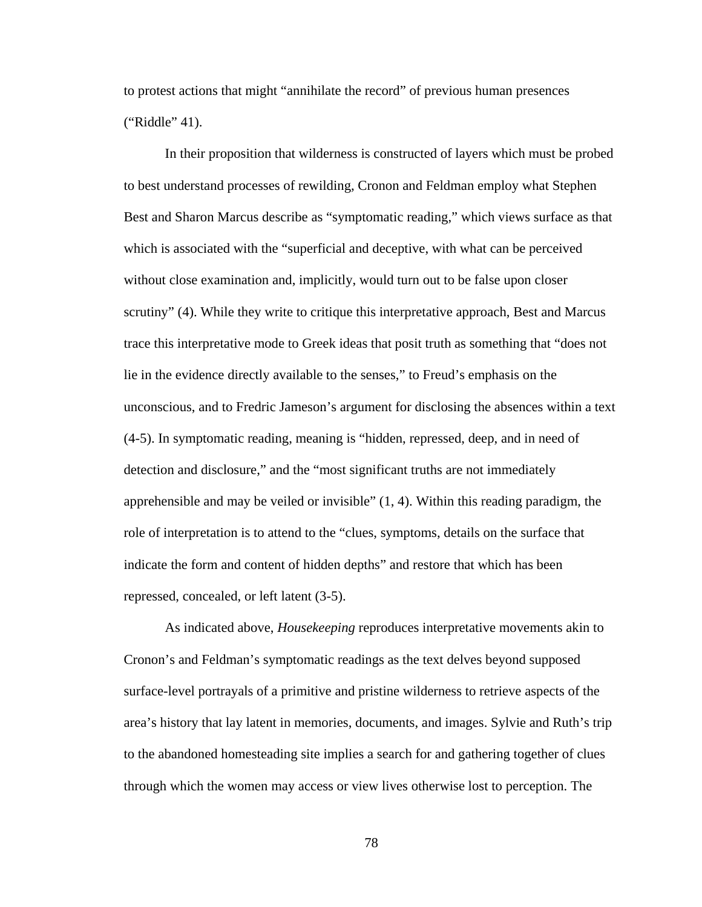to protest actions that might "annihilate the record" of previous human presences ("Riddle" 41).

In their proposition that wilderness is constructed of layers which must be probed to best understand processes of rewilding, Cronon and Feldman employ what Stephen Best and Sharon Marcus describe as "symptomatic reading," which views surface as that which is associated with the "superficial and deceptive, with what can be perceived without close examination and, implicitly, would turn out to be false upon closer scrutiny" (4). While they write to critique this interpretative approach, Best and Marcus trace this interpretative mode to Greek ideas that posit truth as something that "does not lie in the evidence directly available to the senses," to Freud's emphasis on the unconscious, and to Fredric Jameson's argument for disclosing the absences within a text (4-5). In symptomatic reading, meaning is "hidden, repressed, deep, and in need of detection and disclosure," and the "most significant truths are not immediately apprehensible and may be veiled or invisible"  $(1, 4)$ . Within this reading paradigm, the role of interpretation is to attend to the "clues, symptoms, details on the surface that indicate the form and content of hidden depths" and restore that which has been repressed, concealed, or left latent (3-5).

As indicated above, *Housekeeping* reproduces interpretative movements akin to Cronon's and Feldman's symptomatic readings as the text delves beyond supposed surface-level portrayals of a primitive and pristine wilderness to retrieve aspects of the area's history that lay latent in memories, documents, and images. Sylvie and Ruth's trip to the abandoned homesteading site implies a search for and gathering together of clues through which the women may access or view lives otherwise lost to perception. The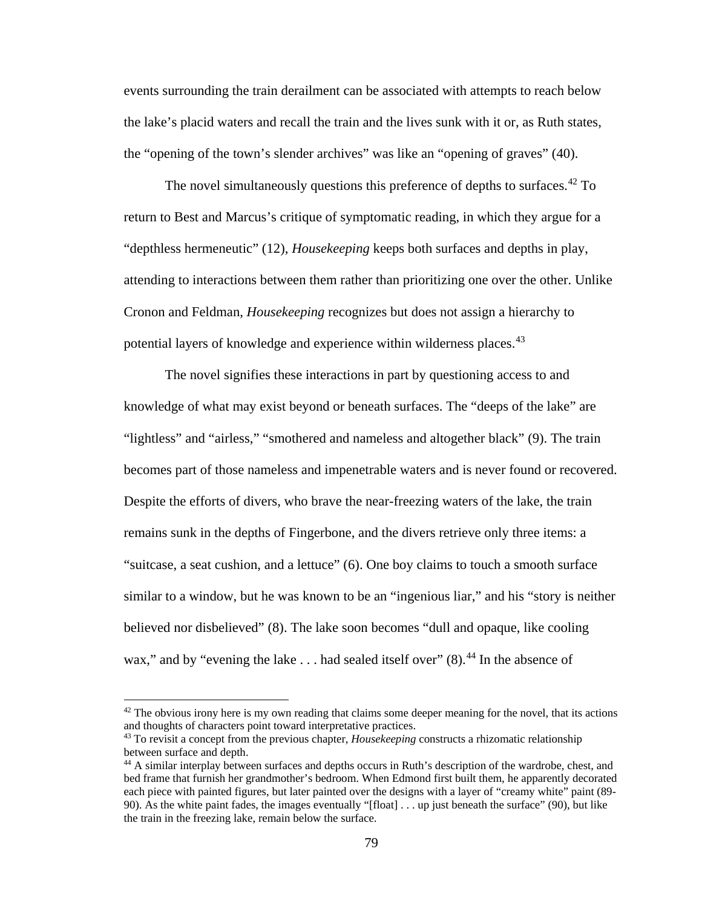events surrounding the train derailment can be associated with attempts to reach below the lake's placid waters and recall the train and the lives sunk with it or, as Ruth states, the "opening of the town's slender archives" was like an "opening of graves" (40).

The novel simultaneously questions this preference of depths to surfaces.<sup>[42](#page-86-0)</sup> To return to Best and Marcus's critique of symptomatic reading, in which they argue for a "depthless hermeneutic" (12), *Housekeeping* keeps both surfaces and depths in play, attending to interactions between them rather than prioritizing one over the other. Unlike Cronon and Feldman, *Housekeeping* recognizes but does not assign a hierarchy to potential layers of knowledge and experience within wilderness places.<sup>[43](#page-86-1)</sup>

The novel signifies these interactions in part by questioning access to and knowledge of what may exist beyond or beneath surfaces. The "deeps of the lake" are "lightless" and "airless," "smothered and nameless and altogether black" (9). The train becomes part of those nameless and impenetrable waters and is never found or recovered. Despite the efforts of divers, who brave the near-freezing waters of the lake, the train remains sunk in the depths of Fingerbone, and the divers retrieve only three items: a "suitcase, a seat cushion, and a lettuce" (6). One boy claims to touch a smooth surface similar to a window, but he was known to be an "ingenious liar," and his "story is neither believed nor disbelieved" (8). The lake soon becomes "dull and opaque, like cooling wax," and by "evening the lake  $\dots$  had sealed itself over" (8).<sup>[44](#page-86-2)</sup> In the absence of

l

<span id="page-86-0"></span> $42$  The obvious irony here is my own reading that claims some deeper meaning for the novel, that its actions and thoughts of characters point toward interpretative practices. 43 To revisit a concept from the previous chapter, *Housekeeping* constructs a rhizomatic relationship

<span id="page-86-1"></span>between surface and depth.

<span id="page-86-2"></span><sup>44</sup> A similar interplay between surfaces and depths occurs in Ruth's description of the wardrobe, chest, and bed frame that furnish her grandmother's bedroom. When Edmond first built them, he apparently decorated each piece with painted figures, but later painted over the designs with a layer of "creamy white" paint (89- 90). As the white paint fades, the images eventually "[float] . . . up just beneath the surface" (90), but like the train in the freezing lake, remain below the surface.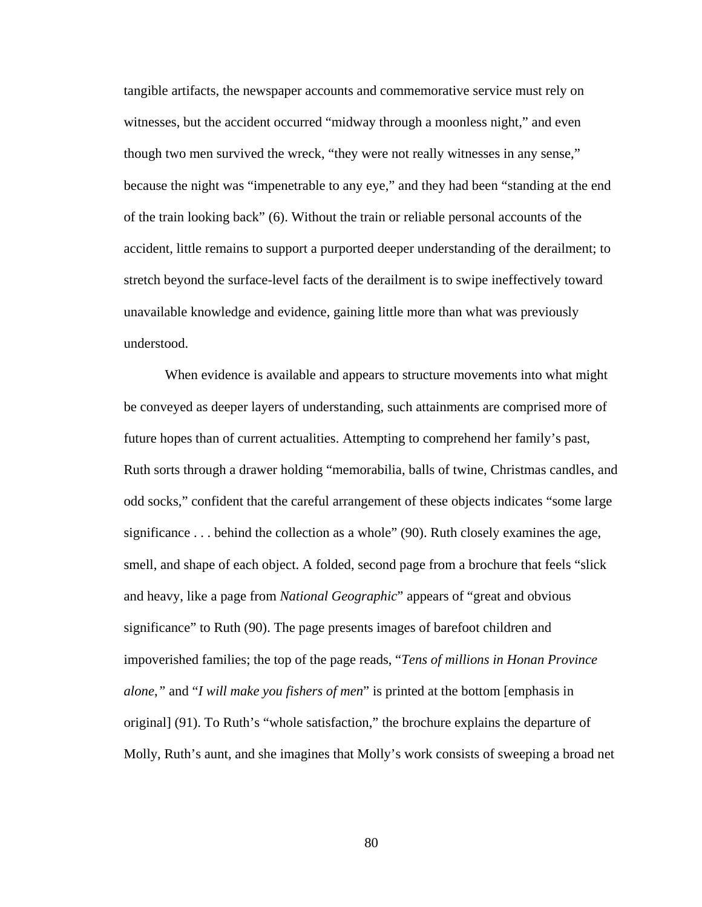tangible artifacts, the newspaper accounts and commemorative service must rely on witnesses, but the accident occurred "midway through a moonless night," and even though two men survived the wreck, "they were not really witnesses in any sense," because the night was "impenetrable to any eye," and they had been "standing at the end of the train looking back" (6). Without the train or reliable personal accounts of the accident, little remains to support a purported deeper understanding of the derailment; to stretch beyond the surface-level facts of the derailment is to swipe ineffectively toward unavailable knowledge and evidence, gaining little more than what was previously understood.

When evidence is available and appears to structure movements into what might be conveyed as deeper layers of understanding, such attainments are comprised more of future hopes than of current actualities. Attempting to comprehend her family's past, Ruth sorts through a drawer holding "memorabilia, balls of twine, Christmas candles, and odd socks," confident that the careful arrangement of these objects indicates "some large significance . . . behind the collection as a whole" (90). Ruth closely examines the age, smell, and shape of each object. A folded, second page from a brochure that feels "slick and heavy, like a page from *National Geographic*" appears of "great and obvious significance" to Ruth (90). The page presents images of barefoot children and impoverished families; the top of the page reads, "*Tens of millions in Honan Province alone*,*"* and "*I will make you fishers of men*" is printed at the bottom [emphasis in original] (91). To Ruth's "whole satisfaction," the brochure explains the departure of Molly, Ruth's aunt, and she imagines that Molly's work consists of sweeping a broad net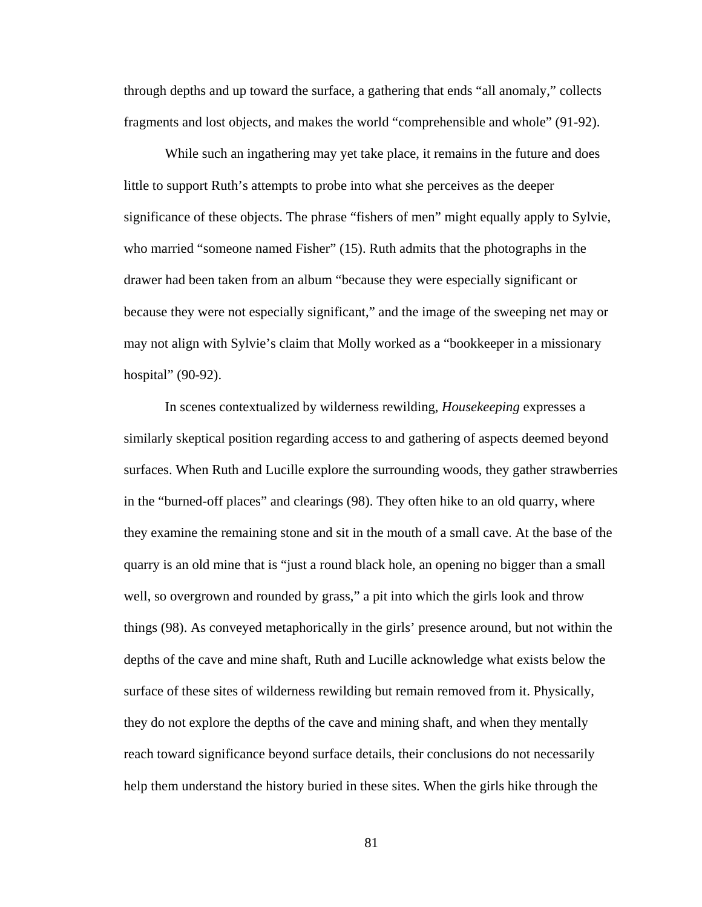through depths and up toward the surface, a gathering that ends "all anomaly," collects fragments and lost objects, and makes the world "comprehensible and whole" (91-92).

While such an ingathering may yet take place, it remains in the future and does little to support Ruth's attempts to probe into what she perceives as the deeper significance of these objects. The phrase "fishers of men" might equally apply to Sylvie, who married "someone named Fisher" (15). Ruth admits that the photographs in the drawer had been taken from an album "because they were especially significant or because they were not especially significant," and the image of the sweeping net may or may not align with Sylvie's claim that Molly worked as a "bookkeeper in a missionary hospital" (90-92).

In scenes contextualized by wilderness rewilding, *Housekeeping* expresses a similarly skeptical position regarding access to and gathering of aspects deemed beyond surfaces. When Ruth and Lucille explore the surrounding woods, they gather strawberries in the "burned-off places" and clearings (98). They often hike to an old quarry, where they examine the remaining stone and sit in the mouth of a small cave. At the base of the quarry is an old mine that is "just a round black hole, an opening no bigger than a small well, so overgrown and rounded by grass," a pit into which the girls look and throw things (98). As conveyed metaphorically in the girls' presence around, but not within the depths of the cave and mine shaft, Ruth and Lucille acknowledge what exists below the surface of these sites of wilderness rewilding but remain removed from it. Physically, they do not explore the depths of the cave and mining shaft, and when they mentally reach toward significance beyond surface details, their conclusions do not necessarily help them understand the history buried in these sites. When the girls hike through the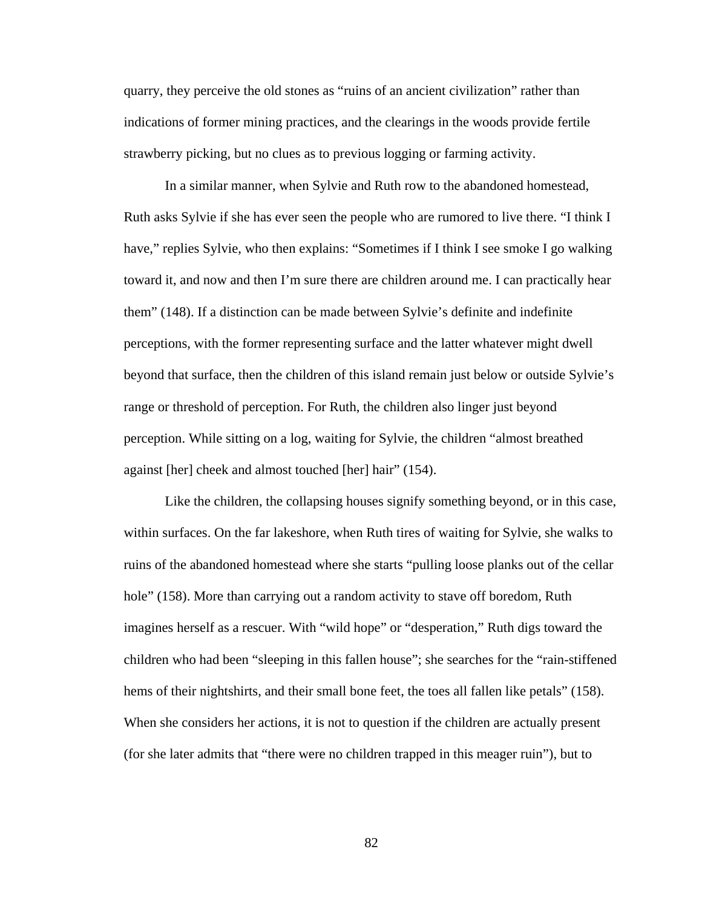quarry, they perceive the old stones as "ruins of an ancient civilization" rather than indications of former mining practices, and the clearings in the woods provide fertile strawberry picking, but no clues as to previous logging or farming activity.

In a similar manner, when Sylvie and Ruth row to the abandoned homestead, Ruth asks Sylvie if she has ever seen the people who are rumored to live there. "I think I have," replies Sylvie, who then explains: "Sometimes if I think I see smoke I go walking toward it, and now and then I'm sure there are children around me. I can practically hear them" (148). If a distinction can be made between Sylvie's definite and indefinite perceptions, with the former representing surface and the latter whatever might dwell beyond that surface, then the children of this island remain just below or outside Sylvie's range or threshold of perception. For Ruth, the children also linger just beyond perception. While sitting on a log, waiting for Sylvie, the children "almost breathed against [her] cheek and almost touched [her] hair" (154).

Like the children, the collapsing houses signify something beyond, or in this case, within surfaces. On the far lakeshore, when Ruth tires of waiting for Sylvie, she walks to ruins of the abandoned homestead where she starts "pulling loose planks out of the cellar hole" (158). More than carrying out a random activity to stave off boredom, Ruth imagines herself as a rescuer. With "wild hope" or "desperation," Ruth digs toward the children who had been "sleeping in this fallen house"; she searches for the "rain-stiffened hems of their nightshirts, and their small bone feet, the toes all fallen like petals" (158). When she considers her actions, it is not to question if the children are actually present (for she later admits that "there were no children trapped in this meager ruin"), but to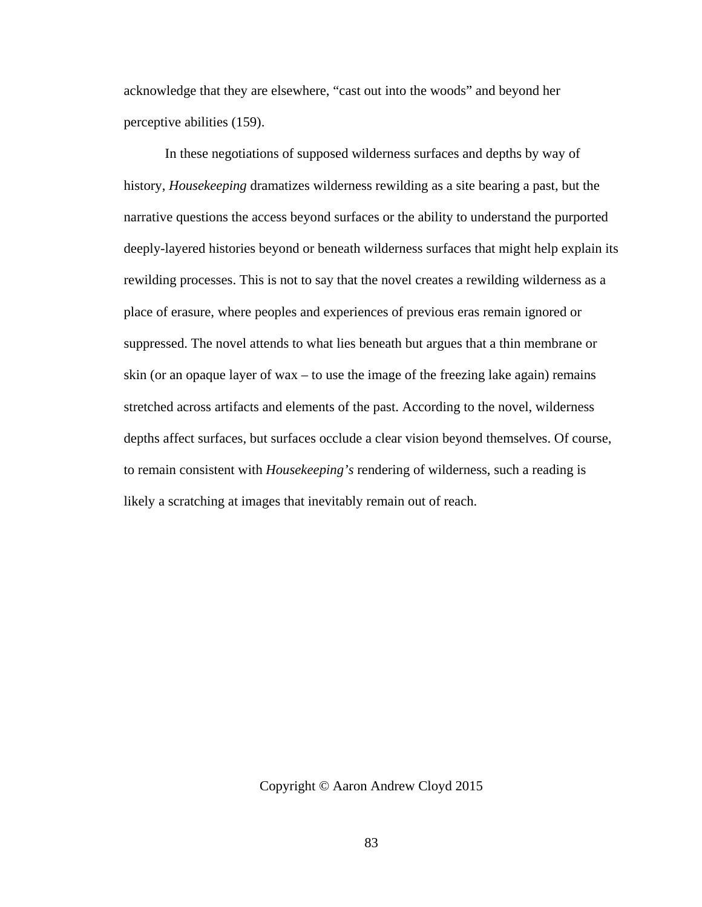acknowledge that they are elsewhere, "cast out into the woods" and beyond her perceptive abilities (159).

In these negotiations of supposed wilderness surfaces and depths by way of history, *Housekeeping* dramatizes wilderness rewilding as a site bearing a past, but the narrative questions the access beyond surfaces or the ability to understand the purported deeply-layered histories beyond or beneath wilderness surfaces that might help explain its rewilding processes. This is not to say that the novel creates a rewilding wilderness as a place of erasure, where peoples and experiences of previous eras remain ignored or suppressed. The novel attends to what lies beneath but argues that a thin membrane or skin (or an opaque layer of wax – to use the image of the freezing lake again) remains stretched across artifacts and elements of the past. According to the novel, wilderness depths affect surfaces, but surfaces occlude a clear vision beyond themselves. Of course, to remain consistent with *Housekeeping's* rendering of wilderness, such a reading is likely a scratching at images that inevitably remain out of reach.

## Copyright © Aaron Andrew Cloyd 2015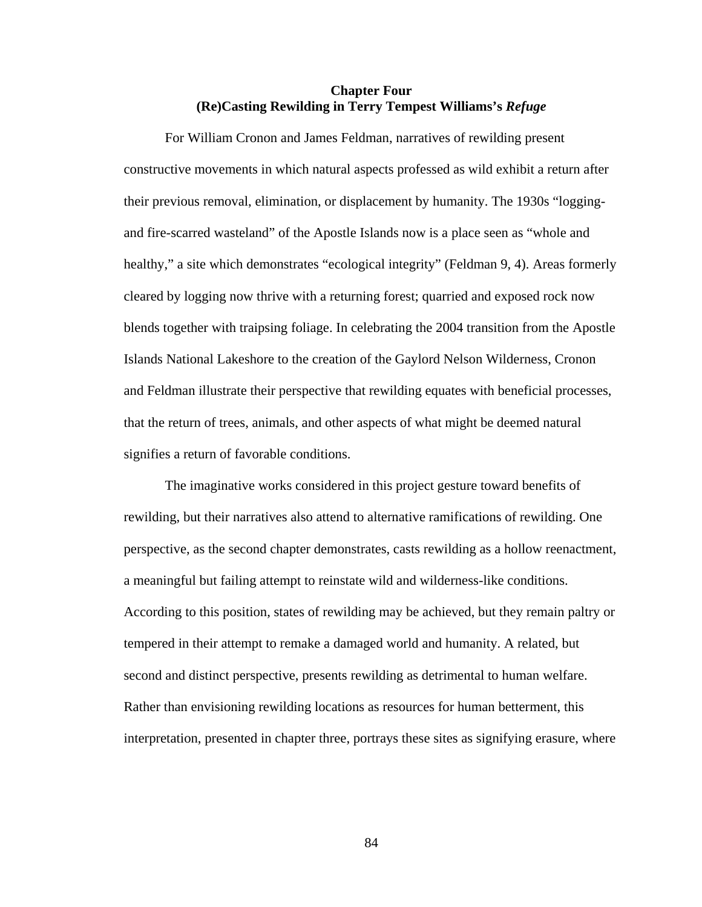# **Chapter Four (Re)Casting Rewilding in Terry Tempest Williams's** *Refuge*

For William Cronon and James Feldman, narratives of rewilding present constructive movements in which natural aspects professed as wild exhibit a return after their previous removal, elimination, or displacement by humanity. The 1930s "loggingand fire-scarred wasteland" of the Apostle Islands now is a place seen as "whole and healthy," a site which demonstrates "ecological integrity" (Feldman 9, 4). Areas formerly cleared by logging now thrive with a returning forest; quarried and exposed rock now blends together with traipsing foliage. In celebrating the 2004 transition from the Apostle Islands National Lakeshore to the creation of the Gaylord Nelson Wilderness, Cronon and Feldman illustrate their perspective that rewilding equates with beneficial processes, that the return of trees, animals, and other aspects of what might be deemed natural signifies a return of favorable conditions.

The imaginative works considered in this project gesture toward benefits of rewilding, but their narratives also attend to alternative ramifications of rewilding. One perspective, as the second chapter demonstrates, casts rewilding as a hollow reenactment, a meaningful but failing attempt to reinstate wild and wilderness-like conditions. According to this position, states of rewilding may be achieved, but they remain paltry or tempered in their attempt to remake a damaged world and humanity. A related, but second and distinct perspective, presents rewilding as detrimental to human welfare. Rather than envisioning rewilding locations as resources for human betterment, this interpretation, presented in chapter three, portrays these sites as signifying erasure, where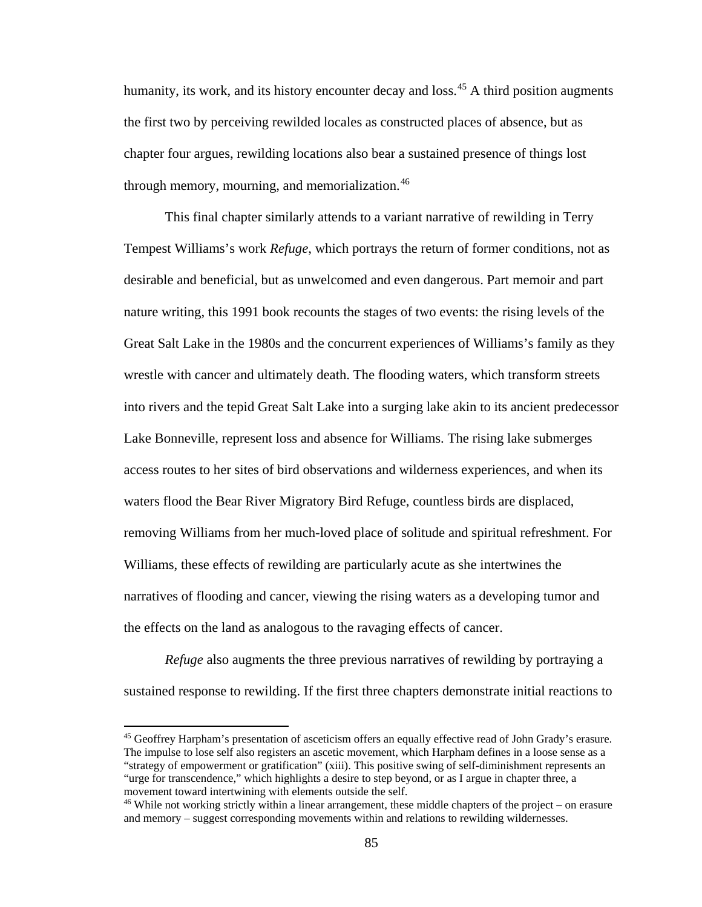humanity, its work, and its history encounter decay and loss.<sup>[45](#page-92-0)</sup> A third position augments the first two by perceiving rewilded locales as constructed places of absence, but as chapter four argues, rewilding locations also bear a sustained presence of things lost through memory, mourning, and memorialization.<sup>[46](#page-92-1)</sup>

This final chapter similarly attends to a variant narrative of rewilding in Terry Tempest Williams's work *Refuge*, which portrays the return of former conditions, not as desirable and beneficial, but as unwelcomed and even dangerous. Part memoir and part nature writing, this 1991 book recounts the stages of two events: the rising levels of the Great Salt Lake in the 1980s and the concurrent experiences of Williams's family as they wrestle with cancer and ultimately death. The flooding waters, which transform streets into rivers and the tepid Great Salt Lake into a surging lake akin to its ancient predecessor Lake Bonneville, represent loss and absence for Williams. The rising lake submerges access routes to her sites of bird observations and wilderness experiences, and when its waters flood the Bear River Migratory Bird Refuge, countless birds are displaced, removing Williams from her much-loved place of solitude and spiritual refreshment. For Williams, these effects of rewilding are particularly acute as she intertwines the narratives of flooding and cancer, viewing the rising waters as a developing tumor and the effects on the land as analogous to the ravaging effects of cancer.

*Refuge* also augments the three previous narratives of rewilding by portraying a sustained response to rewilding. If the first three chapters demonstrate initial reactions to

 $\overline{\phantom{a}}$ 

<span id="page-92-0"></span><sup>45</sup> Geoffrey Harpham's presentation of asceticism offers an equally effective read of John Grady's erasure. The impulse to lose self also registers an ascetic movement, which Harpham defines in a loose sense as a "strategy of empowerment or gratification" (xiii). This positive swing of self-diminishment represents an "urge for transcendence," which highlights a desire to step beyond, or as I argue in chapter three, a movement toward intertwining with elements outside the self.

<span id="page-92-1"></span><sup>46</sup> While not working strictly within a linear arrangement, these middle chapters of the project – on erasure and memory – suggest corresponding movements within and relations to rewilding wildernesses.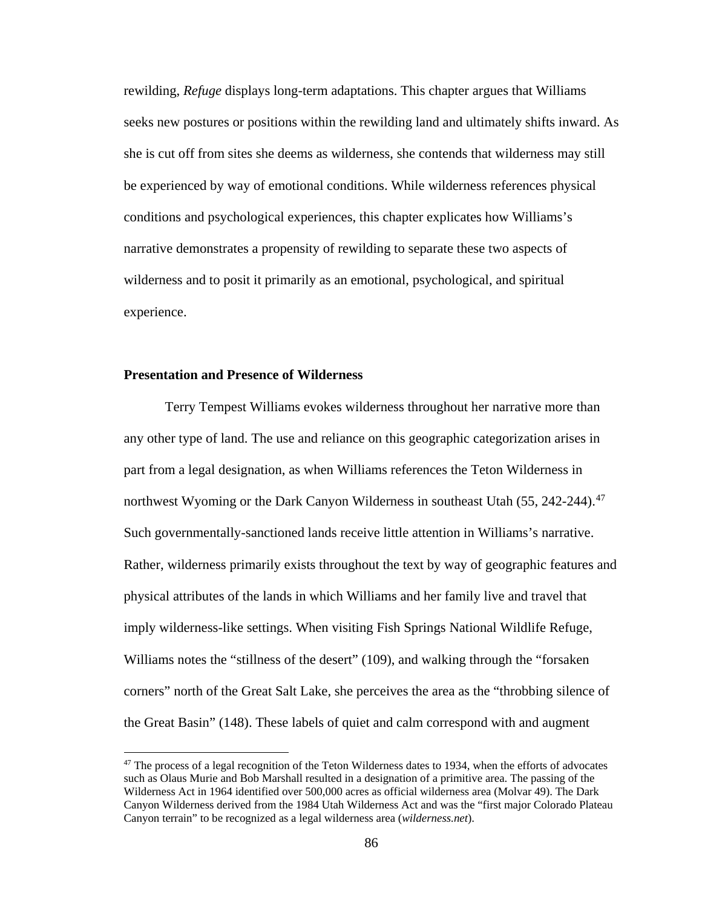rewilding, *Refuge* displays long-term adaptations. This chapter argues that Williams seeks new postures or positions within the rewilding land and ultimately shifts inward. As she is cut off from sites she deems as wilderness, she contends that wilderness may still be experienced by way of emotional conditions. While wilderness references physical conditions and psychological experiences, this chapter explicates how Williams's narrative demonstrates a propensity of rewilding to separate these two aspects of wilderness and to posit it primarily as an emotional, psychological, and spiritual experience.

## **Presentation and Presence of Wilderness**

 $\overline{\phantom{a}}$ 

Terry Tempest Williams evokes wilderness throughout her narrative more than any other type of land. The use and reliance on this geographic categorization arises in part from a legal designation, as when Williams references the Teton Wilderness in northwest Wyoming or the Dark Canyon Wilderness in southeast Utah (55, 242-244).<sup>[47](#page-93-0)</sup> Such governmentally-sanctioned lands receive little attention in Williams's narrative. Rather, wilderness primarily exists throughout the text by way of geographic features and physical attributes of the lands in which Williams and her family live and travel that imply wilderness-like settings. When visiting Fish Springs National Wildlife Refuge, Williams notes the "stillness of the desert" (109), and walking through the "forsaken corners" north of the Great Salt Lake, she perceives the area as the "throbbing silence of the Great Basin" (148). These labels of quiet and calm correspond with and augment

<span id="page-93-0"></span><sup>&</sup>lt;sup>47</sup> The process of a legal recognition of the Teton Wilderness dates to 1934, when the efforts of advocates such as Olaus Murie and Bob Marshall resulted in a designation of a primitive area. The passing of the Wilderness Act in 1964 identified over 500,000 acres as official wilderness area (Molvar 49). The Dark Canyon Wilderness derived from the 1984 Utah Wilderness Act and was the "first major Colorado Plateau Canyon terrain" to be recognized as a legal wilderness area (*wilderness.net*).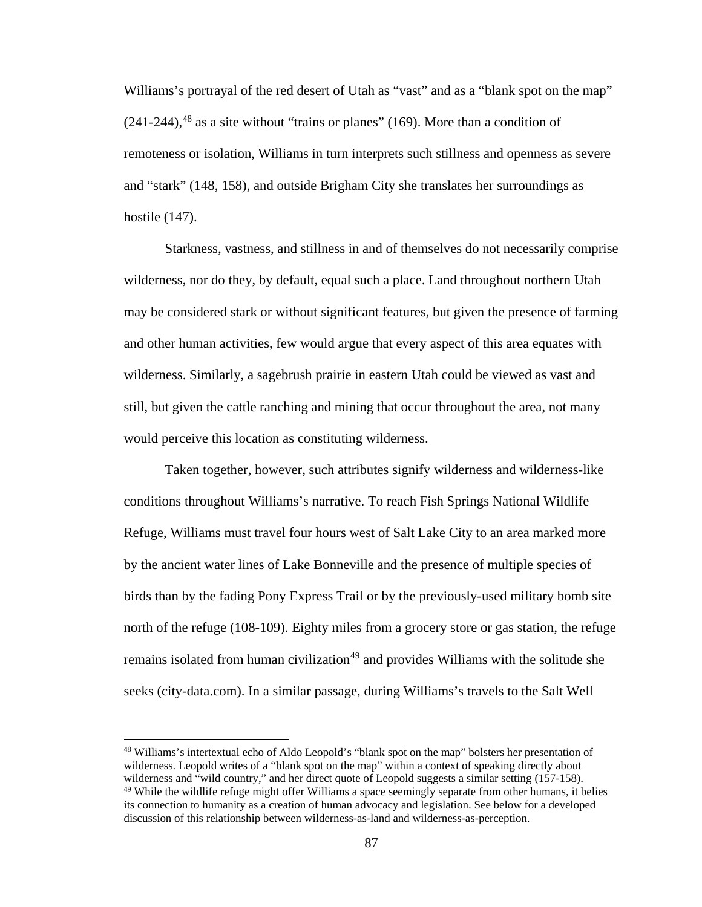Williams's portrayal of the red desert of Utah as "vast" and as a "blank spot on the map"  $(241-244)$ ,<sup>[48](#page-94-0)</sup> as a site without "trains or planes" (169). More than a condition of remoteness or isolation, Williams in turn interprets such stillness and openness as severe and "stark" (148, 158), and outside Brigham City she translates her surroundings as hostile (147).

Starkness, vastness, and stillness in and of themselves do not necessarily comprise wilderness, nor do they, by default, equal such a place. Land throughout northern Utah may be considered stark or without significant features, but given the presence of farming and other human activities, few would argue that every aspect of this area equates with wilderness. Similarly, a sagebrush prairie in eastern Utah could be viewed as vast and still, but given the cattle ranching and mining that occur throughout the area, not many would perceive this location as constituting wilderness.

Taken together, however, such attributes signify wilderness and wilderness-like conditions throughout Williams's narrative. To reach Fish Springs National Wildlife Refuge, Williams must travel four hours west of Salt Lake City to an area marked more by the ancient water lines of Lake Bonneville and the presence of multiple species of birds than by the fading Pony Express Trail or by the previously-used military bomb site north of the refuge (108-109). Eighty miles from a grocery store or gas station, the refuge remains isolated from human civilization<sup>[49](#page-94-1)</sup> and provides Williams with the solitude she seeks (city-data.com). In a similar passage, during Williams's travels to the Salt Well

l

<span id="page-94-1"></span><span id="page-94-0"></span><sup>48</sup> Williams's intertextual echo of Aldo Leopold's "blank spot on the map" bolsters her presentation of wilderness. Leopold writes of a "blank spot on the map" within a context of speaking directly about wilderness and "wild country," and her direct quote of Leopold suggests a similar setting (157-158).  $49$  While the wildlife refuge might offer Williams a space seemingly separate from other humans, it belies its connection to humanity as a creation of human advocacy and legislation. See below for a developed discussion of this relationship between wilderness-as-land and wilderness-as-perception.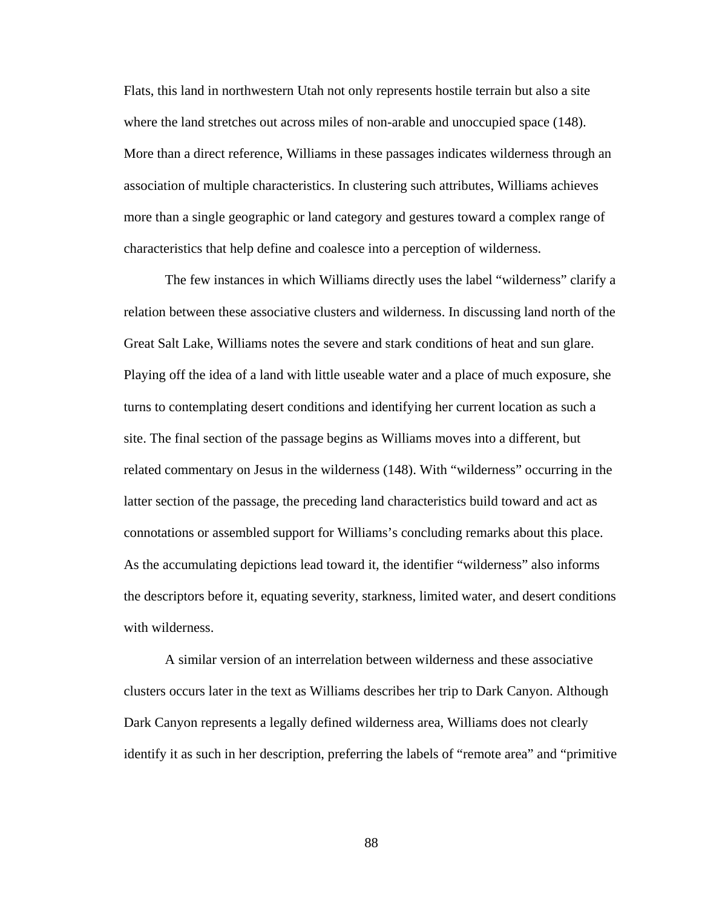Flats, this land in northwestern Utah not only represents hostile terrain but also a site where the land stretches out across miles of non-arable and unoccupied space (148). More than a direct reference, Williams in these passages indicates wilderness through an association of multiple characteristics. In clustering such attributes, Williams achieves more than a single geographic or land category and gestures toward a complex range of characteristics that help define and coalesce into a perception of wilderness.

The few instances in which Williams directly uses the label "wilderness" clarify a relation between these associative clusters and wilderness. In discussing land north of the Great Salt Lake, Williams notes the severe and stark conditions of heat and sun glare. Playing off the idea of a land with little useable water and a place of much exposure, she turns to contemplating desert conditions and identifying her current location as such a site. The final section of the passage begins as Williams moves into a different, but related commentary on Jesus in the wilderness (148). With "wilderness" occurring in the latter section of the passage, the preceding land characteristics build toward and act as connotations or assembled support for Williams's concluding remarks about this place. As the accumulating depictions lead toward it, the identifier "wilderness" also informs the descriptors before it, equating severity, starkness, limited water, and desert conditions with wilderness.

A similar version of an interrelation between wilderness and these associative clusters occurs later in the text as Williams describes her trip to Dark Canyon. Although Dark Canyon represents a legally defined wilderness area, Williams does not clearly identify it as such in her description, preferring the labels of "remote area" and "primitive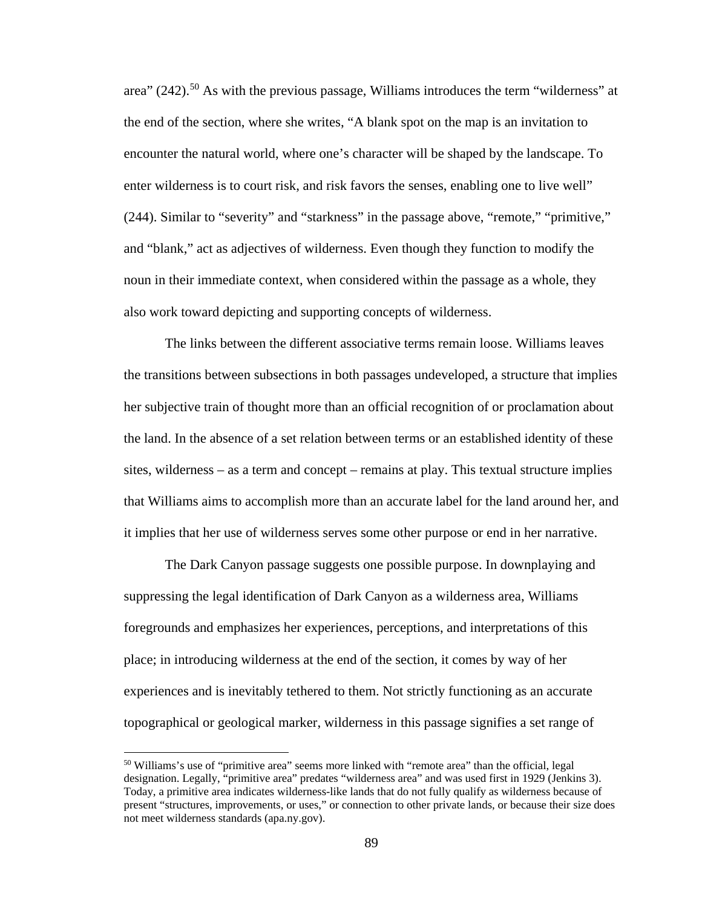area"  $(242)$ <sup>[50](#page-96-0)</sup> As with the previous passage, Williams introduces the term "wilderness" at the end of the section, where she writes, "A blank spot on the map is an invitation to encounter the natural world, where one's character will be shaped by the landscape. To enter wilderness is to court risk, and risk favors the senses, enabling one to live well" (244). Similar to "severity" and "starkness" in the passage above, "remote," "primitive," and "blank," act as adjectives of wilderness. Even though they function to modify the noun in their immediate context, when considered within the passage as a whole, they also work toward depicting and supporting concepts of wilderness.

The links between the different associative terms remain loose. Williams leaves the transitions between subsections in both passages undeveloped, a structure that implies her subjective train of thought more than an official recognition of or proclamation about the land. In the absence of a set relation between terms or an established identity of these sites, wilderness – as a term and concept – remains at play. This textual structure implies that Williams aims to accomplish more than an accurate label for the land around her, and it implies that her use of wilderness serves some other purpose or end in her narrative.

The Dark Canyon passage suggests one possible purpose. In downplaying and suppressing the legal identification of Dark Canyon as a wilderness area, Williams foregrounds and emphasizes her experiences, perceptions, and interpretations of this place; in introducing wilderness at the end of the section, it comes by way of her experiences and is inevitably tethered to them. Not strictly functioning as an accurate topographical or geological marker, wilderness in this passage signifies a set range of

 $\overline{\phantom{a}}$ 

<span id="page-96-0"></span><sup>&</sup>lt;sup>50</sup> Williams's use of "primitive area" seems more linked with "remote area" than the official, legal designation. Legally, "primitive area" predates "wilderness area" and was used first in 1929 (Jenkins 3). Today, a primitive area indicates wilderness-like lands that do not fully qualify as wilderness because of present "structures, improvements, or uses," or connection to other private lands, or because their size does not meet wilderness standards (apa.ny.gov).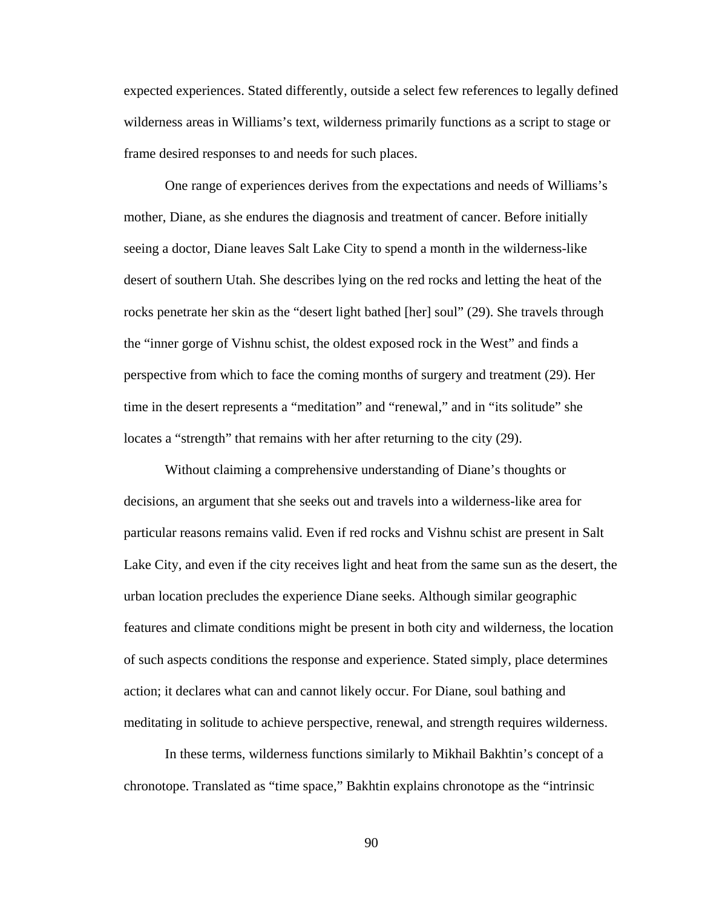expected experiences. Stated differently, outside a select few references to legally defined wilderness areas in Williams's text, wilderness primarily functions as a script to stage or frame desired responses to and needs for such places.

One range of experiences derives from the expectations and needs of Williams's mother, Diane, as she endures the diagnosis and treatment of cancer. Before initially seeing a doctor, Diane leaves Salt Lake City to spend a month in the wilderness-like desert of southern Utah. She describes lying on the red rocks and letting the heat of the rocks penetrate her skin as the "desert light bathed [her] soul" (29). She travels through the "inner gorge of Vishnu schist, the oldest exposed rock in the West" and finds a perspective from which to face the coming months of surgery and treatment (29). Her time in the desert represents a "meditation" and "renewal," and in "its solitude" she locates a "strength" that remains with her after returning to the city (29).

Without claiming a comprehensive understanding of Diane's thoughts or decisions, an argument that she seeks out and travels into a wilderness-like area for particular reasons remains valid. Even if red rocks and Vishnu schist are present in Salt Lake City, and even if the city receives light and heat from the same sun as the desert, the urban location precludes the experience Diane seeks. Although similar geographic features and climate conditions might be present in both city and wilderness, the location of such aspects conditions the response and experience. Stated simply, place determines action; it declares what can and cannot likely occur. For Diane, soul bathing and meditating in solitude to achieve perspective, renewal, and strength requires wilderness.

In these terms, wilderness functions similarly to Mikhail Bakhtin's concept of a chronotope. Translated as "time space," Bakhtin explains chronotope as the "intrinsic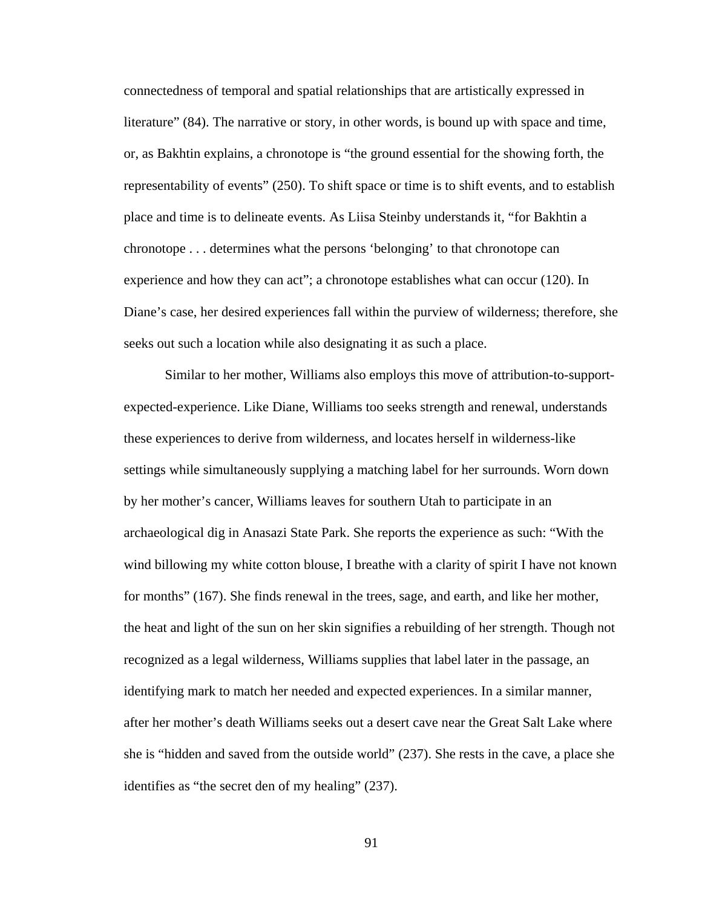connectedness of temporal and spatial relationships that are artistically expressed in literature" (84). The narrative or story, in other words, is bound up with space and time, or, as Bakhtin explains, a chronotope is "the ground essential for the showing forth, the representability of events" (250). To shift space or time is to shift events, and to establish place and time is to delineate events. As Liisa Steinby understands it, "for Bakhtin a chronotope . . . determines what the persons 'belonging' to that chronotope can experience and how they can act"; a chronotope establishes what can occur (120). In Diane's case, her desired experiences fall within the purview of wilderness; therefore, she seeks out such a location while also designating it as such a place.

Similar to her mother, Williams also employs this move of attribution-to-supportexpected-experience. Like Diane, Williams too seeks strength and renewal, understands these experiences to derive from wilderness, and locates herself in wilderness-like settings while simultaneously supplying a matching label for her surrounds. Worn down by her mother's cancer, Williams leaves for southern Utah to participate in an archaeological dig in Anasazi State Park. She reports the experience as such: "With the wind billowing my white cotton blouse, I breathe with a clarity of spirit I have not known for months" (167). She finds renewal in the trees, sage, and earth, and like her mother, the heat and light of the sun on her skin signifies a rebuilding of her strength. Though not recognized as a legal wilderness, Williams supplies that label later in the passage, an identifying mark to match her needed and expected experiences. In a similar manner, after her mother's death Williams seeks out a desert cave near the Great Salt Lake where she is "hidden and saved from the outside world" (237). She rests in the cave, a place she identifies as "the secret den of my healing" (237).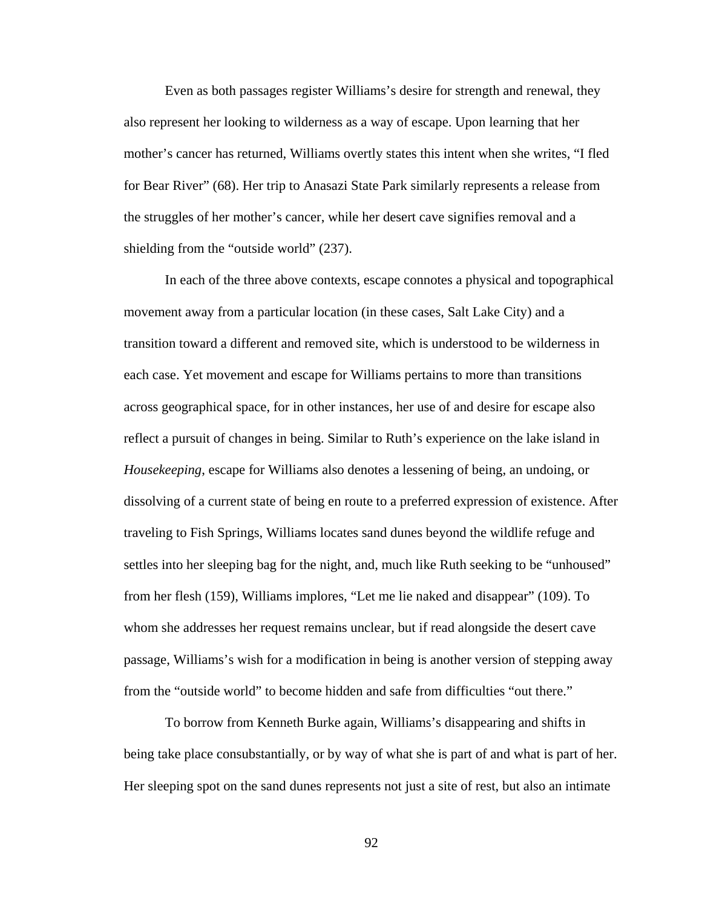Even as both passages register Williams's desire for strength and renewal, they also represent her looking to wilderness as a way of escape. Upon learning that her mother's cancer has returned, Williams overtly states this intent when she writes, "I fled for Bear River" (68). Her trip to Anasazi State Park similarly represents a release from the struggles of her mother's cancer, while her desert cave signifies removal and a shielding from the "outside world" (237).

In each of the three above contexts, escape connotes a physical and topographical movement away from a particular location (in these cases, Salt Lake City) and a transition toward a different and removed site, which is understood to be wilderness in each case. Yet movement and escape for Williams pertains to more than transitions across geographical space, for in other instances, her use of and desire for escape also reflect a pursuit of changes in being. Similar to Ruth's experience on the lake island in *Housekeeping*, escape for Williams also denotes a lessening of being, an undoing, or dissolving of a current state of being en route to a preferred expression of existence. After traveling to Fish Springs, Williams locates sand dunes beyond the wildlife refuge and settles into her sleeping bag for the night, and, much like Ruth seeking to be "unhoused" from her flesh (159), Williams implores, "Let me lie naked and disappear" (109). To whom she addresses her request remains unclear, but if read alongside the desert cave passage, Williams's wish for a modification in being is another version of stepping away from the "outside world" to become hidden and safe from difficulties "out there."

To borrow from Kenneth Burke again, Williams's disappearing and shifts in being take place consubstantially, or by way of what she is part of and what is part of her. Her sleeping spot on the sand dunes represents not just a site of rest, but also an intimate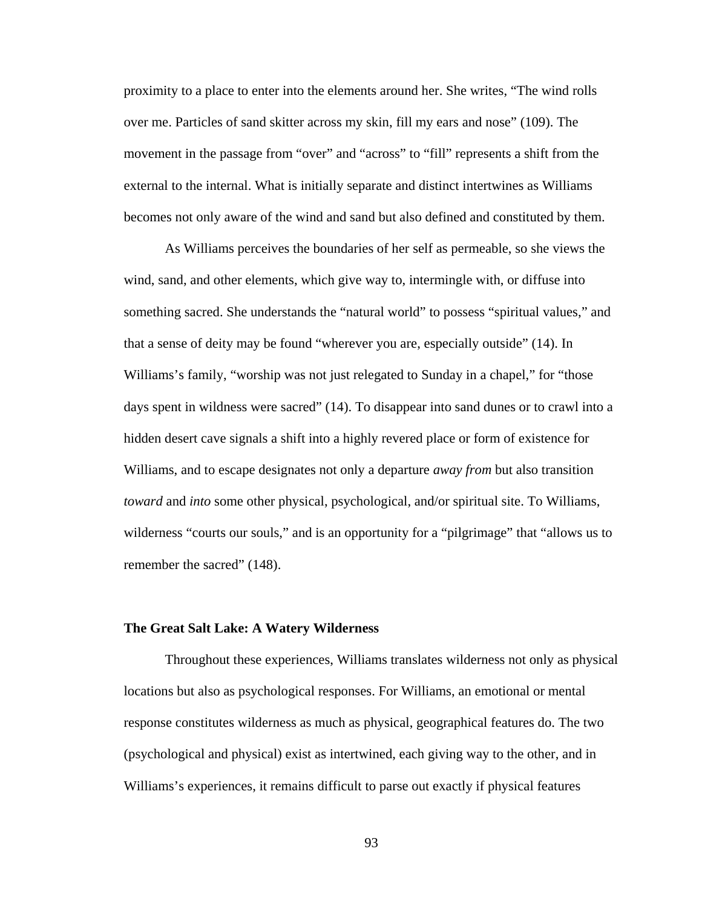proximity to a place to enter into the elements around her. She writes, "The wind rolls over me. Particles of sand skitter across my skin, fill my ears and nose" (109). The movement in the passage from "over" and "across" to "fill" represents a shift from the external to the internal. What is initially separate and distinct intertwines as Williams becomes not only aware of the wind and sand but also defined and constituted by them.

As Williams perceives the boundaries of her self as permeable, so she views the wind, sand, and other elements, which give way to, intermingle with, or diffuse into something sacred. She understands the "natural world" to possess "spiritual values," and that a sense of deity may be found "wherever you are, especially outside" (14). In Williams's family, "worship was not just relegated to Sunday in a chapel," for "those days spent in wildness were sacred" (14). To disappear into sand dunes or to crawl into a hidden desert cave signals a shift into a highly revered place or form of existence for Williams, and to escape designates not only a departure *away from* but also transition *toward* and *into* some other physical, psychological, and/or spiritual site. To Williams, wilderness "courts our souls," and is an opportunity for a "pilgrimage" that "allows us to remember the sacred" (148).

### **The Great Salt Lake: A Watery Wilderness**

Throughout these experiences, Williams translates wilderness not only as physical locations but also as psychological responses. For Williams, an emotional or mental response constitutes wilderness as much as physical, geographical features do. The two (psychological and physical) exist as intertwined, each giving way to the other, and in Williams's experiences, it remains difficult to parse out exactly if physical features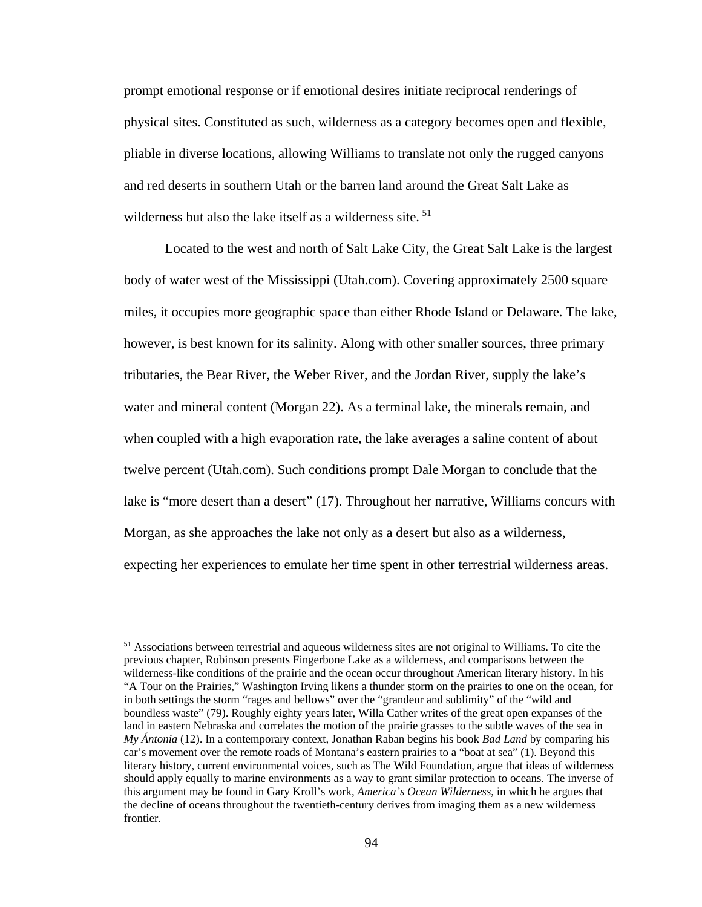prompt emotional response or if emotional desires initiate reciprocal renderings of physical sites. Constituted as such, wilderness as a category becomes open and flexible, pliable in diverse locations, allowing Williams to translate not only the rugged canyons and red deserts in southern Utah or the barren land around the Great Salt Lake as wilderness but also the lake itself as a wilderness site.<sup>[51](#page-101-0)</sup>

Located to the west and north of Salt Lake City, the Great Salt Lake is the largest body of water west of the Mississippi (Utah.com). Covering approximately 2500 square miles, it occupies more geographic space than either Rhode Island or Delaware. The lake, however, is best known for its salinity. Along with other smaller sources, three primary tributaries, the Bear River, the Weber River, and the Jordan River, supply the lake's water and mineral content (Morgan 22). As a terminal lake, the minerals remain, and when coupled with a high evaporation rate, the lake averages a saline content of about twelve percent (Utah.com). Such conditions prompt Dale Morgan to conclude that the lake is "more desert than a desert" (17). Throughout her narrative, Williams concurs with Morgan, as she approaches the lake not only as a desert but also as a wilderness, expecting her experiences to emulate her time spent in other terrestrial wilderness areas.

 $\overline{\phantom{a}}$ 

<span id="page-101-0"></span><sup>&</sup>lt;sup>51</sup> Associations between terrestrial and aqueous wilderness sites are not original to Williams. To cite the previous chapter, Robinson presents Fingerbone Lake as a wilderness, and comparisons between the wilderness-like conditions of the prairie and the ocean occur throughout American literary history. In his "A Tour on the Prairies," Washington Irving likens a thunder storm on the prairies to one on the ocean, for in both settings the storm "rages and bellows" over the "grandeur and sublimity" of the "wild and boundless waste" (79). Roughly eighty years later, Willa Cather writes of the great open expanses of the land in eastern Nebraska and correlates the motion of the prairie grasses to the subtle waves of the sea in *My Ántonia* (12). In a contemporary context, Jonathan Raban begins his book *Bad Land* by comparing his car's movement over the remote roads of Montana's eastern prairies to a "boat at sea" (1). Beyond this literary history, current environmental voices, such as The Wild Foundation, argue that ideas of wilderness should apply equally to marine environments as a way to grant similar protection to oceans. The inverse of this argument may be found in Gary Kroll's work, *America's Ocean Wilderness*, in which he argues that the decline of oceans throughout the twentieth-century derives from imaging them as a new wilderness frontier.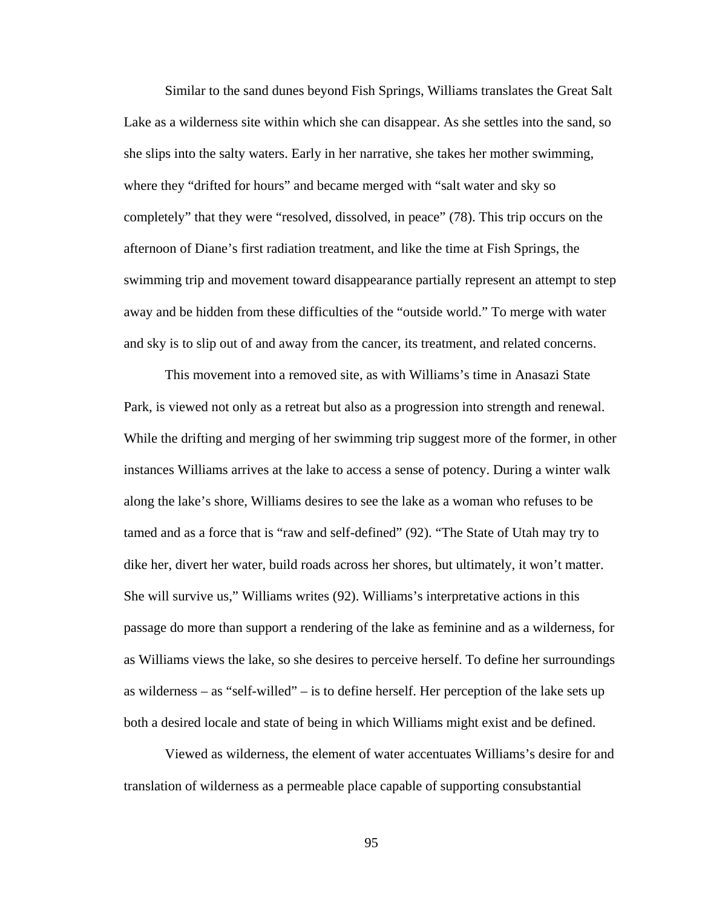Similar to the sand dunes beyond Fish Springs, Williams translates the Great Salt Lake as a wilderness site within which she can disappear. As she settles into the sand, so she slips into the salty waters. Early in her narrative, she takes her mother swimming, where they "drifted for hours" and became merged with "salt water and sky so completely" that they were "resolved, dissolved, in peace" (78). This trip occurs on the afternoon of Diane's first radiation treatment, and like the time at Fish Springs, the swimming trip and movement toward disappearance partially represent an attempt to step away and be hidden from these difficulties of the "outside world." To merge with water and sky is to slip out of and away from the cancer, its treatment, and related concerns.

This movement into a removed site, as with Williams's time in Anasazi State Park, is viewed not only as a retreat but also as a progression into strength and renewal. While the drifting and merging of her swimming trip suggest more of the former, in other instances Williams arrives at the lake to access a sense of potency. During a winter walk along the lake's shore, Williams desires to see the lake as a woman who refuses to be tamed and as a force that is "raw and self-defined" (92). "The State of Utah may try to dike her, divert her water, build roads across her shores, but ultimately, it won't matter. She will survive us," Williams writes (92). Williams's interpretative actions in this passage do more than support a rendering of the lake as feminine and as a wilderness, for as Williams views the lake, so she desires to perceive herself. To define her surroundings as wilderness – as "self-willed" – is to define herself. Her perception of the lake sets up both a desired locale and state of being in which Williams might exist and be defined.

Viewed as wilderness, the element of water accentuates Williams's desire for and translation of wilderness as a permeable place capable of supporting consubstantial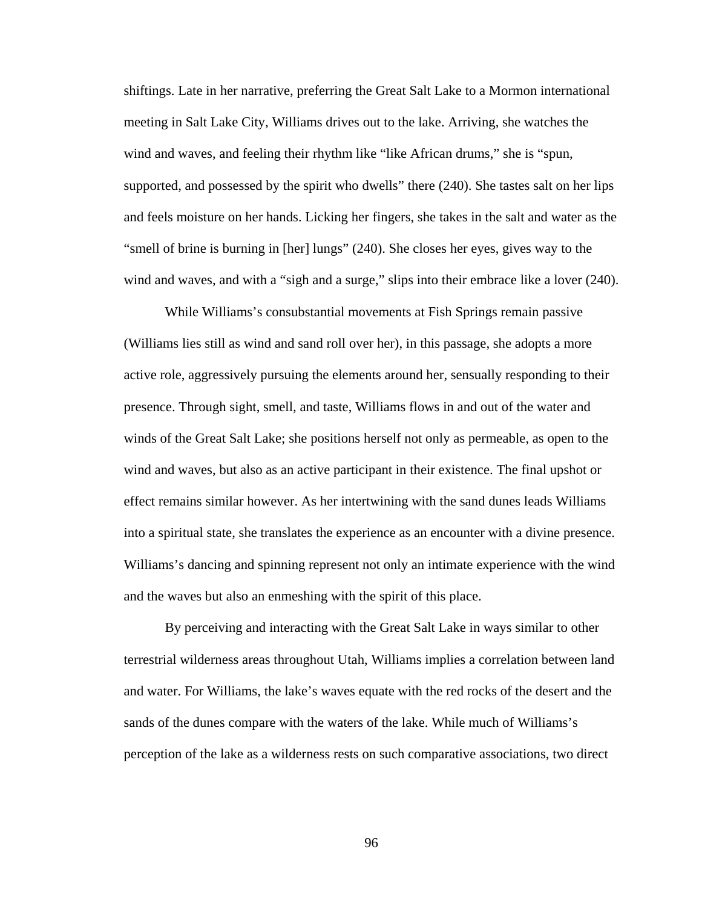shiftings. Late in her narrative, preferring the Great Salt Lake to a Mormon international meeting in Salt Lake City, Williams drives out to the lake. Arriving, she watches the wind and waves, and feeling their rhythm like "like African drums," she is "spun, supported, and possessed by the spirit who dwells" there (240). She tastes salt on her lips and feels moisture on her hands. Licking her fingers, she takes in the salt and water as the "smell of brine is burning in [her] lungs" (240). She closes her eyes, gives way to the wind and waves, and with a "sigh and a surge," slips into their embrace like a lover (240).

While Williams's consubstantial movements at Fish Springs remain passive (Williams lies still as wind and sand roll over her), in this passage, she adopts a more active role, aggressively pursuing the elements around her, sensually responding to their presence. Through sight, smell, and taste, Williams flows in and out of the water and winds of the Great Salt Lake; she positions herself not only as permeable, as open to the wind and waves, but also as an active participant in their existence. The final upshot or effect remains similar however. As her intertwining with the sand dunes leads Williams into a spiritual state, she translates the experience as an encounter with a divine presence. Williams's dancing and spinning represent not only an intimate experience with the wind and the waves but also an enmeshing with the spirit of this place.

By perceiving and interacting with the Great Salt Lake in ways similar to other terrestrial wilderness areas throughout Utah, Williams implies a correlation between land and water. For Williams, the lake's waves equate with the red rocks of the desert and the sands of the dunes compare with the waters of the lake. While much of Williams's perception of the lake as a wilderness rests on such comparative associations, two direct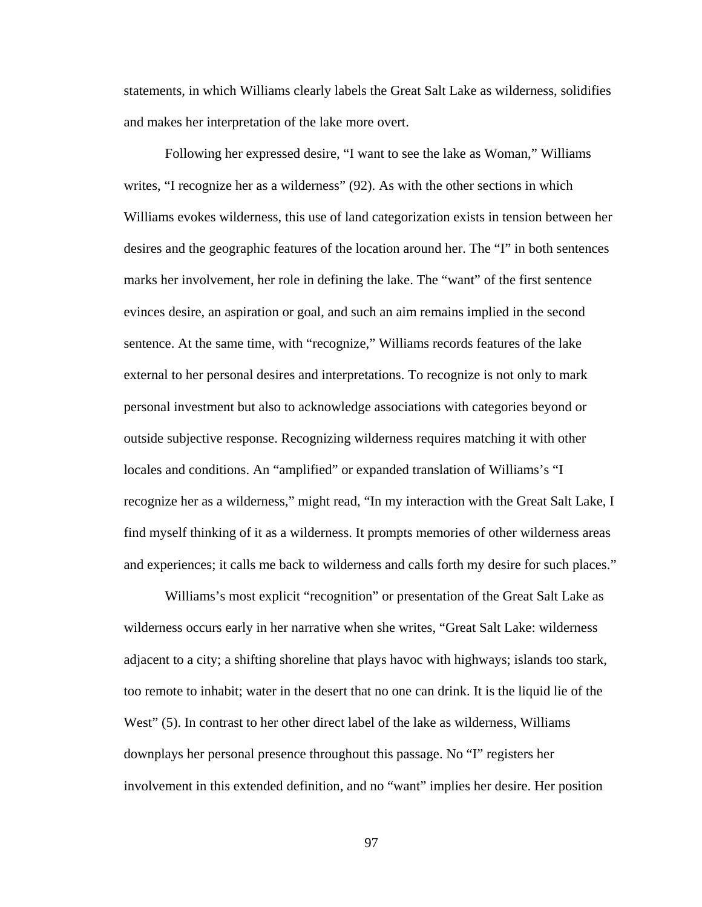statements, in which Williams clearly labels the Great Salt Lake as wilderness, solidifies and makes her interpretation of the lake more overt.

Following her expressed desire, "I want to see the lake as Woman," Williams writes, "I recognize her as a wilderness" (92). As with the other sections in which Williams evokes wilderness, this use of land categorization exists in tension between her desires and the geographic features of the location around her. The "I" in both sentences marks her involvement, her role in defining the lake. The "want" of the first sentence evinces desire, an aspiration or goal, and such an aim remains implied in the second sentence. At the same time, with "recognize," Williams records features of the lake external to her personal desires and interpretations. To recognize is not only to mark personal investment but also to acknowledge associations with categories beyond or outside subjective response. Recognizing wilderness requires matching it with other locales and conditions. An "amplified" or expanded translation of Williams's "I recognize her as a wilderness," might read, "In my interaction with the Great Salt Lake, I find myself thinking of it as a wilderness. It prompts memories of other wilderness areas and experiences; it calls me back to wilderness and calls forth my desire for such places."

Williams's most explicit "recognition" or presentation of the Great Salt Lake as wilderness occurs early in her narrative when she writes, "Great Salt Lake: wilderness adjacent to a city; a shifting shoreline that plays havoc with highways; islands too stark, too remote to inhabit; water in the desert that no one can drink. It is the liquid lie of the West" (5). In contrast to her other direct label of the lake as wilderness, Williams downplays her personal presence throughout this passage. No "I" registers her involvement in this extended definition, and no "want" implies her desire. Her position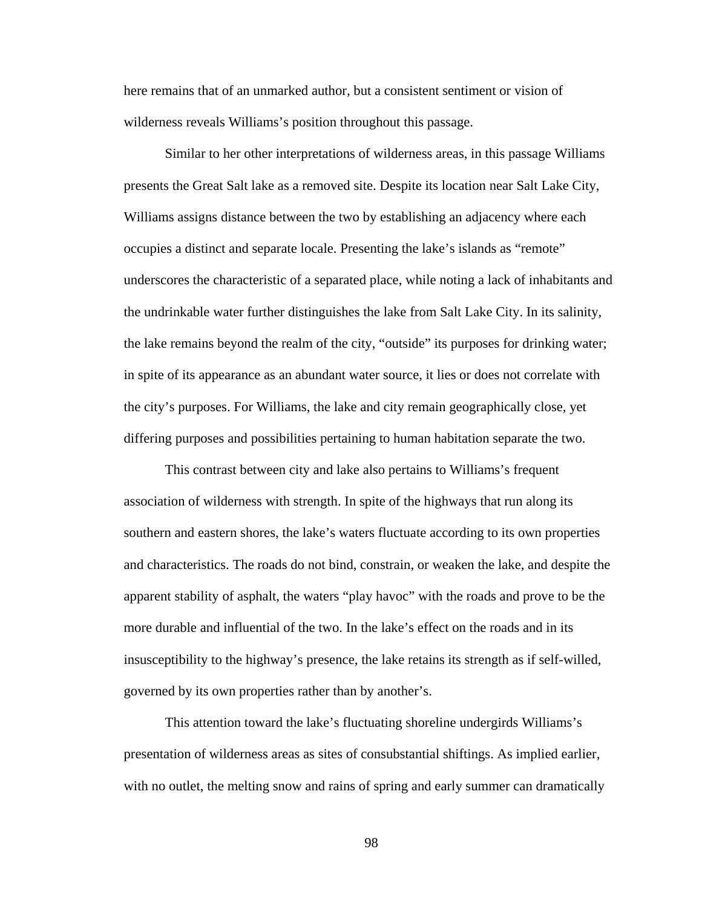here remains that of an unmarked author, but a consistent sentiment or vision of wilderness reveals Williams's position throughout this passage.

Similar to her other interpretations of wilderness areas, in this passage Williams presents the Great Salt lake as a removed site. Despite its location near Salt Lake City, Williams assigns distance between the two by establishing an adjacency where each occupies a distinct and separate locale. Presenting the lake's islands as "remote" underscores the characteristic of a separated place, while noting a lack of inhabitants and the undrinkable water further distinguishes the lake from Salt Lake City. In its salinity, the lake remains beyond the realm of the city, "outside" its purposes for drinking water; in spite of its appearance as an abundant water source, it lies or does not correlate with the city's purposes. For Williams, the lake and city remain geographically close, yet differing purposes and possibilities pertaining to human habitation separate the two.

This contrast between city and lake also pertains to Williams's frequent association of wilderness with strength. In spite of the highways that run along its southern and eastern shores, the lake's waters fluctuate according to its own properties and characteristics. The roads do not bind, constrain, or weaken the lake, and despite the apparent stability of asphalt, the waters "play havoc" with the roads and prove to be the more durable and influential of the two. In the lake's effect on the roads and in its insusceptibility to the highway's presence, the lake retains its strength as if self-willed, governed by its own properties rather than by another's.

This attention toward the lake's fluctuating shoreline undergirds Williams's presentation of wilderness areas as sites of consubstantial shiftings. As implied earlier, with no outlet, the melting snow and rains of spring and early summer can dramatically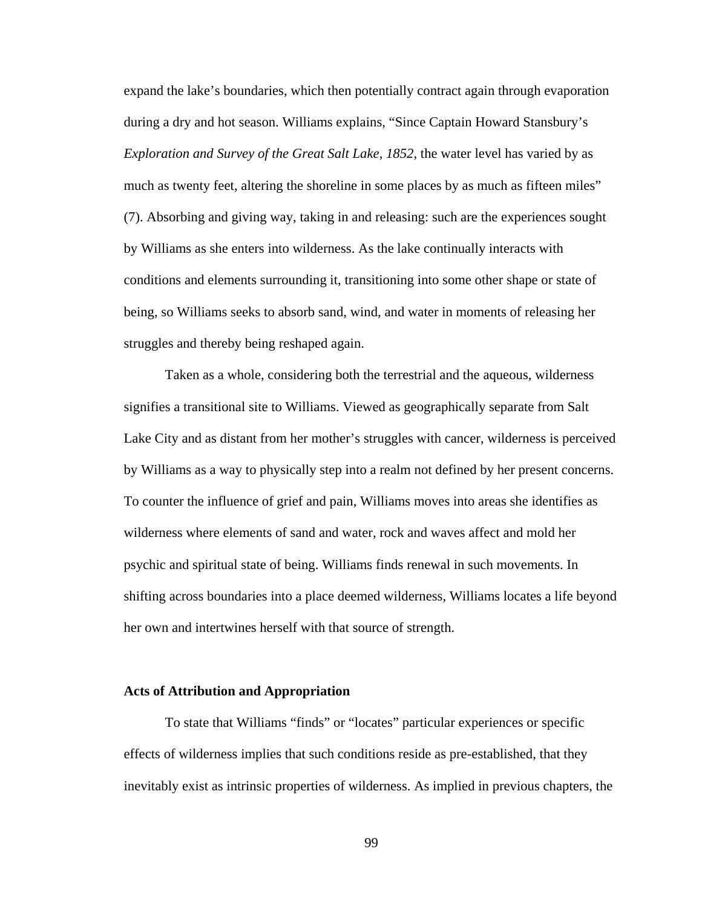expand the lake's boundaries, which then potentially contract again through evaporation during a dry and hot season. Williams explains, "Since Captain Howard Stansbury's *Exploration and Survey of the Great Salt Lake, 1852*, the water level has varied by as much as twenty feet, altering the shoreline in some places by as much as fifteen miles" (7). Absorbing and giving way, taking in and releasing: such are the experiences sought by Williams as she enters into wilderness. As the lake continually interacts with conditions and elements surrounding it, transitioning into some other shape or state of being, so Williams seeks to absorb sand, wind, and water in moments of releasing her struggles and thereby being reshaped again.

Taken as a whole, considering both the terrestrial and the aqueous, wilderness signifies a transitional site to Williams. Viewed as geographically separate from Salt Lake City and as distant from her mother's struggles with cancer, wilderness is perceived by Williams as a way to physically step into a realm not defined by her present concerns. To counter the influence of grief and pain, Williams moves into areas she identifies as wilderness where elements of sand and water, rock and waves affect and mold her psychic and spiritual state of being. Williams finds renewal in such movements. In shifting across boundaries into a place deemed wilderness, Williams locates a life beyond her own and intertwines herself with that source of strength.

### **Acts of Attribution and Appropriation**

To state that Williams "finds" or "locates" particular experiences or specific effects of wilderness implies that such conditions reside as pre-established, that they inevitably exist as intrinsic properties of wilderness. As implied in previous chapters, the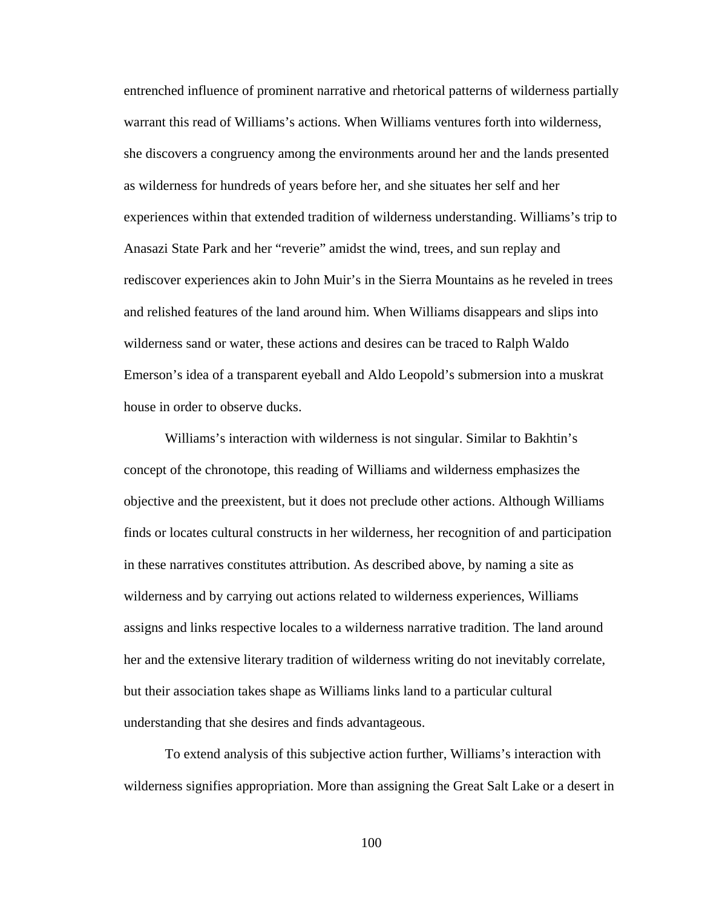entrenched influence of prominent narrative and rhetorical patterns of wilderness partially warrant this read of Williams's actions. When Williams ventures forth into wilderness, she discovers a congruency among the environments around her and the lands presented as wilderness for hundreds of years before her, and she situates her self and her experiences within that extended tradition of wilderness understanding. Williams's trip to Anasazi State Park and her "reverie" amidst the wind, trees, and sun replay and rediscover experiences akin to John Muir's in the Sierra Mountains as he reveled in trees and relished features of the land around him. When Williams disappears and slips into wilderness sand or water, these actions and desires can be traced to Ralph Waldo Emerson's idea of a transparent eyeball and Aldo Leopold's submersion into a muskrat house in order to observe ducks.

Williams's interaction with wilderness is not singular. Similar to Bakhtin's concept of the chronotope, this reading of Williams and wilderness emphasizes the objective and the preexistent, but it does not preclude other actions. Although Williams finds or locates cultural constructs in her wilderness, her recognition of and participation in these narratives constitutes attribution. As described above, by naming a site as wilderness and by carrying out actions related to wilderness experiences, Williams assigns and links respective locales to a wilderness narrative tradition. The land around her and the extensive literary tradition of wilderness writing do not inevitably correlate, but their association takes shape as Williams links land to a particular cultural understanding that she desires and finds advantageous.

To extend analysis of this subjective action further, Williams's interaction with wilderness signifies appropriation. More than assigning the Great Salt Lake or a desert in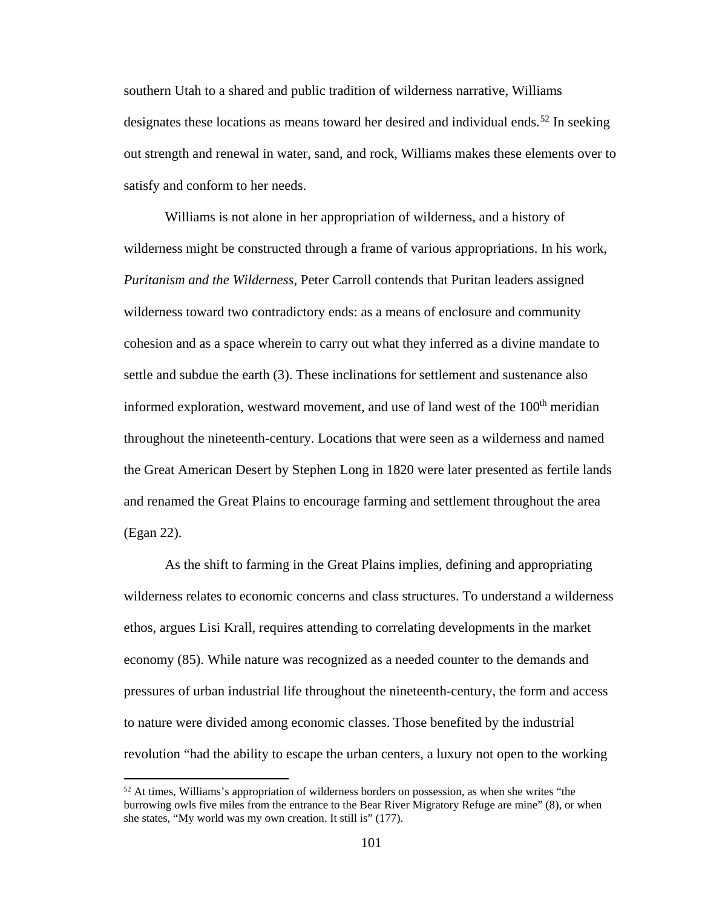southern Utah to a shared and public tradition of wilderness narrative, Williams designates these locations as means toward her desired and individual ends.<sup>[52](#page-108-0)</sup> In seeking out strength and renewal in water, sand, and rock, Williams makes these elements over to satisfy and conform to her needs.

Williams is not alone in her appropriation of wilderness, and a history of wilderness might be constructed through a frame of various appropriations. In his work, *Puritanism and the Wilderness,* Peter Carroll contends that Puritan leaders assigned wilderness toward two contradictory ends: as a means of enclosure and community cohesion and as a space wherein to carry out what they inferred as a divine mandate to settle and subdue the earth (3). These inclinations for settlement and sustenance also informed exploration, westward movement, and use of land west of the  $100<sup>th</sup>$  meridian throughout the nineteenth-century. Locations that were seen as a wilderness and named the Great American Desert by Stephen Long in 1820 were later presented as fertile lands and renamed the Great Plains to encourage farming and settlement throughout the area (Egan 22).

As the shift to farming in the Great Plains implies, defining and appropriating wilderness relates to economic concerns and class structures. To understand a wilderness ethos, argues Lisi Krall, requires attending to correlating developments in the market economy (85). While nature was recognized as a needed counter to the demands and pressures of urban industrial life throughout the nineteenth-century, the form and access to nature were divided among economic classes. Those benefited by the industrial revolution "had the ability to escape the urban centers, a luxury not open to the working

l

<span id="page-108-0"></span> $52$  At times, Williams's appropriation of wilderness borders on possession, as when she writes "the burrowing owls five miles from the entrance to the Bear River Migratory Refuge are mine" (8), or when she states, "My world was my own creation. It still is" (177).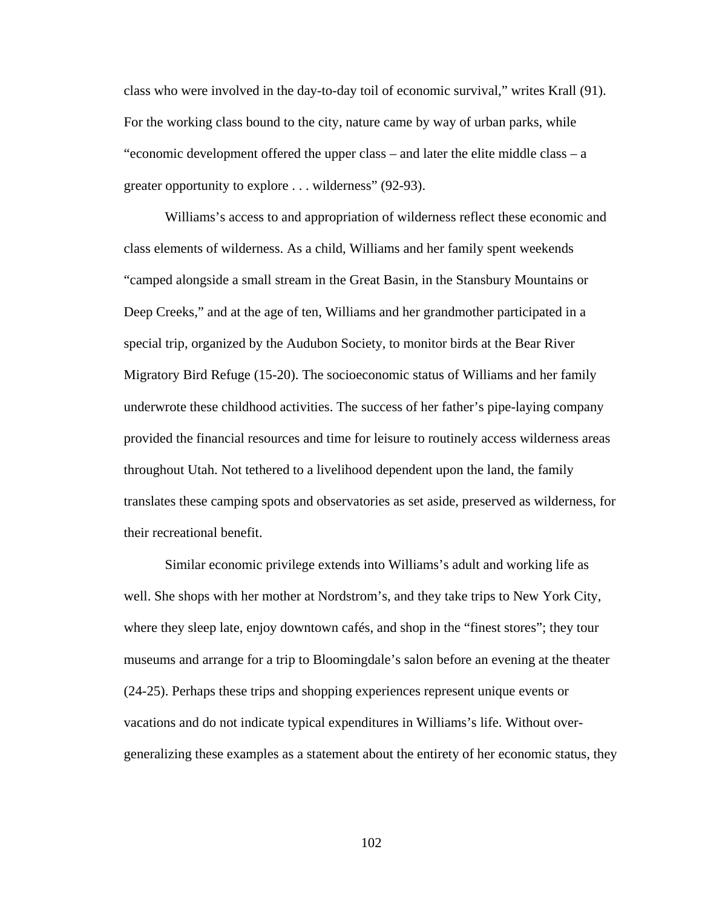class who were involved in the day-to-day toil of economic survival," writes Krall (91). For the working class bound to the city, nature came by way of urban parks, while "economic development offered the upper class – and later the elite middle class – a greater opportunity to explore . . . wilderness" (92-93).

Williams's access to and appropriation of wilderness reflect these economic and class elements of wilderness. As a child, Williams and her family spent weekends "camped alongside a small stream in the Great Basin, in the Stansbury Mountains or Deep Creeks," and at the age of ten, Williams and her grandmother participated in a special trip, organized by the Audubon Society, to monitor birds at the Bear River Migratory Bird Refuge (15-20). The socioeconomic status of Williams and her family underwrote these childhood activities. The success of her father's pipe-laying company provided the financial resources and time for leisure to routinely access wilderness areas throughout Utah. Not tethered to a livelihood dependent upon the land, the family translates these camping spots and observatories as set aside, preserved as wilderness, for their recreational benefit.

Similar economic privilege extends into Williams's adult and working life as well. She shops with her mother at Nordstrom's, and they take trips to New York City, where they sleep late, enjoy downtown cafés, and shop in the "finest stores"; they tour museums and arrange for a trip to Bloomingdale's salon before an evening at the theater (24-25). Perhaps these trips and shopping experiences represent unique events or vacations and do not indicate typical expenditures in Williams's life. Without overgeneralizing these examples as a statement about the entirety of her economic status, they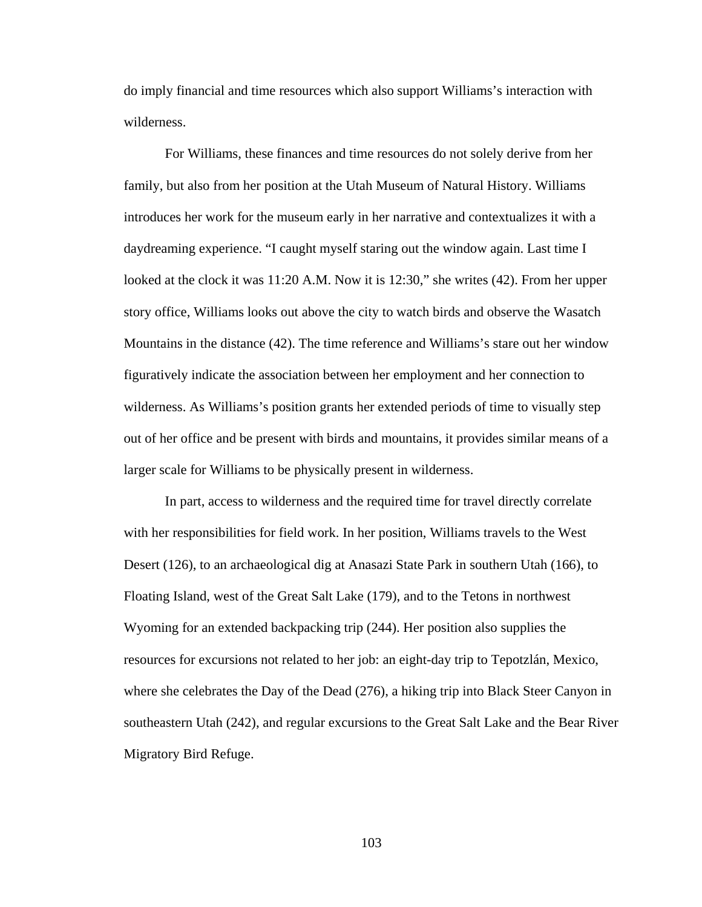do imply financial and time resources which also support Williams's interaction with wilderness.

For Williams, these finances and time resources do not solely derive from her family, but also from her position at the Utah Museum of Natural History. Williams introduces her work for the museum early in her narrative and contextualizes it with a daydreaming experience. "I caught myself staring out the window again. Last time I looked at the clock it was 11:20 A.M. Now it is 12:30," she writes (42). From her upper story office, Williams looks out above the city to watch birds and observe the Wasatch Mountains in the distance (42). The time reference and Williams's stare out her window figuratively indicate the association between her employment and her connection to wilderness. As Williams's position grants her extended periods of time to visually step out of her office and be present with birds and mountains, it provides similar means of a larger scale for Williams to be physically present in wilderness.

In part, access to wilderness and the required time for travel directly correlate with her responsibilities for field work. In her position, Williams travels to the West Desert (126), to an archaeological dig at Anasazi State Park in southern Utah (166), to Floating Island, west of the Great Salt Lake (179), and to the Tetons in northwest Wyoming for an extended backpacking trip (244). Her position also supplies the resources for excursions not related to her job: an eight-day trip to Tepotzlán, Mexico, where she celebrates the Day of the Dead (276), a hiking trip into Black Steer Canyon in southeastern Utah (242), and regular excursions to the Great Salt Lake and the Bear River Migratory Bird Refuge.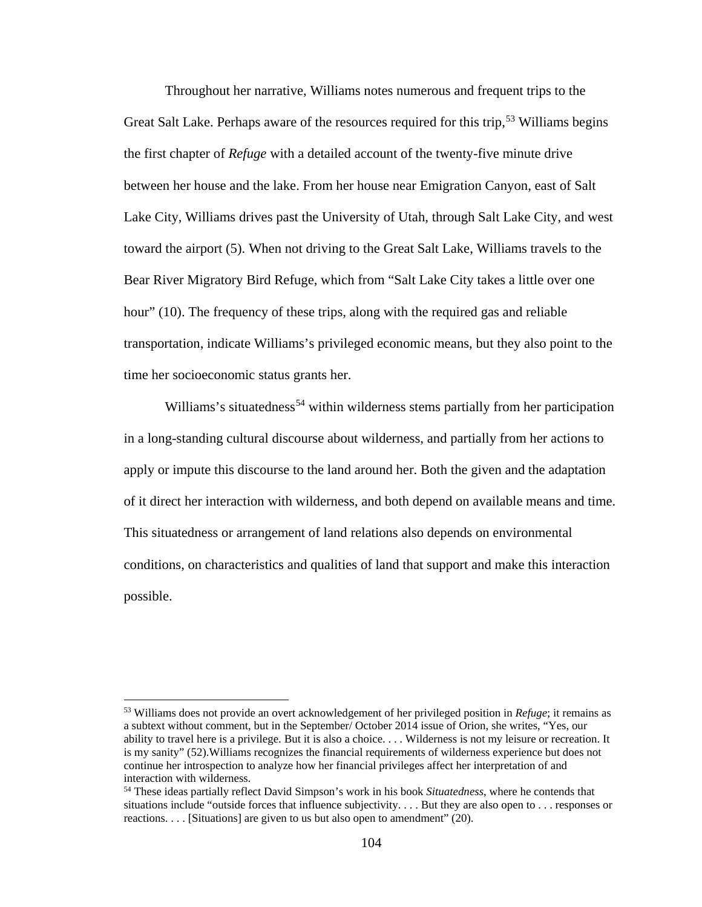Throughout her narrative, Williams notes numerous and frequent trips to the Great Salt Lake. Perhaps aware of the resources required for this trip,<sup>[53](#page-111-0)</sup> Williams begins the first chapter of *Refuge* with a detailed account of the twenty-five minute drive between her house and the lake. From her house near Emigration Canyon, east of Salt Lake City, Williams drives past the University of Utah, through Salt Lake City, and west toward the airport (5). When not driving to the Great Salt Lake, Williams travels to the Bear River Migratory Bird Refuge, which from "Salt Lake City takes a little over one hour" (10). The frequency of these trips, along with the required gas and reliable transportation, indicate Williams's privileged economic means, but they also point to the time her socioeconomic status grants her.

Williams's situatedness<sup>[54](#page-111-1)</sup> within wilderness stems partially from her participation in a long-standing cultural discourse about wilderness, and partially from her actions to apply or impute this discourse to the land around her. Both the given and the adaptation of it direct her interaction with wilderness, and both depend on available means and time. This situatedness or arrangement of land relations also depends on environmental conditions, on characteristics and qualities of land that support and make this interaction possible.

l

<span id="page-111-0"></span><sup>53</sup> Williams does not provide an overt acknowledgement of her privileged position in *Refuge*; it remains as a subtext without comment, but in the September/ October 2014 issue of Orion, she writes, "Yes, our ability to travel here is a privilege. But it is also a choice. . . . Wilderness is not my leisure or recreation. It is my sanity" (52).Williams recognizes the financial requirements of wilderness experience but does not continue her introspection to analyze how her financial privileges affect her interpretation of and interaction with wilderness.

<span id="page-111-1"></span><sup>54</sup> These ideas partially reflect David Simpson's work in his book *Situatedness*, where he contends that situations include "outside forces that influence subjectivity. . . . But they are also open to . . . responses or reactions. . . . [Situations] are given to us but also open to amendment" (20).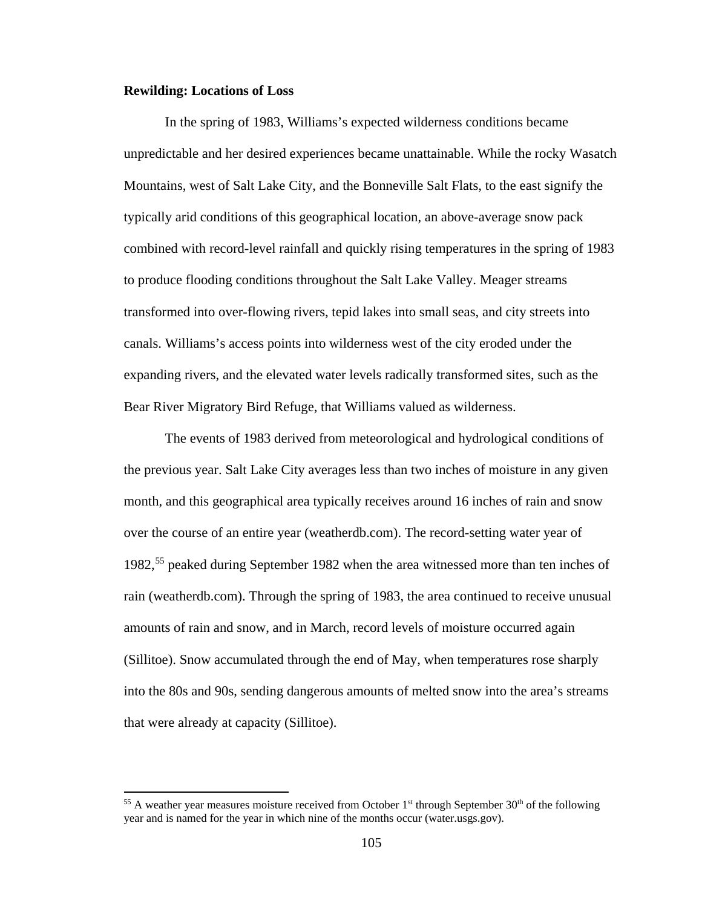#### **Rewilding: Locations of Loss**

 $\overline{\phantom{a}}$ 

In the spring of 1983, Williams's expected wilderness conditions became unpredictable and her desired experiences became unattainable. While the rocky Wasatch Mountains, west of Salt Lake City, and the Bonneville Salt Flats, to the east signify the typically arid conditions of this geographical location, an above-average snow pack combined with record-level rainfall and quickly rising temperatures in the spring of 1983 to produce flooding conditions throughout the Salt Lake Valley. Meager streams transformed into over-flowing rivers, tepid lakes into small seas, and city streets into canals. Williams's access points into wilderness west of the city eroded under the expanding rivers, and the elevated water levels radically transformed sites, such as the Bear River Migratory Bird Refuge, that Williams valued as wilderness.

The events of 1983 derived from meteorological and hydrological conditions of the previous year. Salt Lake City averages less than two inches of moisture in any given month, and this geographical area typically receives around 16 inches of rain and snow over the course of an entire year (weatherdb.com). The record-setting water year of 1982,[55](#page-112-0) peaked during September 1982 when the area witnessed more than ten inches of rain (weatherdb.com). Through the spring of 1983, the area continued to receive unusual amounts of rain and snow, and in March, record levels of moisture occurred again (Sillitoe). Snow accumulated through the end of May, when temperatures rose sharply into the 80s and 90s, sending dangerous amounts of melted snow into the area's streams that were already at capacity (Sillitoe).

<span id="page-112-0"></span><sup>&</sup>lt;sup>55</sup> A weather year measures moisture received from October 1<sup>st</sup> through September 30<sup>th</sup> of the following year and is named for the year in which nine of the months occur (water.usgs.gov).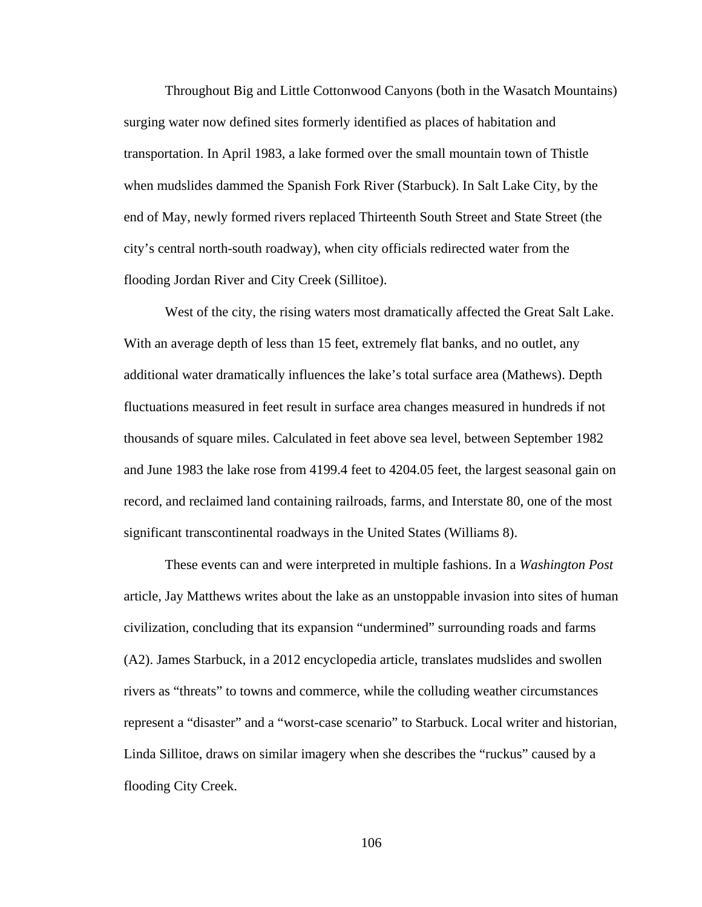Throughout Big and Little Cottonwood Canyons (both in the Wasatch Mountains) surging water now defined sites formerly identified as places of habitation and transportation. In April 1983, a lake formed over the small mountain town of Thistle when mudslides dammed the Spanish Fork River (Starbuck). In Salt Lake City, by the end of May, newly formed rivers replaced Thirteenth South Street and State Street (the city's central north-south roadway), when city officials redirected water from the flooding Jordan River and City Creek (Sillitoe).

West of the city, the rising waters most dramatically affected the Great Salt Lake. With an average depth of less than 15 feet, extremely flat banks, and no outlet, any additional water dramatically influences the lake's total surface area (Mathews). Depth fluctuations measured in feet result in surface area changes measured in hundreds if not thousands of square miles. Calculated in feet above sea level, between September 1982 and June 1983 the lake rose from 4199.4 feet to 4204.05 feet, the largest seasonal gain on record, and reclaimed land containing railroads, farms, and Interstate 80, one of the most significant transcontinental roadways in the United States (Williams 8).

These events can and were interpreted in multiple fashions. In a *Washington Post* article, Jay Matthews writes about the lake as an unstoppable invasion into sites of human civilization, concluding that its expansion "undermined" surrounding roads and farms (A2). James Starbuck, in a 2012 encyclopedia article, translates mudslides and swollen rivers as "threats" to towns and commerce, while the colluding weather circumstances represent a "disaster" and a "worst-case scenario" to Starbuck. Local writer and historian, Linda Sillitoe, draws on similar imagery when she describes the "ruckus" caused by a flooding City Creek.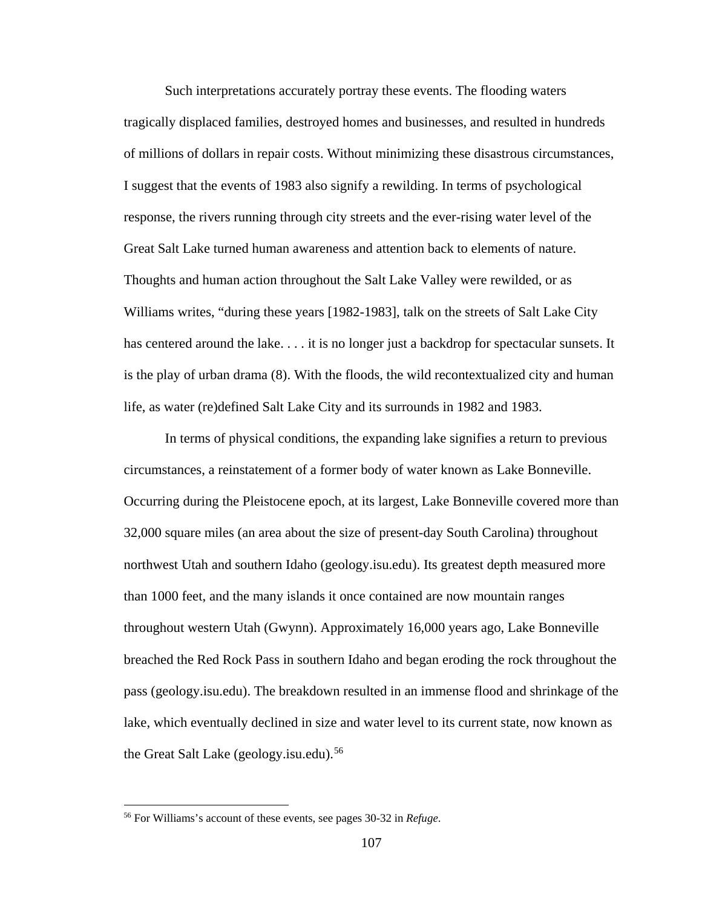Such interpretations accurately portray these events. The flooding waters tragically displaced families, destroyed homes and businesses, and resulted in hundreds of millions of dollars in repair costs. Without minimizing these disastrous circumstances, I suggest that the events of 1983 also signify a rewilding. In terms of psychological response, the rivers running through city streets and the ever-rising water level of the Great Salt Lake turned human awareness and attention back to elements of nature. Thoughts and human action throughout the Salt Lake Valley were rewilded, or as Williams writes, "during these years [1982-1983], talk on the streets of Salt Lake City has centered around the lake. . . . it is no longer just a backdrop for spectacular sunsets. It is the play of urban drama (8). With the floods, the wild recontextualized city and human life, as water (re)defined Salt Lake City and its surrounds in 1982 and 1983.

In terms of physical conditions, the expanding lake signifies a return to previous circumstances, a reinstatement of a former body of water known as Lake Bonneville. Occurring during the Pleistocene epoch, at its largest, Lake Bonneville covered more than 32,000 square miles (an area about the size of present-day South Carolina) throughout northwest Utah and southern Idaho (geology.isu.edu). Its greatest depth measured more than 1000 feet, and the many islands it once contained are now mountain ranges throughout western Utah (Gwynn). Approximately 16,000 years ago, Lake Bonneville breached the Red Rock Pass in southern Idaho and began eroding the rock throughout the pass (geology.isu.edu). The breakdown resulted in an immense flood and shrinkage of the lake, which eventually declined in size and water level to its current state, now known as the Great Salt Lake (geology.isu.edu).<sup>[56](#page-114-0)</sup>

 $\overline{\phantom{a}}$ 

<span id="page-114-0"></span><sup>56</sup> For Williams's account of these events, see pages 30-32 in *Refuge*.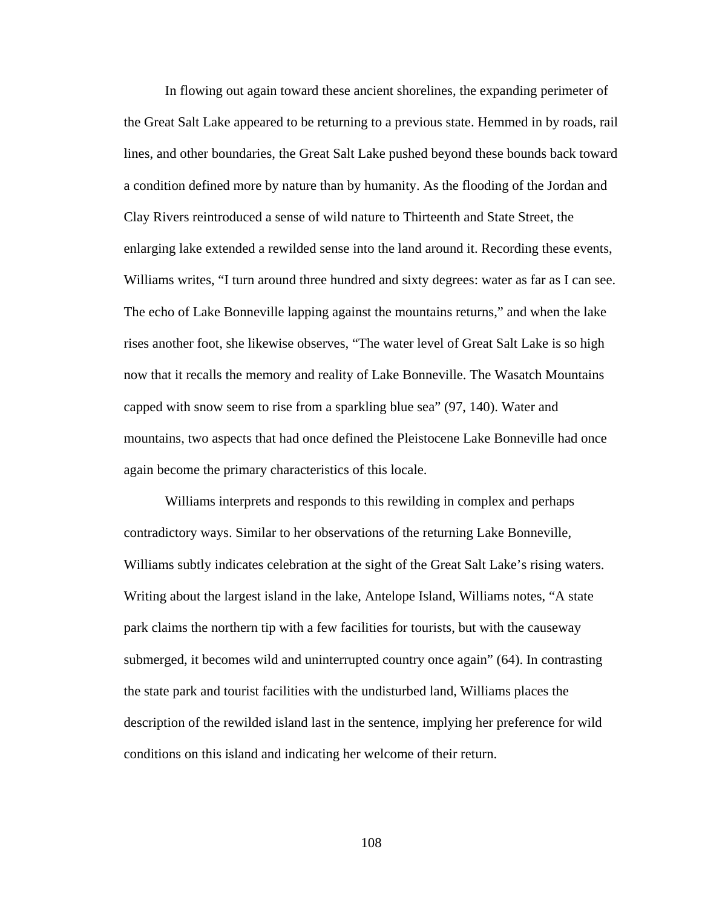In flowing out again toward these ancient shorelines, the expanding perimeter of the Great Salt Lake appeared to be returning to a previous state. Hemmed in by roads, rail lines, and other boundaries, the Great Salt Lake pushed beyond these bounds back toward a condition defined more by nature than by humanity. As the flooding of the Jordan and Clay Rivers reintroduced a sense of wild nature to Thirteenth and State Street, the enlarging lake extended a rewilded sense into the land around it. Recording these events, Williams writes, "I turn around three hundred and sixty degrees: water as far as I can see. The echo of Lake Bonneville lapping against the mountains returns," and when the lake rises another foot, she likewise observes, "The water level of Great Salt Lake is so high now that it recalls the memory and reality of Lake Bonneville. The Wasatch Mountains capped with snow seem to rise from a sparkling blue sea" (97, 140). Water and mountains, two aspects that had once defined the Pleistocene Lake Bonneville had once again become the primary characteristics of this locale.

Williams interprets and responds to this rewilding in complex and perhaps contradictory ways. Similar to her observations of the returning Lake Bonneville, Williams subtly indicates celebration at the sight of the Great Salt Lake's rising waters. Writing about the largest island in the lake, Antelope Island, Williams notes, "A state park claims the northern tip with a few facilities for tourists, but with the causeway submerged, it becomes wild and uninterrupted country once again" (64). In contrasting the state park and tourist facilities with the undisturbed land, Williams places the description of the rewilded island last in the sentence, implying her preference for wild conditions on this island and indicating her welcome of their return.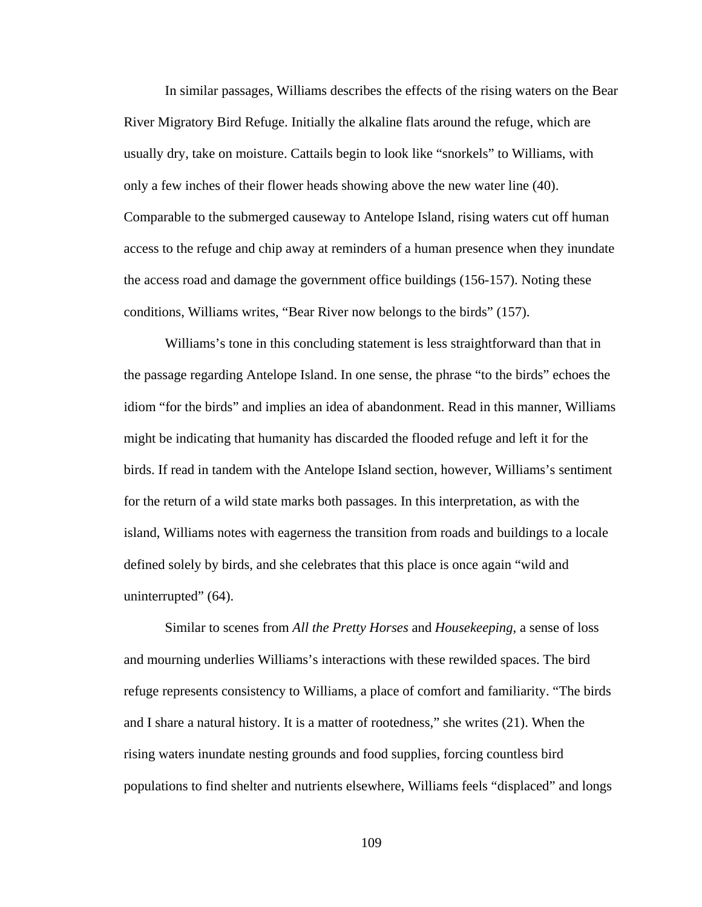In similar passages, Williams describes the effects of the rising waters on the Bear River Migratory Bird Refuge. Initially the alkaline flats around the refuge, which are usually dry, take on moisture. Cattails begin to look like "snorkels" to Williams, with only a few inches of their flower heads showing above the new water line (40). Comparable to the submerged causeway to Antelope Island, rising waters cut off human access to the refuge and chip away at reminders of a human presence when they inundate the access road and damage the government office buildings (156-157). Noting these conditions, Williams writes, "Bear River now belongs to the birds" (157).

Williams's tone in this concluding statement is less straightforward than that in the passage regarding Antelope Island. In one sense, the phrase "to the birds" echoes the idiom "for the birds" and implies an idea of abandonment. Read in this manner, Williams might be indicating that humanity has discarded the flooded refuge and left it for the birds. If read in tandem with the Antelope Island section, however, Williams's sentiment for the return of a wild state marks both passages. In this interpretation, as with the island, Williams notes with eagerness the transition from roads and buildings to a locale defined solely by birds, and she celebrates that this place is once again "wild and uninterrupted" (64).

Similar to scenes from *All the Pretty Horses* and *Housekeeping*, a sense of loss and mourning underlies Williams's interactions with these rewilded spaces. The bird refuge represents consistency to Williams, a place of comfort and familiarity. "The birds and I share a natural history. It is a matter of rootedness," she writes (21). When the rising waters inundate nesting grounds and food supplies, forcing countless bird populations to find shelter and nutrients elsewhere, Williams feels "displaced" and longs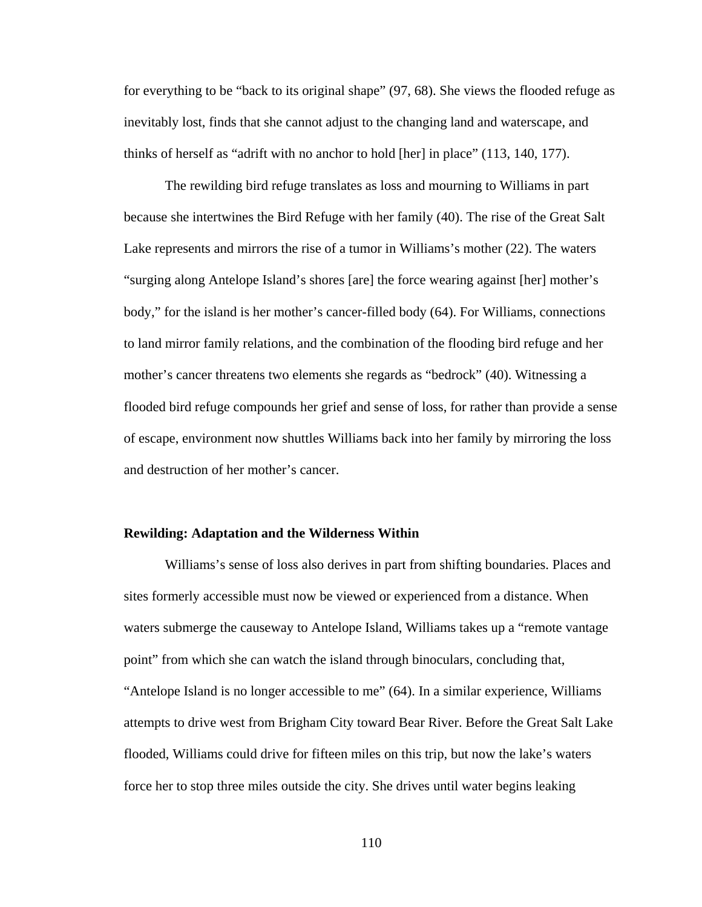for everything to be "back to its original shape" (97, 68). She views the flooded refuge as inevitably lost, finds that she cannot adjust to the changing land and waterscape, and thinks of herself as "adrift with no anchor to hold [her] in place" (113, 140, 177).

The rewilding bird refuge translates as loss and mourning to Williams in part because she intertwines the Bird Refuge with her family (40). The rise of the Great Salt Lake represents and mirrors the rise of a tumor in Williams's mother (22). The waters "surging along Antelope Island's shores [are] the force wearing against [her] mother's body," for the island is her mother's cancer-filled body (64). For Williams, connections to land mirror family relations, and the combination of the flooding bird refuge and her mother's cancer threatens two elements she regards as "bedrock" (40). Witnessing a flooded bird refuge compounds her grief and sense of loss, for rather than provide a sense of escape, environment now shuttles Williams back into her family by mirroring the loss and destruction of her mother's cancer.

#### **Rewilding: Adaptation and the Wilderness Within**

Williams's sense of loss also derives in part from shifting boundaries. Places and sites formerly accessible must now be viewed or experienced from a distance. When waters submerge the causeway to Antelope Island, Williams takes up a "remote vantage point" from which she can watch the island through binoculars, concluding that, "Antelope Island is no longer accessible to me" (64). In a similar experience, Williams attempts to drive west from Brigham City toward Bear River. Before the Great Salt Lake flooded, Williams could drive for fifteen miles on this trip, but now the lake's waters force her to stop three miles outside the city. She drives until water begins leaking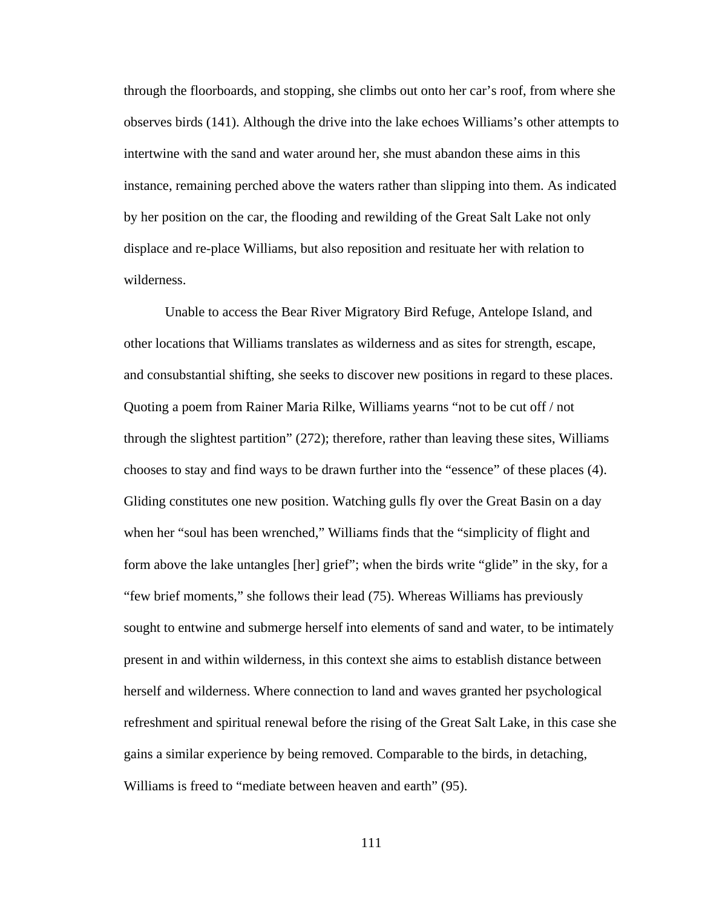through the floorboards, and stopping, she climbs out onto her car's roof, from where she observes birds (141). Although the drive into the lake echoes Williams's other attempts to intertwine with the sand and water around her, she must abandon these aims in this instance, remaining perched above the waters rather than slipping into them. As indicated by her position on the car, the flooding and rewilding of the Great Salt Lake not only displace and re-place Williams, but also reposition and resituate her with relation to wilderness.

Unable to access the Bear River Migratory Bird Refuge, Antelope Island, and other locations that Williams translates as wilderness and as sites for strength, escape, and consubstantial shifting, she seeks to discover new positions in regard to these places. Quoting a poem from Rainer Maria Rilke, Williams yearns "not to be cut off / not through the slightest partition" (272); therefore, rather than leaving these sites, Williams chooses to stay and find ways to be drawn further into the "essence" of these places (4). Gliding constitutes one new position. Watching gulls fly over the Great Basin on a day when her "soul has been wrenched," Williams finds that the "simplicity of flight and form above the lake untangles [her] grief"; when the birds write "glide" in the sky, for a "few brief moments," she follows their lead (75). Whereas Williams has previously sought to entwine and submerge herself into elements of sand and water, to be intimately present in and within wilderness, in this context she aims to establish distance between herself and wilderness. Where connection to land and waves granted her psychological refreshment and spiritual renewal before the rising of the Great Salt Lake, in this case she gains a similar experience by being removed. Comparable to the birds, in detaching, Williams is freed to "mediate between heaven and earth" (95).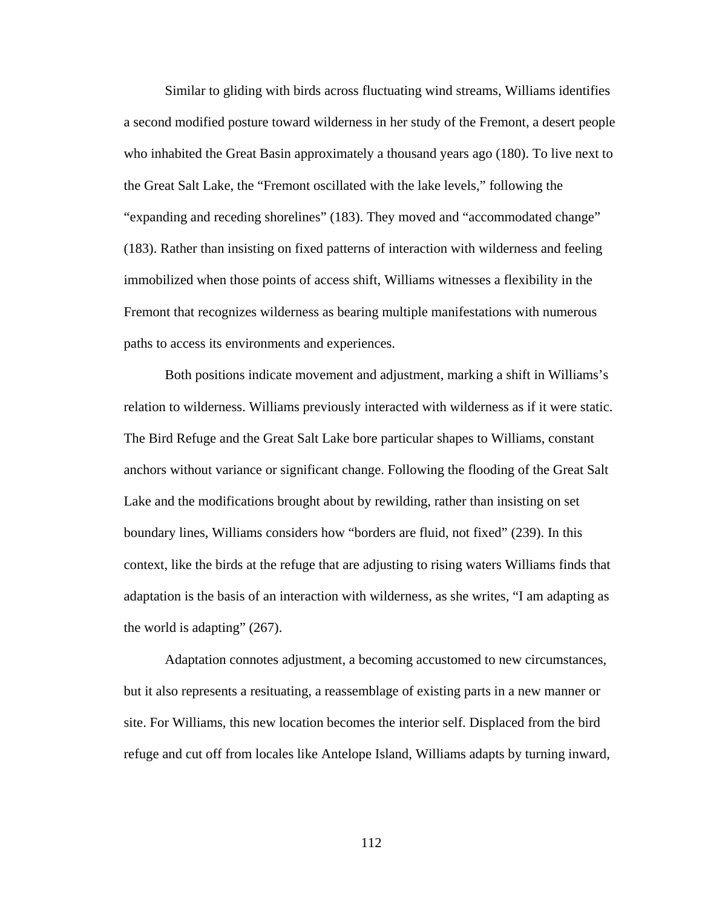Similar to gliding with birds across fluctuating wind streams, Williams identifies a second modified posture toward wilderness in her study of the Fremont, a desert people who inhabited the Great Basin approximately a thousand years ago (180). To live next to the Great Salt Lake, the "Fremont oscillated with the lake levels," following the "expanding and receding shorelines" (183). They moved and "accommodated change" (183). Rather than insisting on fixed patterns of interaction with wilderness and feeling immobilized when those points of access shift, Williams witnesses a flexibility in the Fremont that recognizes wilderness as bearing multiple manifestations with numerous paths to access its environments and experiences.

Both positions indicate movement and adjustment, marking a shift in Williams's relation to wilderness. Williams previously interacted with wilderness as if it were static. The Bird Refuge and the Great Salt Lake bore particular shapes to Williams, constant anchors without variance or significant change. Following the flooding of the Great Salt Lake and the modifications brought about by rewilding, rather than insisting on set boundary lines, Williams considers how "borders are fluid, not fixed" (239). In this context, like the birds at the refuge that are adjusting to rising waters Williams finds that adaptation is the basis of an interaction with wilderness, as she writes, "I am adapting as the world is adapting" (267).

Adaptation connotes adjustment, a becoming accustomed to new circumstances, but it also represents a resituating, a reassemblage of existing parts in a new manner or site. For Williams, this new location becomes the interior self. Displaced from the bird refuge and cut off from locales like Antelope Island, Williams adapts by turning inward,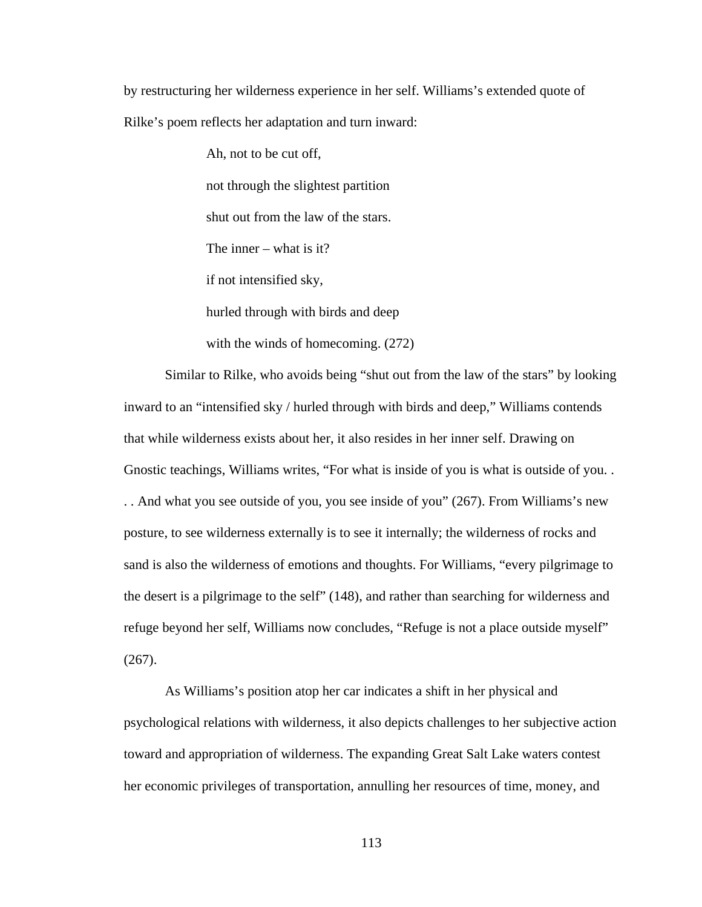by restructuring her wilderness experience in her self. Williams's extended quote of Rilke's poem reflects her adaptation and turn inward:

> Ah, not to be cut off, not through the slightest partition shut out from the law of the stars. The inner – what is it? if not intensified sky, hurled through with birds and deep with the winds of homecoming. (272)

Similar to Rilke, who avoids being "shut out from the law of the stars" by looking inward to an "intensified sky / hurled through with birds and deep," Williams contends that while wilderness exists about her, it also resides in her inner self. Drawing on Gnostic teachings, Williams writes, "For what is inside of you is what is outside of you. . . . And what you see outside of you, you see inside of you" (267). From Williams's new posture, to see wilderness externally is to see it internally; the wilderness of rocks and sand is also the wilderness of emotions and thoughts. For Williams, "every pilgrimage to the desert is a pilgrimage to the self" (148), and rather than searching for wilderness and refuge beyond her self, Williams now concludes, "Refuge is not a place outside myself" (267).

As Williams's position atop her car indicates a shift in her physical and psychological relations with wilderness, it also depicts challenges to her subjective action toward and appropriation of wilderness. The expanding Great Salt Lake waters contest her economic privileges of transportation, annulling her resources of time, money, and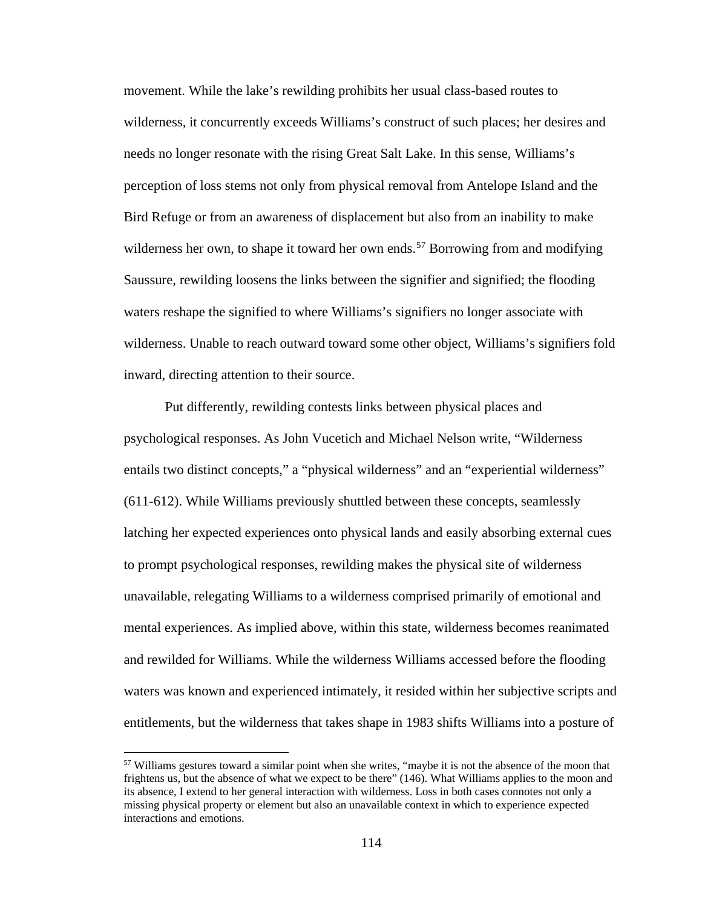movement. While the lake's rewilding prohibits her usual class-based routes to wilderness, it concurrently exceeds Williams's construct of such places; her desires and needs no longer resonate with the rising Great Salt Lake. In this sense, Williams's perception of loss stems not only from physical removal from Antelope Island and the Bird Refuge or from an awareness of displacement but also from an inability to make wilderness her own, to shape it toward her own ends.<sup>[57](#page-121-0)</sup> Borrowing from and modifying Saussure, rewilding loosens the links between the signifier and signified; the flooding waters reshape the signified to where Williams's signifiers no longer associate with wilderness. Unable to reach outward toward some other object, Williams's signifiers fold inward, directing attention to their source.

Put differently, rewilding contests links between physical places and psychological responses. As John Vucetich and Michael Nelson write, "Wilderness entails two distinct concepts," a "physical wilderness" and an "experiential wilderness" (611-612). While Williams previously shuttled between these concepts, seamlessly latching her expected experiences onto physical lands and easily absorbing external cues to prompt psychological responses, rewilding makes the physical site of wilderness unavailable, relegating Williams to a wilderness comprised primarily of emotional and mental experiences. As implied above, within this state, wilderness becomes reanimated and rewilded for Williams. While the wilderness Williams accessed before the flooding waters was known and experienced intimately, it resided within her subjective scripts and entitlements, but the wilderness that takes shape in 1983 shifts Williams into a posture of

 $\overline{\phantom{a}}$ 

<span id="page-121-0"></span><sup>57</sup> Williams gestures toward a similar point when she writes, "maybe it is not the absence of the moon that frightens us, but the absence of what we expect to be there" (146). What Williams applies to the moon and its absence, I extend to her general interaction with wilderness. Loss in both cases connotes not only a missing physical property or element but also an unavailable context in which to experience expected interactions and emotions.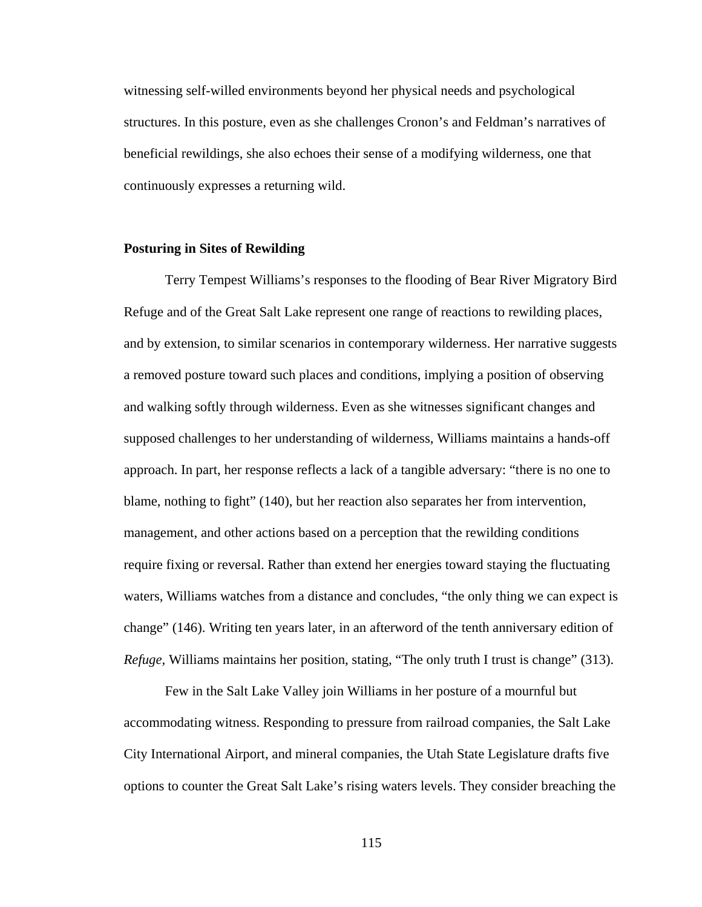witnessing self-willed environments beyond her physical needs and psychological structures. In this posture, even as she challenges Cronon's and Feldman's narratives of beneficial rewildings, she also echoes their sense of a modifying wilderness, one that continuously expresses a returning wild.

### **Posturing in Sites of Rewilding**

Terry Tempest Williams's responses to the flooding of Bear River Migratory Bird Refuge and of the Great Salt Lake represent one range of reactions to rewilding places, and by extension, to similar scenarios in contemporary wilderness. Her narrative suggests a removed posture toward such places and conditions, implying a position of observing and walking softly through wilderness. Even as she witnesses significant changes and supposed challenges to her understanding of wilderness, Williams maintains a hands-off approach. In part, her response reflects a lack of a tangible adversary: "there is no one to blame, nothing to fight" (140), but her reaction also separates her from intervention, management, and other actions based on a perception that the rewilding conditions require fixing or reversal. Rather than extend her energies toward staying the fluctuating waters, Williams watches from a distance and concludes, "the only thing we can expect is change" (146). Writing ten years later, in an afterword of the tenth anniversary edition of *Refuge,* Williams maintains her position, stating, "The only truth I trust is change" (313).

Few in the Salt Lake Valley join Williams in her posture of a mournful but accommodating witness. Responding to pressure from railroad companies, the Salt Lake City International Airport, and mineral companies, the Utah State Legislature drafts five options to counter the Great Salt Lake's rising waters levels. They consider breaching the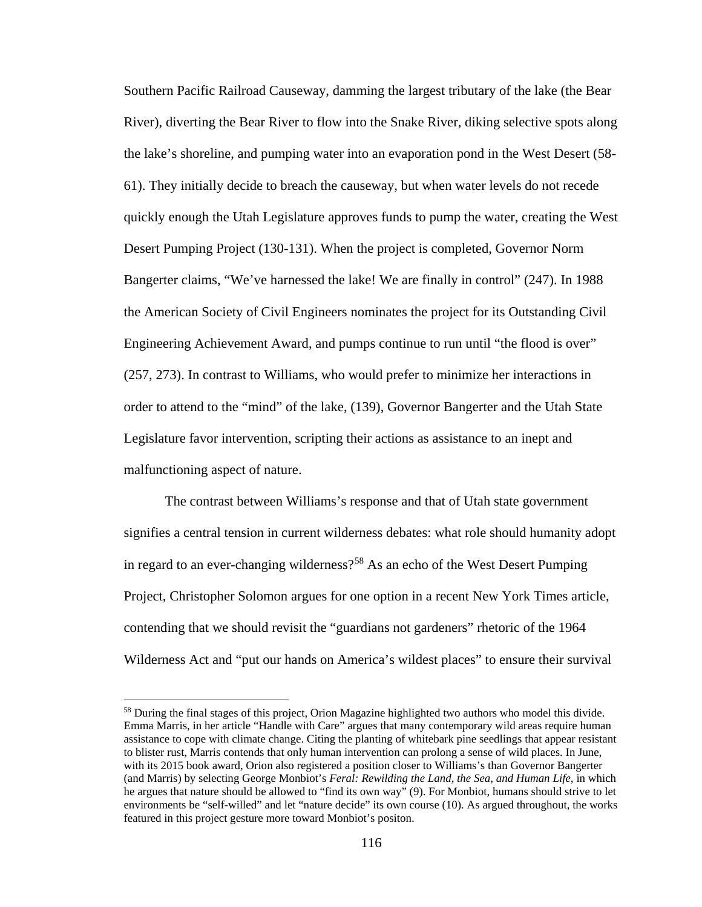Southern Pacific Railroad Causeway, damming the largest tributary of the lake (the Bear River), diverting the Bear River to flow into the Snake River, diking selective spots along the lake's shoreline, and pumping water into an evaporation pond in the West Desert (58- 61). They initially decide to breach the causeway, but when water levels do not recede quickly enough the Utah Legislature approves funds to pump the water, creating the West Desert Pumping Project (130-131). When the project is completed, Governor Norm Bangerter claims, "We've harnessed the lake! We are finally in control" (247). In 1988 the American Society of Civil Engineers nominates the project for its Outstanding Civil Engineering Achievement Award, and pumps continue to run until "the flood is over" (257, 273). In contrast to Williams, who would prefer to minimize her interactions in order to attend to the "mind" of the lake, (139), Governor Bangerter and the Utah State Legislature favor intervention, scripting their actions as assistance to an inept and malfunctioning aspect of nature.

The contrast between Williams's response and that of Utah state government signifies a central tension in current wilderness debates: what role should humanity adopt in regard to an ever-changing wilderness?<sup>[58](#page-123-0)</sup> As an echo of the West Desert Pumping Project, Christopher Solomon argues for one option in a recent New York Times article, contending that we should revisit the "guardians not gardeners" rhetoric of the 1964 Wilderness Act and "put our hands on America's wildest places" to ensure their survival

l

<span id="page-123-0"></span><sup>&</sup>lt;sup>58</sup> During the final stages of this project, Orion Magazine highlighted two authors who model this divide. Emma Marris, in her article "Handle with Care" argues that many contemporary wild areas require human assistance to cope with climate change. Citing the planting of whitebark pine seedlings that appear resistant to blister rust, Marris contends that only human intervention can prolong a sense of wild places. In June, with its 2015 book award, Orion also registered a position closer to Williams's than Governor Bangerter (and Marris) by selecting George Monbiot's *Feral: Rewilding the Land, the Sea, and Human Life*, in which he argues that nature should be allowed to "find its own way" (9). For Monbiot, humans should strive to let environments be "self-willed" and let "nature decide" its own course (10). As argued throughout, the works featured in this project gesture more toward Monbiot's positon.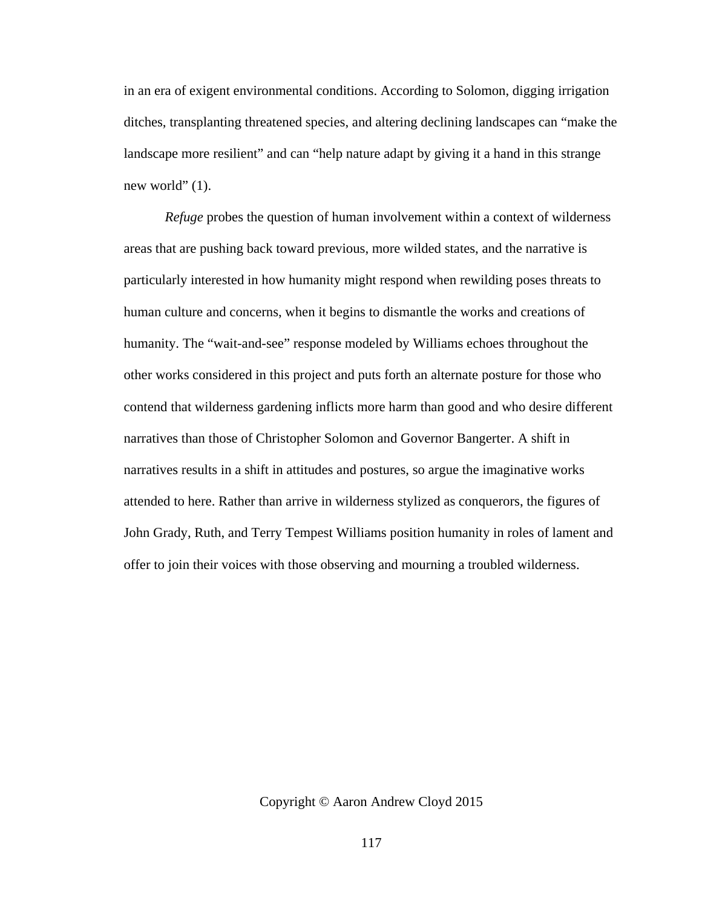in an era of exigent environmental conditions. According to Solomon, digging irrigation ditches, transplanting threatened species, and altering declining landscapes can "make the landscape more resilient" and can "help nature adapt by giving it a hand in this strange new world" (1).

*Refuge* probes the question of human involvement within a context of wilderness areas that are pushing back toward previous, more wilded states, and the narrative is particularly interested in how humanity might respond when rewilding poses threats to human culture and concerns, when it begins to dismantle the works and creations of humanity. The "wait-and-see" response modeled by Williams echoes throughout the other works considered in this project and puts forth an alternate posture for those who contend that wilderness gardening inflicts more harm than good and who desire different narratives than those of Christopher Solomon and Governor Bangerter. A shift in narratives results in a shift in attitudes and postures, so argue the imaginative works attended to here. Rather than arrive in wilderness stylized as conquerors, the figures of John Grady, Ruth, and Terry Tempest Williams position humanity in roles of lament and offer to join their voices with those observing and mourning a troubled wilderness.

Copyright © Aaron Andrew Cloyd 2015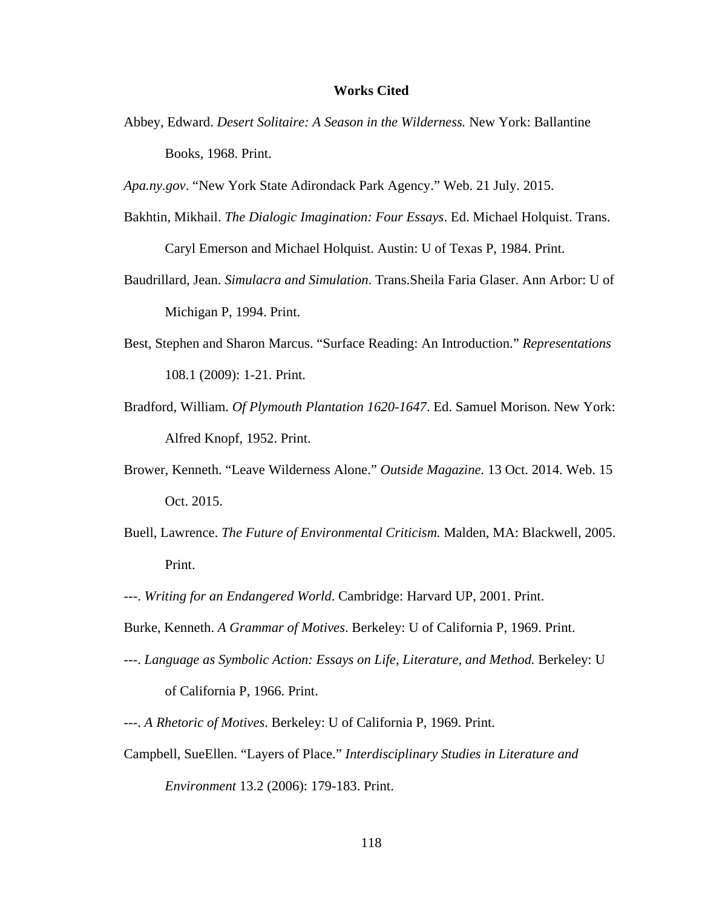#### **Works Cited**

- Abbey, Edward. *Desert Solitaire: A Season in the Wilderness.* New York: Ballantine Books, 1968. Print.
- *Apa.ny.gov*. "New York State Adirondack Park Agency." Web. 21 July. 2015.
- Bakhtin, Mikhail. *The Dialogic Imagination: Four Essays*. Ed. Michael Holquist. Trans. Caryl Emerson and Michael Holquist. Austin: U of Texas P, 1984. Print.
- Baudrillard, Jean. *Simulacra and Simulation*. Trans.Sheila Faria Glaser. Ann Arbor: U of Michigan P, 1994. Print.
- Best, Stephen and Sharon Marcus. "Surface Reading: An Introduction." *Representations*  108.1 (2009): 1-21. Print.
- Bradford, William. *Of Plymouth Plantation 1620-1647*. Ed. Samuel Morison. New York: Alfred Knopf, 1952. Print.
- Brower, Kenneth. "Leave Wilderness Alone." *Outside Magazine.* 13 Oct. 2014. Web. 15 Oct. 2015.
- Buell, Lawrence. *The Future of Environmental Criticism.* Malden, MA: Blackwell, 2005. Print.
- ---. *Writing for an Endangered World*. Cambridge: Harvard UP, 2001. Print.
- Burke, Kenneth. *A Grammar of Motives*. Berkeley: U of California P, 1969. Print.
- ---. *Language as Symbolic Action: Essays on Life, Literature, and Method.* Berkeley: U of California P, 1966. Print.
- ---. *A Rhetoric of Motives*. Berkeley: U of California P, 1969. Print.
- Campbell, SueEllen. "Layers of Place." *Interdisciplinary Studies in Literature and Environment* 13.2 (2006): 179-183. Print.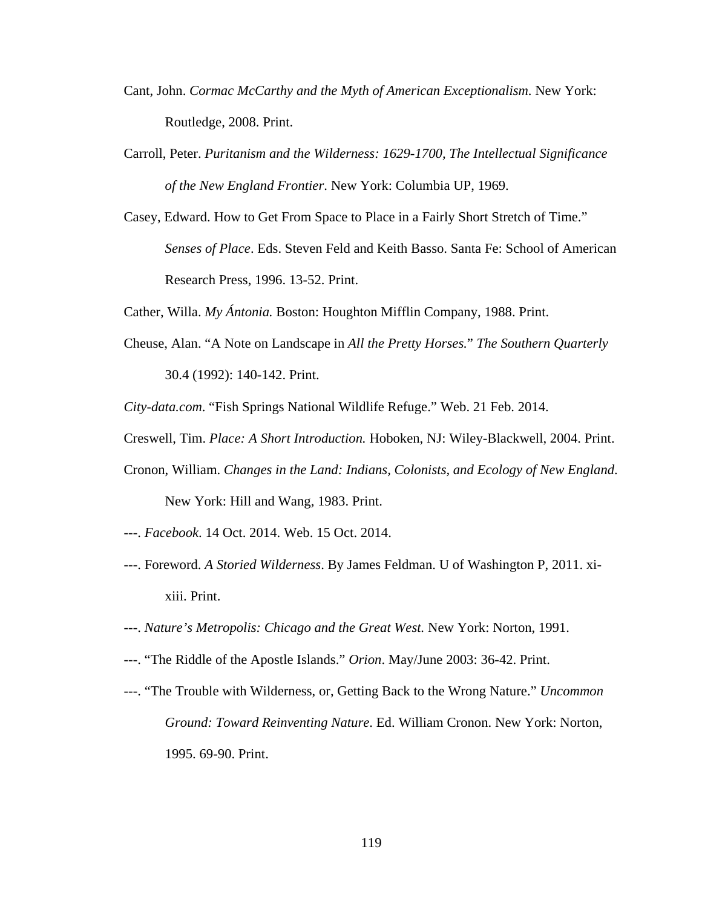- Cant, John. *Cormac McCarthy and the Myth of American Exceptionalism*. New York: Routledge, 2008. Print.
- Carroll, Peter. *Puritanism and the Wilderness: 1629-1700, The Intellectual Significance of the New England Frontier*. New York: Columbia UP, 1969.
- Casey, Edward. How to Get From Space to Place in a Fairly Short Stretch of Time." *Senses of Place*. Eds. Steven Feld and Keith Basso. Santa Fe: School of American Research Press, 1996. 13-52. Print.
- Cather, Willa. *My Ántonia.* Boston: Houghton Mifflin Company, 1988. Print.
- Cheuse, Alan. "A Note on Landscape in *All the Pretty Horses.*" *The Southern Quarterly* 30.4 (1992): 140-142. Print.
- *City-data.com*. "Fish Springs National Wildlife Refuge." Web. 21 Feb. 2014.
- Creswell, Tim. *Place: A Short Introduction.* Hoboken, NJ: Wiley-Blackwell, 2004. Print.
- Cronon, William. *Changes in the Land: Indians, Colonists, and Ecology of New England*. New York: Hill and Wang, 1983. Print.
- ---. *Facebook*. 14 Oct. 2014. Web. 15 Oct. 2014.
- ---. Foreword. *A Storied Wilderness*. By James Feldman. U of Washington P, 2011. xixiii. Print.
- ---. *Nature's Metropolis: Chicago and the Great West.* New York: Norton, 1991.
- ---. "The Riddle of the Apostle Islands." *Orion*. May/June 2003: 36-42. Print.
- ---. "The Trouble with Wilderness, or, Getting Back to the Wrong Nature." *Uncommon Ground: Toward Reinventing Nature*. Ed. William Cronon. New York: Norton, 1995. 69-90. Print.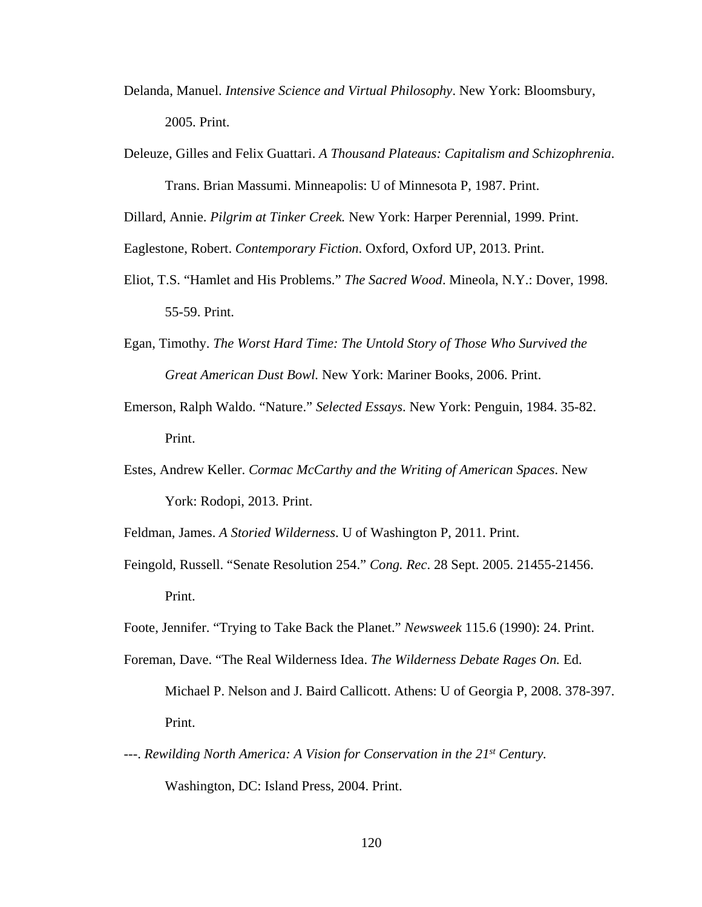- Delanda, Manuel. *Intensive Science and Virtual Philosophy*. New York: Bloomsbury, 2005. Print.
- Deleuze, Gilles and Felix Guattari. *A Thousand Plateaus: Capitalism and Schizophrenia*.

Trans. Brian Massumi. Minneapolis: U of Minnesota P, 1987. Print.

Dillard, Annie. *Pilgrim at Tinker Creek.* New York: Harper Perennial, 1999. Print.

Eaglestone, Robert. *Contemporary Fiction*. Oxford, Oxford UP, 2013. Print.

- Eliot, T.S. "Hamlet and His Problems." *The Sacred Wood*. Mineola, N.Y.: Dover, 1998. 55-59. Print.
- Egan, Timothy. *The Worst Hard Time: The Untold Story of Those Who Survived the Great American Dust Bowl.* New York: Mariner Books, 2006. Print.
- Emerson, Ralph Waldo. "Nature." *Selected Essays*. New York: Penguin, 1984. 35-82. Print.
- Estes, Andrew Keller. *Cormac McCarthy and the Writing of American Spaces*. New York: Rodopi, 2013. Print.
- Feldman, James. *A Storied Wilderness*. U of Washington P, 2011. Print.
- Feingold, Russell. "Senate Resolution 254." *Cong. Rec*. 28 Sept. 2005. 21455-21456. Print.
- Foote, Jennifer. "Trying to Take Back the Planet." *Newsweek* 115.6 (1990): 24. Print.
- Foreman, Dave. "The Real Wilderness Idea. *The Wilderness Debate Rages On.* Ed. Michael P. Nelson and J. Baird Callicott. Athens: U of Georgia P, 2008. 378-397. Print.
- ---. *Rewilding North America: A Vision for Conservation in the 21st Century.*  Washington, DC: Island Press, 2004. Print.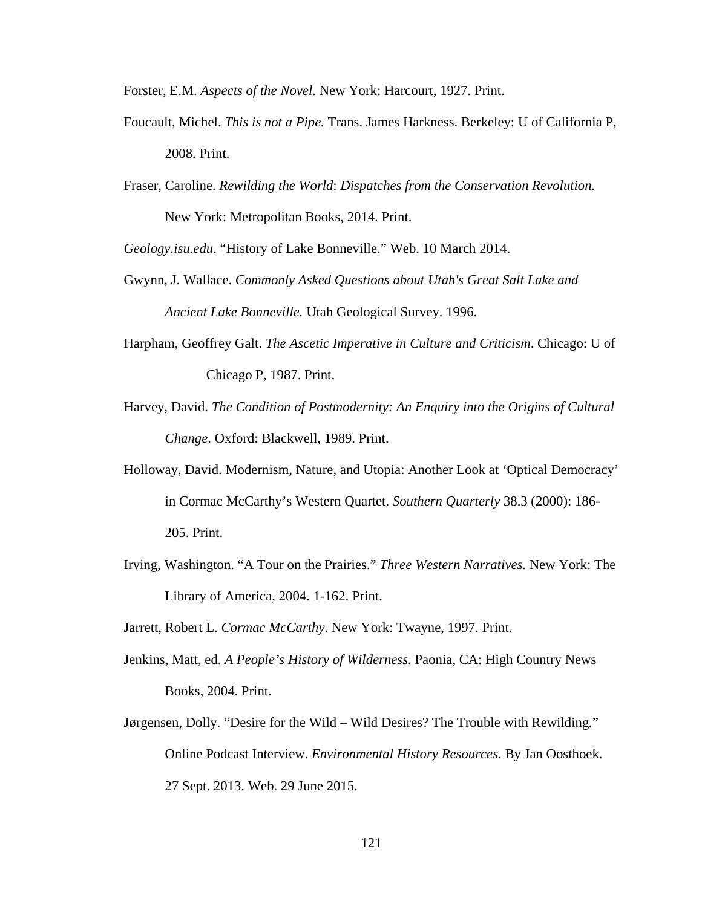Forster, E.M. *Aspects of the Novel*. New York: Harcourt, 1927. Print.

- Foucault, Michel. *This is not a Pipe.* Trans. James Harkness. Berkeley: U of California P, 2008. Print.
- Fraser, Caroline. *Rewilding the World*: *Dispatches from the Conservation Revolution.*  New York: Metropolitan Books, 2014. Print.

*Geology.isu.edu*. "History of Lake Bonneville." Web. 10 March 2014.

- Gwynn, J. Wallace. *Commonly Asked Questions about Utah's Great Salt Lake and Ancient Lake Bonneville.* Utah Geological Survey. 1996.
- Harpham, Geoffrey Galt. *The Ascetic Imperative in Culture and Criticism*. Chicago: U of Chicago P, 1987. Print.
- Harvey, David. *The Condition of Postmodernity: An Enquiry into the Origins of Cultural Change*. Oxford: Blackwell, 1989. Print.
- Holloway, David. Modernism, Nature, and Utopia: Another Look at 'Optical Democracy' in Cormac McCarthy's Western Quartet. *Southern Quarterly* 38.3 (2000): 186- 205. Print.
- Irving, Washington. "A Tour on the Prairies." *Three Western Narratives.* New York: The Library of America, 2004. 1-162. Print.
- Jarrett, Robert L. *Cormac McCarthy*. New York: Twayne, 1997. Print.
- Jenkins, Matt, ed. *A People's History of Wilderness*. Paonia, CA: High Country News Books, 2004. Print.
- Jørgensen, Dolly. "Desire for the Wild Wild Desires? The Trouble with Rewilding*.*" Online Podcast Interview. *Environmental History Resources*. By Jan Oosthoek. 27 Sept. 2013. Web. 29 June 2015.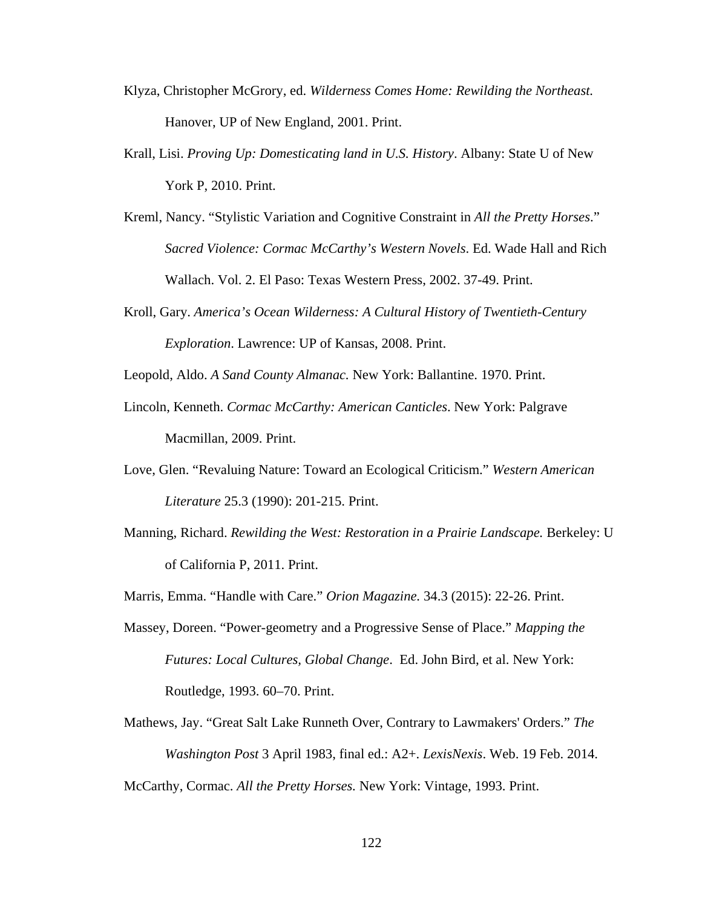- Klyza, Christopher McGrory, ed. *Wilderness Comes Home: Rewilding the Northeast.*  Hanover, UP of New England, 2001. Print.
- Krall, Lisi. *Proving Up: Domesticating land in U.S. History*. Albany: State U of New York P, 2010. Print.
- Kreml, Nancy. "Stylistic Variation and Cognitive Constraint in *All the Pretty Horses*." *Sacred Violence: Cormac McCarthy's Western Novels*. Ed. Wade Hall and Rich Wallach. Vol. 2. El Paso: Texas Western Press, 2002. 37-49. Print.
- Kroll, Gary. *America's Ocean Wilderness: A Cultural History of Twentieth-Century Exploration*. Lawrence: UP of Kansas, 2008. Print.
- Leopold, Aldo. *A Sand County Almanac.* New York: Ballantine. 1970. Print.
- Lincoln, Kenneth. *Cormac McCarthy: American Canticles*. New York: Palgrave Macmillan, 2009. Print.
- Love, Glen. "Revaluing Nature: Toward an Ecological Criticism." *Western American Literature* 25.3 (1990): 201-215. Print.
- Manning, Richard. *Rewilding the West: Restoration in a Prairie Landscape.* Berkeley: U of California P, 2011. Print.
- Marris, Emma. "Handle with Care." *Orion Magazine.* 34.3 (2015): 22-26. Print.
- Massey, Doreen. "Power-geometry and a Progressive Sense of Place." *Mapping the Futures: Local Cultures, Global Change*. Ed. John Bird, et al. New York: Routledge, 1993. 60–70. Print.
- Mathews, Jay. "Great Salt Lake Runneth Over, Contrary to Lawmakers' Orders." *The Washington Post* 3 April 1983, final ed.: A2+. *LexisNexis*. Web. 19 Feb. 2014. McCarthy, Cormac. *All the Pretty Horses.* New York: Vintage, 1993. Print.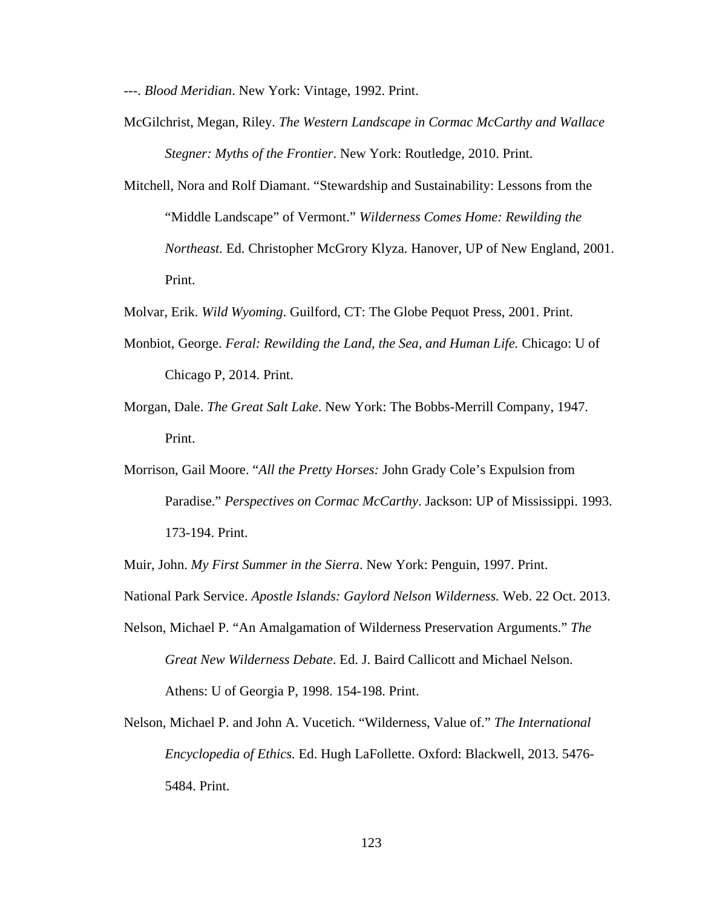---. *Blood Meridian*. New York: Vintage, 1992. Print.

- McGilchrist, Megan, Riley. *The Western Landscape in Cormac McCarthy and Wallace Stegner: Myths of the Frontier*. New York: Routledge, 2010. Print.
- Mitchell, Nora and Rolf Diamant. "Stewardship and Sustainability: Lessons from the "Middle Landscape" of Vermont." *Wilderness Comes Home: Rewilding the Northeast.* Ed. Christopher McGrory Klyza. Hanover, UP of New England, 2001. Print.
- Molvar, Erik. *Wild Wyoming*. Guilford, CT: The Globe Pequot Press, 2001. Print.
- Monbiot, George. *Feral: Rewilding the Land, the Sea, and Human Life.* Chicago: U of Chicago P, 2014. Print.
- Morgan, Dale. *The Great Salt Lake*. New York: The Bobbs-Merrill Company, 1947. Print.
- Morrison, Gail Moore. "*All the Pretty Horses:* John Grady Cole's Expulsion from Paradise." *Perspectives on Cormac McCarthy*. Jackson: UP of Mississippi. 1993. 173-194. Print.

Muir, John. *My First Summer in the Sierra*. New York: Penguin, 1997. Print.

- National Park Service. *Apostle Islands: Gaylord Nelson Wilderness.* Web. 22 Oct. 2013.
- Nelson, Michael P. "An Amalgamation of Wilderness Preservation Arguments." *The Great New Wilderness Debate*. Ed. J. Baird Callicott and Michael Nelson. Athens: U of Georgia P, 1998. 154-198. Print.
- Nelson, Michael P. and John A. Vucetich. "Wilderness, Value of." *The International Encyclopedia of Ethics.* Ed. Hugh LaFollette. Oxford: Blackwell, 2013. 5476- 5484. Print.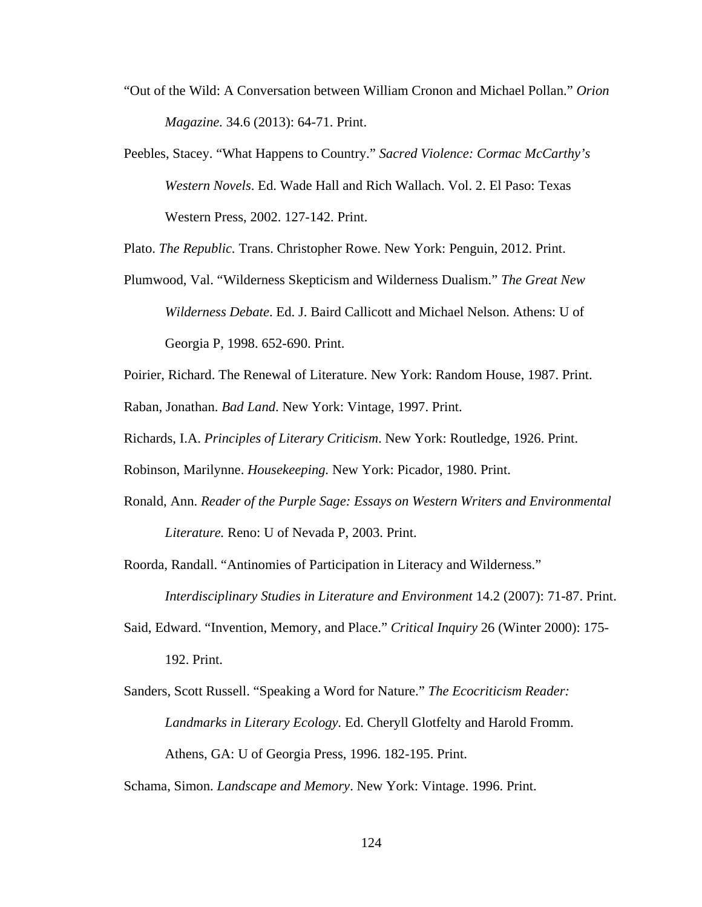- "Out of the Wild: A Conversation between William Cronon and Michael Pollan." *Orion Magazine.* 34.6 (2013): 64-71. Print.
- Peebles, Stacey. "What Happens to Country." *Sacred Violence: Cormac McCarthy's Western Novels*. Ed. Wade Hall and Rich Wallach. Vol. 2. El Paso: Texas Western Press, 2002. 127-142. Print.

Plato. *The Republic.* Trans. Christopher Rowe. New York: Penguin, 2012. Print.

- Plumwood, Val. "Wilderness Skepticism and Wilderness Dualism." *The Great New Wilderness Debate*. Ed. J. Baird Callicott and Michael Nelson. Athens: U of Georgia P, 1998. 652-690. Print.
- Poirier, Richard. The Renewal of Literature. New York: Random House, 1987. Print. Raban, Jonathan. *Bad Land*. New York: Vintage, 1997. Print.
- Richards, I.A. *Principles of Literary Criticism*. New York: Routledge, 1926. Print.

Robinson, Marilynne. *Housekeeping.* New York: Picador, 1980. Print.

- Ronald, Ann. *Reader of the Purple Sage: Essays on Western Writers and Environmental Literature.* Reno: U of Nevada P, 2003. Print.
- Roorda, Randall. "Antinomies of Participation in Literacy and Wilderness." *Interdisciplinary Studies in Literature and Environment* 14.2 (2007): 71-87. Print.
- Said, Edward. "Invention, Memory, and Place." *Critical Inquiry* 26 (Winter 2000): 175- 192. Print.
- Sanders, Scott Russell. "Speaking a Word for Nature." *The Ecocriticism Reader: Landmarks in Literary Ecology.* Ed. Cheryll Glotfelty and Harold Fromm. Athens, GA: U of Georgia Press, 1996. 182-195. Print.

Schama, Simon. *Landscape and Memory*. New York: Vintage. 1996. Print.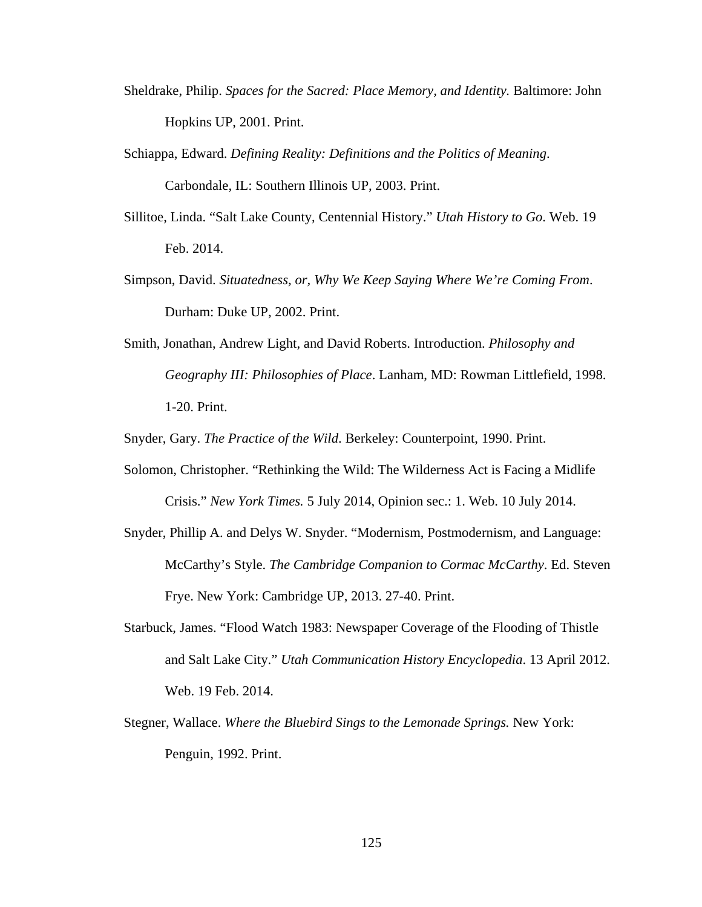- Sheldrake, Philip. *Spaces for the Sacred: Place Memory, and Identity.* Baltimore: John Hopkins UP, 2001. Print.
- Schiappa, Edward. *Defining Reality: Definitions and the Politics of Meaning*. Carbondale, IL: Southern Illinois UP, 2003. Print.
- Sillitoe, Linda. "Salt Lake County, Centennial History." *Utah History to Go*. Web. 19 Feb. 2014.
- Simpson, David. *Situatedness, or, Why We Keep Saying Where We're Coming From*. Durham: Duke UP, 2002. Print.
- Smith, Jonathan, Andrew Light, and David Roberts. Introduction. *Philosophy and Geography III: Philosophies of Place*. Lanham, MD: Rowman Littlefield, 1998. 1-20. Print.

Snyder, Gary. *The Practice of the Wild*. Berkeley: Counterpoint, 1990. Print.

- Solomon, Christopher. "Rethinking the Wild: The Wilderness Act is Facing a Midlife Crisis." *New York Times.* 5 July 2014, Opinion sec.: 1. Web. 10 July 2014.
- Snyder, Phillip A. and Delys W. Snyder. "Modernism, Postmodernism, and Language: McCarthy's Style. *The Cambridge Companion to Cormac McCarthy*. Ed. Steven Frye. New York: Cambridge UP, 2013. 27-40. Print.
- Starbuck, James. "Flood Watch 1983: Newspaper Coverage of the Flooding of Thistle and Salt Lake City." *Utah Communication History Encyclopedia*. 13 April 2012. Web. 19 Feb. 2014.
- Stegner, Wallace. *Where the Bluebird Sings to the Lemonade Springs.* New York: Penguin, 1992. Print.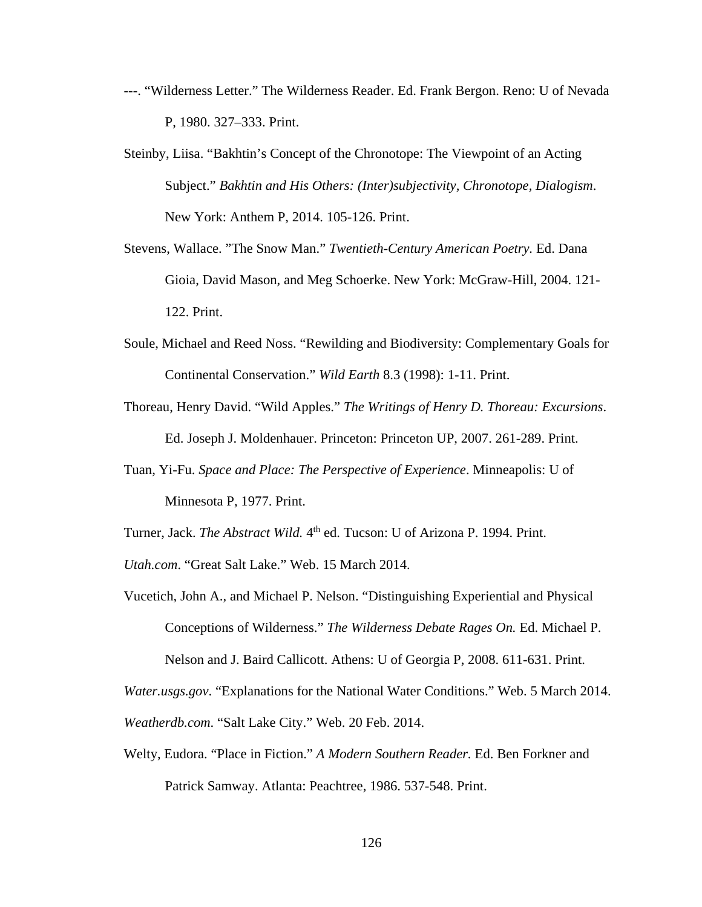- ---. "Wilderness Letter." The Wilderness Reader. Ed. Frank Bergon. Reno: U of Nevada P, 1980. 327–333. Print.
- Steinby, Liisa. "Bakhtin's Concept of the Chronotope: The Viewpoint of an Acting Subject." *Bakhtin and His Others: (Inter)subjectivity, Chronotope, Dialogism*. New York: Anthem P, 2014. 105-126. Print.
- Stevens, Wallace. "The Snow Man." *Twentieth-Century American Poetry.* Ed. Dana Gioia, David Mason, and Meg Schoerke. New York: McGraw-Hill, 2004. 121- 122. Print.
- Soule, Michael and Reed Noss. "Rewilding and Biodiversity: Complementary Goals for Continental Conservation." *Wild Earth* 8.3 (1998): 1-11. Print.
- Thoreau, Henry David. "Wild Apples." *The Writings of Henry D. Thoreau: Excursions*. Ed. Joseph J. Moldenhauer. Princeton: Princeton UP, 2007. 261-289. Print.
- Tuan, Yi-Fu. *Space and Place: The Perspective of Experience*. Minneapolis: U of Minnesota P, 1977. Print.
- Turner, Jack. *The Abstract Wild.* 4<sup>th</sup> ed. Tucson: U of Arizona P. 1994. Print.
- *Utah.com*. "Great Salt Lake." Web. 15 March 2014.
- Vucetich, John A., and Michael P. Nelson. "Distinguishing Experiential and Physical Conceptions of Wilderness." *The Wilderness Debate Rages On.* Ed. Michael P.

Nelson and J. Baird Callicott. Athens: U of Georgia P, 2008. 611-631. Print.

*Water.usgs.gov*. "Explanations for the National Water Conditions." Web. 5 March 2014.

*Weatherdb.com*. "Salt Lake City." Web. 20 Feb. 2014.

Welty, Eudora. "Place in Fiction." *A Modern Southern Reader.* Ed. Ben Forkner and Patrick Samway. Atlanta: Peachtree, 1986. 537-548. Print.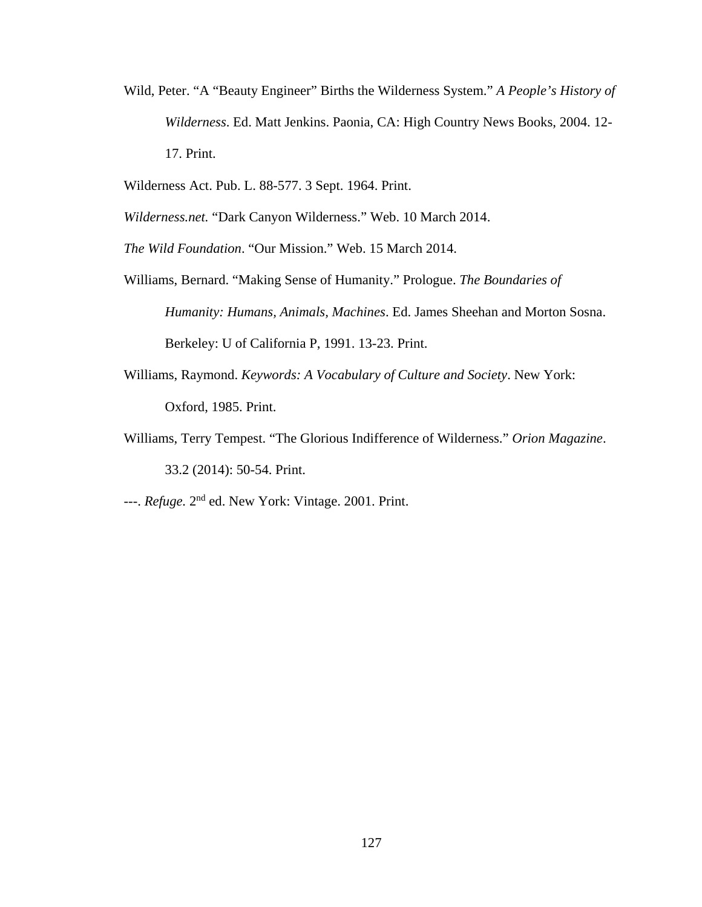- Wild, Peter. "A "Beauty Engineer" Births the Wilderness System." *A People's History of Wilderness*. Ed. Matt Jenkins. Paonia, CA: High Country News Books, 2004. 12- 17. Print.
- Wilderness Act. Pub. L. 88-577. 3 Sept. 1964. Print.

*Wilderness.net.* "Dark Canyon Wilderness." Web. 10 March 2014.

*The Wild Foundation*. "Our Mission." Web. 15 March 2014.

- Williams, Bernard. "Making Sense of Humanity." Prologue. *The Boundaries of Humanity: Humans, Animals, Machines*. Ed. James Sheehan and Morton Sosna. Berkeley: U of California P, 1991. 13-23. Print.
- Williams, Raymond. *Keywords: A Vocabulary of Culture and Society*. New York: Oxford, 1985. Print.
- Williams, Terry Tempest. "The Glorious Indifference of Wilderness." *Orion Magazine*. 33.2 (2014): 50-54. Print.
- ---. *Refuge.* 2nd ed. New York: Vintage. 2001. Print.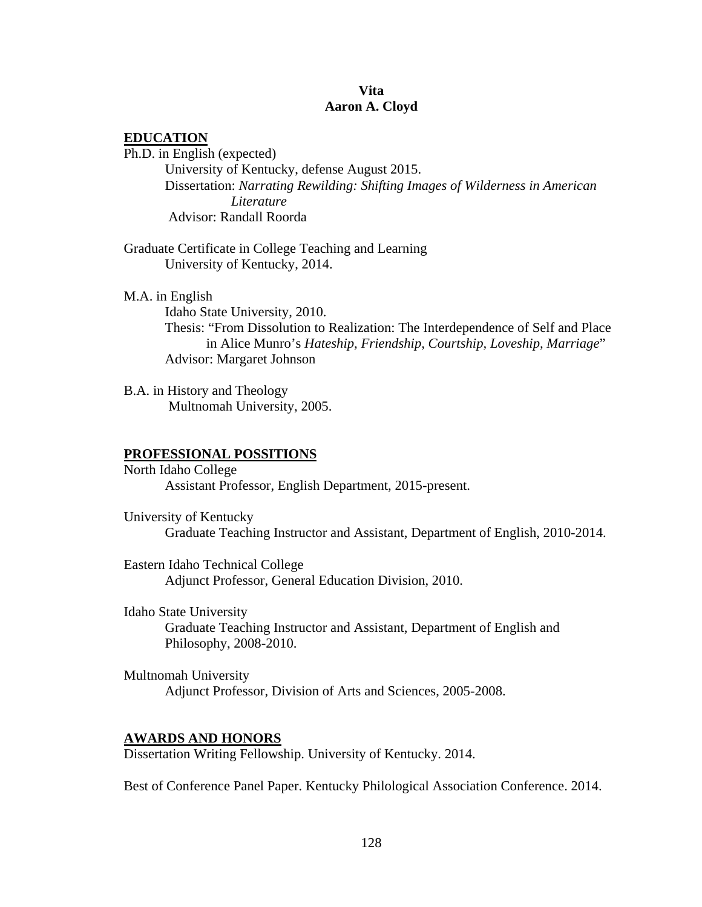## **Vita Aaron A. Cloyd**

## **EDUCATION**

Ph.D. in English (expected) University of Kentucky, defense August 2015. Dissertation: *Narrating Rewilding: Shifting Images of Wilderness in American Literature* Advisor: Randall Roorda

Graduate Certificate in College Teaching and Learning University of Kentucky, 2014.

M.A. in English Idaho State University, 2010. Thesis: "From Dissolution to Realization: The Interdependence of Self and Place in Alice Munro's *Hateship, Friendship, Courtship, Loveship, Marriage*" Advisor: Margaret Johnson

B.A. in History and Theology Multnomah University, 2005.

### **PROFESSIONAL POSSITIONS**

North Idaho College Assistant Professor, English Department, 2015-present.

University of Kentucky Graduate Teaching Instructor and Assistant, Department of English, 2010-2014.

Eastern Idaho Technical College Adjunct Professor, General Education Division, 2010.

Idaho State University Graduate Teaching Instructor and Assistant, Department of English and Philosophy, 2008-2010.

Multnomah University Adjunct Professor, Division of Arts and Sciences, 2005-2008.

#### **AWARDS AND HONORS**

Dissertation Writing Fellowship. University of Kentucky. 2014.

Best of Conference Panel Paper. Kentucky Philological Association Conference. 2014.